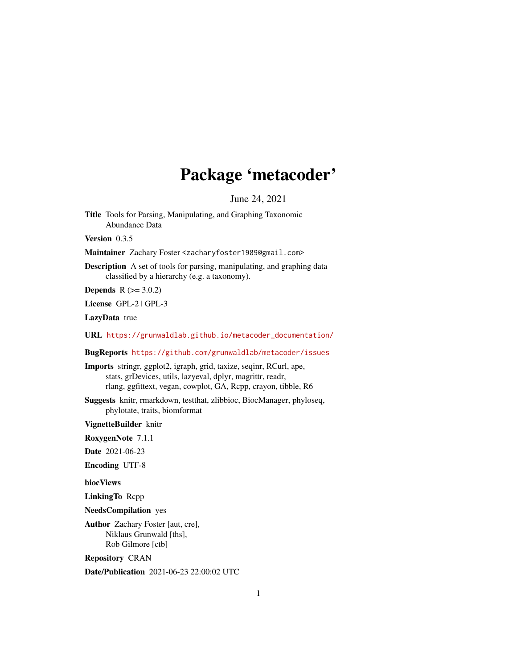## Package 'metacoder'

June 24, 2021

<span id="page-0-0"></span>Title Tools for Parsing, Manipulating, and Graphing Taxonomic Abundance Data

Version 0.3.5

Maintainer Zachary Foster <zacharyfoster1989@gmail.com>

Description A set of tools for parsing, manipulating, and graphing data classified by a hierarchy (e.g. a taxonomy).

**Depends**  $R (= 3.0.2)$ 

License GPL-2 | GPL-3

LazyData true

URL [https://grunwaldlab.github.io/metacoder\\_documentation/](https://grunwaldlab.github.io/metacoder_documentation/)

BugReports <https://github.com/grunwaldlab/metacoder/issues>

Imports stringr, ggplot2, igraph, grid, taxize, seqinr, RCurl, ape, stats, grDevices, utils, lazyeval, dplyr, magrittr, readr, rlang, ggfittext, vegan, cowplot, GA, Rcpp, crayon, tibble, R6

Suggests knitr, rmarkdown, testthat, zlibbioc, BiocManager, phyloseq, phylotate, traits, biomformat

VignetteBuilder knitr

RoxygenNote 7.1.1

Date 2021-06-23

Encoding UTF-8

biocViews

LinkingTo Rcpp

NeedsCompilation yes

Author Zachary Foster [aut, cre], Niklaus Grunwald [ths], Rob Gilmore [ctb]

Repository CRAN

Date/Publication 2021-06-23 22:00:02 UTC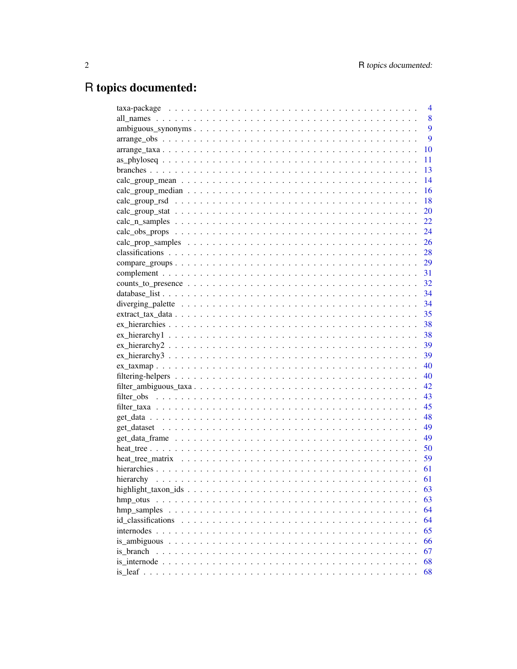# R topics documented:

|                                                                                                             | $\overline{4}$ |
|-------------------------------------------------------------------------------------------------------------|----------------|
|                                                                                                             | 8              |
|                                                                                                             | 9              |
|                                                                                                             | 9              |
|                                                                                                             | 10             |
|                                                                                                             | 11             |
|                                                                                                             | 13             |
|                                                                                                             | 14             |
|                                                                                                             | 16             |
|                                                                                                             | 18             |
|                                                                                                             | 20             |
|                                                                                                             | 22             |
|                                                                                                             | 24             |
|                                                                                                             | 26             |
|                                                                                                             | 28             |
| $compare\_groups \dots \dots \dots \dots \dots \dots \dots \dots \dots \dots \dots \dots \dots \dots \dots$ | 29             |
|                                                                                                             | 31             |
|                                                                                                             |                |
|                                                                                                             |                |
|                                                                                                             | 34             |
|                                                                                                             | 35             |
|                                                                                                             | 38             |
|                                                                                                             | 38             |
|                                                                                                             | 39             |
|                                                                                                             | 39             |
|                                                                                                             | 40             |
|                                                                                                             | 40             |
|                                                                                                             | 42             |
|                                                                                                             | 43             |
|                                                                                                             | 45             |
|                                                                                                             | 48             |
|                                                                                                             | 49             |
|                                                                                                             | 49             |
|                                                                                                             | 50             |
|                                                                                                             | 59             |
|                                                                                                             | 61             |
|                                                                                                             | 61             |
|                                                                                                             | 63             |
| hmp_otus                                                                                                    | 63             |
| hmp_samples                                                                                                 | 64             |
| id classifications                                                                                          | 64             |
|                                                                                                             | 65             |
|                                                                                                             | 66             |
| is branch                                                                                                   | 67             |
|                                                                                                             | 68             |
|                                                                                                             |                |
|                                                                                                             | 68             |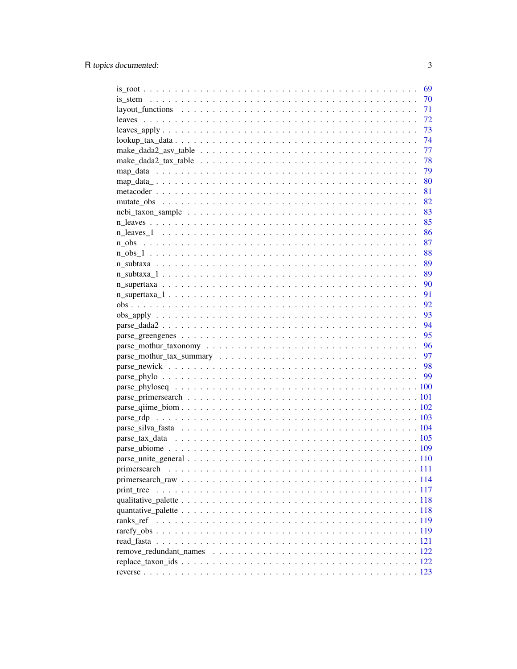|              | 69  |
|--------------|-----|
|              | 70  |
|              | 71  |
|              | 72  |
|              | 73  |
|              | -74 |
|              | 77  |
|              |     |
|              | 79  |
|              |     |
|              |     |
|              |     |
|              |     |
|              |     |
|              |     |
|              | 87  |
|              | 88  |
|              | 89  |
|              | 89  |
|              | 90  |
|              | 91  |
|              | 92  |
|              | 93  |
|              | 94  |
|              | 95  |
|              | 96  |
|              | 97  |
|              |     |
|              |     |
|              |     |
|              |     |
|              |     |
|              |     |
|              |     |
|              |     |
|              |     |
|              |     |
| primersearch |     |
|              |     |
|              |     |
|              |     |
|              |     |
|              |     |
|              |     |
|              |     |
|              |     |
|              |     |
|              |     |
|              |     |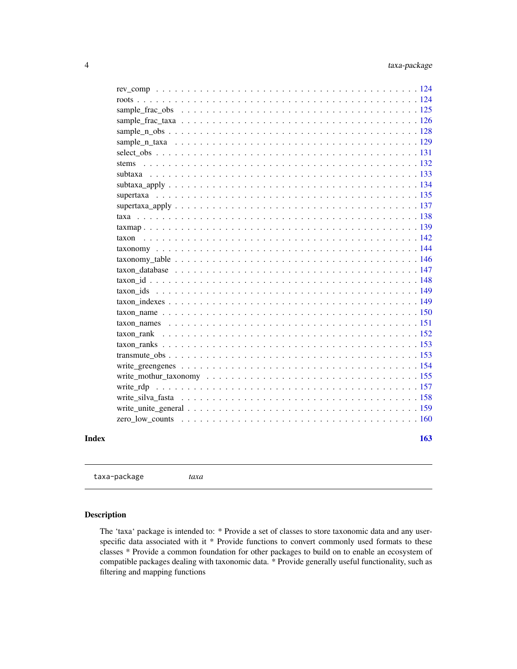<span id="page-3-0"></span>

taxa-package *taxa*

### Description

The 'taxa' package is intended to: \* Provide a set of classes to store taxonomic data and any userspecific data associated with it \* Provide functions to convert commonly used formats to these classes \* Provide a common foundation for other packages to build on to enable an ecosystem of compatible packages dealing with taxonomic data. \* Provide generally useful functionality, such as filtering and mapping functions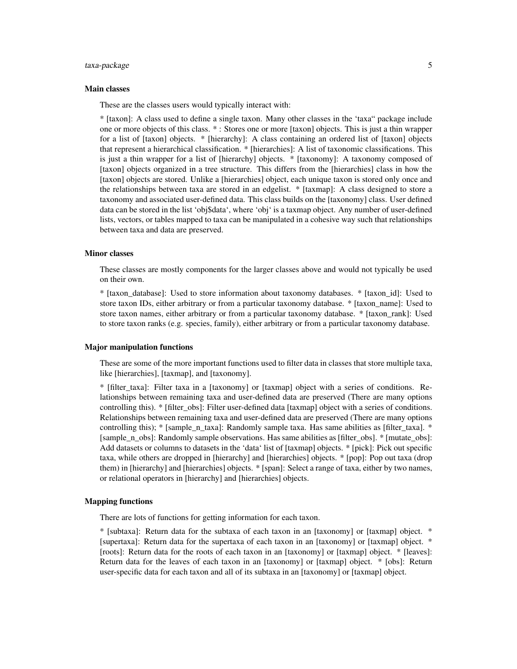### taxa-package 5

#### Main classes

These are the classes users would typically interact with:

\* [taxon]: A class used to define a single taxon. Many other classes in the 'taxa" package include one or more objects of this class. \* : Stores one or more [taxon] objects. This is just a thin wrapper for a list of [taxon] objects. \* [hierarchy]: A class containing an ordered list of [taxon] objects that represent a hierarchical classification. \* [hierarchies]: A list of taxonomic classifications. This is just a thin wrapper for a list of [hierarchy] objects. \* [taxonomy]: A taxonomy composed of [taxon] objects organized in a tree structure. This differs from the [hierarchies] class in how the [taxon] objects are stored. Unlike a [hierarchies] object, each unique taxon is stored only once and the relationships between taxa are stored in an edgelist. \* [taxmap]: A class designed to store a taxonomy and associated user-defined data. This class builds on the [taxonomy] class. User defined data can be stored in the list 'obj\$data', where 'obj' is a taxmap object. Any number of user-defined lists, vectors, or tables mapped to taxa can be manipulated in a cohesive way such that relationships between taxa and data are preserved.

#### Minor classes

These classes are mostly components for the larger classes above and would not typically be used on their own.

\* [taxon\_database]: Used to store information about taxonomy databases. \* [taxon\_id]: Used to store taxon IDs, either arbitrary or from a particular taxonomy database. \* [taxon\_name]: Used to store taxon names, either arbitrary or from a particular taxonomy database. \* [taxon\_rank]: Used to store taxon ranks (e.g. species, family), either arbitrary or from a particular taxonomy database.

#### Major manipulation functions

These are some of the more important functions used to filter data in classes that store multiple taxa, like [hierarchies], [taxmap], and [taxonomy].

\* [filter\_taxa]: Filter taxa in a [taxonomy] or [taxmap] object with a series of conditions. Relationships between remaining taxa and user-defined data are preserved (There are many options controlling this). \* [filter\_obs]: Filter user-defined data [taxmap] object with a series of conditions. Relationships between remaining taxa and user-defined data are preserved (There are many options controlling this);  $*$  [sample\_n\_taxa]: Randomly sample taxa. Has same abilities as [filter\_taxa].  $*$ [sample n obs]: Randomly sample observations. Has same abilities as [filter obs]. \* [mutate obs]: Add datasets or columns to datasets in the 'data' list of [taxmap] objects. \* [pick]: Pick out specific taxa, while others are dropped in [hierarchy] and [hierarchies] objects. \* [pop]: Pop out taxa (drop them) in [hierarchy] and [hierarchies] objects. \* [span]: Select a range of taxa, either by two names, or relational operators in [hierarchy] and [hierarchies] objects.

#### Mapping functions

There are lots of functions for getting information for each taxon.

\* [subtaxa]: Return data for the subtaxa of each taxon in an [taxonomy] or [taxmap] object. \* [supertaxa]: Return data for the supertaxa of each taxon in an [taxonomy] or [taxmap] object. \* [roots]: Return data for the roots of each taxon in an [taxonomy] or [taxmap] object. \* [leaves]: Return data for the leaves of each taxon in an [taxonomy] or [taxmap] object. \* [obs]: Return user-specific data for each taxon and all of its subtaxa in an [taxonomy] or [taxmap] object.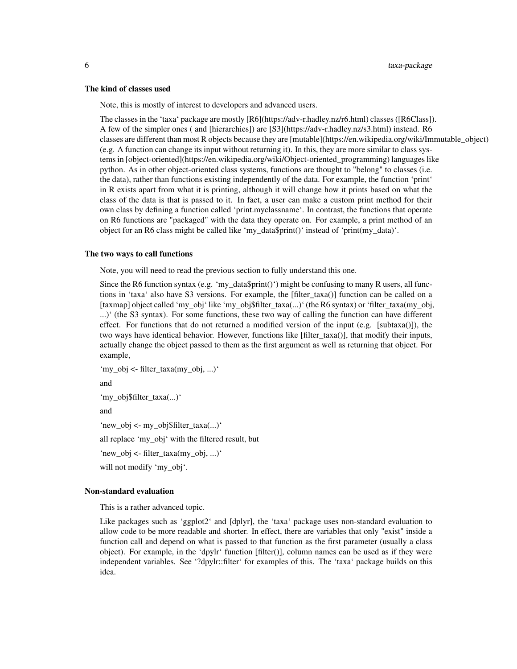#### The kind of classes used

Note, this is mostly of interest to developers and advanced users.

The classes in the 'taxa' package are mostly [R6](https://adv-r.hadley.nz/r6.html) classes ([R6Class]). A few of the simpler ones ( and [hierarchies]) are [S3](https://adv-r.hadley.nz/s3.html) instead. R6 classes are different than most R objects because they are [mutable](https://en.wikipedia.org/wiki/Immutable\_object) (e.g. A function can change its input without returning it). In this, they are more similar to class systems in [object-oriented](https://en.wikipedia.org/wiki/Object-oriented\_programming) languages like python. As in other object-oriented class systems, functions are thought to "belong" to classes (i.e. the data), rather than functions existing independently of the data. For example, the function 'print' in R exists apart from what it is printing, although it will change how it prints based on what the class of the data is that is passed to it. In fact, a user can make a custom print method for their own class by defining a function called 'print.myclassname'. In contrast, the functions that operate on R6 functions are "packaged" with the data they operate on. For example, a print method of an object for an R6 class might be called like 'my\_data\$print()' instead of 'print(my\_data)'.

#### The two ways to call functions

Note, you will need to read the previous section to fully understand this one.

Since the R6 function syntax (e.g. 'my\_data\$print()') might be confusing to many R users, all functions in 'taxa' also have S3 versions. For example, the [filter\_taxa()] function can be called on a [taxmap] object called 'my\_obj' like 'my\_obj\$filter\_taxa(...)' (the R6 syntax) or 'filter\_taxa(my\_obj, ...)' (the S3 syntax). For some functions, these two way of calling the function can have different effect. For functions that do not returned a modified version of the input (e.g. [subtaxa()]), the two ways have identical behavior. However, functions like [filter\_taxa()], that modify their inputs, actually change the object passed to them as the first argument as well as returning that object. For example,

'my\_obj <- filter\_taxa(my\_obj, ...)'

and

'my\_obj\$filter\_taxa(...)'

and

'new\_obj <- my\_obj\$filter\_taxa(...)'

all replace 'my\_obj' with the filtered result, but

'new\_obj <- filter\_taxa(my\_obj, ...)'

will not modify 'my\_obj'.

#### Non-standard evaluation

This is a rather advanced topic.

Like packages such as 'ggplot2' and [dplyr], the 'taxa' package uses non-standard evaluation to allow code to be more readable and shorter. In effect, there are variables that only "exist" inside a function call and depend on what is passed to that function as the first parameter (usually a class object). For example, in the 'dpylr' function [filter()], column names can be used as if they were independent variables. See '?dpylr::filter' for examples of this. The 'taxa' package builds on this idea.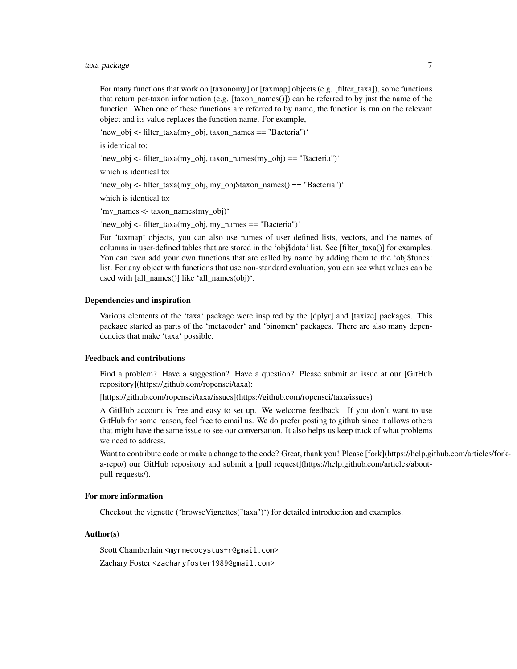### taxa-package 7

For many functions that work on [taxonomy] or [taxmap] objects (e.g. [filter\_taxa]), some functions that return per-taxon information (e.g. [taxon names()]) can be referred to by just the name of the function. When one of these functions are referred to by name, the function is run on the relevant object and its value replaces the function name. For example,

'new\_obj <- filter\_taxa(my\_obj, taxon\_names == "Bacteria")'

is identical to:

'new\_obj <- filter\_taxa(my\_obj, taxon\_names(my\_obj) == "Bacteria")'

which is identical to:

'new\_obj <- filter\_taxa(my\_obj, my\_obj\$taxon\_names() == "Bacteria")'

which is identical to:

'my\_names <- taxon\_names(my\_obj)'

'new\_obj <- filter\_taxa(my\_obj, my\_names == "Bacteria")'

For 'taxmap' objects, you can also use names of user defined lists, vectors, and the names of columns in user-defined tables that are stored in the 'obj\$data' list. See [filter\_taxa()] for examples. You can even add your own functions that are called by name by adding them to the 'obj\$funcs' list. For any object with functions that use non-standard evaluation, you can see what values can be used with [all\_names()] like 'all\_names(obj)'.

#### Dependencies and inspiration

Various elements of the 'taxa' package were inspired by the [dplyr] and [taxize] packages. This package started as parts of the 'metacoder' and 'binomen' packages. There are also many dependencies that make 'taxa' possible.

#### Feedback and contributions

Find a problem? Have a suggestion? Have a question? Please submit an issue at our [GitHub repository](https://github.com/ropensci/taxa):

[https://github.com/ropensci/taxa/issues](https://github.com/ropensci/taxa/issues)

A GitHub account is free and easy to set up. We welcome feedback! If you don't want to use GitHub for some reason, feel free to email us. We do prefer posting to github since it allows others that might have the same issue to see our conversation. It also helps us keep track of what problems we need to address.

Want to contribute code or make a change to the code? Great, thank you! Please [fork](https://help.github.com/articles/forka-repo/) our GitHub repository and submit a [pull request](https://help.github.com/articles/aboutpull-requests/).

#### For more information

Checkout the vignette ('browseVignettes("taxa")') for detailed introduction and examples.

#### Author(s)

Scott Chamberlain <myrmecocystus+r@gmail.com>

Zachary Foster <zacharyfoster1989@gmail.com>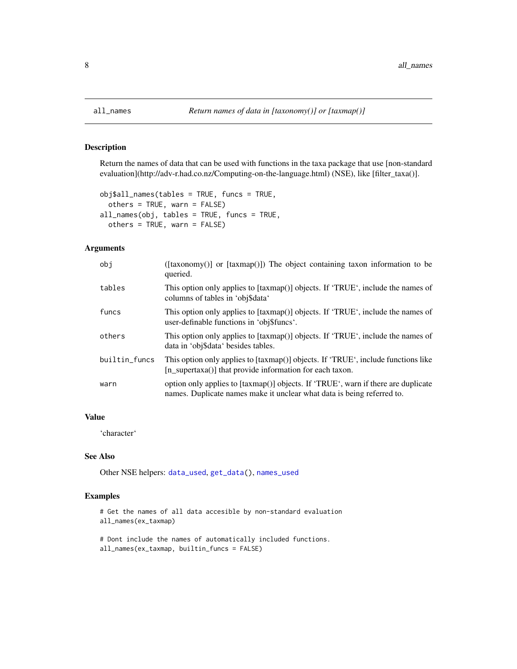#### Description

Return the names of data that can be used with functions in the taxa package that use [non-standard evaluation](http://adv-r.had.co.nz/Computing-on-the-language.html) (NSE), like [filter\_taxa()].

```
obj$all_names(tables = TRUE, funcs = TRUE,
 others = TRUE, warn = FALSE)
all_names(obj, tables = TRUE, funcs = TRUE,
 others = TRUE, warn = FALSE)
```
### Arguments

| obj           | ([taxonomy()] or [taxmap()]) The object containing taxon information to be<br>queried.                                                                      |
|---------------|-------------------------------------------------------------------------------------------------------------------------------------------------------------|
| tables        | This option only applies to [taxmap()] objects. If 'TRUE', include the names of<br>columns of tables in 'obj\$data'                                         |
| funcs         | This option only applies to [taxmap()] objects. If 'TRUE', include the names of<br>user-definable functions in 'obj\$funcs'.                                |
| others        | This option only applies to [taxmap()] objects. If 'TRUE', include the names of<br>data in 'obj\$data' besides tables.                                      |
| builtin_funcs | This option only applies to [taxmap()] objects. If 'TRUE', include functions like<br>[n_supertaxa()] that provide information for each taxon.               |
| warn          | option only applies to [taxmap()] objects. If 'TRUE', warn if there are duplicate<br>names. Duplicate names make it unclear what data is being referred to. |

#### Value

'character'

#### See Also

Other NSE helpers: [data\\_used](#page-0-0), [get\\_data\(](#page-47-1)), [names\\_used](#page-0-0)

```
# Get the names of all data accesible by non-standard evaluation
all_names(ex_taxmap)
```

```
# Dont include the names of automatically included functions.
all_names(ex_taxmap, builtin_funcs = FALSE)
```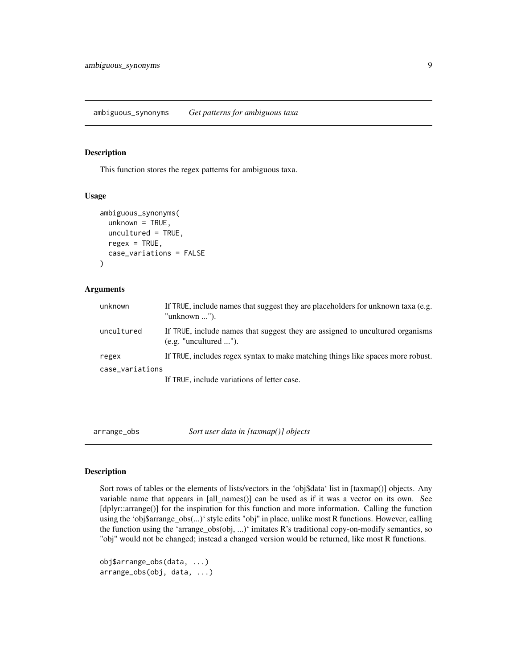### <span id="page-8-0"></span>Description

This function stores the regex patterns for ambiguous taxa.

#### Usage

```
ambiguous_synonyms(
  unknown = TRUE,uncultured = TRUE,
  regex = TRUE,case_variations = FALSE
)
```
#### Arguments

| unknown         | If TRUE, include names that suggest they are placeholders for unknown taxa (e.g.<br>"unknown $\ldots$ "). |
|-----------------|-----------------------------------------------------------------------------------------------------------|
| uncultured      | If TRUE, include names that suggest they are assigned to uncultured organisms<br>(e.g. "uncultured ").    |
| regex           | If TRUE, includes regex syntax to make matching things like spaces more robust.                           |
| case_variations |                                                                                                           |
|                 | If TRUE, include variations of letter case.                                                               |

<span id="page-8-1"></span>arrange\_obs *Sort user data in [taxmap()] objects*

#### Description

Sort rows of tables or the elements of lists/vectors in the 'obj\$data' list in [taxmap()] objects. Any variable name that appears in [all\_names()] can be used as if it was a vector on its own. See [dplyr::arrange()] for the inspiration for this function and more information. Calling the function using the 'obj\$arrange\_obs(...)' style edits "obj" in place, unlike most R functions. However, calling the function using the 'arrange\_obs(obj, ...)' imitates R's traditional copy-on-modify semantics, so "obj" would not be changed; instead a changed version would be returned, like most R functions.

```
obj$arrange_obs(data, ...)
arrange_obs(obj, data, ...)
```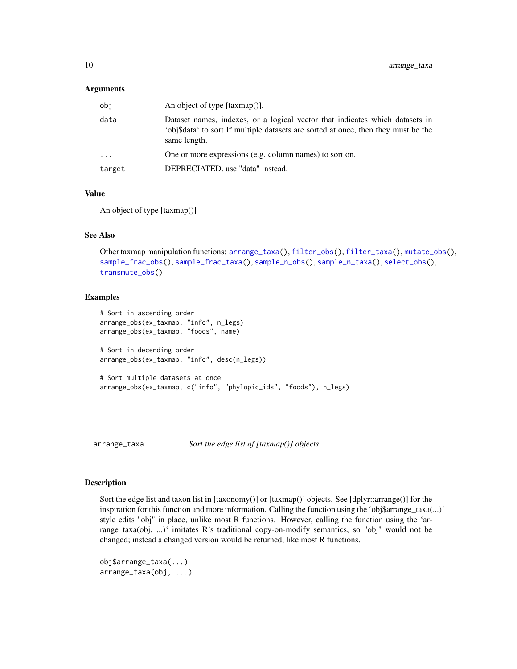#### <span id="page-9-0"></span>Arguments

| obj      | An object of type $[taxmap$                                                                                                                                                        |
|----------|------------------------------------------------------------------------------------------------------------------------------------------------------------------------------------|
| data     | Dataset names, indexes, or a logical vector that indicates which datasets in<br>'obj\$data' to sort If multiple datasets are sorted at once, then they must be the<br>same length. |
| $\ddots$ | One or more expressions (e.g. column names) to sort on.                                                                                                                            |
| target   | DEPRECIATED. use "data" instead.                                                                                                                                                   |

#### Value

An object of type [taxmap()]

#### See Also

```
Other taxmap manipulation functions: arrange_taxa(), filter_obs(), filter_taxa(), mutate_obs(),
sample_frac_obs(), sample_frac_taxa(), sample_n_obs(), sample_n_taxa(), select_obs(),
transmute_obs()
```
### Examples

```
# Sort in ascending order
arrange_obs(ex_taxmap, "info", n_legs)
arrange_obs(ex_taxmap, "foods", name)
# Sort in decending order
arrange_obs(ex_taxmap, "info", desc(n_legs))
# Sort multiple datasets at once
arrange_obs(ex_taxmap, c("info", "phylopic_ids", "foods"), n_legs)
```
<span id="page-9-1"></span>arrange\_taxa *Sort the edge list of [taxmap()] objects*

### **Description**

Sort the edge list and taxon list in [taxonomy()] or [taxmap()] objects. See [dplyr::arrange()] for the inspiration for this function and more information. Calling the function using the 'obj\$arrange\_taxa(...)' style edits "obj" in place, unlike most R functions. However, calling the function using the 'arrange\_taxa(obj, ...)' imitates R's traditional copy-on-modify semantics, so "obj" would not be changed; instead a changed version would be returned, like most R functions.

```
obj$arrange_taxa(...)
arrange_taxa(obj, ...)
```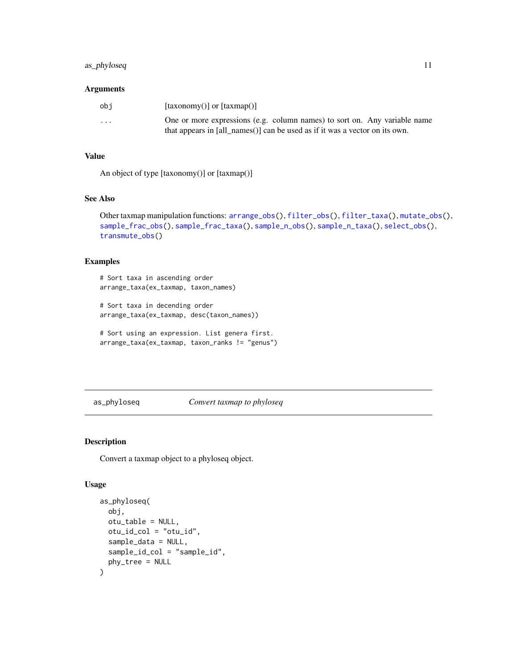### <span id="page-10-0"></span>as\_phyloseq 11

#### Arguments

| obi                     | $\lceil$ (taxonomy() or $\lceil$ (taxmap() $\rceil$                         |
|-------------------------|-----------------------------------------------------------------------------|
| $\cdot$ $\cdot$ $\cdot$ | One or more expressions (e.g. column names) to sort on. Any variable name   |
|                         | that appears in [all names()] can be used as if it was a vector on its own. |

#### Value

An object of type [taxonomy()] or [taxmap()]

#### See Also

```
Other taxmap manipulation functions: arrange_obs(), filter_obs(), filter_taxa(), mutate_obs(),
sample_frac_obs(), sample_frac_taxa(), sample_n_obs(), sample_n_taxa(), select_obs(),
transmute_obs()
```
### Examples

# Sort taxa in ascending order arrange\_taxa(ex\_taxmap, taxon\_names)

# Sort taxa in decending order arrange\_taxa(ex\_taxmap, desc(taxon\_names))

# Sort using an expression. List genera first. arrange\_taxa(ex\_taxmap, taxon\_ranks != "genus")

as\_phyloseq *Convert taxmap to phyloseq*

### Description

Convert a taxmap object to a phyloseq object.

### Usage

```
as_phyloseq(
 obj,
  otu_table = NULL,
 otu_id_col = "otu_id",
  sample_data = NULL,
  sample_id_col = "sample_id",
 phy_tree = NULL
\mathcal{E}
```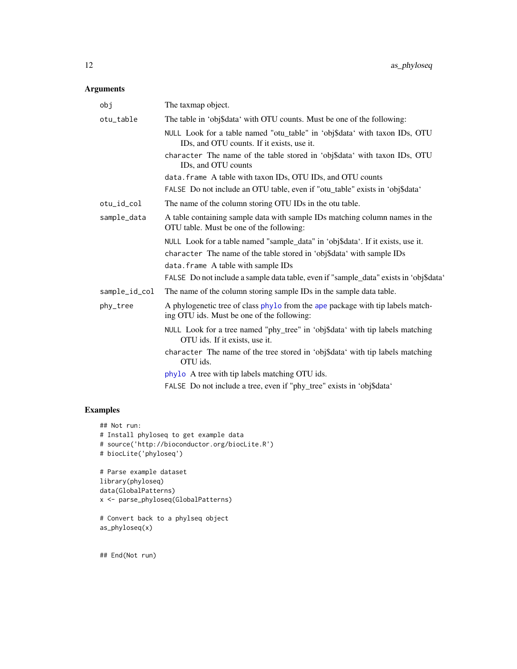### Arguments

| obj           | The taxmap object.                                                                                                           |
|---------------|------------------------------------------------------------------------------------------------------------------------------|
| otu_table     | The table in 'obj\$data' with OTU counts. Must be one of the following:                                                      |
|               | NULL Look for a table named "otu_table" in 'obj\$data' with taxon IDs, OTU<br>IDs, and OTU counts. If it exists, use it.     |
|               | character The name of the table stored in 'obj\$data' with taxon IDs, OTU<br>ID <sub>s</sub> , and OTU counts                |
|               | data. frame A table with taxon IDs, OTU IDs, and OTU counts                                                                  |
|               | FALSE Do not include an OTU table, even if "otu_table" exists in 'obj\$data'                                                 |
| otu_id_col    | The name of the column storing OTU IDs in the otu table.                                                                     |
| sample_data   | A table containing sample data with sample IDs matching column names in the<br>OTU table. Must be one of the following:      |
|               | NULL Look for a table named "sample_data" in 'obj\$data'. If it exists, use it.                                              |
|               | character The name of the table stored in 'obj\$data' with sample IDs                                                        |
|               | data. frame A table with sample IDs                                                                                          |
|               | FALSE Do not include a sample data table, even if "sample_data" exists in 'obj\$data'                                        |
| sample_id_col | The name of the column storing sample IDs in the sample data table.                                                          |
| phy_tree      | A phylogenetic tree of class phylo from the ape package with tip labels match-<br>ing OTU ids. Must be one of the following: |
|               | NULL Look for a tree named "phy_tree" in 'obj\$data' with tip labels matching<br>OTU ids. If it exists, use it.              |
|               | character The name of the tree stored in 'obj\$data' with tip labels matching<br>OTU ids.                                    |
|               | phylo A tree with tip labels matching OTU ids.                                                                               |
|               | FALSE Do not include a tree, even if "phy_tree" exists in 'obj\$data'                                                        |

### Examples

```
## Not run:
# Install phyloseq to get example data
# source('http://bioconductor.org/biocLite.R')
# biocLite('phyloseq')
# Parse example dataset
library(phyloseq)
data(GlobalPatterns)
x <- parse_phyloseq(GlobalPatterns)
# Convert back to a phylseq object
as_phyloseq(x)
```
## End(Not run)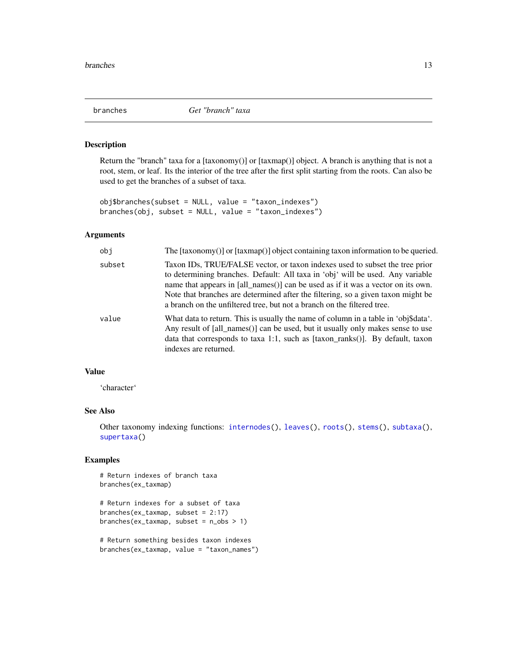<span id="page-12-0"></span>

#### Description

Return the "branch" taxa for a [taxonomy()] or [taxmap()] object. A branch is anything that is not a root, stem, or leaf. Its the interior of the tree after the first split starting from the roots. Can also be used to get the branches of a subset of taxa.

```
obj$branches(subset = NULL, value = "taxon_indexes")
branches(obj, subset = NULL, value = "taxon_indexes")
```
#### Arguments

| obi    | The [taxonomy()] or [taxmap()] object containing taxon information to be queried.                                                                                                                                                                                                                                                                                                                                 |
|--------|-------------------------------------------------------------------------------------------------------------------------------------------------------------------------------------------------------------------------------------------------------------------------------------------------------------------------------------------------------------------------------------------------------------------|
| subset | Taxon IDs, TRUE/FALSE vector, or taxon indexes used to subset the tree prior<br>to determining branches. Default: All taxa in 'obj' will be used. Any variable<br>name that appears in [all_names()] can be used as if it was a vector on its own.<br>Note that branches are determined after the filtering, so a given taxon might be<br>a branch on the unfiltered tree, but not a branch on the filtered tree. |
| value  | What data to return. This is usually the name of column in a table in 'obj\$data'.<br>Any result of $\lceil \text{all\_names}(\cdot) \rceil$ can be used, but it usually only makes sense to use<br>data that corresponds to taxa 1:1, such as $[taxon\_ranks()]$ . By default, taxon<br>indexes are returned.                                                                                                    |

### Value

'character'

### See Also

Other taxonomy indexing functions: [internodes\(](#page-64-1)), [leaves\(](#page-71-1)), [roots\(](#page-123-1)), [stems\(](#page-131-1)), [subtaxa\(](#page-132-1)), [supertaxa\(](#page-134-1))

```
# Return indexes of branch taxa
branches(ex_taxmap)
# Return indexes for a subset of taxa
branches(ex_taxmap, subset = 2:17)
branches(ex_taxmap, subset = n_obs > 1)
# Return something besides taxon indexes
```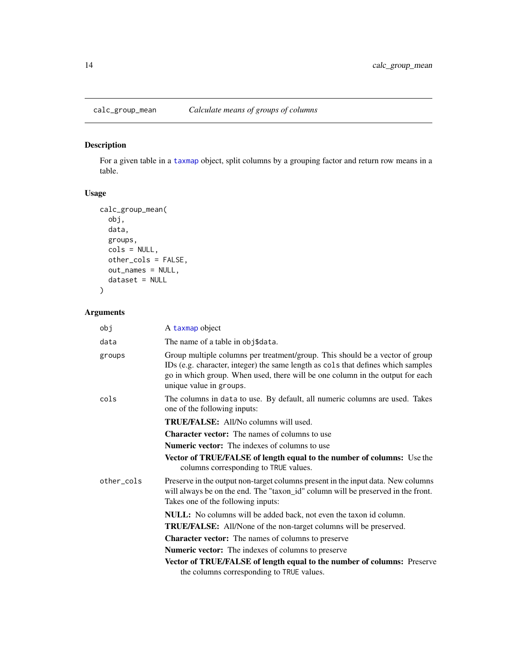### Description

For a given table in a [taxmap](#page-138-1) object, split columns by a grouping factor and return row means in a table.

### Usage

```
calc_group_mean(
  obj,
  data,
  groups,
  cols = NULL,
  other_cols = FALSE,
  out_names = NULL,
  dataset = NULL
)
```

| obj        | A taxmap object                                                                                                                                                                                                                                                              |
|------------|------------------------------------------------------------------------------------------------------------------------------------------------------------------------------------------------------------------------------------------------------------------------------|
| data       | The name of a table in obj\$data.                                                                                                                                                                                                                                            |
| groups     | Group multiple columns per treatment/group. This should be a vector of group<br>IDs (e.g. character, integer) the same length as cols that defines which samples<br>go in which group. When used, there will be one column in the output for each<br>unique value in groups. |
| cols       | The columns in data to use. By default, all numeric columns are used. Takes<br>one of the following inputs:                                                                                                                                                                  |
|            | <b>TRUE/FALSE:</b> All/No columns will used.                                                                                                                                                                                                                                 |
|            | <b>Character vector:</b> The names of columns to use                                                                                                                                                                                                                         |
|            | <b>Numeric vector:</b> The indexes of columns to use                                                                                                                                                                                                                         |
|            | Vector of TRUE/FALSE of length equal to the number of columns: Use the<br>columns corresponding to TRUE values.                                                                                                                                                              |
| other cols | Preserve in the output non-target columns present in the input data. New columns<br>will always be on the end. The "taxon_id" column will be preserved in the front.<br>Takes one of the following inputs:                                                                   |
|            | <b>NULL:</b> No columns will be added back, not even the taxon id column.                                                                                                                                                                                                    |
|            | <b>TRUE/FALSE:</b> All/None of the non-target columns will be preserved.                                                                                                                                                                                                     |
|            | <b>Character vector:</b> The names of columns to preserve                                                                                                                                                                                                                    |
|            | <b>Numeric vector:</b> The indexes of columns to preserve                                                                                                                                                                                                                    |
|            | Vector of TRUE/FALSE of length equal to the number of columns: Preserve                                                                                                                                                                                                      |
|            | the columns corresponding to TRUE values.                                                                                                                                                                                                                                    |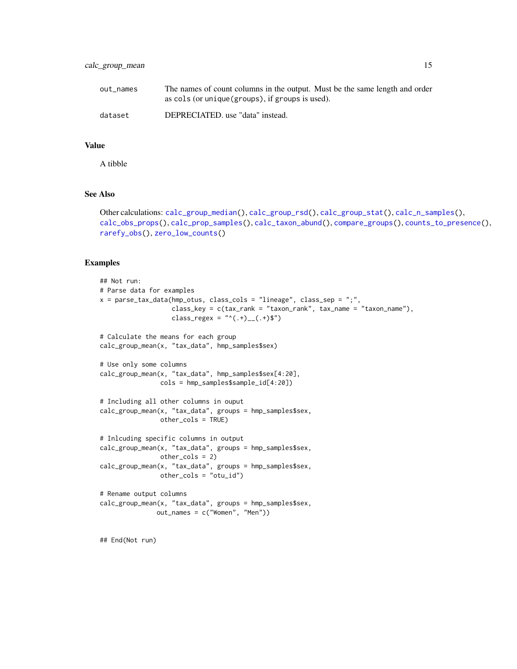### calc\_group\_mean 15

| out names | The names of count columns in the output. Must be the same length and order |
|-----------|-----------------------------------------------------------------------------|
|           | as cols (or unique (groups), if groups is used).                            |
| dataset   | DEPRECIATED. use "data" instead.                                            |

### Value

A tibble

### See Also

```
Other calculations: calc_group_median(), calc_group_rsd(), calc_group_stat(), calc_n_samples(),
calc_obs_props(), calc_prop_samples(), calc_taxon_abund(), compare_groups(), counts_to_presence(),
rarefy_obs(), zero_low_counts()
```
#### Examples

```
## Not run:
# Parse data for examples
x = parse_tax_data(hmp_otus, class_cols = "lineage", class_sep = ";",
                   class_key = c(tax_rank = "taxon_rank", tax_name = "taxon_name"),
                   class_regex = "^(.+)__(.+)$")
# Calculate the means for each group
calc_group_mean(x, "tax_data", hmp_samples$sex)
# Use only some columns
calc_group_mean(x, "tax_data", hmp_samples$sex[4:20],
                cols = hmp_samples$sample_id[4:20])
# Including all other columns in ouput
calc_group_mean(x, "tax_data", groups = hmp_samples$sex,
               other_cols = TRUE)
# Inlcuding specific columns in output
calc_group_mean(x, "tax_data", groups = hmp_samples$sex,
                other_cols = 2)
calc_group_mean(x, "tax_data", groups = hmp_samples$sex,
                other_cols = "otu_id")
# Rename output columns
calc_group_mean(x, "tax_data", groups = hmp_samples$sex,
               out_names = c("Women", "Men"))
```
## End(Not run)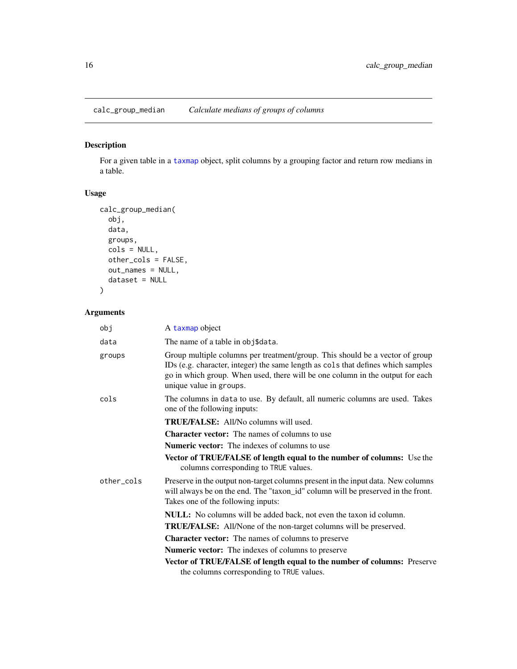<span id="page-15-1"></span><span id="page-15-0"></span>calc\_group\_median *Calculate medians of groups of columns*

### Description

For a given table in a [taxmap](#page-138-1) object, split columns by a grouping factor and return row medians in a table.

### Usage

```
calc_group_median(
 obj,
 data,
 groups,
 cols = NULL,other_cols = FALSE,
 out_names = NULL,
 dataset = NULL
)
```

| obj        | A taxmap object                                                                                                                                                                                                                                                              |
|------------|------------------------------------------------------------------------------------------------------------------------------------------------------------------------------------------------------------------------------------------------------------------------------|
| data       | The name of a table in obj\$data.                                                                                                                                                                                                                                            |
| groups     | Group multiple columns per treatment/group. This should be a vector of group<br>IDs (e.g. character, integer) the same length as cols that defines which samples<br>go in which group. When used, there will be one column in the output for each<br>unique value in groups. |
| cols       | The columns in data to use. By default, all numeric columns are used. Takes<br>one of the following inputs:                                                                                                                                                                  |
|            | <b>TRUE/FALSE:</b> All/No columns will used.                                                                                                                                                                                                                                 |
|            | <b>Character vector:</b> The names of columns to use                                                                                                                                                                                                                         |
|            | <b>Numeric vector:</b> The indexes of columns to use                                                                                                                                                                                                                         |
|            | Vector of TRUE/FALSE of length equal to the number of columns: Use the<br>columns corresponding to TRUE values.                                                                                                                                                              |
| other cols | Preserve in the output non-target columns present in the input data. New columns<br>will always be on the end. The "taxon_id" column will be preserved in the front.<br>Takes one of the following inputs:                                                                   |
|            | <b>NULL:</b> No columns will be added back, not even the taxon id column.                                                                                                                                                                                                    |
|            | <b>TRUE/FALSE:</b> All/None of the non-target columns will be preserved.                                                                                                                                                                                                     |
|            | <b>Character vector:</b> The names of columns to preserve                                                                                                                                                                                                                    |
|            | <b>Numeric vector:</b> The indexes of columns to preserve                                                                                                                                                                                                                    |
|            | Vector of TRUE/FALSE of length equal to the number of columns: Preserve<br>the columns corresponding to TRUE values.                                                                                                                                                         |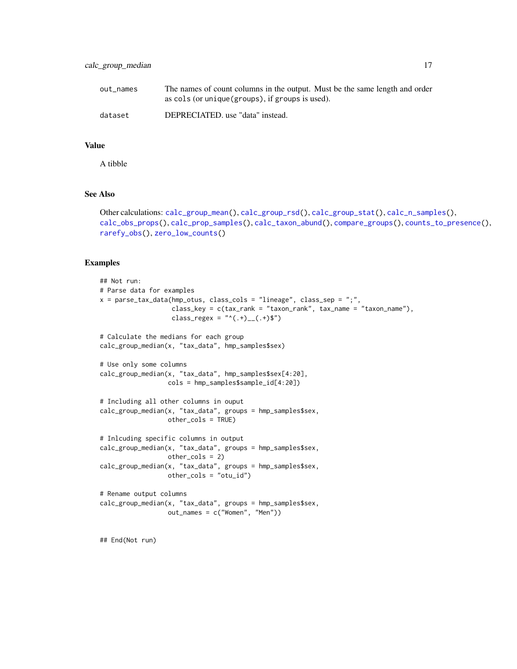| out names | The names of count columns in the output. Must be the same length and order |
|-----------|-----------------------------------------------------------------------------|
|           | as cols (or unique (groups), if groups is used).                            |
| dataset   | DEPRECIATED. use "data" instead.                                            |

A tibble

### See Also

```
Other calculations: calc_group_mean(), calc_group_rsd(), calc_group_stat(), calc_n_samples(),
calc_obs_props(), calc_prop_samples(), calc_taxon_abund(), compare_groups(), counts_to_presence(),
rarefy_obs(), zero_low_counts()
```
#### Examples

```
## Not run:
# Parse data for examples
x = parse_tax_data(hmp_otus, class_cols = "lineage", class_sep = ";",
                   class_key = c(tax_rank = "taxon_rank", tax_name = "taxon_name"),
                   class_regex = "^(.+)__(.+)$")
# Calculate the medians for each group
calc_group_median(x, "tax_data", hmp_samples$sex)
# Use only some columns
calc_group_median(x, "tax_data", hmp_samples$sex[4:20],
                 cols = hmp_samples$sample_id[4:20])
# Including all other columns in ouput
calc_group_median(x, "tax_data", groups = hmp_samples$sex,
                 other_cols = TRUE)
# Inlcuding specific columns in output
calc_group_median(x, "tax_data", groups = hmp_samples$sex,
                  other_cols = 2)
calc_group_median(x, "tax_data", groups = hmp_samples$sex,
                  other_cols = "otu_id")
# Rename output columns
calc_group_median(x, "tax_data", groups = hmp_samples$sex,
                  out_names = c("Women", "Men"))
```
## End(Not run)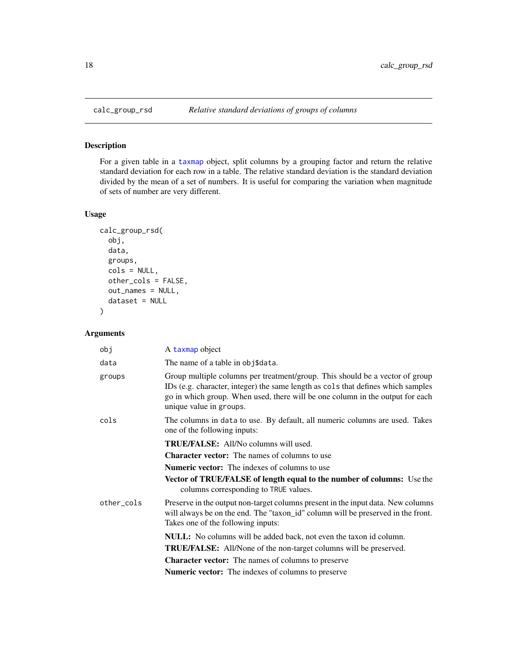### Description

For a given table in a [taxmap](#page-138-1) object, split columns by a grouping factor and return the relative standard deviation for each row in a table. The relative standard deviation is the standard deviation divided by the mean of a set of numbers. It is useful for comparing the variation when magnitude of sets of number are very different.

### Usage

```
calc_group_rsd(
  obj,
  data,
  groups,
 cols = NULL,other_cols = FALSE,
  out_names = NULL,
  dataset = NULL
)
```

| obj        | A taxmap object                                                                                                                                                                                                                                                              |
|------------|------------------------------------------------------------------------------------------------------------------------------------------------------------------------------------------------------------------------------------------------------------------------------|
| data       | The name of a table in obj\$data.                                                                                                                                                                                                                                            |
| groups     | Group multiple columns per treatment/group. This should be a vector of group<br>IDs (e.g. character, integer) the same length as cols that defines which samples<br>go in which group. When used, there will be one column in the output for each<br>unique value in groups. |
| cols       | The columns in data to use. By default, all numeric columns are used. Takes<br>one of the following inputs:                                                                                                                                                                  |
|            | <b>TRUE/FALSE:</b> All/No columns will used.                                                                                                                                                                                                                                 |
|            | <b>Character vector:</b> The names of columns to use                                                                                                                                                                                                                         |
|            | <b>Numeric vector:</b> The indexes of columns to use                                                                                                                                                                                                                         |
|            | <b>Vector of TRUE/FALSE of length equal to the number of columns:</b> Use the<br>columns corresponding to TRUE values.                                                                                                                                                       |
| other_cols | Preserve in the output non-target columns present in the input data. New columns<br>will always be on the end. The "taxon_id" column will be preserved in the front.<br>Takes one of the following inputs:                                                                   |
|            | NULL: No columns will be added back, not even the taxon id column.                                                                                                                                                                                                           |
|            | TRUE/FALSE: All/None of the non-target columns will be preserved.                                                                                                                                                                                                            |
|            | <b>Character vector:</b> The names of columns to preserve                                                                                                                                                                                                                    |
|            | <b>Numeric vector:</b> The indexes of columns to preserve                                                                                                                                                                                                                    |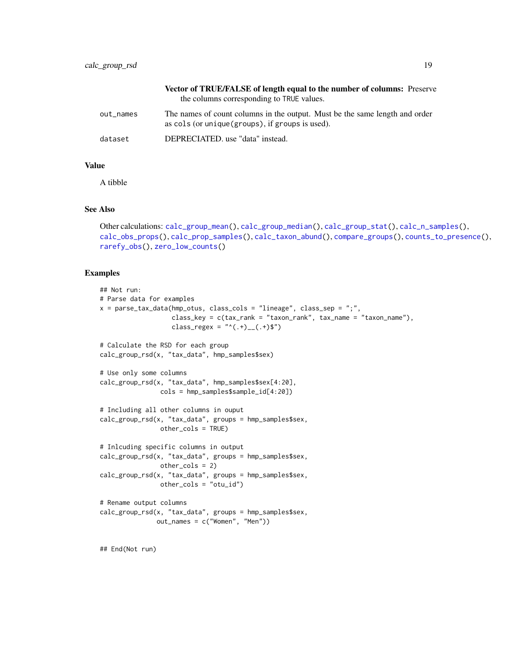|           | <b>Vector of TRUE/FALSE of length equal to the number of columns:</b> Preserve<br>the columns corresponding to TRUE values.     |
|-----------|---------------------------------------------------------------------------------------------------------------------------------|
| out_names | The names of count columns in the output. Must be the same length and order<br>as cols (or unique (groups), if groups is used). |
| dataset   | DEPRECIATED. use "data" instead.                                                                                                |

A tibble

### See Also

```
Other calculations: calc_group_mean(), calc_group_median(), calc_group_stat(), calc_n_samples(),
calc_obs_props(), calc_prop_samples(), calc_taxon_abund(), compare_groups(), counts_to_presence(),
rarefy_obs(), zero_low_counts()
```

```
## Not run:
# Parse data for examples
x = parse\_tax\_data(hmp\_otus, class\_cols = "lineage", class_sep = ";"class_key = c(tax_rank = "taxon_rank", tax_name = "taxon_name"),
                   class_regex = "^(.+)__(.+)$")
# Calculate the RSD for each group
calc_group_rsd(x, "tax_data", hmp_samples$sex)
# Use only some columns
calc_group_rsd(x, "tax_data", hmp_samples$sex[4:20],
                cols = hmp_samples$sample_id[4:20])
# Including all other columns in ouput
calc_group_rsd(x, "tax_data", groups = hmp_samples$sex,
                other_cols = TRUE)
# Inlcuding specific columns in output
calc_group_rsd(x, "tax_data", groups = hmp_samples$sex,
                other_cols = 2)
calc_group_rsd(x, "tax_data", groups = hmp_samples$sex,
                other_cols = "otu_id")
# Rename output columns
calc_group_rsd(x, "tax_data", groups = hmp_samples$sex,
               out_names = c("Women", "Men"))
```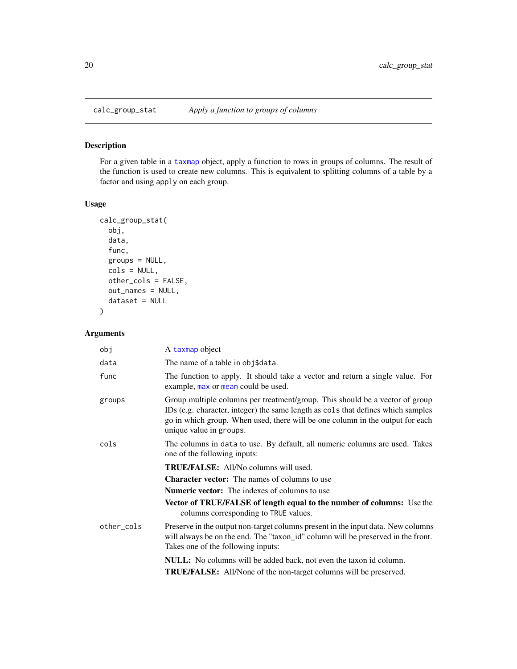<span id="page-19-1"></span><span id="page-19-0"></span>

### Description

For a given table in a [taxmap](#page-138-1) object, apply a function to rows in groups of columns. The result of the function is used to create new columns. This is equivalent to splitting columns of a table by a factor and using apply on each group.

### Usage

```
calc_group_stat(
  obj,
  data,
  func,
  groups = NULL,
  cols = NULL,other_cols = FALSE,
  out_names = NULL,
  dataset = NULL
)
```

| obj        | A taxmap object                                                                                                                                                                                                                                                              |
|------------|------------------------------------------------------------------------------------------------------------------------------------------------------------------------------------------------------------------------------------------------------------------------------|
| data       | The name of a table in obj\$data.                                                                                                                                                                                                                                            |
| func       | The function to apply. It should take a vector and return a single value. For<br>example, max or mean could be used.                                                                                                                                                         |
| groups     | Group multiple columns per treatment/group. This should be a vector of group<br>IDs (e.g. character, integer) the same length as cols that defines which samples<br>go in which group. When used, there will be one column in the output for each<br>unique value in groups. |
| cols       | The columns in data to use. By default, all numeric columns are used. Takes<br>one of the following inputs:                                                                                                                                                                  |
|            | <b>TRUE/FALSE:</b> All/No columns will used.                                                                                                                                                                                                                                 |
|            | <b>Character vector:</b> The names of columns to use                                                                                                                                                                                                                         |
|            | <b>Numeric vector:</b> The indexes of columns to use                                                                                                                                                                                                                         |
|            | Vector of TRUE/FALSE of length equal to the number of columns: Use the<br>columns corresponding to TRUE values.                                                                                                                                                              |
| other_cols | Preserve in the output non-target columns present in the input data. New columns<br>will always be on the end. The "taxon_id" column will be preserved in the front.<br>Takes one of the following inputs:                                                                   |
|            | <b>NULL:</b> No columns will be added back, not even the taxon id column.                                                                                                                                                                                                    |
|            | <b>TRUE/FALSE:</b> All/None of the non-target columns will be preserved.                                                                                                                                                                                                     |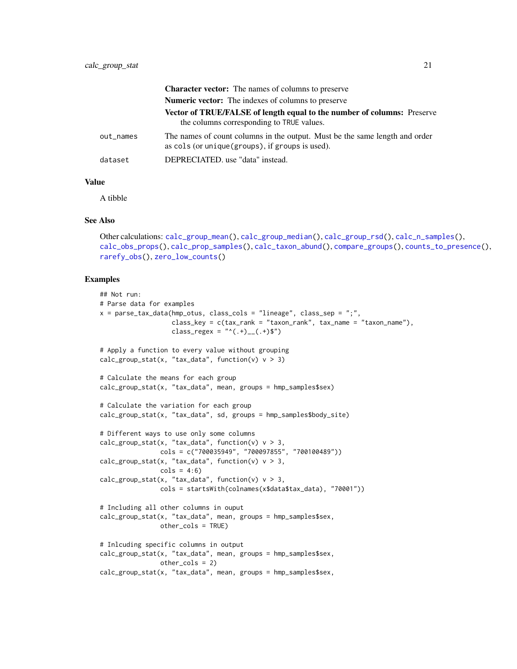|           | <b>Character vector:</b> The names of columns to preserve                                                                       |
|-----------|---------------------------------------------------------------------------------------------------------------------------------|
|           | <b>Numeric vector:</b> The indexes of columns to preserve                                                                       |
|           | <b>Vector of TRUE/FALSE of length equal to the number of columns:</b> Preserve<br>the columns corresponding to TRUE values.     |
| out_names | The names of count columns in the output. Must be the same length and order<br>as cols (or unique (groups), if groups is used). |
| dataset   | DEPRECIATED. use "data" instead.                                                                                                |

A tibble

#### See Also

```
Other calculations: calc_group_mean(), calc_group_median(), calc_group_rsd(), calc_n_samples(),
calc_obs_props(), calc_prop_samples(), calc_taxon_abund(), compare_groups(), counts_to_presence(),
rarefy_obs(), zero_low_counts()
```

```
## Not run:
# Parse data for examples
x = parse\_tax\_data(hmp\_otus, class\_cols = "lineage", class_sep = ";",class_key = c(tax_rank = "taxon_rank", tax_name = "taxon_name"),
                   class_regex = "^(.+)__(.+)$")
# Apply a function to every value without grouping
calc_group_stat(x, "tax_data", function(v) v > 3)
# Calculate the means for each group
calc_group_stat(x, "tax_data", mean, groups = hmp_samples$sex)
# Calculate the variation for each group
calc_group_stat(x, "tax_data", sd, groups = hmp_samples$body_site)
# Different ways to use only some columns
calc_group_stat(x, "tax_data", function(v) v > 3,
                cols = c("700035949", "700097855", "700100489"))
calc_group_stat(x, "tax_data", function(v) v > 3,
                \text{cols} = 4:6calc_group_stat(x, "tax_data", function(v) v > 3,
                cols = startsWith(colnames(x$data$tax_data), "70001"))
# Including all other columns in ouput
calc_group_stat(x, "tax_data", mean, groups = hmp_samples$sex,
                other_cols = TRUE)
# Inlcuding specific columns in output
calc_group_stat(x, "tax_data", mean, groups = hmp_samples$sex,
               other_cols = 2)
calc_group_stat(x, "tax_data", mean, groups = hmp_samples$sex,
```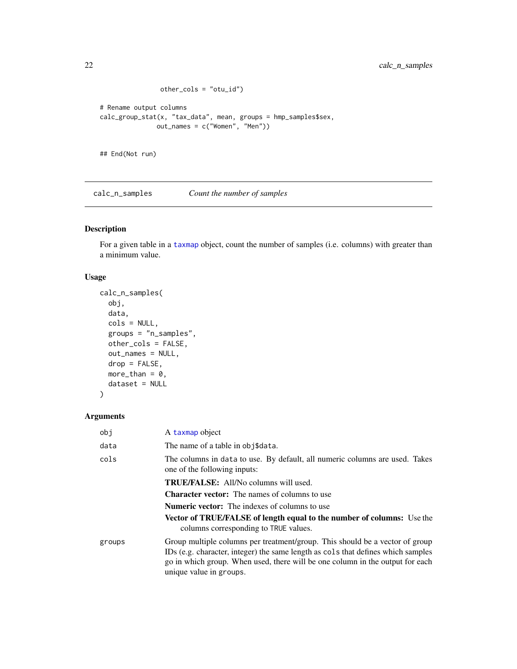```
other_cols = "otu_id")
# Rename output columns
calc_group_stat(x, "tax_data", mean, groups = hmp_samples$sex,
              out_names = c("Women", "Men"))
## End(Not run)
```
<span id="page-21-1"></span>calc\_n\_samples *Count the number of samples*

### Description

For a given table in a [taxmap](#page-138-1) object, count the number of samples (i.e. columns) with greater than a minimum value.

### Usage

```
calc_n_samples(
 obj,
  data,
 cols = NULL,
 groups = "n_samples",
 other_cols = FALSE,
 out_names = NULL,
 drop = FALSE,
 more_than = 0,
 dataset = NULL
)
```

| obj    | A taxmap object                                                                                                                                                                                                                                                              |
|--------|------------------------------------------------------------------------------------------------------------------------------------------------------------------------------------------------------------------------------------------------------------------------------|
| data   | The name of a table in obj\$data.                                                                                                                                                                                                                                            |
| cols   | The columns in data to use. By default, all numeric columns are used. Takes<br>one of the following inputs:                                                                                                                                                                  |
|        | <b>TRUE/FALSE:</b> All/No columns will used.                                                                                                                                                                                                                                 |
|        | <b>Character vector:</b> The names of columns to use                                                                                                                                                                                                                         |
|        | <b>Numeric vector:</b> The indexes of columns to use                                                                                                                                                                                                                         |
|        | <b>Vector of TRUE/FALSE of length equal to the number of columns:</b> Use the<br>columns corresponding to TRUE values.                                                                                                                                                       |
| groups | Group multiple columns per treatment/group. This should be a vector of group<br>IDs (e.g. character, integer) the same length as cols that defines which samples<br>go in which group. When used, there will be one column in the output for each<br>unique value in groups. |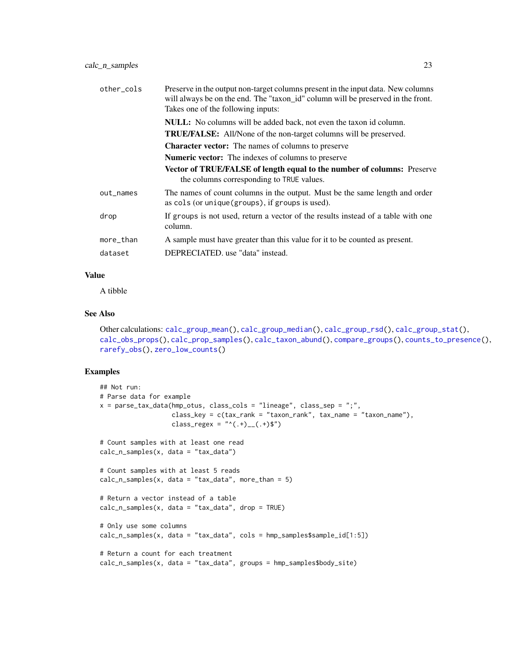| other_cols | Preserve in the output non-target columns present in the input data. New columns<br>will always be on the end. The "taxon_id" column will be preserved in the front.<br>Takes one of the following inputs: |
|------------|------------------------------------------------------------------------------------------------------------------------------------------------------------------------------------------------------------|
|            | <b>NULL:</b> No columns will be added back, not even the taxon id column.                                                                                                                                  |
|            | <b>TRUE/FALSE:</b> All/None of the non-target columns will be preserved.                                                                                                                                   |
|            | <b>Character vector:</b> The names of columns to preserve                                                                                                                                                  |
|            | <b>Numeric vector:</b> The indexes of columns to preserve                                                                                                                                                  |
|            | Vector of TRUE/FALSE of length equal to the number of columns: Preserve<br>the columns corresponding to TRUE values.                                                                                       |
| out_names  | The names of count columns in the output. Must be the same length and order<br>as cols (or unique (groups), if groups is used).                                                                            |
| drop       | If groups is not used, return a vector of the results instead of a table with one<br>column.                                                                                                               |
| more_than  | A sample must have greater than this value for it to be counted as present.                                                                                                                                |
| dataset    | DEPRECIATED, use "data" instead.                                                                                                                                                                           |

A tibble

#### See Also

Other calculations: [calc\\_group\\_mean\(](#page-13-1)), [calc\\_group\\_median\(](#page-15-1)), [calc\\_group\\_rsd\(](#page-17-1)), [calc\\_group\\_stat\(](#page-19-1)), [calc\\_obs\\_props\(](#page-23-1)), [calc\\_prop\\_samples\(](#page-25-1)), [calc\\_taxon\\_abund\(](#page-0-0)), [compare\\_groups\(](#page-28-1)), [counts\\_to\\_presence\(](#page-31-1)), [rarefy\\_obs\(](#page-118-1)), [zero\\_low\\_counts\(](#page-159-1))

```
## Not run:
# Parse data for example
x = parse\_tax\_data(hmp\_otus, class\_cols = "lineage", class_sep = ";",class_key = c(tax_rank = "taxon_rank", tax_name = "taxon_name"),
                   class_regex = "^(.+)__(.+)$")
# Count samples with at least one read
calc_n_samples(x, data = "tax_data")
# Count samples with at least 5 reads
calc_n_samples(x, data = "tax_data", more_than = 5)
# Return a vector instead of a table
calc_n_samples(x, data = "tax_data", drop = TRUE)
# Only use some columns
calc_n_samples(x, data = "tax_data", cols = hmp_samples$sample_id[1:5])
# Return a count for each treatment
calc_n_samples(x, data = "tax_data", groups = hmp_samples$body_site)
```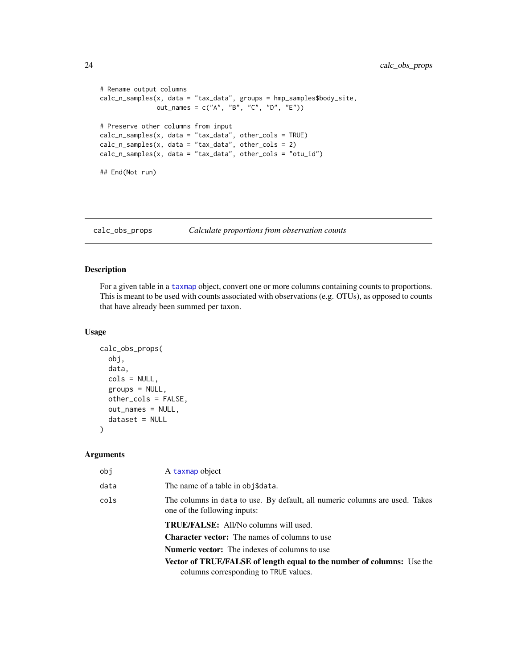```
# Rename output columns
calc_n_samples(x, data = "tax_data", groups = hmp_samples$body_site,
               out_names = c("A", "B", "C", "D", "E"))
# Preserve other columns from input
calc_n_samples(x, data = "tax_data", other_cols = TRUE)
calc_n_samples(x, data = "tax_data", other_cols = 2)
calc_n_samples(x, data = "tax_data", other_cols = "otu_id")
## End(Not run)
```
<span id="page-23-1"></span>calc\_obs\_props *Calculate proportions from observation counts*

### Description

For a given table in a [taxmap](#page-138-1) object, convert one or more columns containing counts to proportions. This is meant to be used with counts associated with observations (e.g. OTUs), as opposed to counts that have already been summed per taxon.

#### Usage

```
calc_obs_props(
  obj,
  data,
  cols = NULL,
  groups = NULL,
  other_cols = FALSE,
 out_names = NULL,
  dataset = NULL
)
```

| obj  | A taxmap object                                                                                             |
|------|-------------------------------------------------------------------------------------------------------------|
| data | The name of a table in obj\$data.                                                                           |
| cols | The columns in data to use. By default, all numeric columns are used. Takes<br>one of the following inputs: |
|      | <b>TRUE/FALSE:</b> All/No columns will used.                                                                |
|      | <b>Character vector:</b> The names of columns to use                                                        |
|      | <b>Numeric vector:</b> The indexes of columns to use                                                        |
|      | <b>Vector of TRUE/FALSE of length equal to the number of columns:</b> Use the                               |
|      | columns corresponding to TRUE values.                                                                       |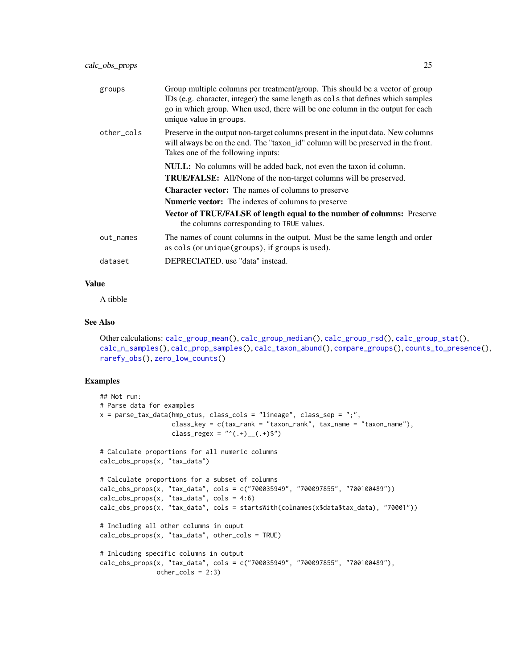| groups     | Group multiple columns per treatment/group. This should be a vector of group<br>IDs (e.g. character, integer) the same length as cols that defines which samples<br>go in which group. When used, there will be one column in the output for each<br>unique value in groups. |
|------------|------------------------------------------------------------------------------------------------------------------------------------------------------------------------------------------------------------------------------------------------------------------------------|
| other_cols | Preserve in the output non-target columns present in the input data. New columns<br>will always be on the end. The "taxon_id" column will be preserved in the front.<br>Takes one of the following inputs:                                                                   |
|            | <b>NULL:</b> No columns will be added back, not even the taxon id column.                                                                                                                                                                                                    |
|            | <b>TRUE/FALSE:</b> All/None of the non-target columns will be preserved.                                                                                                                                                                                                     |
|            | <b>Character vector:</b> The names of columns to preserve                                                                                                                                                                                                                    |
|            | <b>Numeric vector:</b> The indexes of columns to preserve                                                                                                                                                                                                                    |
|            | Vector of TRUE/FALSE of length equal to the number of columns: Preserve<br>the columns corresponding to TRUE values.                                                                                                                                                         |
| out_names  | The names of count columns in the output. Must be the same length and order<br>as cols (or unique (groups), if groups is used).                                                                                                                                              |
| dataset    | DEPRECIATED. use "data" instead.                                                                                                                                                                                                                                             |
|            |                                                                                                                                                                                                                                                                              |

A tibble

### See Also

```
Other calculations: calc_group_mean(), calc_group_median(), calc_group_rsd(), calc_group_stat(),
calc_n_samples(), calc_prop_samples(), calc_taxon_abund(), compare_groups(), counts_to_presence(),
rarefy_obs(), zero_low_counts()
```

```
## Not run:
# Parse data for examples
x = parse\_tax\_data(hmp\_otus, class\_cols = "lineage", class_sep = ",",class_key = c(tax\_rank = "taxon\_rank", tax\_name = "taxon\_name"),class_regex = "^(.+)__(.+)$")
# Calculate proportions for all numeric columns
calc_obs_props(x, "tax_data")
# Calculate proportions for a subset of columns
calc_obs_props(x, "tax_data", cols = c("700035949", "700097855", "700100489"))
calc_obs_props(x, "tax_data", cols = 4:6)
calc_obs_props(x, "tax_data", cols = startsWith(colnames(x$data$tax_data), "70001"))
# Including all other columns in ouput
calc_obs_props(x, "tax_data", other_cols = TRUE)
# Inlcuding specific columns in output
calc_obs_props(x, "tax_data", cols = c("700035949", "700097855", "700100489"),
              other\_cols = 2:3)
```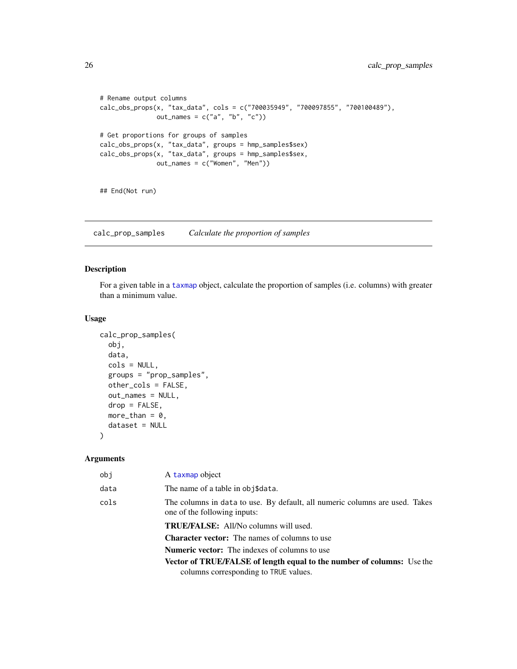```
# Rename output columns
calc_obs_props(x, "tax_data", cols = c("700035949", "700097855", "700100489"),
              out_names = c("a", "b", "c")# Get proportions for groups of samples
calc_obs_props(x, "tax_data", groups = hmp_samples$sex)
calc_obs_props(x, "tax_data", groups = hmp_samples$sex,
              out_names = c("Women", "Men"))
## End(Not run)
```
<span id="page-25-1"></span>calc\_prop\_samples *Calculate the proportion of samples*

### Description

For a given table in a [taxmap](#page-138-1) object, calculate the proportion of samples (i.e. columns) with greater than a minimum value.

#### Usage

```
calc_prop_samples(
  obj,
  data,
  cols = NULL,
  groups = "prop_samples",
 other_cols = FALSE,
 out_names = NULL,
  drop = FALSE,
 more_than = 0,
 dataset = NULL
)
```

| obj  | A taxmap object                                                                                             |
|------|-------------------------------------------------------------------------------------------------------------|
| data | The name of a table in obj\$data.                                                                           |
| cols | The columns in data to use. By default, all numeric columns are used. Takes<br>one of the following inputs: |
|      | <b>TRUE/FALSE:</b> All/No columns will used.                                                                |
|      | <b>Character vector:</b> The names of columns to use                                                        |
|      | <b>Numeric vector:</b> The indexes of columns to use                                                        |
|      | <b>Vector of TRUE/FALSE of length equal to the number of columns:</b> Use the                               |
|      | columns corresponding to TRUE values.                                                                       |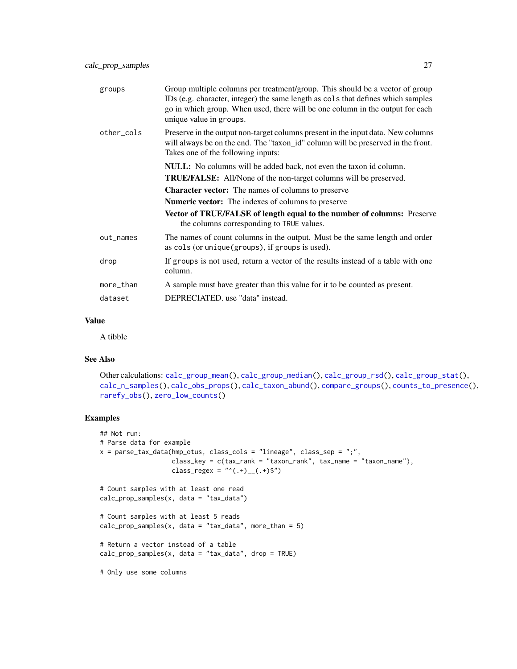| groups     | Group multiple columns per treatment/group. This should be a vector of group<br>IDs (e.g. character, integer) the same length as cols that defines which samples<br>go in which group. When used, there will be one column in the output for each<br>unique value in groups. |
|------------|------------------------------------------------------------------------------------------------------------------------------------------------------------------------------------------------------------------------------------------------------------------------------|
| other_cols | Preserve in the output non-target columns present in the input data. New columns<br>will always be on the end. The "taxon_id" column will be preserved in the front.<br>Takes one of the following inputs:                                                                   |
|            | <b>NULL:</b> No columns will be added back, not even the taxon id column.                                                                                                                                                                                                    |
|            | <b>TRUE/FALSE:</b> All/None of the non-target columns will be preserved.                                                                                                                                                                                                     |
|            | <b>Character vector:</b> The names of columns to preserve                                                                                                                                                                                                                    |
|            | <b>Numeric vector:</b> The indexes of columns to preserve                                                                                                                                                                                                                    |
|            | Vector of TRUE/FALSE of length equal to the number of columns: Preserve<br>the columns corresponding to TRUE values.                                                                                                                                                         |
| out_names  | The names of count columns in the output. Must be the same length and order<br>as cols (or unique (groups), if groups is used).                                                                                                                                              |
| drop       | If groups is not used, return a vector of the results instead of a table with one<br>column.                                                                                                                                                                                 |
| more_than  | A sample must have greater than this value for it to be counted as present.                                                                                                                                                                                                  |
| dataset    | DEPRECIATED, use "data" instead.                                                                                                                                                                                                                                             |
|            |                                                                                                                                                                                                                                                                              |

A tibble

### See Also

```
Other calculations: calc_group_mean(), calc_group_median(), calc_group_rsd(), calc_group_stat(),
calc_n_samples(), calc_obs_props(), calc_taxon_abund(), compare_groups(), counts_to_presence(),
rarefy_obs(), zero_low_counts()
```

```
## Not run:
# Parse data for example
x = parse\_tax\_data(hmp\_otus, class\_cols = "lineage", class_sep = ";"class_key = c(tax_rank = "taxon_rank", tax_name = "taxon_name"),
                   class_regex = "^(.+)__(.+)$")
# Count samples with at least one read
calc_prop_samples(x, data = "tax_data")
# Count samples with at least 5 reads
calc\_prop\_samples(x, data = "tax_data", more_than = 5)# Return a vector instead of a table
calc\_prop\_samples(x, data = "tax_data", drop = TRUE)# Only use some columns
```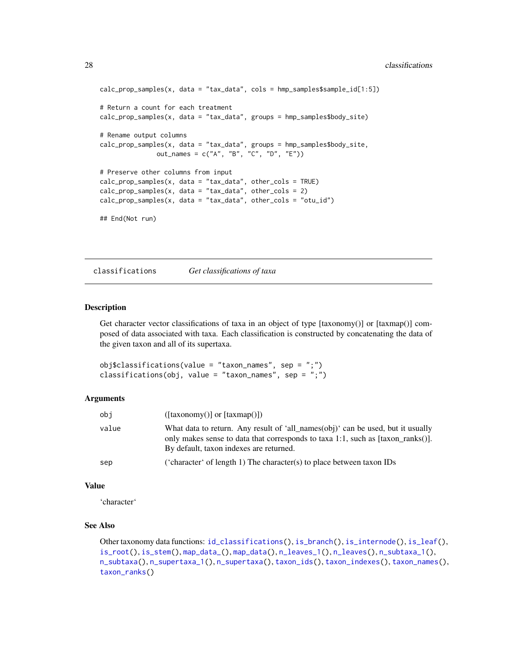```
calc_prop_samples(x, data = "tax_data", cols = hmp_samples$sample_id[1:5])
# Return a count for each treatment
calc_prop_samples(x, data = "tax_data", groups = hmp_samples$body_site)
# Rename output columns
calc\_prop\_samples(x, data = "tax_data", groups = hmp\_samples\$body_size,out_names = c("A", "B", "C", "D", "E"))
# Preserve other columns from input
calc_prop_samples(x, data = "tax_data", other_cols = TRUE)
calc_prop_samples(x, data = "tax_data", other_cols = 2)
calc\_prop\_samples(x, data = "tax_data", other\_cols = "otu_id")## End(Not run)
```
classifications *Get classifications of taxa*

#### Description

Get character vector classifications of taxa in an object of type [taxonomy()] or [taxmap()] composed of data associated with taxa. Each classification is constructed by concatenating the data of the given taxon and all of its supertaxa.

obj\$classifications(value = "taxon\_names", sep = ";") classifications(obj, value = "taxon\_names", sep = ";")

### Arguments

| obi   | $(\text{[taxonomy()]} \text{ or } \text{[taxmap()]})$                                                                                                                                                         |
|-------|---------------------------------------------------------------------------------------------------------------------------------------------------------------------------------------------------------------|
| value | What data to return. Any result of 'all names(obj)' can be used, but it usually<br>only makes sense to data that corresponds to taxa 1:1, such as [taxon ranks()].<br>By default, taxon indexes are returned. |
| sep   | ('character' of length 1) The character(s) to place between taxon $\text{IDs}$                                                                                                                                |

#### Value

'character'

### See Also

Other taxonomy data functions: [id\\_classifications\(](#page-63-1)), [is\\_branch\(](#page-66-1)), [is\\_internode\(](#page-67-1)), [is\\_leaf\(](#page-67-2)), [is\\_root\(](#page-68-1)), [is\\_stem\(](#page-69-1)), [map\\_data\\_\(](#page-79-1)), [map\\_data\(](#page-78-1)), [n\\_leaves\\_1\(](#page-85-1)), [n\\_leaves\(](#page-84-1)), [n\\_subtaxa\\_1\(](#page-88-1)), [n\\_subtaxa\(](#page-88-2)), [n\\_supertaxa\\_1\(](#page-90-1)), [n\\_supertaxa\(](#page-89-1)), [taxon\\_ids\(](#page-148-1)), [taxon\\_indexes\(](#page-148-2)), [taxon\\_names\(](#page-150-1)), [taxon\\_ranks\(](#page-152-2))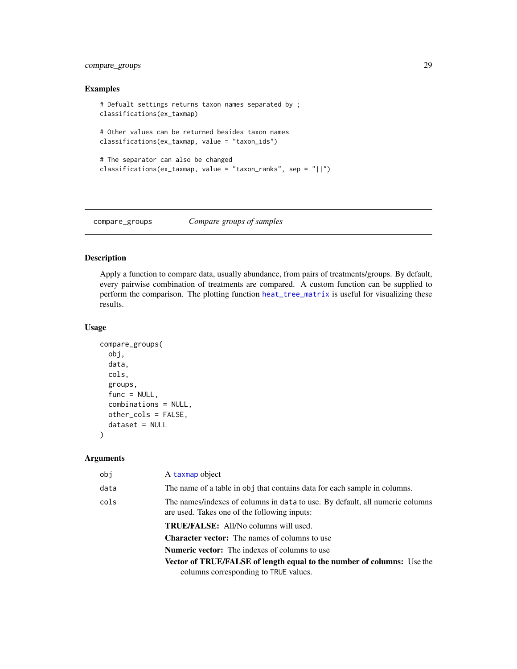### <span id="page-28-0"></span>compare\_groups 29

### Examples

```
# Defualt settings returns taxon names separated by ;
classifications(ex_taxmap)
# Other values can be returned besides taxon names
classifications(ex_taxmap, value = "taxon_ids")
# The separator can also be changed
classifications(ex_taxmap, value = "taxon_ranks", sep = "||")
```
<span id="page-28-1"></span>compare\_groups *Compare groups of samples*

### Description

Apply a function to compare data, usually abundance, from pairs of treatments/groups. By default, every pairwise combination of treatments are compared. A custom function can be supplied to perform the comparison. The plotting function [heat\\_tree\\_matrix](#page-58-1) is useful for visualizing these results.

#### Usage

```
compare_groups(
  obj,
  data,
  cols,
  groups,
  func = NULL,
  combinations = NULL,
  other_cols = FALSE,
  dataset = NULL
\mathcal{L}
```

| obj  | A taxmap object                                                                                                              |
|------|------------------------------------------------------------------------------------------------------------------------------|
| data | The name of a table in obj that contains data for each sample in columns.                                                    |
| cols | The names/indexes of columns in data to use. By default, all numeric columns<br>are used. Takes one of the following inputs: |
|      | <b>TRUE/FALSE:</b> All/No columns will used.                                                                                 |
|      | <b>Character vector:</b> The names of columns to use                                                                         |
|      | <b>Numeric vector:</b> The indexes of columns to use                                                                         |
|      | <b>Vector of TRUE/FALSE of length equal to the number of columns:</b> Use the                                                |
|      | columns corresponding to TRUE values.                                                                                        |
|      |                                                                                                                              |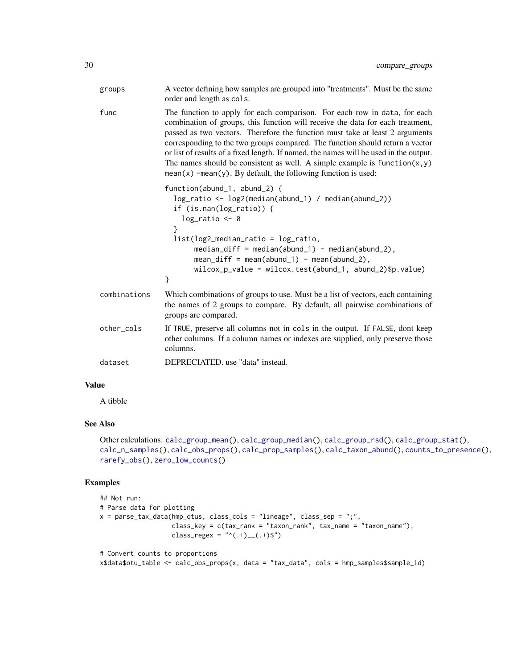| groups       | A vector defining how samples are grouped into "treatments". Must be the same<br>order and length as cols.                                                                                                                                                                                                                                                                                                                                                                                                                                                               |
|--------------|--------------------------------------------------------------------------------------------------------------------------------------------------------------------------------------------------------------------------------------------------------------------------------------------------------------------------------------------------------------------------------------------------------------------------------------------------------------------------------------------------------------------------------------------------------------------------|
| func         | The function to apply for each comparison. For each row in data, for each<br>combination of groups, this function will receive the data for each treatment,<br>passed as two vectors. Therefore the function must take at least 2 arguments<br>corresponding to the two groups compared. The function should return a vector<br>or list of results of a fixed length. If named, the names will be used in the output.<br>The names should be consistent as well. A simple example is $function(x, y)$<br>$mean(x)$ -mean(y). By default, the following function is used: |
|              | function(abund_1, abund_2) {<br>log_ratio <- log2(median(abund_1) / median(abund_2))<br>if $(is.\nnan(log\_ratio))$ {<br>$log\_ratio \leftarrow 0$<br>ł                                                                                                                                                                                                                                                                                                                                                                                                                  |
|              | $list(log2_{median\_ratio} = log\_ratio,$<br>$median\_diff = median(abund_1) - median(abund_2),$<br>$mean\_diff = mean(abund_1) - mean(abund_2),$<br>$wilcox_p_value = wilcox.test(abund_1, abund_2)\$<br>}                                                                                                                                                                                                                                                                                                                                                              |
| combinations | Which combinations of groups to use. Must be a list of vectors, each containing<br>the names of 2 groups to compare. By default, all pairwise combinations of<br>groups are compared.                                                                                                                                                                                                                                                                                                                                                                                    |
| other_cols   | If TRUE, preserve all columns not in cols in the output. If FALSE, dont keep<br>other columns. If a column names or indexes are supplied, only preserve those<br>columns.                                                                                                                                                                                                                                                                                                                                                                                                |
| dataset      | DEPRECIATED, use "data" instead.                                                                                                                                                                                                                                                                                                                                                                                                                                                                                                                                         |

A tibble

### See Also

```
Other calculations: calc_group_mean(), calc_group_median(), calc_group_rsd(), calc_group_stat(),
calc_n_samples(), calc_obs_props(), calc_prop_samples(), calc_taxon_abund(), counts_to_presence(),
rarefy_obs(), zero_low_counts()
```

```
## Not run:
# Parse data for plotting
x = parse\_tax\_data(hmp\_otus, class\_cols = "lineage", class_sep = ",",class_key = c(tax_rank = "taxon_rank", tax_name = "taxon_name"),
                   class_regex = "^(.+)__(.+)$")
# Convert counts to proportions
```

```
x$data$otu_table <- calc_obs_props(x, data = "tax_data", cols = hmp_samples$sample_id)
```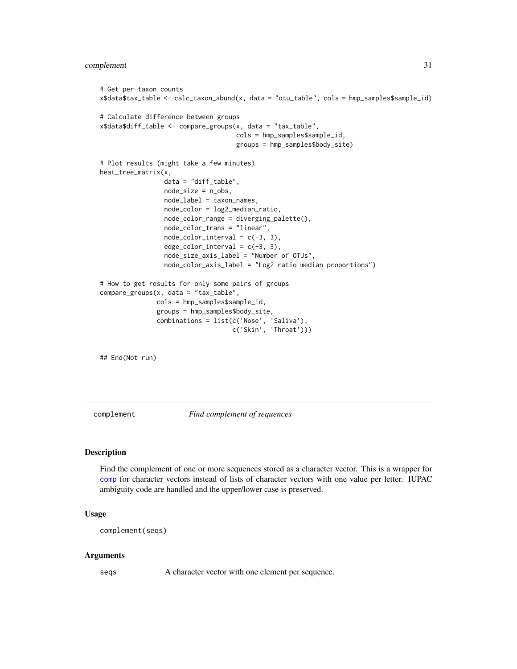```
# Get per-taxon counts
x$data$tax_table <- calc_taxon_abund(x, data = "otu_table", cols = hmp_samples$sample_id)
# Calculate difference between groups
x$data$diff_table <- compare_groups(x, data = "tax_table",
                                    cols = hmp_samples$sample_id,
                                    groups = hmp_samples$body_site)
# Plot results (might take a few minutes)
heat_tree_matrix(x,
                 data = "diff_table",
                 node_size = n_obs,
                 node_label = taxon_names,
                 node_color = log2_median_ratio,
                 node_color_range = diverging_palette(),
                 node_color_trans = "linear",
                 node\_color\_interval = c(-3, 3),edge\_color\_interval = c(-3, 3),
                 node_size_axis_label = "Number of OTUs",
                 node_color_axis_label = "Log2 ratio median proportions")
# How to get results for only some pairs of groups
compare_groups(x, data = "tax_table",
               cols = hmp_samples$sample_id,
               groups = hmp_samples$body_site,
               combinations = list(c('Nose', 'Saliva'),
                                    c('Skin', 'Throat')))
```
## End(Not run)

complement *Find complement of sequences*

#### Description

Find the complement of one or more sequences stored as a character vector. This is a wrapper for [comp](#page-0-0) for character vectors instead of lists of character vectors with one value per letter. IUPAC ambiguity code are handled and the upper/lower case is preserved.

#### Usage

complement(seqs)

#### Arguments

seqs A character vector with one element per sequence.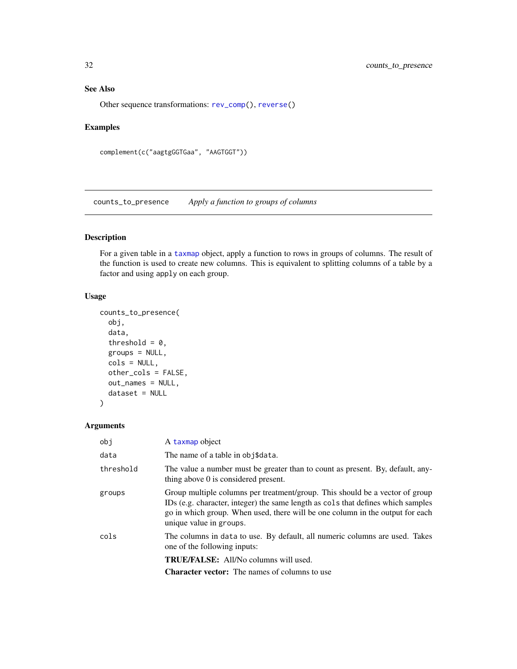### <span id="page-31-0"></span>See Also

Other sequence transformations: [rev\\_comp\(](#page-123-2)), [reverse\(](#page-122-1))

### Examples

```
complement(c("aagtgGGTGaa", "AAGTGGT"))
```
<span id="page-31-1"></span>counts\_to\_presence *Apply a function to groups of columns*

### Description

For a given table in a [taxmap](#page-138-1) object, apply a function to rows in groups of columns. The result of the function is used to create new columns. This is equivalent to splitting columns of a table by a factor and using apply on each group.

### Usage

```
counts_to_presence(
  obj,
  data,
  threshold = 0,
  groups = NULL,
  cols = NULL,
 other_cols = FALSE,
  out_names = NULL,
  dataset = NULL\mathcal{L}
```

| obj       | A taxmap object                                                                                                                                                                                                                                                              |
|-----------|------------------------------------------------------------------------------------------------------------------------------------------------------------------------------------------------------------------------------------------------------------------------------|
| data      | The name of a table in obj\$data.                                                                                                                                                                                                                                            |
| threshold | The value a number must be greater than to count as present. By, default, any-<br>thing above 0 is considered present.                                                                                                                                                       |
| groups    | Group multiple columns per treatment/group. This should be a vector of group<br>IDs (e.g. character, integer) the same length as cols that defines which samples<br>go in which group. When used, there will be one column in the output for each<br>unique value in groups. |
| cols      | The columns in data to use. By default, all numeric columns are used. Takes<br>one of the following inputs:                                                                                                                                                                  |
|           | <b>TRUE/FALSE:</b> All/No columns will used.                                                                                                                                                                                                                                 |
|           | <b>Character vector:</b> The names of columns to use                                                                                                                                                                                                                         |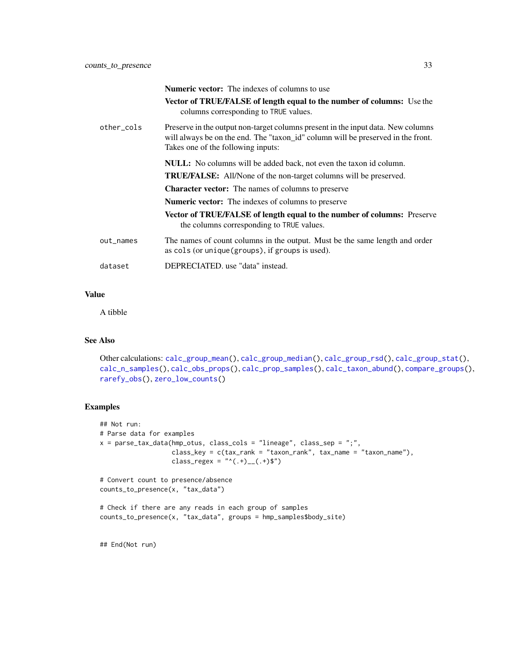|            | <b>Numeric vector:</b> The indexes of columns to use                                                                                                                                                       |
|------------|------------------------------------------------------------------------------------------------------------------------------------------------------------------------------------------------------------|
|            | <b>Vector of TRUE/FALSE of length equal to the number of columns:</b> Use the<br>columns corresponding to TRUE values.                                                                                     |
| other_cols | Preserve in the output non-target columns present in the input data. New columns<br>will always be on the end. The "taxon_id" column will be preserved in the front.<br>Takes one of the following inputs: |
|            | <b>NULL:</b> No columns will be added back, not even the taxon id column.                                                                                                                                  |
|            | <b>TRUE/FALSE:</b> All/None of the non-target columns will be preserved.                                                                                                                                   |
|            | <b>Character vector:</b> The names of columns to preserve                                                                                                                                                  |
|            | <b>Numeric vector:</b> The indexes of columns to preserve                                                                                                                                                  |
|            | <b>Vector of TRUE/FALSE of length equal to the number of columns:</b> Preserve<br>the columns corresponding to TRUE values.                                                                                |
| out_names  | The names of count columns in the output. Must be the same length and order<br>as cols (or unique (groups), if groups is used).                                                                            |
| dataset    | DEPRECIATED, use "data" instead.                                                                                                                                                                           |

A tibble

### See Also

```
Other calculations: calc_group_mean(), calc_group_median(), calc_group_rsd(), calc_group_stat(),
calc_n_samples(), calc_obs_props(), calc_prop_samples(), calc_taxon_abund(), compare_groups(),
rarefy_obs(), zero_low_counts()
```
### Examples

```
## Not run:
# Parse data for examples
x = parse\_tax\_data(hmp\_otus, class\_cols = "lineage", class_sep = ";"class_key = c(tax\_rank = "taxon\_rank", tax_name = "taxon_name"),class_regex = "^(.+)__(.+)$")
# Convert count to presence/absence
counts_to_presence(x, "tax_data")
# Check if there are any reads in each group of samples
counts_to_presence(x, "tax_data", groups = hmp_samples$body_site)
```
## End(Not run)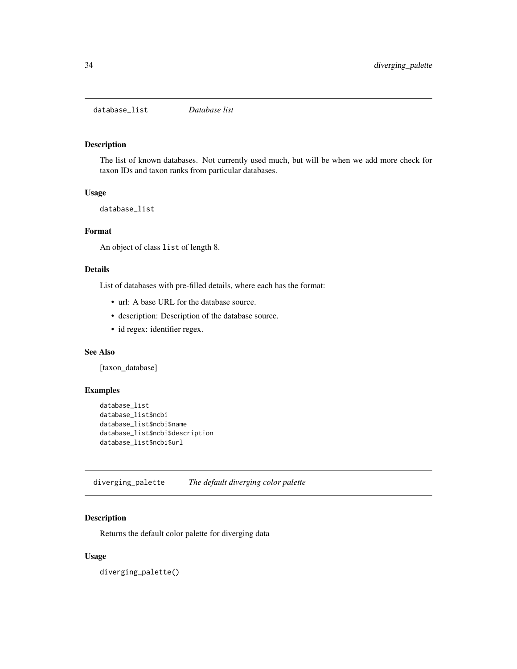<span id="page-33-0"></span>database\_list *Database list*

### Description

The list of known databases. Not currently used much, but will be when we add more check for taxon IDs and taxon ranks from particular databases.

#### Usage

database\_list

### Format

An object of class list of length 8.

### Details

List of databases with pre-filled details, where each has the format:

- url: A base URL for the database source.
- description: Description of the database source.
- id regex: identifier regex.

#### See Also

[taxon\_database]

### Examples

```
database_list
database_list$ncbi
database_list$ncbi$name
database_list$ncbi$description
database_list$ncbi$url
```
diverging\_palette *The default diverging color palette*

### Description

Returns the default color palette for diverging data

### Usage

diverging\_palette()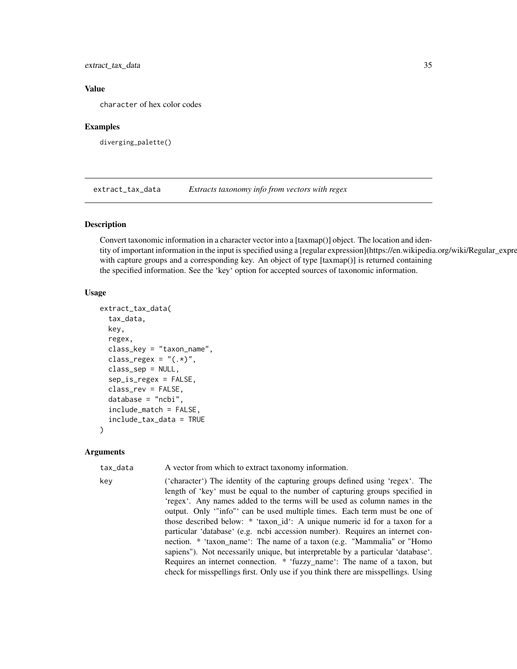<span id="page-34-0"></span>extract\_tax\_data 35

#### Value

character of hex color codes

#### Examples

diverging\_palette()

extract\_tax\_data *Extracts taxonomy info from vectors with regex*

#### Description

Convert taxonomic information in a character vector into a [taxmap()] object. The location and identity of important information in the input is specified using a [regular expression](https://en.wikipedia.org/wiki/Regular\_expression) with capture groups and a corresponding key. An object of type [taxmap()] is returned containing the specified information. See the 'key' option for accepted sources of taxonomic information.

### Usage

```
extract_tax_data(
  tax_data,
  key,
  regex,
  class_key = "taxon_name",
  class_regex = "(.*)",
  class_sep = NULL,
  sep_is_regex = FALSE,
  class_rev = FALSE,
  database = "ncbi",
  include_match = FALSE,
  include_tax_data = TRUE
)
```
#### Arguments

tax\_data A vector from which to extract taxonomy information.

key ('character') The identity of the capturing groups defined using 'regex'. The length of 'key' must be equal to the number of capturing groups specified in 'regex'. Any names added to the terms will be used as column names in the

output. Only '"info"' can be used multiple times. Each term must be one of those described below: \* 'taxon\_id': A unique numeric id for a taxon for a particular 'database' (e.g. ncbi accession number). Requires an internet connection. \* 'taxon\_name': The name of a taxon (e.g. "Mammalia" or "Homo sapiens"). Not necessarily unique, but interpretable by a particular 'database'. Requires an internet connection. \* 'fuzzy\_name': The name of a taxon, but check for misspellings first. Only use if you think there are misspellings. Using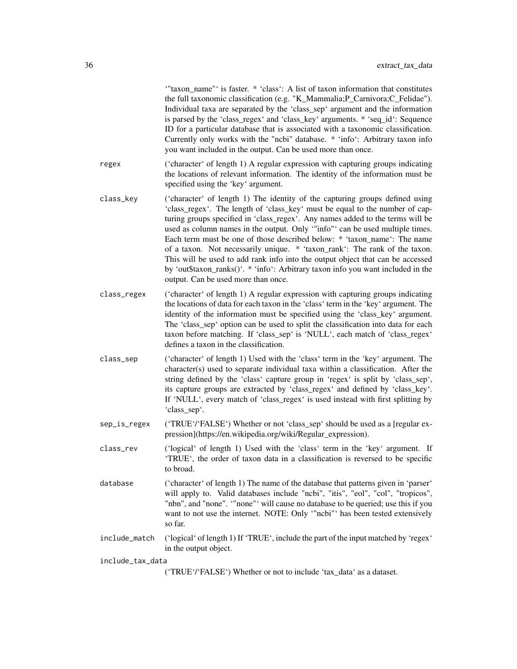'"taxon\_name"' is faster. \* 'class': A list of taxon information that constitutes the full taxonomic classification (e.g. "K\_Mammalia;P\_Carnivora;C\_Felidae"). Individual taxa are separated by the 'class\_sep' argument and the information is parsed by the 'class\_regex' and 'class\_key' arguments. \* 'seq\_id': Sequence ID for a particular database that is associated with a taxonomic classification. Currently only works with the "ncbi" database. \* 'info': Arbitrary taxon info you want included in the output. Can be used more than once.

- regex ('character' of length 1) A regular expression with capturing groups indicating the locations of relevant information. The identity of the information must be specified using the 'key' argument.
- class\_key ('character' of length 1) The identity of the capturing groups defined using 'class\_regex'. The length of 'class\_key' must be equal to the number of capturing groups specified in 'class\_regex'. Any names added to the terms will be used as column names in the output. Only '"info"' can be used multiple times. Each term must be one of those described below: \* 'taxon\_name': The name of a taxon. Not necessarily unique. \* 'taxon\_rank': The rank of the taxon. This will be used to add rank info into the output object that can be accessed by 'out\$taxon\_ranks()'. \* 'info': Arbitrary taxon info you want included in the output. Can be used more than once.
- class\_regex ('character' of length 1) A regular expression with capturing groups indicating the locations of data for each taxon in the 'class' term in the 'key' argument. The identity of the information must be specified using the 'class\_key' argument. The 'class\_sep' option can be used to split the classification into data for each taxon before matching. If 'class\_sep' is 'NULL', each match of 'class\_regex' defines a taxon in the classification.
- class\_sep ('character' of length 1) Used with the 'class' term in the 'key' argument. The character(s) used to separate individual taxa within a classification. After the string defined by the 'class' capture group in 'regex' is split by 'class\_sep', its capture groups are extracted by 'class\_regex' and defined by 'class\_key'. If 'NULL', every match of 'class\_regex' is used instead with first splitting by 'class\_sep'.
- sep\_is\_regex ('TRUE'/'FALSE') Whether or not 'class\_sep' should be used as a [regular expression](https://en.wikipedia.org/wiki/Regular\_expression).
- class\_rev ('logical' of length 1) Used with the 'class' term in the 'key' argument. If 'TRUE', the order of taxon data in a classification is reversed to be specific to broad.
- database ('character' of length 1) The name of the database that patterns given in 'parser' will apply to. Valid databases include "ncbi", "itis", "eol", "col", "tropicos", "nbn", and "none". '"none"' will cause no database to be queried; use this if you want to not use the internet. NOTE: Only "ncbi"' has been tested extensively so far.
- include\_match ('logical' of length 1) If 'TRUE', include the part of the input matched by 'regex' in the output object.

include\_tax\_data

('TRUE'/'FALSE') Whether or not to include 'tax\_data' as a dataset.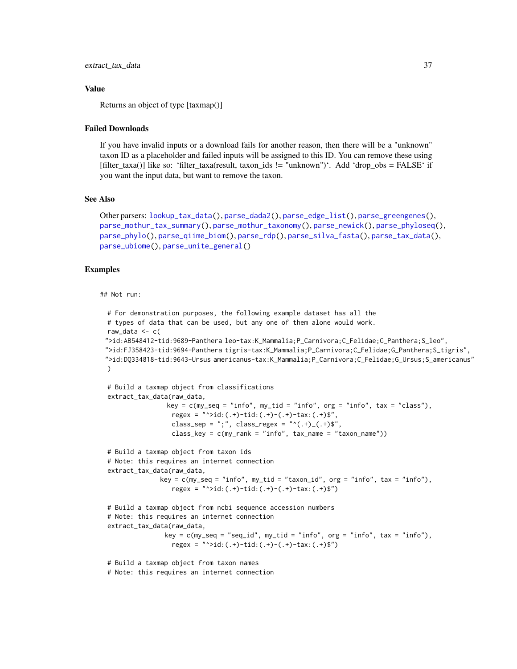#### Value

Returns an object of type [taxmap()]

#### Failed Downloads

If you have invalid inputs or a download fails for another reason, then there will be a "unknown" taxon ID as a placeholder and failed inputs will be assigned to this ID. You can remove these using [filter\_taxa()] like so: 'filter\_taxa(result, taxon\_ids != "unknown")'. Add 'drop\_obs = FALSE' if you want the input data, but want to remove the taxon.

## See Also

```
Other parsers: lookup_tax_data(), parse_dada2(), parse_edge_list(), parse_greengenes(),
parse_mothur_tax_summary(), parse_mothur_taxonomy(), parse_newick(), parse_phyloseq(),
parse_phylo(), parse_qiime_biom(), parse_rdp(), parse_silva_fasta(), parse_tax_data(),
parse_ubiome(), parse_unite_general()
```
### Examples

#### ## Not run:

```
# For demonstration purposes, the following example dataset has all the
# types of data that can be used, but any one of them alone would work.
raw_data \leq c(
">id:AB548412-tid:9689-Panthera leo-tax:K_Mammalia;P_Carnivora;C_Felidae;G_Panthera;S_leo",
">id:FJ358423-tid:9694-Panthera tigris-tax:K_Mammalia;P_Carnivora;C_Felidae;G_Panthera;S_tigris",
">id:DQ334818-tid:9643-Ursus americanus-tax:K_Mammalia;P_Carnivora;C_Felidae;G_Ursus;S_americanus"
)
# Build a taxmap object from classifications
extract_tax_data(raw_data,
                key = c(my\_seq = "info", my\_tid = "info", org = "info", tax = "class"),regex = "^*id:(.+)-tid:(.+)-(.+)-tax:(.+)$",
                 class_sep = ";", class_regex = "^(.+)_(.+)$",
                 class_key = c(my\_rank = "info", tax_name = "taxon_name"))# Build a taxmap object from taxon ids
# Note: this requires an internet connection
extract_tax_data(raw_data,
              key = c(my\_seq = "info", my\_tid = "taxon_id", org = "info", tax = "info"),regex = "^>id:(.+)-tid:(.+)-(.+)-tax:(.+)$")
# Build a taxmap object from ncbi sequence accession numbers
# Note: this requires an internet connection
extract_tax_data(raw_data,
               key = c(my\_seq = "seq_id", my\_tid = "info", org = "info", tax = "info"),regex = "^*id:(.+)-tid:(.+)-(.+)-tax:(.+)$")
# Build a taxmap object from taxon names
# Note: this requires an internet connection
```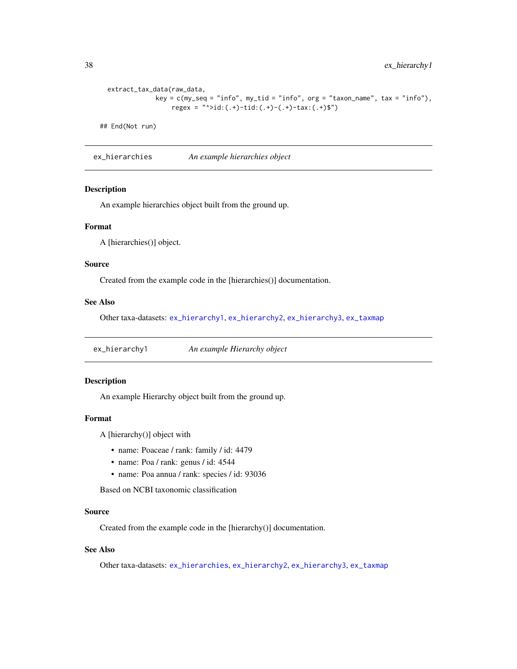38 ex\_hierarchy1

```
extract_tax_data(raw_data,
            key = c(my\_seq = "info", my\_tid = "info", org = "taxon_name", tax = "info"),regex = "^>id:(.+)-tid:(.+)-(.+)-tax:(.+)$")
```
## End(Not run)

<span id="page-37-1"></span>ex\_hierarchies *An example hierarchies object*

#### Description

An example hierarchies object built from the ground up.

#### Format

A [hierarchies()] object.

### Source

Created from the example code in the [hierarchies()] documentation.

## See Also

Other taxa-datasets: [ex\\_hierarchy1](#page-37-0), [ex\\_hierarchy2](#page-38-0), [ex\\_hierarchy3](#page-38-1), [ex\\_taxmap](#page-39-0)

<span id="page-37-0"></span>ex\_hierarchy1 *An example Hierarchy object*

# Description

An example Hierarchy object built from the ground up.

### Format

A [hierarchy()] object with

- name: Poaceae / rank: family / id: 4479
- name: Poa / rank: genus / id: 4544
- name: Poa annua / rank: species / id: 93036

Based on NCBI taxonomic classification

### Source

Created from the example code in the [hierarchy()] documentation.

## See Also

Other taxa-datasets: [ex\\_hierarchies](#page-37-1), [ex\\_hierarchy2](#page-38-0), [ex\\_hierarchy3](#page-38-1), [ex\\_taxmap](#page-39-0)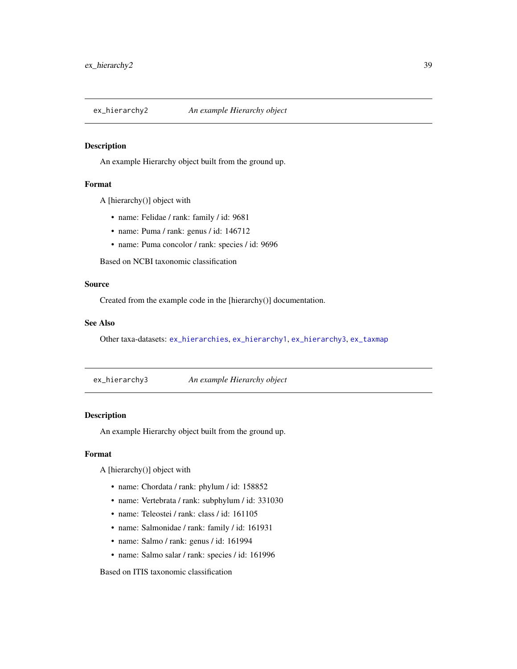<span id="page-38-0"></span>

An example Hierarchy object built from the ground up.

#### Format

A [hierarchy()] object with

- name: Felidae / rank: family / id: 9681
- name: Puma / rank: genus / id: 146712
- name: Puma concolor / rank: species / id: 9696

Based on NCBI taxonomic classification

# Source

Created from the example code in the [hierarchy()] documentation.

#### See Also

Other taxa-datasets: [ex\\_hierarchies](#page-37-1), [ex\\_hierarchy1](#page-37-0), [ex\\_hierarchy3](#page-38-1), [ex\\_taxmap](#page-39-0)

<span id="page-38-1"></span>ex\_hierarchy3 *An example Hierarchy object*

## Description

An example Hierarchy object built from the ground up.

#### Format

A [hierarchy()] object with

- name: Chordata / rank: phylum / id: 158852
- name: Vertebrata / rank: subphylum / id: 331030
- name: Teleostei / rank: class / id: 161105
- name: Salmonidae / rank: family / id: 161931
- name: Salmo / rank: genus / id: 161994
- name: Salmo salar / rank: species / id: 161996

Based on ITIS taxonomic classification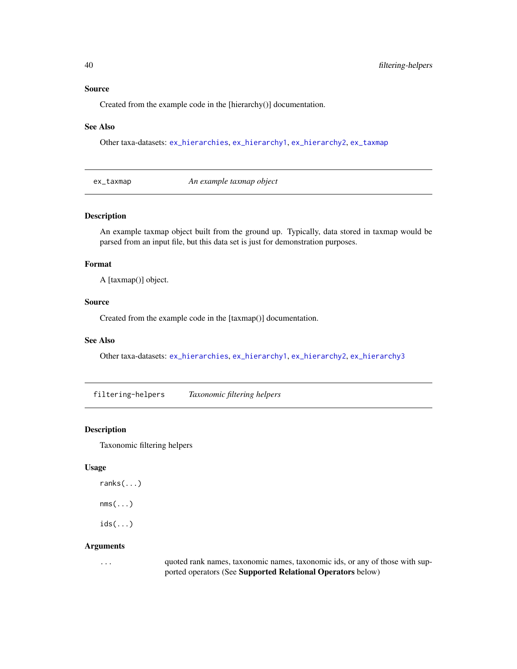#### Source

Created from the example code in the [hierarchy()] documentation.

#### See Also

Other taxa-datasets: [ex\\_hierarchies](#page-37-1), [ex\\_hierarchy1](#page-37-0), [ex\\_hierarchy2](#page-38-0), [ex\\_taxmap](#page-39-0)

<span id="page-39-0"></span>ex\_taxmap *An example taxmap object*

#### Description

An example taxmap object built from the ground up. Typically, data stored in taxmap would be parsed from an input file, but this data set is just for demonstration purposes.

### Format

A [taxmap()] object.

## Source

Created from the example code in the [taxmap()] documentation.

#### See Also

Other taxa-datasets: [ex\\_hierarchies](#page-37-1), [ex\\_hierarchy1](#page-37-0), [ex\\_hierarchy2](#page-38-0), [ex\\_hierarchy3](#page-38-1)

filtering-helpers *Taxonomic filtering helpers*

#### Description

Taxonomic filtering helpers

### Usage

```
ranks(...)
```
 $nms(...)$ 

 $ids(...)$ 

#### Arguments

... quoted rank names, taxonomic names, taxonomic ids, or any of those with supported operators (See Supported Relational Operators below)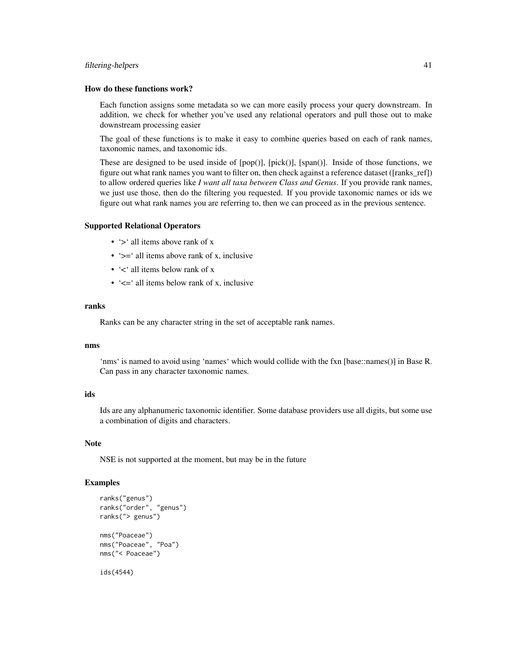#### filtering-helpers 41

#### How do these functions work?

Each function assigns some metadata so we can more easily process your query downstream. In addition, we check for whether you've used any relational operators and pull those out to make downstream processing easier

The goal of these functions is to make it easy to combine queries based on each of rank names, taxonomic names, and taxonomic ids.

These are designed to be used inside of [pop()], [pick()], [span()]. Inside of those functions, we figure out what rank names you want to filter on, then check against a reference dataset ([ranks\_ref]) to allow ordered queries like *I want all taxa between Class and Genus*. If you provide rank names, we just use those, then do the filtering you requested. If you provide taxonomic names or ids we figure out what rank names you are referring to, then we can proceed as in the previous sentence.

#### Supported Relational Operators

- '>' all items above rank of x
- ' $>=$ ' all items above rank of x, inclusive
- '<' all items below rank of x
- ' $\leq$  ' $\leq$  all items below rank of x, inclusive

### ranks

Ranks can be any character string in the set of acceptable rank names.

#### nms

'nms' is named to avoid using 'names' which would collide with the fxn [base::names()] in Base R. Can pass in any character taxonomic names.

#### ids

Ids are any alphanumeric taxonomic identifier. Some database providers use all digits, but some use a combination of digits and characters.

#### Note

NSE is not supported at the moment, but may be in the future

```
ranks("genus")
ranks("order", "genus")
ranks("> genus")
nms("Poaceae")
nms("Poaceae", "Poa")
nms("< Poaceae")
ids(4544)
```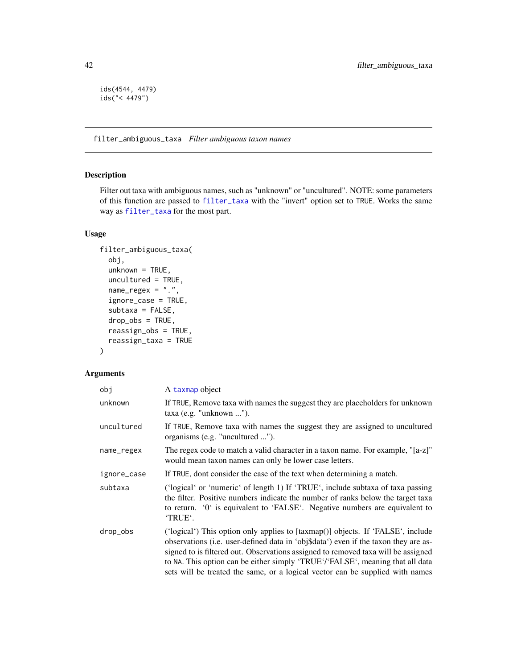```
ids(4544, 4479)
ids("< 4479")
```
filter\_ambiguous\_taxa *Filter ambiguous taxon names*

## Description

Filter out taxa with ambiguous names, such as "unknown" or "uncultured". NOTE: some parameters of this function are passed to [filter\\_taxa](#page-44-0) with the "invert" option set to TRUE. Works the same way as [filter\\_taxa](#page-44-0) for the most part.

## Usage

```
filter_ambiguous_taxa(
  obj,
  unknown = TRUE,
  uncultured = TRUE,
  name\_regex = "."ignore_case = TRUE,
  subtaxa = FALSE,drop_obs = TRUE,
  reassign_obs = TRUE,
  reassign_taxa = TRUE
\mathcal{L}
```

| obj         | A taxmap object                                                                                                                                                                                                                                                                                                                                                                                                               |
|-------------|-------------------------------------------------------------------------------------------------------------------------------------------------------------------------------------------------------------------------------------------------------------------------------------------------------------------------------------------------------------------------------------------------------------------------------|
| unknown     | If TRUE, Remove taxa with names the suggest they are placeholders for unknown<br>$taxa$ (e.g. "unknown ").                                                                                                                                                                                                                                                                                                                    |
| uncultured  | If TRUE, Remove taxa with names the suggest they are assigned to uncultured<br>organisms (e.g. "uncultured ").                                                                                                                                                                                                                                                                                                                |
| name_regex  | The regex code to match a valid character in a taxon name. For example, "[a-z]"<br>would mean taxon names can only be lower case letters.                                                                                                                                                                                                                                                                                     |
| ignore_case | If TRUE, dont consider the case of the text when determining a match.                                                                                                                                                                                                                                                                                                                                                         |
| subtaxa     | ('logical' or 'numeric' of length 1) If 'TRUE', include subtaxa of taxa passing<br>the filter. Positive numbers indicate the number of ranks below the target taxa<br>to return. '0' is equivalent to 'FALSE'. Negative numbers are equivalent to<br>'TRUE'.                                                                                                                                                                  |
| drop_obs    | ('logical') This option only applies to [taxmap()] objects. If 'FALSE', include<br>observations (i.e. user-defined data in 'obj\$data') even if the taxon they are as-<br>signed to is filtered out. Observations assigned to removed taxa will be assigned<br>to NA. This option can be either simply 'TRUE'/'FALSE', meaning that all data<br>sets will be treated the same, or a logical vector can be supplied with names |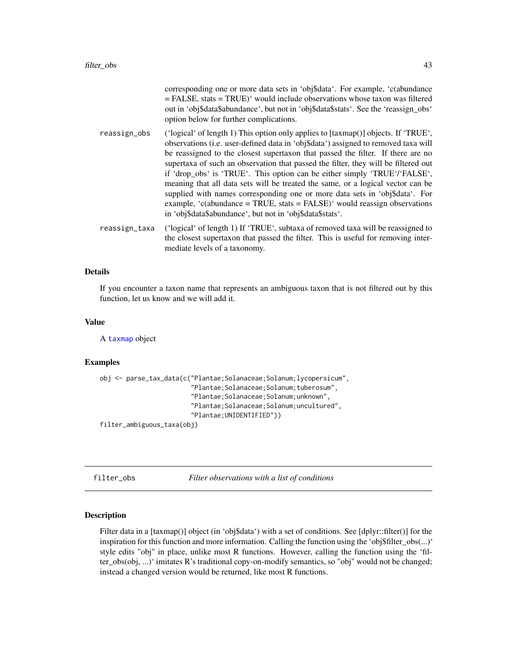|               | corresponding one or more data sets in 'obj\$data'. For example, 'c(abundance<br>$=$ FALSE, stats $=$ TRUE) <sup><math>\cdot</math></sup> would include observations whose taxon was filtered<br>out in 'obj\$data\$abundance', but not in 'obj\$data\$stats'. See the 'reassign_obs'<br>option below for further complications.                                                                                                                                                                                                                                                                                                                                                                                                           |
|---------------|--------------------------------------------------------------------------------------------------------------------------------------------------------------------------------------------------------------------------------------------------------------------------------------------------------------------------------------------------------------------------------------------------------------------------------------------------------------------------------------------------------------------------------------------------------------------------------------------------------------------------------------------------------------------------------------------------------------------------------------------|
| reassign_obs  | ('logical' of length 1) This option only applies to [taxmap()] objects. If 'TRUE',<br>observations (i.e. user-defined data in 'obj\$data') assigned to removed taxa will<br>be reassigned to the closest supertaxon that passed the filter. If there are no<br>supertaxa of such an observation that passed the filter, they will be filtered out<br>if 'drop_obs' is 'TRUE'. This option can be either simply 'TRUE'/'FALSE',<br>meaning that all data sets will be treated the same, or a logical vector can be<br>supplied with names corresponding one or more data sets in 'obj\$data'. For<br>example, 'c(abundance = TRUE, stats = FALSE)' would reassign observations<br>in 'obj\$data\$abundance', but not in 'obj\$data\$stats'. |
| reassign_taxa | ('logical' of length 1) If 'TRUE', subtaxa of removed taxa will be reassigned to<br>the closest supertaxon that passed the filter. This is useful for removing inter-<br>mediate levels of a taxonomy.                                                                                                                                                                                                                                                                                                                                                                                                                                                                                                                                     |

#### Details

If you encounter a taxon name that represents an ambiguous taxon that is not filtered out by this function, let us know and we will add it.

### Value

A [taxmap](#page-138-0) object

### Examples

```
obj <- parse_tax_data(c("Plantae;Solanaceae;Solanum;lycopersicum",
                        "Plantae;Solanaceae;Solanum;tuberosum",
                        "Plantae;Solanaceae;Solanum;unknown",
                        "Plantae;Solanaceae;Solanum;uncultured",
                        "Plantae;UNIDENTIFIED"))
```
filter\_ambiguous\_taxa(obj)

<span id="page-42-0"></span>filter\_obs *Filter observations with a list of conditions*

## Description

Filter data in a [taxmap()] object (in 'obj\$data') with a set of conditions. See [dplyr::filter()] for the inspiration for this function and more information. Calling the function using the 'obj\$filter\_obs(...)' style edits "obj" in place, unlike most R functions. However, calling the function using the 'filter\_obs(obj, ...)' imitates R's traditional copy-on-modify semantics, so "obj" would not be changed; instead a changed version would be returned, like most R functions.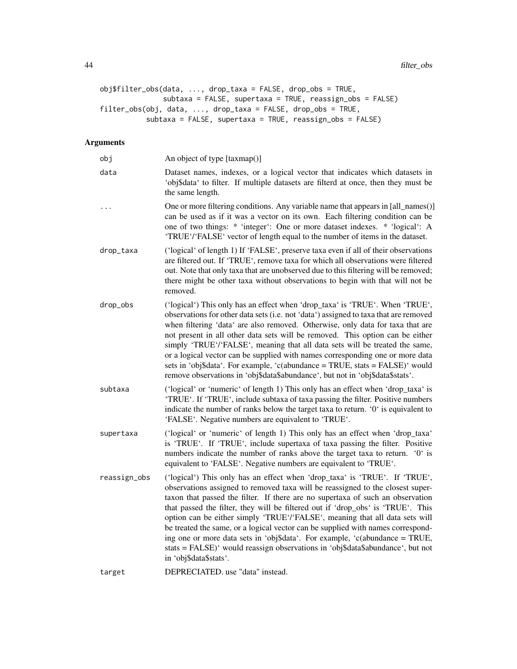```
obj$filter_obs(data, ..., drop_taxa = FALSE, drop_obs = TRUE,
              subtaxa = FALSE, supertaxa = TRUE, reassign_obs = FALSE)
filter_obs(obj, data, ..., drop_taxa = FALSE, drop_obs = TRUE,
          subtaxa = FALSE, supertaxa = TRUE, reassign_obs = FALSE)
```

| obj          | An object of type [taxmap()]                                                                                                                                                                                                                                                                                                                                                                                                                                                                                                                                                                                                                                                                   |
|--------------|------------------------------------------------------------------------------------------------------------------------------------------------------------------------------------------------------------------------------------------------------------------------------------------------------------------------------------------------------------------------------------------------------------------------------------------------------------------------------------------------------------------------------------------------------------------------------------------------------------------------------------------------------------------------------------------------|
| data         | Dataset names, indexes, or a logical vector that indicates which datasets in<br>'obj\$data' to filter. If multiple datasets are filterd at once, then they must be<br>the same length.                                                                                                                                                                                                                                                                                                                                                                                                                                                                                                         |
| .            | One or more filtering conditions. Any variable name that appears in [all_names()]<br>can be used as if it was a vector on its own. Each filtering condition can be<br>one of two things: * 'integer': One or more dataset indexes. * 'logical': A<br>'TRUE'/'FALSE' vector of length equal to the number of items in the dataset.                                                                                                                                                                                                                                                                                                                                                              |
| drop_taxa    | ('logical' of length 1) If 'FALSE', preserve taxa even if all of their observations<br>are filtered out. If 'TRUE', remove taxa for which all observations were filtered<br>out. Note that only taxa that are unobserved due to this filtering will be removed;<br>there might be other taxa without observations to begin with that will not be<br>removed.                                                                                                                                                                                                                                                                                                                                   |
| drop_obs     | ('logical') This only has an effect when 'drop_taxa' is 'TRUE'. When 'TRUE',<br>observations for other data sets (i.e. not 'data') assigned to taxa that are removed<br>when filtering 'data' are also removed. Otherwise, only data for taxa that are<br>not present in all other data sets will be removed. This option can be either<br>simply 'TRUE'/'FALSE', meaning that all data sets will be treated the same,<br>or a logical vector can be supplied with names corresponding one or more data<br>sets in 'obj\$data'. For example, 'c(abundance = TRUE, stats = FALSE)' would<br>remove observations in 'obj\$data\$abundance', but not in 'obj\$data\$stats'.                       |
| subtaxa      | ('logical' or 'numeric' of length 1) This only has an effect when 'drop_taxa' is<br>'TRUE'. If 'TRUE', include subtaxa of taxa passing the filter. Positive numbers<br>indicate the number of ranks below the target taxa to return. '0' is equivalent to<br>'FALSE'. Negative numbers are equivalent to 'TRUE'.                                                                                                                                                                                                                                                                                                                                                                               |
| supertaxa    | ('logical' or 'numeric' of length 1) This only has an effect when 'drop_taxa'<br>is 'TRUE'. If 'TRUE', include supertaxa of taxa passing the filter. Positive<br>numbers indicate the number of ranks above the target taxa to return. '0' is<br>equivalent to 'FALSE'. Negative numbers are equivalent to 'TRUE'.                                                                                                                                                                                                                                                                                                                                                                             |
| reassign_obs | ('logical') This only has an effect when 'drop_taxa' is 'TRUE'. If 'TRUE',<br>observations assigned to removed taxa will be reassigned to the closest super-<br>taxon that passed the filter. If there are no supertaxa of such an observation<br>that passed the filter, they will be filtered out if 'drop_obs' is 'TRUE'. This<br>option can be either simply 'TRUE'/'FALSE', meaning that all data sets will<br>be treated the same, or a logical vector can be supplied with names correspond-<br>ing one or more data sets in 'obj\$data'. For example, 'c(abundance = TRUE,<br>stats = FALSE)' would reassign observations in 'obj\$data\$abundance', but not<br>in 'obj\$data\$stats'. |
| target       | DEPRECIATED. use "data" instead.                                                                                                                                                                                                                                                                                                                                                                                                                                                                                                                                                                                                                                                               |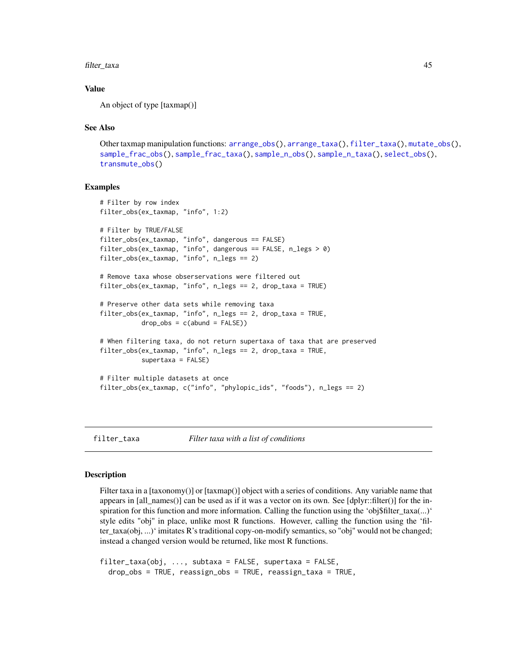filter\_taxa 45

#### Value

An object of type [taxmap()]

### See Also

Other taxmap manipulation functions: [arrange\\_obs\(](#page-8-0)), [arrange\\_taxa\(](#page-9-0)), [filter\\_taxa\(](#page-44-0)), [mutate\\_obs\(](#page-81-0)), [sample\\_frac\\_obs\(](#page-124-0)), [sample\\_frac\\_taxa\(](#page-125-0)), [sample\\_n\\_obs\(](#page-127-0)), [sample\\_n\\_taxa\(](#page-128-0)), [select\\_obs\(](#page-130-0)), [transmute\\_obs\(](#page-152-0))

### Examples

```
# Filter by row index
filter_obs(ex_taxmap, "info", 1:2)
# Filter by TRUE/FALSE
filter_obs(ex_taxmap, "info", dangerous == FALSE)
filter_obs(ex_taxmap, "info", dangerous == FALSE, n_legs > 0)
filter_obs(ex_taxmap, "info", n_legs == 2)
# Remove taxa whose obserservations were filtered out
filter_obs(ex_taxmap, "info", n_legs == 2, drop_taxa = TRUE)
# Preserve other data sets while removing taxa
filter_obs(ex_taxmap, "info", n_legs == 2, drop_taxa = TRUE,
          drop_obs = c(abund = FALSE)# When filtering taxa, do not return supertaxa of taxa that are preserved
filter_obs(ex_taxmap, "info", n_legs == 2, drop_taxa = TRUE,
          supertaxa = FALSE)
# Filter multiple datasets at once
filter_obs(ex_taxmap, c("info", "phylopic_ids", "foods"), n_legs == 2)
```
<span id="page-44-0"></span>filter\_taxa *Filter taxa with a list of conditions*

### Description

Filter taxa in a [taxonomy()] or [taxmap()] object with a series of conditions. Any variable name that appears in [all\_names()] can be used as if it was a vector on its own. See [dplyr::filter()] for the inspiration for this function and more information. Calling the function using the 'obj\$filter\_taxa(...)' style edits "obj" in place, unlike most R functions. However, calling the function using the 'filter\_taxa(obj, ...)' imitates R's traditional copy-on-modify semantics, so "obj" would not be changed; instead a changed version would be returned, like most R functions.

```
filter_taxa(obj, ..., subtaxa = FALSE, supertaxa = FALSE,
 drop_obs = TRUE, reassign_obs = TRUE, reassign_taxa = TRUE,
```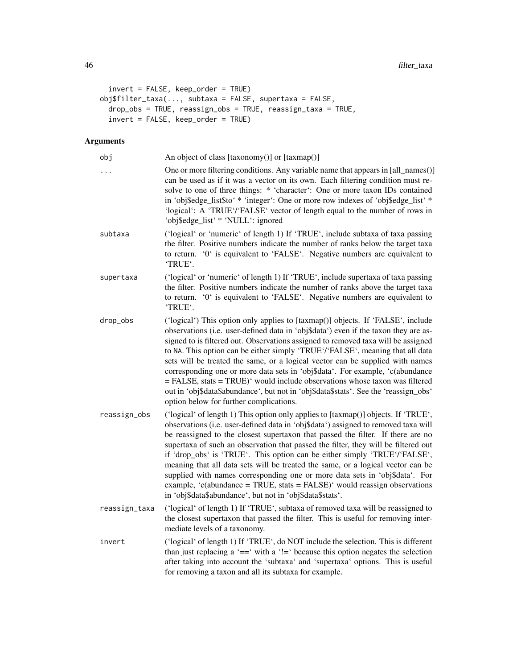```
invert = FALSE, keep_order = TRUE)
obj$filter\_taxa(...,\nsubtaxa = FALSE,\nsupertaxa = FALSE,\sigma drop_obs = TRUE, reassign_obs = TRUE, reassign_taxa = TRUE,
  invert = FALSE, keep_order = TRUE)
```

| obj           | An object of class [taxonomy()] or [taxmap()]                                                                                                                                                                                                                                                                                                                                                                                                                                                                                                                                                                                                                                                                                              |
|---------------|--------------------------------------------------------------------------------------------------------------------------------------------------------------------------------------------------------------------------------------------------------------------------------------------------------------------------------------------------------------------------------------------------------------------------------------------------------------------------------------------------------------------------------------------------------------------------------------------------------------------------------------------------------------------------------------------------------------------------------------------|
| $\cdots$      | One or more filtering conditions. Any variable name that appears in [all_names()]<br>can be used as if it was a vector on its own. Each filtering condition must re-<br>solve to one of three things: * 'character': One or more taxon IDs contained<br>in 'obj\$edge_list\$to' * 'integer': One or more row indexes of 'obj\$edge_list' *<br>'logical': A 'TRUE'/'FALSE' vector of length equal to the number of rows in<br>'obj\$edge_list' * 'NULL': ignored                                                                                                                                                                                                                                                                            |
| subtaxa       | ('logical' or 'numeric' of length 1) If 'TRUE', include subtaxa of taxa passing<br>the filter. Positive numbers indicate the number of ranks below the target taxa<br>to return. '0' is equivalent to 'FALSE'. Negative numbers are equivalent to<br>'TRUE'.                                                                                                                                                                                                                                                                                                                                                                                                                                                                               |
| supertaxa     | ('logical' or 'numeric' of length 1) If 'TRUE', include supertaxa of taxa passing<br>the filter. Positive numbers indicate the number of ranks above the target taxa<br>to return. '0' is equivalent to 'FALSE'. Negative numbers are equivalent to<br>'TRUE'.                                                                                                                                                                                                                                                                                                                                                                                                                                                                             |
| drop_obs      | ('logical') This option only applies to [taxmap()] objects. If 'FALSE', include<br>observations (i.e. user-defined data in 'obj\$data') even if the taxon they are as-<br>signed to is filtered out. Observations assigned to removed taxa will be assigned<br>to NA. This option can be either simply 'TRUE'/'FALSE', meaning that all data<br>sets will be treated the same, or a logical vector can be supplied with names<br>corresponding one or more data sets in 'obj\$data'. For example, 'c(abundance<br>= FALSE, stats = TRUE)' would include observations whose taxon was filtered<br>out in 'obj\$data\$abundance', but not in 'obj\$data\$stats'. See the 'reassign_obs'<br>option below for further complications.           |
| reassign_obs  | ('logical' of length 1) This option only applies to [taxmap()] objects. If 'TRUE',<br>observations (i.e. user-defined data in 'obj\$data') assigned to removed taxa will<br>be reassigned to the closest supertaxon that passed the filter. If there are no<br>supertaxa of such an observation that passed the filter, they will be filtered out<br>if 'drop_obs' is 'TRUE'. This option can be either simply 'TRUE'/'FALSE',<br>meaning that all data sets will be treated the same, or a logical vector can be<br>supplied with names corresponding one or more data sets in 'obj\$data'. For<br>example, 'c(abundance = TRUE, stats = FALSE)' would reassign observations<br>in 'obj\$data\$abundance', but not in 'obj\$data\$stats'. |
| reassign_taxa | ('logical' of length 1) If 'TRUE', subtaxa of removed taxa will be reassigned to<br>the closest supertaxon that passed the filter. This is useful for removing inter-<br>mediate levels of a taxonomy.                                                                                                                                                                                                                                                                                                                                                                                                                                                                                                                                     |
| invert        | ('logical' of length 1) If 'TRUE', do NOT include the selection. This is different<br>than just replacing a ' $==$ ' with a '!=' because this option negates the selection<br>after taking into account the 'subtaxa' and 'supertaxa' options. This is useful<br>for removing a taxon and all its subtaxa for example.                                                                                                                                                                                                                                                                                                                                                                                                                     |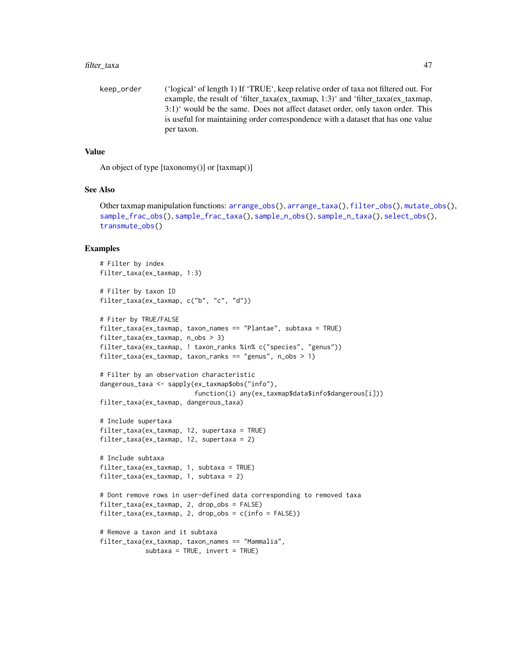#### filter\_taxa 47

keep\_order ('logical' of length 1) If 'TRUE', keep relative order of taxa not filtered out. For example, the result of 'filter\_taxa(ex\_taxmap, 1:3)' and 'filter\_taxa(ex\_taxmap, 3:1)' would be the same. Does not affect dataset order, only taxon order. This is useful for maintaining order correspondence with a dataset that has one value per taxon.

### Value

An object of type [taxonomy()] or [taxmap()]

## See Also

Other taxmap manipulation functions: [arrange\\_obs\(](#page-8-0)), [arrange\\_taxa\(](#page-9-0)), [filter\\_obs\(](#page-42-0)), [mutate\\_obs\(](#page-81-0)), [sample\\_frac\\_obs\(](#page-124-0)), [sample\\_frac\\_taxa\(](#page-125-0)), [sample\\_n\\_obs\(](#page-127-0)), [sample\\_n\\_taxa\(](#page-128-0)), [select\\_obs\(](#page-130-0)), [transmute\\_obs\(](#page-152-0))

```
# Filter by index
filter_taxa(ex_taxmap, 1:3)
# Filter by taxon ID
filter_taxa(ex_taxmap, c("b", "c", "d"))
# Fiter by TRUE/FALSE
filter_taxa(ex_taxmap, taxon_names == "Plantae", subtaxa = TRUE)
filter_taxa(ex_taxmap, n_obs > 3)
filter_taxa(ex_taxmap, ! taxon_ranks %in% c("species", "genus"))
filter_taxa(ex_taxmap, taxon_ranks == "genus", n_obs > 1)
# Filter by an observation characteristic
dangerous_taxa <- sapply(ex_taxmap$obs("info"),
                         function(i) any(ex_taxmap$data$info$dangerous[i]))
filter_taxa(ex_taxmap, dangerous_taxa)
# Include supertaxa
filter_taxa(ex_taxmap, 12, supertaxa = TRUE)
filter_taxa(ex_taxmap, 12, supertaxa = 2)
# Include subtaxa
filter_taxa(ex_taxmap, 1, subtaxa = TRUE)
filter_taxa(ex_taxmap, 1, subtaxa = 2)
# Dont remove rows in user-defined data corresponding to removed taxa
filter_taxa(ex_taxmap, 2, drop_obs = FALSE)
filter_taxa(ex_taxmap, 2, drop_obs = c(info = FALSE))
# Remove a taxon and it subtaxa
filter_taxa(ex_taxmap, taxon_names == "Mammalia",
            subtaxa = TRUE, invert = TRUE)
```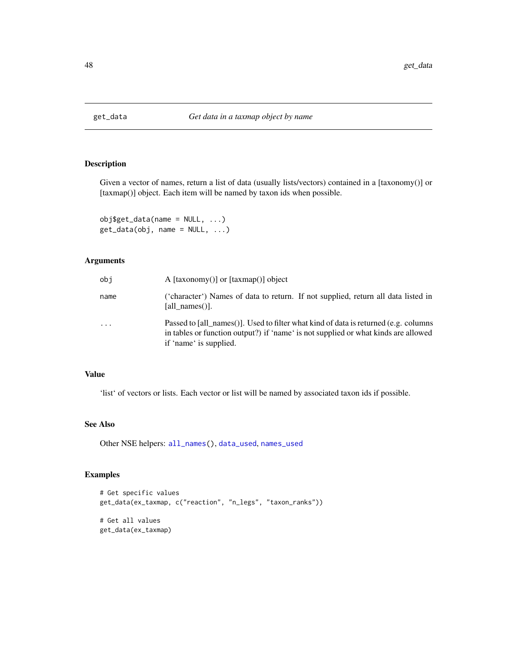Given a vector of names, return a list of data (usually lists/vectors) contained in a [taxonomy()] or [taxmap()] object. Each item will be named by taxon ids when possible.

 $obj$get_data(name = NULL, ...)$  $get_data(obj, name = NULL, ...)$ 

## Arguments

| obi      | A $[taxonomy()]$ or $[taxmap()]$ object                                                                                                                                                             |
|----------|-----------------------------------------------------------------------------------------------------------------------------------------------------------------------------------------------------|
| name     | ('character') Names of data to return. If not supplied, return all data listed in<br>[all names()].                                                                                                 |
| $\cdots$ | Passed to [all_names()]. Used to filter what kind of data is returned (e.g. columns<br>in tables or function output?) if 'name' is not supplied or what kinds are allowed<br>if 'name' is supplied. |

### Value

'list' of vectors or lists. Each vector or list will be named by associated taxon ids if possible.

## See Also

Other NSE helpers: [all\\_names\(](#page-7-0)), [data\\_used](#page-0-0), [names\\_used](#page-0-0)

```
# Get specific values
get_data(ex_taxmap, c("reaction", "n_legs", "taxon_ranks"))
# Get all values
get_data(ex_taxmap)
```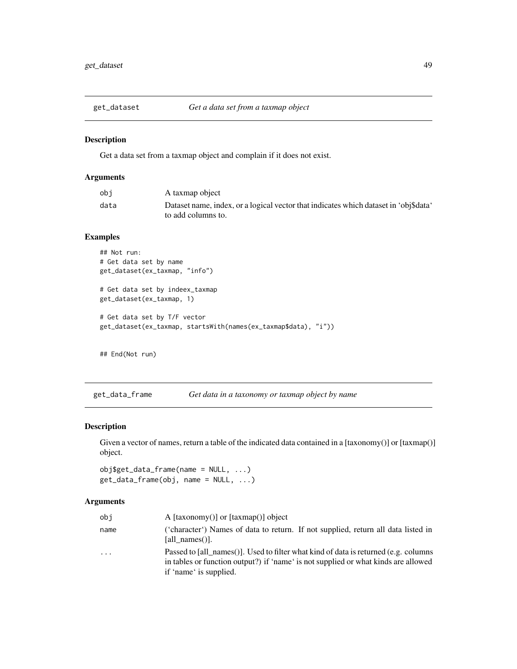Get a data set from a taxmap object and complain if it does not exist.

## Arguments

| obi  | A taxmap object                                                                      |
|------|--------------------------------------------------------------------------------------|
| data | Dataset name, index, or a logical vector that indicates which dataset in 'obj\$data' |
|      | to add columns to.                                                                   |

# Examples

```
## Not run:
# Get data set by name
get_dataset(ex_taxmap, "info")
# Get data set by indeex_taxmap
get_dataset(ex_taxmap, 1)
# Get data set by T/F vector
get_dataset(ex_taxmap, startsWith(names(ex_taxmap$data), "i"))
```
## End(Not run)

get\_data\_frame *Get data in a taxonomy or taxmap object by name*

## Description

Given a vector of names, return a table of the indicated data contained in a [taxonomy()] or [taxmap()] object.

```
obj$get_data_frame(name = NULL, ...)
get_data_frame(obj, name = NULL, ...)
```

| obi  | A $[taxonomy()]$ or $[taxmap()]$ object                                                                                                                                                             |
|------|-----------------------------------------------------------------------------------------------------------------------------------------------------------------------------------------------------|
| name | ('character') Names of data to return. If not supplied, return all data listed in<br>[all names()].                                                                                                 |
| .    | Passed to [all names()]. Used to filter what kind of data is returned (e.g. columns<br>in tables or function output?) if 'name' is not supplied or what kinds are allowed<br>if 'name' is supplied. |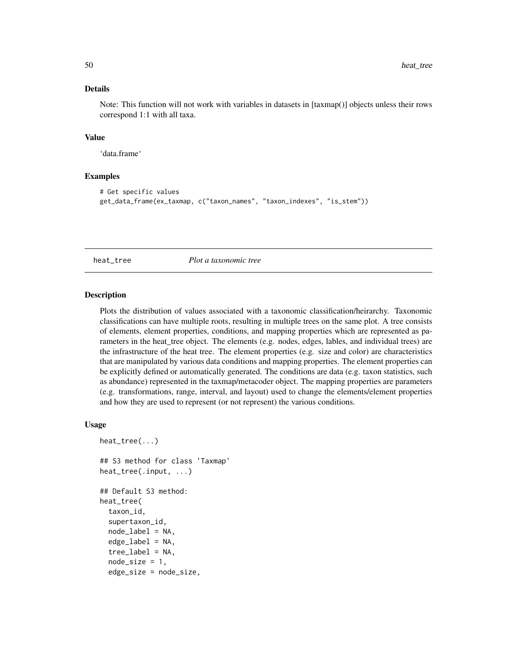## Details

Note: This function will not work with variables in datasets in [taxmap()] objects unless their rows correspond 1:1 with all taxa.

#### Value

'data.frame'

# Examples

```
# Get specific values
get_data_frame(ex_taxmap, c("taxon_names", "taxon_indexes", "is_stem"))
```
<span id="page-49-0"></span>

heat\_tree *Plot a taxonomic tree*

### Description

Plots the distribution of values associated with a taxonomic classification/heirarchy. Taxonomic classifications can have multiple roots, resulting in multiple trees on the same plot. A tree consists of elements, element properties, conditions, and mapping properties which are represented as parameters in the heat\_tree object. The elements (e.g. nodes, edges, lables, and individual trees) are the infrastructure of the heat tree. The element properties (e.g. size and color) are characteristics that are manipulated by various data conditions and mapping properties. The element properties can be explicitly defined or automatically generated. The conditions are data (e.g. taxon statistics, such as abundance) represented in the taxmap/metacoder object. The mapping properties are parameters (e.g. transformations, range, interval, and layout) used to change the elements/element properties and how they are used to represent (or not represent) the various conditions.

#### Usage

```
heat_tree(...)
## S3 method for class 'Taxmap'
heat_tree(.input, ...)
## Default S3 method:
heat_tree(
  taxon_id,
  supertaxon_id,
  node_labels = NA,
  edge<sub>_</sub>label = NA,
  tree_label = NA,
  node_size = 1,
  edge_size = node_size,
```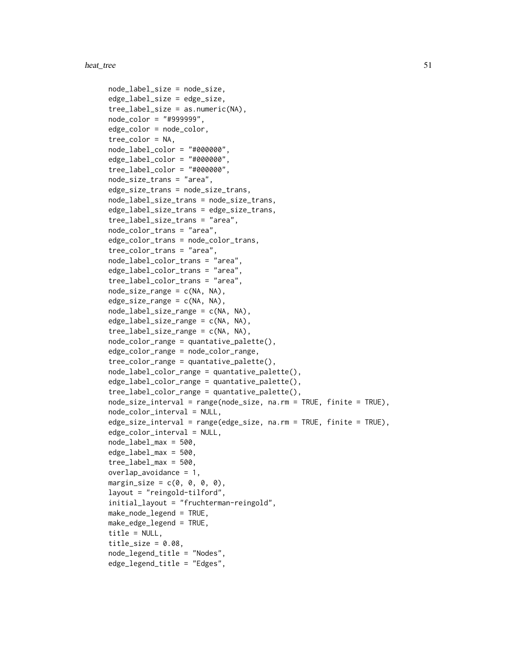```
node_label_size = node_size,
edge_label_size = edge_size,
tree\_label\_size = as.numeric(NA),
node_color = "#999999",
edge_color = node_color,
tree_color = NA,
node_label_color = "#000000",
edge_label_color = "#000000",
tree_label_color = "#000000",
node_size_trans = "area",
edge_size_trans = node_size_trans,
node_label_size_trans = node_size_trans,
edge_label_size_trans = edge_size_trans,
tree_label_size_trans = "area",
node_color_trans = "area",
edge_color_trans = node_color_trans,
tree_color_trans = "area",
node_label_color_trans = "area",
edge_label_color_trans = "area",
tree_label_color_trans = "area",
node_size_range = c(NA, NA),edge_size_range = c(NA, NA),
node_label_size_range = c(NA, NA),
edge_label_size_range = c(NA, NA),
tree_label_size_range = c(NA, NA),
node_color_range = quantative_palette(),
edge_color_range = node_color_range,
tree_color_range = quantative_palette(),
node_label_color_range = quantative_palette(),
edge_label_color_range = quantative_palette(),
tree_label_color_range = quantative_palette(),
node_size_interval = range(node_size, na.rm = TRUE, finite = TRUE),
node_color_interval = NULL,
edge_size_interval = range(edge_size, na.rm = TRUE, finite = TRUE),
edge_color_interval = NULL,
node_label_max = 500,
edge\_label\_max = 500,
tree\_label\_max = 500,overlap_avoidance = 1,
margin_size = c(0, 0, 0, 0),
layout = "reingold-tilford",
initial_layout = "fruchterman-reingold",
make_node_legend = TRUE,
make_edge_legend = TRUE,
title = NULL,
title_size = 0.08,
node_legend_title = "Nodes",
edge_legend_title = "Edges",
```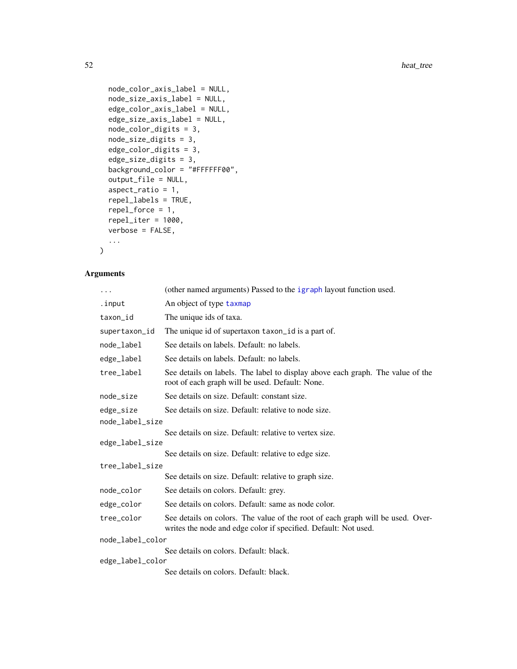```
node_color_axis_label = NULL,
  node_size_axis_label = NULL,
  edge_color_axis_label = NULL,
  edge_size_axis_label = NULL,
  node_color_digits = 3,
  node_size_digits = 3,
  edge_color_digits = 3,
  edge_size_digits = 3,
  background_color = "#FFFFFF00",
  output_file = NULL,
  aspect_ratio = 1,
  repel_labels = TRUE,
  repel_force = 1,
  repel\_iter = 1000,verbose = FALSE,
  ...
\mathcal{L}
```

| $\cdots$         | (other named arguments) Passed to the igraph layout function used.                                                                                |  |
|------------------|---------------------------------------------------------------------------------------------------------------------------------------------------|--|
| .input           | An object of type taxmap                                                                                                                          |  |
| taxon_id         | The unique ids of taxa.                                                                                                                           |  |
| supertaxon_id    | The unique id of supertaxon taxon id is a part of.                                                                                                |  |
| node_label       | See details on labels. Default: no labels.                                                                                                        |  |
| edge_label       | See details on labels. Default: no labels.                                                                                                        |  |
| tree_label       | See details on labels. The label to display above each graph. The value of the<br>root of each graph will be used. Default: None.                 |  |
| node_size        | See details on size. Default: constant size.                                                                                                      |  |
| edge_size        | See details on size. Default: relative to node size.                                                                                              |  |
| node_label_size  |                                                                                                                                                   |  |
|                  | See details on size. Default: relative to vertex size.                                                                                            |  |
| edge_label_size  |                                                                                                                                                   |  |
|                  | See details on size. Default: relative to edge size.                                                                                              |  |
| tree_label_size  |                                                                                                                                                   |  |
|                  | See details on size. Default: relative to graph size.                                                                                             |  |
| node_color       | See details on colors. Default: grey.                                                                                                             |  |
| edge_color       | See details on colors. Default: same as node color.                                                                                               |  |
| tree_color       | See details on colors. The value of the root of each graph will be used. Over-<br>writes the node and edge color if specified. Default: Not used. |  |
| node_label_color |                                                                                                                                                   |  |
|                  | See details on colors. Default: black.                                                                                                            |  |
| edge_label_color |                                                                                                                                                   |  |
|                  | See details on colors. Default: black.                                                                                                            |  |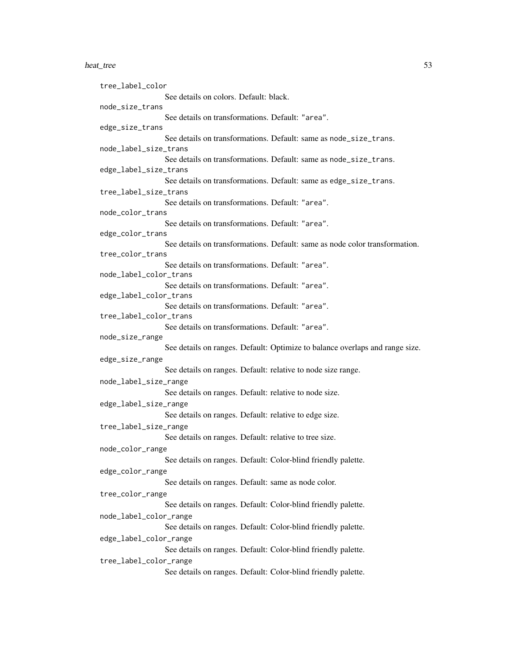#### heat\_tree 53

tree\_label\_color See details on colors. Default: black. node\_size\_trans See details on transformations. Default: "area". edge\_size\_trans See details on transformations. Default: same as node\_size\_trans. node\_label\_size\_trans See details on transformations. Default: same as node\_size\_trans. edge\_label\_size\_trans See details on transformations. Default: same as edge\_size\_trans. tree\_label\_size\_trans See details on transformations. Default: "area". node\_color\_trans See details on transformations. Default: "area". edge\_color\_trans See details on transformations. Default: same as node color transformation. tree\_color\_trans See details on transformations. Default: "area". node\_label\_color\_trans See details on transformations. Default: "area". edge\_label\_color\_trans See details on transformations. Default: "area". tree\_label\_color\_trans See details on transformations. Default: "area". node\_size\_range See details on ranges. Default: Optimize to balance overlaps and range size. edge\_size\_range See details on ranges. Default: relative to node size range. node\_label\_size\_range See details on ranges. Default: relative to node size. edge\_label\_size\_range See details on ranges. Default: relative to edge size. tree\_label\_size\_range See details on ranges. Default: relative to tree size. node\_color\_range See details on ranges. Default: Color-blind friendly palette. edge\_color\_range See details on ranges. Default: same as node color. tree\_color\_range See details on ranges. Default: Color-blind friendly palette. node\_label\_color\_range See details on ranges. Default: Color-blind friendly palette. edge\_label\_color\_range See details on ranges. Default: Color-blind friendly palette. tree\_label\_color\_range See details on ranges. Default: Color-blind friendly palette.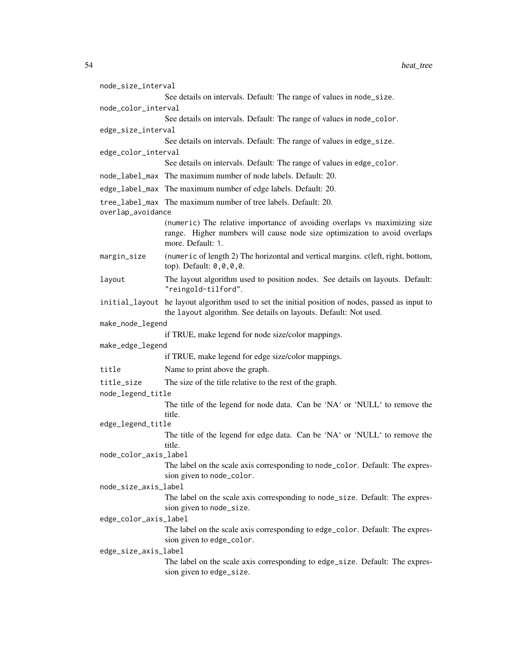| node_size_interval              |                                                                                                                                                                      |  |
|---------------------------------|----------------------------------------------------------------------------------------------------------------------------------------------------------------------|--|
|                                 | See details on intervals. Default: The range of values in node_size.                                                                                                 |  |
| node_color_interval             |                                                                                                                                                                      |  |
|                                 | See details on intervals. Default: The range of values in node_color.                                                                                                |  |
| edge_size_interval              | See details on intervals. Default: The range of values in edge_size.                                                                                                 |  |
| edge_color_interval             |                                                                                                                                                                      |  |
|                                 | See details on intervals. Default: The range of values in edge_color.                                                                                                |  |
|                                 | node_label_max The maximum number of node labels. Default: 20.                                                                                                       |  |
|                                 | edge_label_max The maximum number of edge labels. Default: 20.                                                                                                       |  |
|                                 | tree_label_max The maximum number of tree labels. Default: 20.                                                                                                       |  |
| overlap_avoidance               | (numeric) The relative importance of avoiding overlaps vs maximizing size                                                                                            |  |
|                                 | range. Higher numbers will cause node size optimization to avoid overlaps<br>more. Default: 1.                                                                       |  |
| margin_size                     | (numeric of length 2) The horizontal and vertical margins. c(left, right, bottom,<br>top). Default: 0,0,0,0.                                                         |  |
| layout                          | The layout algorithm used to position nodes. See details on layouts. Default:<br>"reingold-tilford".                                                                 |  |
|                                 | initial_layout he layout algorithm used to set the initial position of nodes, passed as input to<br>the layout algorithm. See details on layouts. Default: Not used. |  |
| make_node_legend                |                                                                                                                                                                      |  |
|                                 | if TRUE, make legend for node size/color mappings.                                                                                                                   |  |
| make_edge_legend                |                                                                                                                                                                      |  |
|                                 | if TRUE, make legend for edge size/color mappings.                                                                                                                   |  |
| title                           | Name to print above the graph.                                                                                                                                       |  |
| title_size<br>node_legend_title | The size of the title relative to the rest of the graph.                                                                                                             |  |
|                                 | The title of the legend for node data. Can be 'NA' or 'NULL' to remove the                                                                                           |  |
|                                 | title.                                                                                                                                                               |  |
| edge_legend_title               |                                                                                                                                                                      |  |
|                                 | The title of the legend for edge data. Can be 'NA' or 'NULL' to remove the<br>title.                                                                                 |  |
| node_color_axis_label           |                                                                                                                                                                      |  |
|                                 | The label on the scale axis corresponding to node_color. Default: The expres-                                                                                        |  |
|                                 | sion given to node_color.                                                                                                                                            |  |
| node_size_axis_label            |                                                                                                                                                                      |  |
|                                 | The label on the scale axis corresponding to node_size. Default: The expres-                                                                                         |  |
| edge_color_axis_label           | sion given to node_size.                                                                                                                                             |  |
|                                 | The label on the scale axis corresponding to edge_color. Default: The expres-                                                                                        |  |
|                                 | sion given to edge_color.                                                                                                                                            |  |
| edge_size_axis_label            |                                                                                                                                                                      |  |
|                                 | The label on the scale axis corresponding to edge_size. Default: The expres-<br>sion given to edge_size.                                                             |  |
|                                 |                                                                                                                                                                      |  |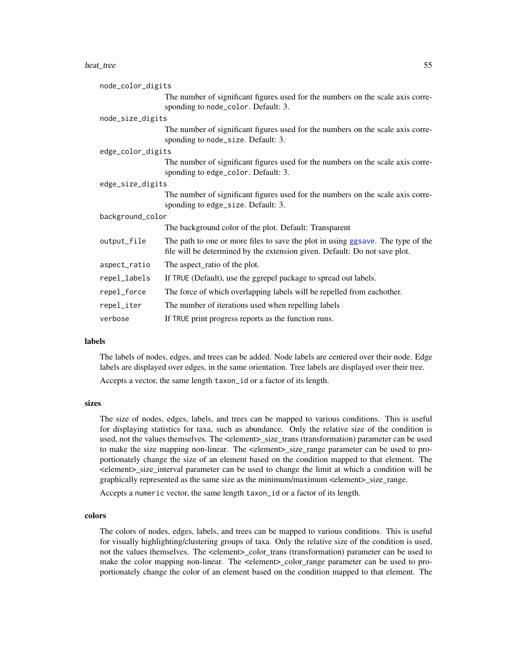#### heat\_tree 55

| node_color_digits |                                                                                                                                                               |  |
|-------------------|---------------------------------------------------------------------------------------------------------------------------------------------------------------|--|
|                   | The number of significant figures used for the numbers on the scale axis corre-<br>sponding to node_color. Default: 3.                                        |  |
| node_size_digits  |                                                                                                                                                               |  |
|                   | The number of significant figures used for the numbers on the scale axis corre-<br>sponding to node_size. Default: 3.                                         |  |
| edge_color_digits |                                                                                                                                                               |  |
|                   | The number of significant figures used for the numbers on the scale axis corre-<br>sponding to edge_color. Default: 3.                                        |  |
| edge_size_digits  |                                                                                                                                                               |  |
|                   | The number of significant figures used for the numbers on the scale axis corre-<br>sponding to edge_size. Default: 3.                                         |  |
| background_color  |                                                                                                                                                               |  |
|                   | The background color of the plot. Default: Transparent                                                                                                        |  |
| output_file       | The path to one or more files to save the plot in using ggsave. The type of the<br>file will be determined by the extension given. Default: Do not save plot. |  |
| aspect_ratio      | The aspect_ratio of the plot.                                                                                                                                 |  |
| repel_labels      | If TRUE (Default), use the ggrepel package to spread out labels.                                                                                              |  |
| repel_force       | The force of which overlapping labels will be repelled from eachother.                                                                                        |  |
| repel_iter        | The number of iterations used when repelling labels                                                                                                           |  |
| verbose           | If TRUE print progress reports as the function runs.                                                                                                          |  |

#### labels

The labels of nodes, edges, and trees can be added. Node labels are centered over their node. Edge labels are displayed over edges, in the same orientation. Tree labels are displayed over their tree.

Accepts a vector, the same length taxon\_id or a factor of its length.

### sizes

The size of nodes, edges, labels, and trees can be mapped to various conditions. This is useful for displaying statistics for taxa, such as abundance. Only the relative size of the condition is used, not the values themselves. The <element>\_size\_trans (transformation) parameter can be used to make the size mapping non-linear. The <element>\_size\_range parameter can be used to proportionately change the size of an element based on the condition mapped to that element. The <element>\_size\_interval parameter can be used to change the limit at which a condition will be graphically represented as the same size as the minimum/maximum <element>\_size\_range.

Accepts a numeric vector, the same length taxon\_id or a factor of its length.

### colors

The colors of nodes, edges, labels, and trees can be mapped to various conditions. This is useful for visually highlighting/clustering groups of taxa. Only the relative size of the condition is used, not the values themselves. The <element>\_color\_trans (transformation) parameter can be used to make the color mapping non-linear. The <element>\_color\_range parameter can be used to proportionately change the color of an element based on the condition mapped to that element. The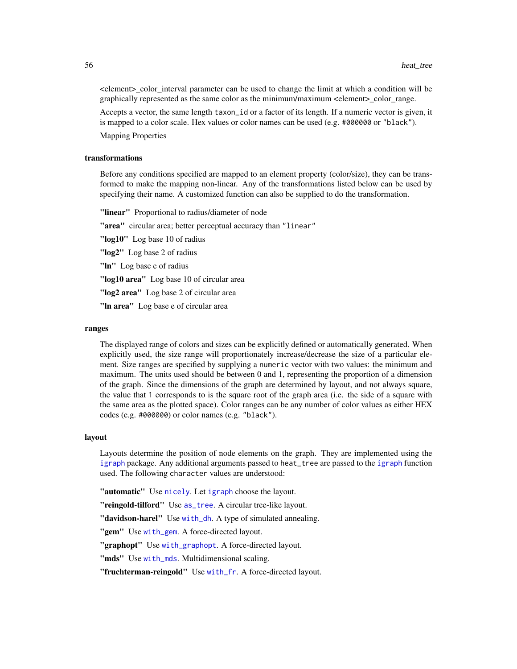<element>\_color\_interval parameter can be used to change the limit at which a condition will be graphically represented as the same color as the minimum/maximum  $\leq$ element $>$  color range.

Accepts a vector, the same length taxon\_id or a factor of its length. If a numeric vector is given, it is mapped to a color scale. Hex values or color names can be used (e.g. #000000 or "black").

Mapping Properties

### transformations

Before any conditions specified are mapped to an element property (color/size), they can be transformed to make the mapping non-linear. Any of the transformations listed below can be used by specifying their name. A customized function can also be supplied to do the transformation.

"linear" Proportional to radius/diameter of node

"area" circular area; better perceptual accuracy than "linear"

"log10" Log base 10 of radius

"log2" Log base 2 of radius

"In" Log base e of radius

"log10 area" Log base 10 of circular area

"log2 area" Log base 2 of circular area

"In area" Log base e of circular area

#### ranges

The displayed range of colors and sizes can be explicitly defined or automatically generated. When explicitly used, the size range will proportionately increase/decrease the size of a particular element. Size ranges are specified by supplying a numeric vector with two values: the minimum and maximum. The units used should be between 0 and 1, representing the proportion of a dimension of the graph. Since the dimensions of the graph are determined by layout, and not always square, the value that 1 corresponds to is the square root of the graph area (i.e. the side of a square with the same area as the plotted space). Color ranges can be any number of color values as either HEX codes (e.g. #000000) or color names (e.g. "black").

#### layout

Layouts determine the position of node elements on the graph. They are implemented using the [igraph](#page-0-0) package. Any additional arguments passed to heat\_tree are passed to the [igraph](#page-0-0) function used. The following character values are understood:

"automatic" Use [nicely](#page-0-0). Let [igraph](#page-0-0) choose the layout.

"reingold-tilford" Use [as\\_tree](#page-0-0). A circular tree-like layout.

"**davidson-harel**" Use [with\\_dh](#page-0-0). A type of simulated annealing.

"gem" Use [with\\_gem](#page-0-0). A force-directed layout.

"graphopt" Use [with\\_graphopt](#page-0-0). A force-directed layout.

"mds" Use [with\\_mds](#page-0-0). Multidimensional scaling.

"fruchterman-reingold" Use [with\\_fr](#page-0-0). A force-directed layout.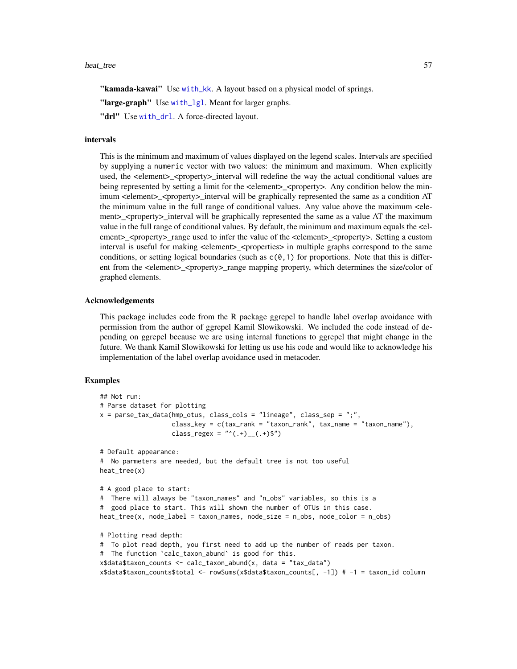#### heat\_tree 57

"kamada-kawai" Use [with\\_kk](#page-0-0). A layout based on a physical model of springs.

"large-graph" Use [with\\_lgl](#page-0-0). Meant for larger graphs.

"drl" Use [with\\_drl](#page-0-0). A force-directed layout.

#### intervals

This is the minimum and maximum of values displayed on the legend scales. Intervals are specified by supplying a numeric vector with two values: the minimum and maximum. When explicitly used, the <element>\_<property>\_interval will redefine the way the actual conditional values are being represented by setting a limit for the  $\leq$ element $\geq$   $\leq$ property $\geq$ . Any condition below the minimum <element>\_<property>\_interval will be graphically represented the same as a condition AT the minimum value in the full range of conditional values. Any value above the maximum <element>\_<property>\_interval will be graphically represented the same as a value AT the maximum value in the full range of conditional values. By default, the minimum and maximum equals the <element>\_<property>\_range used to infer the value of the <element>\_<property>. Setting a custom interval is useful for making <element>\_<properties> in multiple graphs correspond to the same conditions, or setting logical boundaries (such as  $c(0,1)$  for proportions. Note that this is different from the <element> <property> range mapping property, which determines the size/color of graphed elements.

#### Acknowledgements

This package includes code from the R package ggrepel to handle label overlap avoidance with permission from the author of ggrepel Kamil Slowikowski. We included the code instead of depending on ggrepel because we are using internal functions to ggrepel that might change in the future. We thank Kamil Slowikowski for letting us use his code and would like to acknowledge his implementation of the label overlap avoidance used in metacoder.

```
## Not run:
# Parse dataset for plotting
x = parse_tax_data(hmp_otus, class_cols = "lineage", class_sep = ";",
                   class_key = c(tax_rank = "taxon_rank", tax_name = "taxon_name"),
                   class_regex = "^(.+)__(.+)$")
# Default appearance:
# No parmeters are needed, but the default tree is not too useful
heat_tree(x)
# A good place to start:
# There will always be "taxon_names" and "n_obs" variables, so this is a
# good place to start. This will shown the number of OTUs in this case.
heat_tree(x, node_label = taxon_names, node_size = n_obs, node_color = n_obs)
# Plotting read depth:
# To plot read depth, you first need to add up the number of reads per taxon.
# The function `calc_taxon_abund` is good for this.
x$data$taxon_counts <- calc_taxon_abund(x, data = "tax_data")
x$data$taxon_counts$total <- rowSums(x$data$taxon_counts[, -1]) # -1 = taxon_id column
```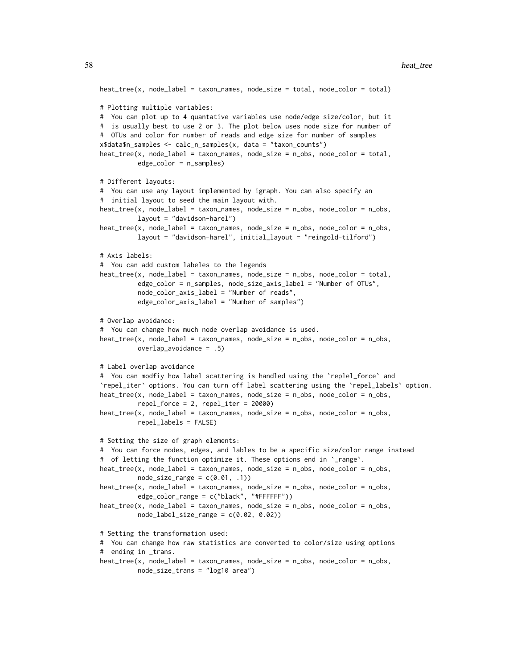```
heat_tree(x, node_label = taxon_names, node_size = total, node_color = total)
# Plotting multiple variables:
# You can plot up to 4 quantative variables use node/edge size/color, but it
# is usually best to use 2 or 3. The plot below uses node size for number of
# OTUs and color for number of reads and edge size for number of samples
x$data$n_samples <- calc_n_samples(x, data = "taxon_counts")
heat_tree(x, node_label = taxon_names, node_size = n_obs, node_color = total,
          edge_color = n_samples)
# Different layouts:
# You can use any layout implemented by igraph. You can also specify an
# initial layout to seed the main layout with.
heat_tree(x, node_label = taxon_names, node_size = n_obs, node_color = n_obs,
         layout = "davidson-harel")
heat_tree(x, node_label = taxon_names, node_size = n_obs, node_color = n_obs,
          layout = "davidson-harel", initial_layout = "reingold-tilford")
# Axis labels:
# You can add custom labeles to the legends
heat_tree(x, node_label = taxon_names, node_size = n_obs, node_color = total,
          edge_color = n_samples, node_size_axis_label = "Number of OTUs",
          node_color_axis_label = "Number of reads",
          edge_color_axis_label = "Number of samples")
# Overlap avoidance:
# You can change how much node overlap avoidance is used.
heat\_tree(x, node\_label = taxon\_names, node\_size = n\_obs, node\_color = n\_obs,overlap_avoidance = .5)
# Label overlap avoidance
# You can modfiy how label scattering is handled using the `replel_force` and
`repel_iter` options. You can turn off label scattering using the `repel_labels` option.
heat_tree(x, node_label = taxon_names, node_size = n_obs, node_color = n_obs,
          repel_force = 2, repel_iter = 20000)
heat_tree(x, node_label = taxon_names, node_size = n_obs, node_color = n_obs,
         repel_labels = FALSE)
# Setting the size of graph elements:
# You can force nodes, edges, and lables to be a specific size/color range instead
# of letting the function optimize it. These options end in `_range`.
heat_tree(x, node_label = taxon_names, node_size = n_obs, node_color = n_obs,
          node_size_range = c(0.01, .1))heat_tree(x, node_label = taxon_names, node_size = n_obs, node_color = n_obs,
          edge_color_range = c("black", "#FFFFFF"))
heat_tree(x, node_label = taxon_names, node_size = n_obs, node_color = n_obs,
          node_labelsListe_range = c(0.02, 0.02)# Setting the transformation used:
# You can change how raw statistics are converted to color/size using options
# ending in _trans.
heat_tree(x, node_label = taxon_names, node_size = n_obs, node_color = n_obs,
```

```
node_size_trans = "log10 area")
```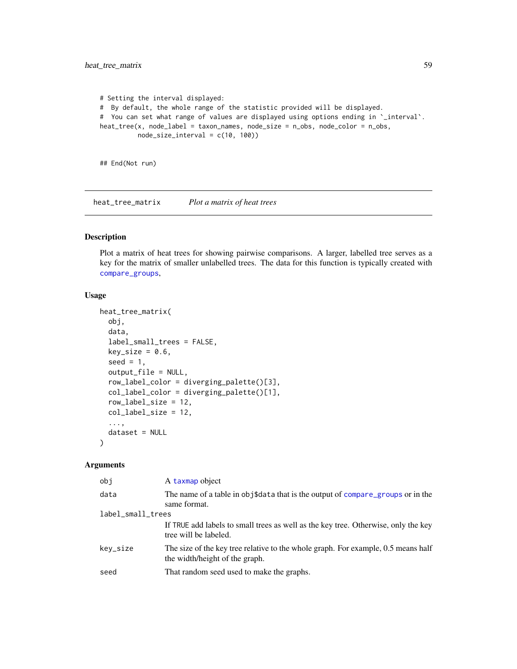```
# Setting the interval displayed:
# By default, the whole range of the statistic provided will be displayed.
# You can set what range of values are displayed using options ending in `_interval`.
heat_tree(x, node_label = taxon_names, node_size = n_obs, node_color = n_obs,
          node_size_interval = c(10, 100))
```
## End(Not run)

heat\_tree\_matrix *Plot a matrix of heat trees*

## Description

Plot a matrix of heat trees for showing pairwise comparisons. A larger, labelled tree serves as a key for the matrix of smaller unlabelled trees. The data for this function is typically created with [compare\\_groups](#page-28-0),

#### Usage

```
heat_tree_matrix(
  obj,
  data,
  label_small_trees = FALSE,
  key\_size = 0.6,
  seed = 1,
  output_file = NULL,
  row_label_color = diverging_palette()[3],
  col_label_color = diverging_palette()[1],
  row_label_size = 12,
  col_label_size = 12,
  ...,
  dataset = NULL
)
```

| obj               | A taxmap object                                                                                                     |  |
|-------------------|---------------------------------------------------------------------------------------------------------------------|--|
| data              | The name of a table in obj\$data that is the output of compare_groups or in the<br>same format.                     |  |
| label_small_trees |                                                                                                                     |  |
|                   | If TRUE add labels to small trees as well as the key tree. Otherwise, only the key<br>tree will be labeled.         |  |
| key_size          | The size of the key tree relative to the whole graph. For example, 0.5 means half<br>the width/height of the graph. |  |
| seed              | That random seed used to make the graphs.                                                                           |  |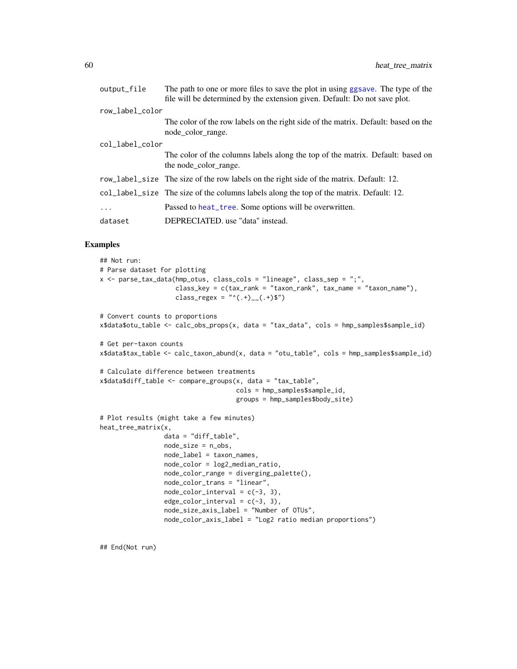| output_file     | The path to one or more files to save the plot in using ggsave. The type of the<br>file will be determined by the extension given. Default: Do not save plot. |
|-----------------|---------------------------------------------------------------------------------------------------------------------------------------------------------------|
| row_label_color |                                                                                                                                                               |
|                 | The color of the row labels on the right side of the matrix. Default: based on the<br>node color range.                                                       |
| col_label_color |                                                                                                                                                               |
|                 | The color of the columns labels along the top of the matrix. Default: based on<br>the node color range.                                                       |
|                 | row_label_size The size of the row labels on the right side of the matrix. Default: 12.                                                                       |
|                 | col_label_size The size of the columns labels along the top of the matrix. Default: 12.                                                                       |
| .               | Passed to heat_tree. Some options will be overwritten.                                                                                                        |
| dataset         | DEPRECIATED. use "data" instead.                                                                                                                              |

#### Examples

```
## Not run:
# Parse dataset for plotting
x <- parse_tax_data(hmp_otus, class_cols = "lineage", class_sep = ";",
                    class_key = c(tax_rank = "taxon_rank", tax_name = "taxon_name"),
                    class_regex = "^(.+)__(.+)$")
# Convert counts to proportions
x$data$otu_table <- calc_obs_props(x, data = "tax_data", cols = hmp_samples$sample_id)
# Get per-taxon counts
x$data$tax_table <- calc_taxon_abund(x, data = "otu_table", cols = hmp_samples$sample_id)
# Calculate difference between treatments
x$data$diff_table <- compare_groups(x, data = "tax_table",
                                    cols = hmp_samples$sample_id,
                                    groups = hmp_samples$body_site)
# Plot results (might take a few minutes)
heat_tree_matrix(x,
                 data = "diff_table",
                 node_size = n_obs,
                 node_label = taxon_names,
                 node_color = log2_median_ratio,
                 node_color_range = diverging_palette(),
                 node_color_trans = "linear",
                 node\_color\_interval = c(-3, 3),
                 edge\_color\_interval = c(-3, 3),
                 node_size_axis_label = "Number of OTUs",
                 node_color_axis_label = "Log2 ratio median proportions")
```
## End(Not run)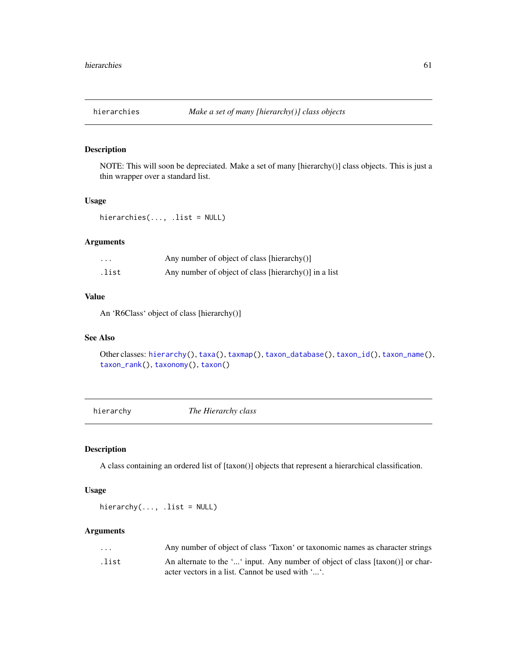<span id="page-60-1"></span>

NOTE: This will soon be depreciated. Make a set of many [hierarchy()] class objects. This is just a thin wrapper over a standard list.

## Usage

hierarchies(..., .list = NULL)

## Arguments

| $\cdot$ $\cdot$ $\cdot$ | Any number of object of class [hierarchy $()$ ]       |
|-------------------------|-------------------------------------------------------|
| .list                   | Any number of object of class [hierarchy()] in a list |

## Value

An 'R6Class' object of class [hierarchy()]

### See Also

```
Other classes: hierarchy(), taxa(), taxmap(), taxon_database(), taxon_id(), taxon_name(),
taxon_rank(), taxonomy(), taxon()
```
<span id="page-60-0"></span>hierarchy *The Hierarchy class*

## Description

A class containing an ordered list of [taxon()] objects that represent a hierarchical classification.

## Usage

hierarchy $(..., .list = NULL)$ 

| $\cdot$ $\cdot$ $\cdot$ | Any number of object of class 'Taxon' or taxonomic names as character strings  |
|-------------------------|--------------------------------------------------------------------------------|
| .list                   | An alternate to the '' input. Any number of object of class [taxon()] or char- |
|                         | acter vectors in a list. Cannot be used with ''.                               |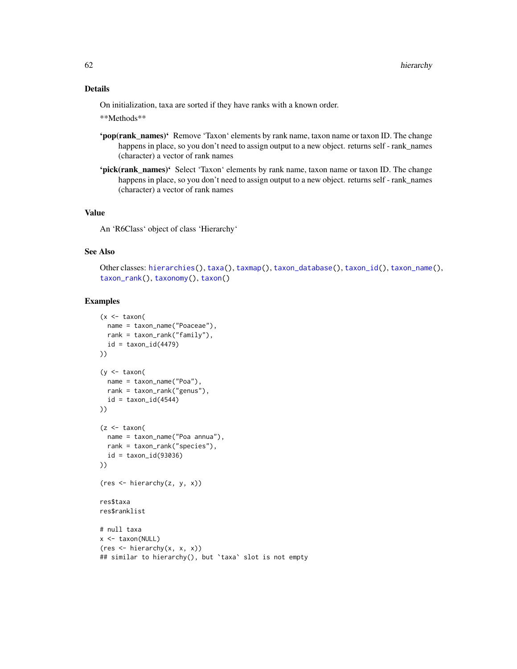## Details

On initialization, taxa are sorted if they have ranks with a known order.

\*\*Methods\*\*

- 'pop(rank\_names)' Remove 'Taxon' elements by rank name, taxon name or taxon ID. The change happens in place, so you don't need to assign output to a new object. returns self - rank\_names (character) a vector of rank names
- 'pick(rank\_names)' Select 'Taxon' elements by rank name, taxon name or taxon ID. The change happens in place, so you don't need to assign output to a new object. returns self - rank\_names (character) a vector of rank names

## Value

An 'R6Class' object of class 'Hierarchy'

#### See Also

```
Other classes: hierarchies(), taxa(), taxmap(), taxon_database(), taxon_id(), taxon_name(),
taxon_rank(), taxonomy(), taxon()
```

```
(x < - taxon(
  name = taxon_name("Poaceae"),
  rank = taxon_rank("family"),
  id = taxon_id(4479)))
(y \leq -\tan x)name = taxon_name("Poa"),
 rank = taxon_rank("genus"),
  id = taxon_id(4544)))
(z < - taxon(
  name = taxon_name("Poa annua"),
  rank = taxon_rank("species"),
  id = taxon_id(93036)
))
(res <- hierarchy(z, y, x))
res$taxa
res$ranklist
# null taxa
x <- taxon(NULL)
(res <- hierarchy(x, x, x))
## similar to hierarchy(), but `taxa` slot is not empty
```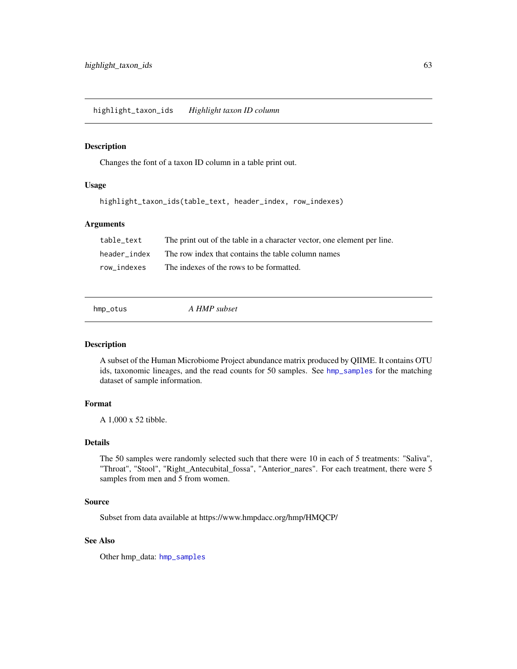highlight\_taxon\_ids *Highlight taxon ID column*

### Description

Changes the font of a taxon ID column in a table print out.

## Usage

```
highlight_taxon_ids(table_text, header_index, row_indexes)
```
## Arguments

| table text   | The print out of the table in a character vector, one element per line. |
|--------------|-------------------------------------------------------------------------|
| header index | The row index that contains the table column names                      |
| row indexes  | The indexes of the rows to be formatted.                                |

<span id="page-62-0"></span>

| hmp_otus | A HMP subset |  |
|----------|--------------|--|
|          |              |  |

## Description

A subset of the Human Microbiome Project abundance matrix produced by QIIME. It contains OTU ids, taxonomic lineages, and the read counts for 50 samples. See [hmp\\_samples](#page-63-0) for the matching dataset of sample information.

## Format

A 1,000 x 52 tibble.

## Details

The 50 samples were randomly selected such that there were 10 in each of 5 treatments: "Saliva", "Throat", "Stool", "Right\_Antecubital\_fossa", "Anterior\_nares". For each treatment, there were 5 samples from men and 5 from women.

### Source

Subset from data available at https://www.hmpdacc.org/hmp/HMQCP/

## See Also

Other hmp\_data: [hmp\\_samples](#page-63-0)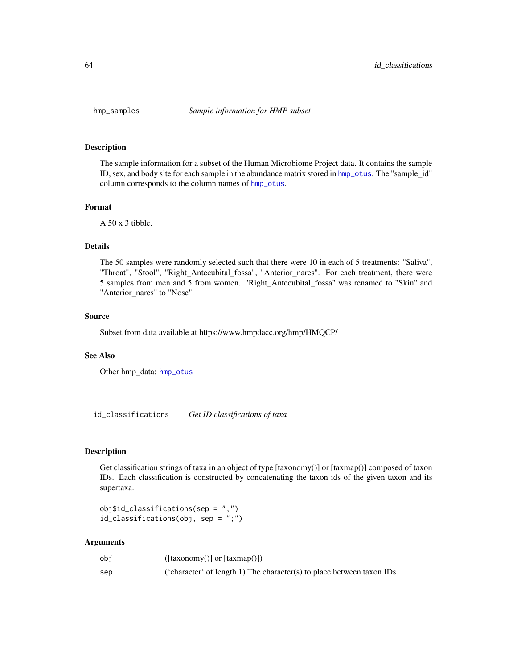<span id="page-63-0"></span>

The sample information for a subset of the Human Microbiome Project data. It contains the sample ID, sex, and body site for each sample in the abundance matrix stored in [hmp\\_otus](#page-62-0). The "sample\_id" column corresponds to the column names of [hmp\\_otus](#page-62-0).

#### Format

A 50 x 3 tibble.

## Details

The 50 samples were randomly selected such that there were 10 in each of 5 treatments: "Saliva", "Throat", "Stool", "Right\_Antecubital\_fossa", "Anterior\_nares". For each treatment, there were 5 samples from men and 5 from women. "Right\_Antecubital\_fossa" was renamed to "Skin" and "Anterior\_nares" to "Nose".

#### Source

Subset from data available at https://www.hmpdacc.org/hmp/HMQCP/

#### See Also

Other hmp\_data: [hmp\\_otus](#page-62-0)

<span id="page-63-1"></span>id\_classifications *Get ID classifications of taxa*

## Description

Get classification strings of taxa in an object of type [taxonomy()] or [taxmap()] composed of taxon IDs. Each classification is constructed by concatenating the taxon ids of the given taxon and its supertaxa.

obj\$id\_classifications(sep = ";") id\_classifications(obj, sep = ";")

| obi | $([taxonomy()] \text{ or } [taxmap()])$                               |
|-----|-----------------------------------------------------------------------|
| sep | ('character' of length 1) The character(s) to place between taxon IDs |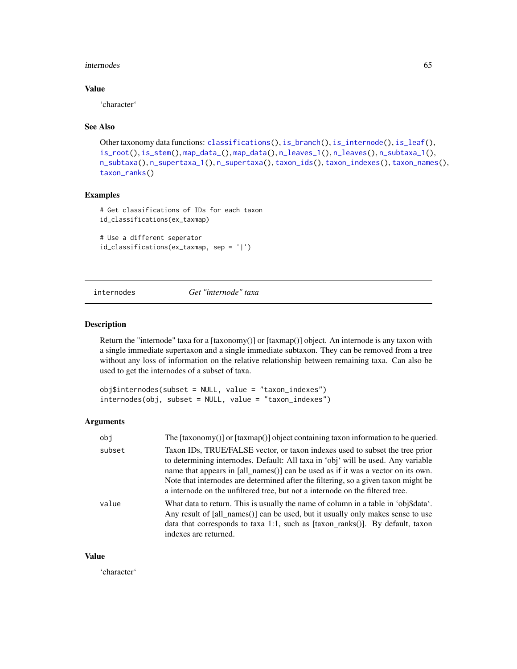#### internodes 65

## Value

'character'

#### See Also

```
Other taxonomy data functions: classifications(), is_branch(), is_internode(), is_leaf(),
is_root(), is_stem(), map_data_(), map_data(), n_leaves_1(), n_leaves(), n_subtaxa_1(),
n_subtaxa(), n_supertaxa_1(), n_supertaxa(), taxon_ids(), taxon_indexes(), taxon_names(),
taxon_ranks()
```
## Examples

```
# Get classifications of IDs for each taxon
id_classifications(ex_taxmap)
```

```
# Use a different seperator
id_classifications(ex_taxmap, sep = '|')
```
## <span id="page-64-0"></span>internodes *Get "internode" taxa*

## Description

Return the "internode" taxa for a  $[taxonomy()]$  or  $[taxmap()]$  object. An internode is any taxon with a single immediate supertaxon and a single immediate subtaxon. They can be removed from a tree without any loss of information on the relative relationship between remaining taxa. Can also be used to get the internodes of a subset of taxa.

```
obj$internodes(subset = NULL, value = "taxon_indexes")
internodes(obj, subset = NULL, value = "taxon_indexes")
```
#### Arguments

| obi    | The [taxonomy()] or [taxmap()] object containing taxon information to be queried.                                                                                                                                                                                                                                                                                                                                           |
|--------|-----------------------------------------------------------------------------------------------------------------------------------------------------------------------------------------------------------------------------------------------------------------------------------------------------------------------------------------------------------------------------------------------------------------------------|
| subset | Taxon IDs, TRUE/FALSE vector, or taxon indexes used to subset the tree prior<br>to determining internodes. Default: All taxa in 'obj' will be used. Any variable<br>name that appears in [all_names()] can be used as if it was a vector on its own.<br>Note that internodes are determined after the filtering, so a given taxon might be<br>a internode on the unfiltered tree, but not a internode on the filtered tree. |
| value  | What data to return. This is usually the name of column in a table in 'obj\$data'.<br>Any result of [all_names()] can be used, but it usually only makes sense to use<br>data that corresponds to taxa 1:1, such as $[taxon\_ranks()]$ . By default, taxon<br>indexes are returned.                                                                                                                                         |

## Value

'character'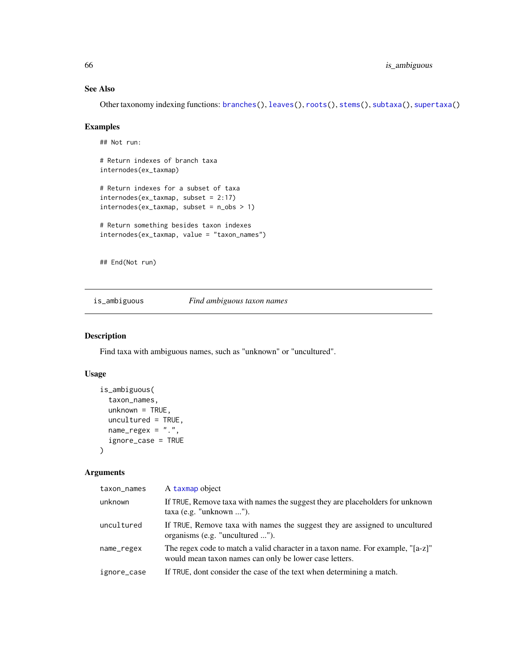## See Also

Other taxonomy indexing functions: [branches\(](#page-12-0)), [leaves\(](#page-71-0)), [roots\(](#page-123-0)), [stems\(](#page-131-0)), [subtaxa\(](#page-132-0)), [supertaxa\(](#page-134-0))

## Examples

```
## Not run:
# Return indexes of branch taxa
internodes(ex_taxmap)
# Return indexes for a subset of taxa
internodes(ex_taxmap, subset = 2:17)
internodes(ex_taxmap, subset = n_obs > 1)# Return something besides taxon indexes
internodes(ex_taxmap, value = "taxon_names")
## End(Not run)
```
is\_ambiguous *Find ambiguous taxon names*

## Description

Find taxa with ambiguous names, such as "unknown" or "uncultured".

## Usage

```
is_ambiguous(
  taxon_names,
 unknown = TRUE,uncultured = TRUE,
 name_{regex} = "."ignore_case = TRUE
)
```

| taxon_names | A taxmap object                                                                                                                           |
|-------------|-------------------------------------------------------------------------------------------------------------------------------------------|
| unknown     | If TRUE, Remove taxa with names the suggest they are placeholders for unknown<br>taxa (e.g. "unknown ").                                  |
| uncultured  | If TRUE, Remove taxa with names the suggest they are assigned to uncultured<br>organisms (e.g. "uncultured ").                            |
| name_regex  | The regex code to match a valid character in a taxon name. For example, "[a-z]"<br>would mean taxon names can only be lower case letters. |
| ignore_case | If TRUE, dont consider the case of the text when determining a match.                                                                     |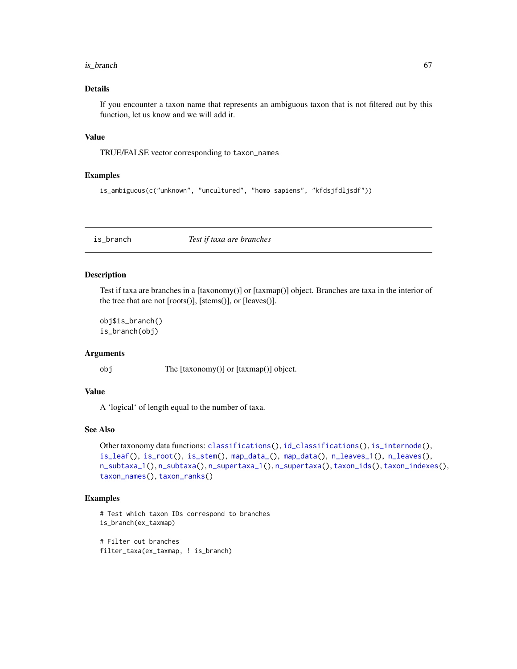#### $is\_branch$  67

## Details

If you encounter a taxon name that represents an ambiguous taxon that is not filtered out by this function, let us know and we will add it.

## Value

TRUE/FALSE vector corresponding to taxon\_names

### Examples

```
is_ambiguous(c("unknown", "uncultured", "homo sapiens", "kfdsjfdljsdf"))
```
<span id="page-66-0"></span>is\_branch *Test if taxa are branches*

## Description

Test if taxa are branches in a [taxonomy()] or [taxmap()] object. Branches are taxa in the interior of the tree that are not [roots()], [stems()], or [leaves()].

obj\$is\_branch() is\_branch(obj)

## Arguments

obj The [taxonomy()] or [taxmap()] object.

### Value

A 'logical' of length equal to the number of taxa.

## See Also

```
Other taxonomy data functions: classifications(), id_classifications(), is_internode(),
is_leaf(), is_root(), is_stem(), map_data_(), map_data(), n_leaves_1(), n_leaves(),
n_subtaxa_1(), n_subtaxa(), n_supertaxa_1(), n_supertaxa(), taxon_ids(), taxon_indexes(),
taxon_names(), taxon_ranks()
```

```
# Test which taxon IDs correspond to branches
is_branch(ex_taxmap)
# Filter out branches
filter_taxa(ex_taxmap, ! is_branch)
```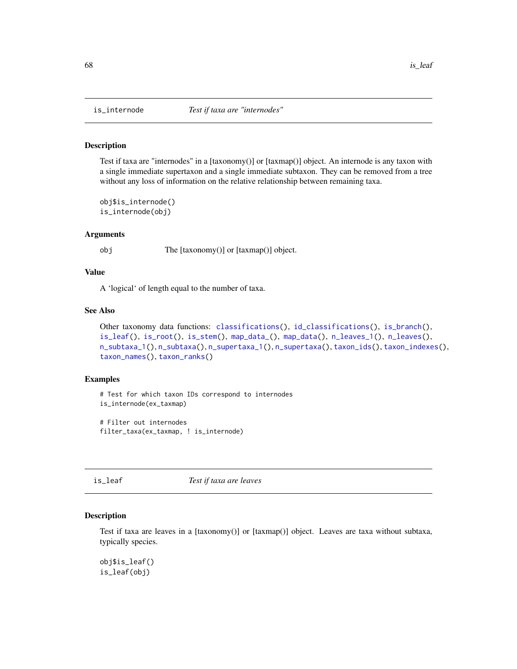Test if taxa are "internodes" in a [taxonomy()] or [taxmap()] object. An internode is any taxon with a single immediate supertaxon and a single immediate subtaxon. They can be removed from a tree without any loss of information on the relative relationship between remaining taxa.

obj\$is\_internode() is\_internode(obj)

#### Arguments

obj The [taxonomy()] or [taxmap()] object.

### Value

A 'logical' of length equal to the number of taxa.

## See Also

```
Other taxonomy data functions: classifications(), id_classifications(), is_branch(),
is_leaf(), is_root(), is_stem(), map_data_(), map_data(), n_leaves_1(), n_leaves(),
n_subtaxa_1(), n_subtaxa(), n_supertaxa_1(), n_supertaxa(), taxon_ids(), taxon_indexes(),
taxon_names(), taxon_ranks()
```
### Examples

```
# Test for which taxon IDs correspond to internodes
is_internode(ex_taxmap)
```

```
# Filter out internodes
filter_taxa(ex_taxmap, ! is_internode)
```
<span id="page-67-1"></span>is\_leaf *Test if taxa are leaves*

#### Description

Test if taxa are leaves in a [taxonomy()] or [taxmap()] object. Leaves are taxa without subtaxa, typically species.

obj\$is\_leaf() is\_leaf(obj)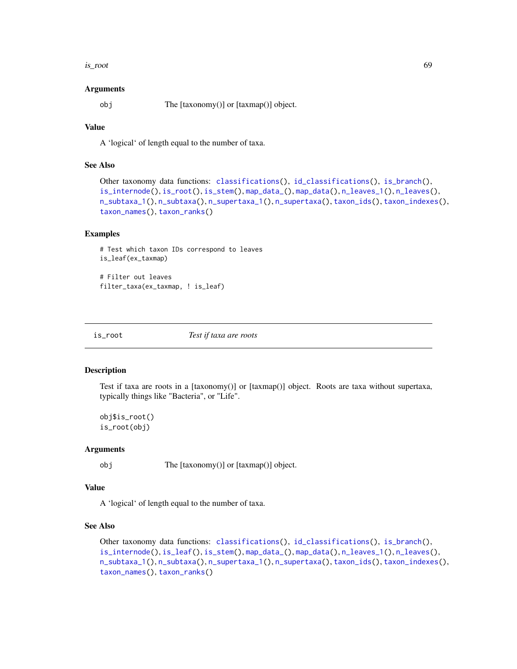is\_root 69

#### Arguments

obj The [taxonomy()] or [taxmap()] object.

## Value

A 'logical' of length equal to the number of taxa.

## See Also

```
Other taxonomy data functions: classifications(), id_classifications(), is_branch(),
is_internode(), is_root(), is_stem(), map_data_(), map_data(), n_leaves_1(), n_leaves(),
n_subtaxa_1(), n_subtaxa(), n_supertaxa_1(), n_supertaxa(), taxon_ids(), taxon_indexes(),
taxon_names(), taxon_ranks()
```
#### Examples

```
# Test which taxon IDs correspond to leaves
is_leaf(ex_taxmap)
```
# Filter out leaves filter\_taxa(ex\_taxmap, ! is\_leaf)

<span id="page-68-0"></span>

is\_root *Test if taxa are roots*

#### Description

Test if taxa are roots in a [taxonomy()] or [taxmap()] object. Roots are taxa without supertaxa, typically things like "Bacteria", or "Life".

obj\$is\_root() is\_root(obj)

### Arguments

obj The [taxonomy()] or [taxmap()] object.

## Value

A 'logical' of length equal to the number of taxa.

### See Also

```
Other taxonomy data functions: classifications(), id_classifications(), is_branch(),
is_internode(), is_leaf(), is_stem(), map_data_(), map_data(), n_leaves_1(), n_leaves(),
n_subtaxa_1(), n_subtaxa(), n_supertaxa_1(), n_supertaxa(), taxon_ids(), taxon_indexes(),
taxon_names(), taxon_ranks()
```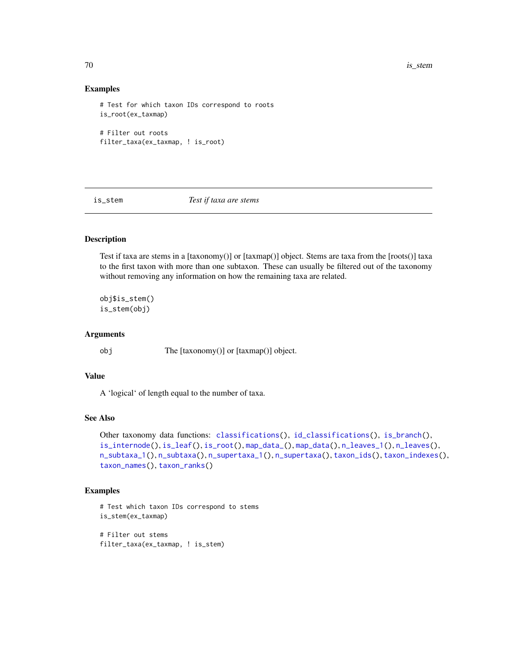70 is\_stem

### Examples

```
# Test for which taxon IDs correspond to roots
is_root(ex_taxmap)
# Filter out roots
filter_taxa(ex_taxmap, ! is_root)
```
<span id="page-69-0"></span>is\_stem *Test if taxa are stems*

## Description

Test if taxa are stems in a [taxonomy()] or [taxmap()] object. Stems are taxa from the [roots()] taxa to the first taxon with more than one subtaxon. These can usually be filtered out of the taxonomy without removing any information on how the remaining taxa are related.

obj\$is\_stem() is\_stem(obj)

### Arguments

obj The [taxonomy()] or [taxmap()] object.

### Value

A 'logical' of length equal to the number of taxa.

### See Also

```
Other taxonomy data functions: classifications(), id_classifications(), is_branch(),
is_internode(), is_leaf(), is_root(), map_data_(), map_data(), n_leaves_1(), n_leaves(),
n_subtaxa_1(), n_subtaxa(), n_supertaxa_1(), n_supertaxa(), taxon_ids(), taxon_indexes(),
taxon_names(), taxon_ranks()
```
### Examples

```
# Test which taxon IDs correspond to stems
is_stem(ex_taxmap)
```
# Filter out stems filter\_taxa(ex\_taxmap, ! is\_stem)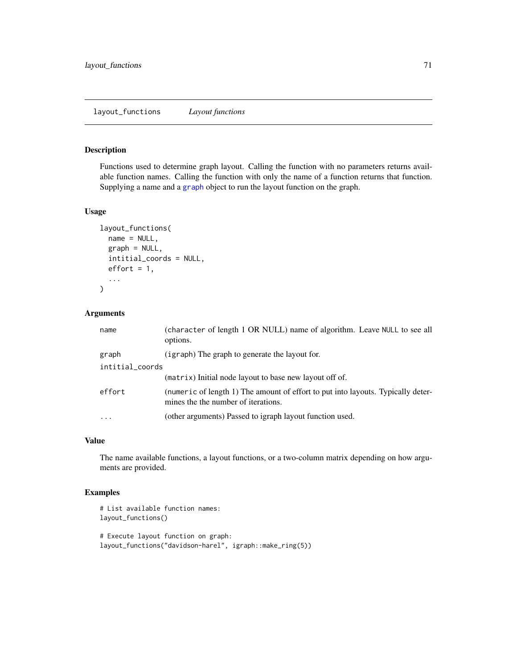Functions used to determine graph layout. Calling the function with no parameters returns available function names. Calling the function with only the name of a function returns that function. Supplying a name and a [graph](#page-0-0) object to run the layout function on the graph.

#### Usage

```
layout_functions(
  name = NULL,graph = NULL,
  intitial_coords = NULL,
  effort = 1,
  ...
\mathcal{L}
```
## Arguments

| name            | (character of length 1 OR NULL) name of algorithm. Leave NULL to see all<br>options.                                    |  |
|-----------------|-------------------------------------------------------------------------------------------------------------------------|--|
| graph           | (igraph) The graph to generate the layout for.                                                                          |  |
| intitial_coords |                                                                                                                         |  |
|                 | (matrix) Initial node layout to base new layout off of.                                                                 |  |
| effort          | (numeric of length 1) The amount of effort to put into layouts. Typically deter-<br>mines the the number of iterations. |  |
| $\ddotsc$       | (other arguments) Passed to igraph layout function used.                                                                |  |

## Value

The name available functions, a layout functions, or a two-column matrix depending on how arguments are provided.

```
# List available function names:
layout_functions()
# Execute layout function on graph:
layout_functions("davidson-harel", igraph::make_ring(5))
```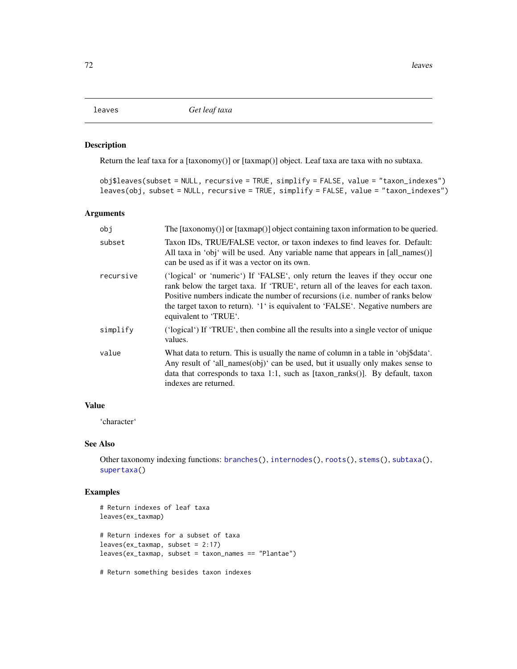<span id="page-71-0"></span>

Return the leaf taxa for a [taxonomy()] or [taxmap()] object. Leaf taxa are taxa with no subtaxa.

| $obj$leaves(subset = NULL, recursive = TRUE, simplify = FALSE, value = "taxon_indexes")$ |  |  |
|------------------------------------------------------------------------------------------|--|--|
| leaves(obj, subset = NULL, recursive = TRUE, simplify = FALSE, value = "taxon_indexes")  |  |  |

## Arguments

| obi       | The [taxonomy()] or [taxmap()] object containing taxon information to be queried.                                                                                                                                                                                                                                                                              |
|-----------|----------------------------------------------------------------------------------------------------------------------------------------------------------------------------------------------------------------------------------------------------------------------------------------------------------------------------------------------------------------|
| subset    | Taxon IDs, TRUE/FALSE vector, or taxon indexes to find leaves for. Default:<br>All taxa in 'obj' will be used. Any variable name that appears in [all_names()]<br>can be used as if it was a vector on its own.                                                                                                                                                |
| recursive | ('logical' or 'numeric') If 'FALSE', only return the leaves if they occur one<br>rank below the target taxa. If 'TRUE', return all of the leaves for each taxon.<br>Positive numbers indicate the number of recursions (i.e. number of ranks below<br>the target taxon to return). '1' is equivalent to 'FALSE'. Negative numbers are<br>equivalent to 'TRUE'. |
| simplify  | ('logical') If 'TRUE', then combine all the results into a single vector of unique<br>values.                                                                                                                                                                                                                                                                  |
| value     | What data to return. This is usually the name of column in a table in 'obj\$data'.<br>Any result of 'all_names(obj)' can be used, but it usually only makes sense to<br>data that corresponds to taxa 1:1, such as $[taxon\_ranks()]$ . By default, taxon<br>indexes are returned.                                                                             |
|           |                                                                                                                                                                                                                                                                                                                                                                |

### Value

'character'

## See Also

Other taxonomy indexing functions: [branches\(](#page-12-0)), [internodes\(](#page-64-0)), [roots\(](#page-123-0)), [stems\(](#page-131-0)), [subtaxa\(](#page-132-0)), [supertaxa\(](#page-134-0))

## Examples

```
# Return indexes of leaf taxa
leaves(ex_taxmap)
# Return indexes for a subset of taxa
leaves(ex_taxmap, subset = 2:17)
leaves(ex_taxmap, subset = taxon_names == "Plantae")
```
# Return something besides taxon indexes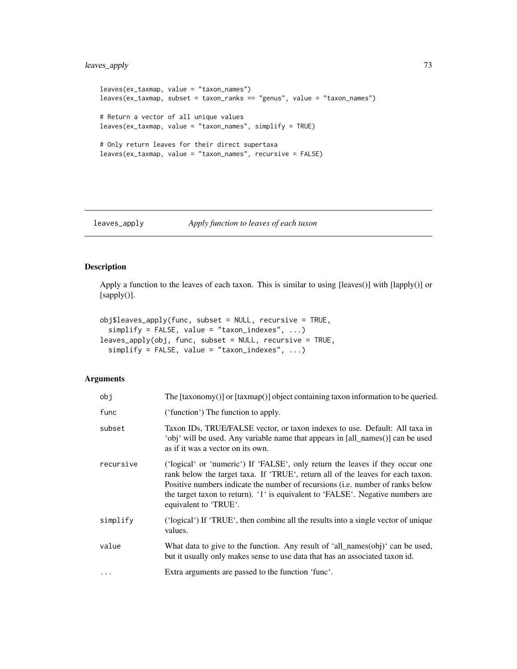# leaves\_apply 73

```
leaves(ex_taxmap, value = "taxon_names")
leaves(ex_taxmap, subset = taxon_ranks == "genus", value = "taxon_names")
# Return a vector of all unique values
leaves(ex_taxmap, value = "taxon_names", simplify = TRUE)
# Only return leaves for their direct supertaxa
leaves(ex_taxmap, value = "taxon_names", recursive = FALSE)
```
# leaves\_apply *Apply function to leaves of each taxon*

## Description

Apply a function to the leaves of each taxon. This is similar to using [leaves()] with [lapply()] or [sapply()].

```
obj$leaves_apply(func, subset = NULL, recursive = TRUE,
  simplify = FALSE, value = "taxon_indexes", ...)leaves_apply(obj, func, subset = NULL, recursive = TRUE,
  simplify = FALSE, value = "taxon_indexes", ...)
```
## Arguments

| obj       | The $[taxonomy()]$ or $[taxmap()]$ object containing taxon information to be queried.                                                                                                                                                                                                                                                                          |
|-----------|----------------------------------------------------------------------------------------------------------------------------------------------------------------------------------------------------------------------------------------------------------------------------------------------------------------------------------------------------------------|
| func      | ('function') The function to apply.                                                                                                                                                                                                                                                                                                                            |
| subset    | Taxon IDs, TRUE/FALSE vector, or taxon indexes to use. Default: All taxa in<br>'obj' will be used. Any variable name that appears in [all_names()] can be used<br>as if it was a vector on its own.                                                                                                                                                            |
| recursive | ('logical' or 'numeric') If 'FALSE', only return the leaves if they occur one<br>rank below the target taxa. If 'TRUE', return all of the leaves for each taxon.<br>Positive numbers indicate the number of recursions (i.e. number of ranks below<br>the target taxon to return). '1' is equivalent to 'FALSE'. Negative numbers are<br>equivalent to 'TRUE'. |
| simplify  | ('logical') If 'TRUE', then combine all the results into a single vector of unique<br>values.                                                                                                                                                                                                                                                                  |
| value     | What data to give to the function. Any result of 'all_names(obj)' can be used,<br>but it usually only makes sense to use data that has an associated taxon id.                                                                                                                                                                                                 |
| $\cdots$  | Extra arguments are passed to the function 'func'.                                                                                                                                                                                                                                                                                                             |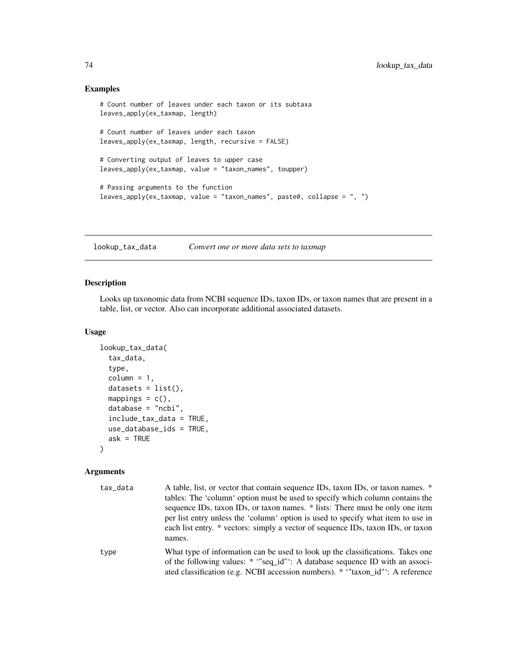## Examples

```
# Count number of leaves under each taxon or its subtaxa
leaves_apply(ex_taxmap, length)
# Count number of leaves under each taxon
leaves_apply(ex_taxmap, length, recursive = FALSE)
# Converting output of leaves to upper case
leaves_apply(ex_taxmap, value = "taxon_names", toupper)
# Passing arguments to the function
leaves_apply(ex_taxmap, value = "taxon_names", paste0, collapse = ", ")
```
<span id="page-73-0"></span>lookup\_tax\_data *Convert one or more data sets to taxmap*

# Description

Looks up taxonomic data from NCBI sequence IDs, taxon IDs, or taxon names that are present in a table, list, or vector. Also can incorporate additional associated datasets.

#### Usage

```
lookup_tax_data(
  tax_data,
  type,
  column = 1,datasets = list(),mappings = c(),
  database = "ncbi",
  include_tax_data = TRUE,
  use_database_ids = TRUE,
  ask = TRUE)
```
#### Arguments

| tax_data | A table, list, or vector that contain sequence IDs, taxon IDs, or taxon names. * |
|----------|----------------------------------------------------------------------------------|
|          | tables: The 'column' option must be used to specify which column contains the    |
|          | sequence IDs, taxon IDs, or taxon names. * lists: There must be only one item    |
|          | per list entry unless the 'column' option is used to specify what item to use in |
|          | each list entry. * vectors: simply a vector of sequence IDs, taxon IDs, or taxon |
|          | names.                                                                           |
| type     | What type of information can be used to look up the classifications. Takes one   |
|          | of the following values: * "seq id": A database sequence ID with an associ-      |
|          | ated classification (e.g. NCBI accession numbers). * "taxon id": A reference     |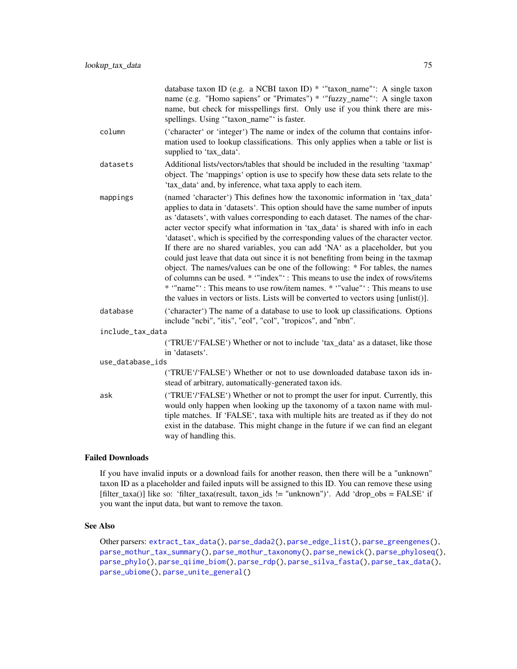|                  | database taxon ID (e.g. a NCBI taxon ID) * "taxon_name": A single taxon<br>name (e.g. "Homo sapiens" or "Primates") * "fuzzy_name": A single taxon<br>name, but check for misspellings first. Only use if you think there are mis-<br>spellings. Using "taxon_name" is faster.                                                                                                                                                                                                                                                                                                                                                                                                                                                                                                                                                                                                                                                             |
|------------------|--------------------------------------------------------------------------------------------------------------------------------------------------------------------------------------------------------------------------------------------------------------------------------------------------------------------------------------------------------------------------------------------------------------------------------------------------------------------------------------------------------------------------------------------------------------------------------------------------------------------------------------------------------------------------------------------------------------------------------------------------------------------------------------------------------------------------------------------------------------------------------------------------------------------------------------------|
| column           | ('character' or 'integer') The name or index of the column that contains infor-<br>mation used to lookup classifications. This only applies when a table or list is<br>supplied to 'tax_data'.                                                                                                                                                                                                                                                                                                                                                                                                                                                                                                                                                                                                                                                                                                                                             |
| datasets         | Additional lists/vectors/tables that should be included in the resulting 'taxmap'<br>object. The 'mappings' option is use to specify how these data sets relate to the<br>'tax_data' and, by inference, what taxa apply to each item.                                                                                                                                                                                                                                                                                                                                                                                                                                                                                                                                                                                                                                                                                                      |
| mappings         | (named 'character') This defines how the taxonomic information in 'tax_data'<br>applies to data in 'datasets'. This option should have the same number of inputs<br>as 'datasets', with values corresponding to each dataset. The names of the char-<br>acter vector specify what information in 'tax_data' is shared with info in each<br>'dataset', which is specified by the corresponding values of the character vector.<br>If there are no shared variables, you can add 'NA' as a placeholder, but you<br>could just leave that data out since it is not benefiting from being in the taxmap<br>object. The names/values can be one of the following: * For tables, the names<br>of columns can be used. * "index": This means to use the index of rows/items<br>* "name"': This means to use row/item names. * "value"': This means to use<br>the values in vectors or lists. Lists will be converted to vectors using [unlist()]. |
| database         | ('character') The name of a database to use to look up classifications. Options<br>include "ncbi", "itis", "eol", "col", "tropicos", and "nbn".                                                                                                                                                                                                                                                                                                                                                                                                                                                                                                                                                                                                                                                                                                                                                                                            |
| include_tax_data |                                                                                                                                                                                                                                                                                                                                                                                                                                                                                                                                                                                                                                                                                                                                                                                                                                                                                                                                            |
|                  | ('TRUE'/'FALSE') Whether or not to include 'tax_data' as a dataset, like those<br>in 'datasets'.                                                                                                                                                                                                                                                                                                                                                                                                                                                                                                                                                                                                                                                                                                                                                                                                                                           |
| use_database_ids |                                                                                                                                                                                                                                                                                                                                                                                                                                                                                                                                                                                                                                                                                                                                                                                                                                                                                                                                            |
|                  | ('TRUE'/'FALSE') Whether or not to use downloaded database taxon ids in-<br>stead of arbitrary, automatically-generated taxon ids.                                                                                                                                                                                                                                                                                                                                                                                                                                                                                                                                                                                                                                                                                                                                                                                                         |
| ask              | ('TRUE'/'FALSE') Whether or not to prompt the user for input. Currently, this<br>would only happen when looking up the taxonomy of a taxon name with mul-<br>tiple matches. If 'FALSE', taxa with multiple hits are treated as if they do not<br>exist in the database. This might change in the future if we can find an elegant<br>way of handling this.                                                                                                                                                                                                                                                                                                                                                                                                                                                                                                                                                                                 |
|                  |                                                                                                                                                                                                                                                                                                                                                                                                                                                                                                                                                                                                                                                                                                                                                                                                                                                                                                                                            |

# Failed Downloads

If you have invalid inputs or a download fails for another reason, then there will be a "unknown" taxon ID as a placeholder and failed inputs will be assigned to this ID. You can remove these using [filter\_taxa()] like so: 'filter\_taxa(result, taxon\_ids != "unknown")'. Add 'drop\_obs = FALSE' if you want the input data, but want to remove the taxon.

# See Also

Other parsers: [extract\\_tax\\_data\(](#page-34-0)), [parse\\_dada2\(](#page-93-0)), [parse\\_edge\\_list\(](#page-0-0)), [parse\\_greengenes\(](#page-94-0)), [parse\\_mothur\\_tax\\_summary\(](#page-96-0)), [parse\\_mothur\\_taxonomy\(](#page-95-0)), [parse\\_newick\(](#page-97-0)), [parse\\_phyloseq\(](#page-99-0)), [parse\\_phylo\(](#page-98-0)), [parse\\_qiime\\_biom\(](#page-101-0)), [parse\\_rdp\(](#page-102-0)), [parse\\_silva\\_fasta\(](#page-103-0)), [parse\\_tax\\_data\(](#page-104-0)), [parse\\_ubiome\(](#page-108-0)), [parse\\_unite\\_general\(](#page-109-0))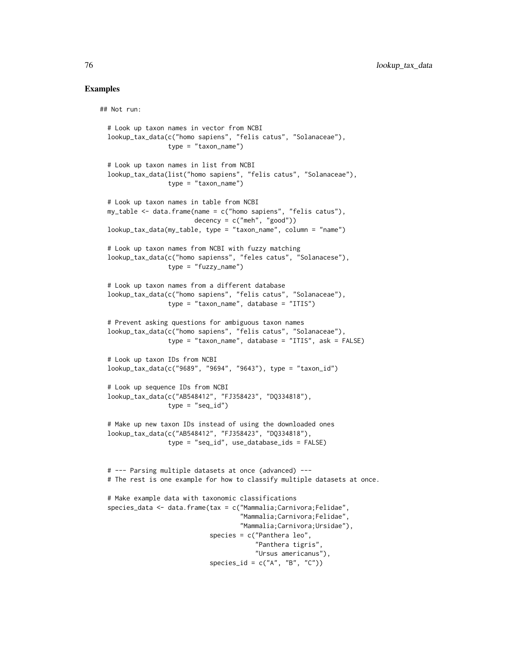## Examples

## Not run:

```
# Look up taxon names in vector from NCBI
lookup_tax_data(c("homo sapiens", "felis catus", "Solanaceae"),
                type = "taxon_name")
# Look up taxon names in list from NCBI
lookup_tax_data(list("homo sapiens", "felis catus", "Solanaceae"),
                type = "taxon_name")# Look up taxon names in table from NCBI
my_table <- data.frame(name = c("homo sapiens", "felis catus"),
                       decency = c("meh", "good")lookup_tax_data(my_table, type = "taxon_name", column = "name")
# Look up taxon names from NCBI with fuzzy matching
lookup_tax_data(c("homo sapienss", "feles catus", "Solanacese"),
                type = "fuzzy_name")
# Look up taxon names from a different database
lookup_tax_data(c("homo sapiens", "felis catus", "Solanaceae"),
                type = "taxon_name", database = "ITIS")
# Prevent asking questions for ambiguous taxon names
lookup_tax_data(c("homo sapiens", "felis catus", "Solanaceae"),
                type = "taxon_name", database = "ITIS", ask = FALSE)
# Look up taxon IDs from NCBI
lookup_tax_data(c("9689", "9694", "9643"), type = "taxon_id")
# Look up sequence IDs from NCBI
lookup_tax_data(c("AB548412", "FJ358423", "DQ334818"),
                type = "seq_id")# Make up new taxon IDs instead of using the downloaded ones
lookup_tax_data(c("AB548412", "FJ358423", "DQ334818"),
                type = "seq_id", use_database_ids = FALSE)
# --- Parsing multiple datasets at once (advanced) ---
# The rest is one example for how to classify multiple datasets at once.
# Make example data with taxonomic classifications
species_data <- data.frame(tax = c("Mammalia;Carnivora;Felidae",
                                   "Mammalia;Carnivora;Felidae",
                                   "Mammalia;Carnivora;Ursidae"),
                           species = c("Panthera leo",
                                       "Panthera tigris",
                                       "Ursus americanus"),
                           species_id = c("A", "B", "C")
```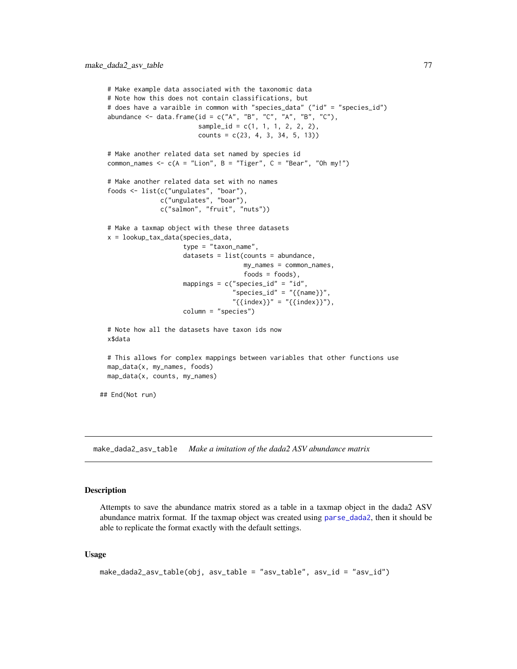```
# Make example data associated with the taxonomic data
 # Note how this does not contain classifications, but
 # does have a varaible in common with "species_data" ("id" = "species_id")
 abundance \leq data.frame(id = c("A", "B", "C", "A", "B", "C"),
                          sample_id = c(1, 1, 1, 2, 2, 2),counts = c(23, 4, 3, 34, 5, 13))# Make another related data set named by species id
 common_names <- c(A = "Lion", B = "Tiger", C = "Bean", "Oh my!")# Make another related data set with no names
  foods <- list(c("ungulates", "boar"),
                c("ungulates", "boar"),
                c("salmon", "fruit", "nuts"))
 # Make a taxmap object with these three datasets
 x = lookup_tax_data(species_data,
                      type = "taxon_name",
                      datasets = list(counts = abundance,my_names = common_names,
                                      foods = foods),
                      mappings = c("species_id" = "id","species_id" = "{\text{name}}",
                                   "{\text{index}}" = "{\text{index}}",column = "species")
 # Note how all the datasets have taxon ids now
 x$data
 # This allows for complex mappings between variables that other functions use
 map_data(x, my_names, foods)
 map_data(x, counts, my_names)
## End(Not run)
```
<span id="page-76-0"></span>make\_dada2\_asv\_table *Make a imitation of the dada2 ASV abundance matrix*

#### **Description**

Attempts to save the abundance matrix stored as a table in a taxmap object in the dada2 ASV abundance matrix format. If the taxmap object was created using [parse\\_dada2](#page-93-0), then it should be able to replicate the format exactly with the default settings.

#### Usage

```
make_dada2_asv_table(obj, asv_table = "asv_table", asv_id = "asv_id")
```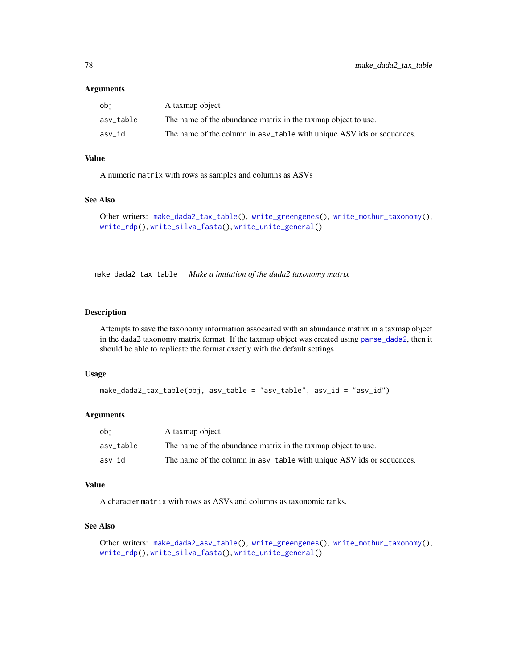#### Arguments

| obi       | A taxmap object                                                       |
|-----------|-----------------------------------------------------------------------|
| asv table | The name of the abundance matrix in the taxmap object to use.         |
| asv id    | The name of the column in asy_table with unique ASV ids or sequences. |

# Value

A numeric matrix with rows as samples and columns as ASVs

# See Also

```
Other writers: make_dada2_tax_table(), write_greengenes(), write_mothur_taxonomy(),
write_rdp(), write_silva_fasta(), write_unite_general()
```
<span id="page-77-0"></span>make\_dada2\_tax\_table *Make a imitation of the dada2 taxonomy matrix*

## Description

Attempts to save the taxonomy information assocaited with an abundance matrix in a taxmap object in the dada2 taxonomy matrix format. If the taxmap object was created using [parse\\_dada2](#page-93-0), then it should be able to replicate the format exactly with the default settings.

#### Usage

```
make_dada2_tax_table(obj, asv_table = "asv_table", asv_id = "asv_id")
```
#### Arguments

| obi       | A taxmap object                                                        |
|-----------|------------------------------------------------------------------------|
| asv table | The name of the abundance matrix in the taxmap object to use.          |
| asv id    | The name of the column in as v_table with unique ASV ids or sequences. |

## Value

A character matrix with rows as ASVs and columns as taxonomic ranks.

## See Also

```
Other writers: make_dada2_asv_table(), write_greengenes(), write_mothur_taxonomy(),
write_rdp(), write_silva_fasta(), write_unite_general()
```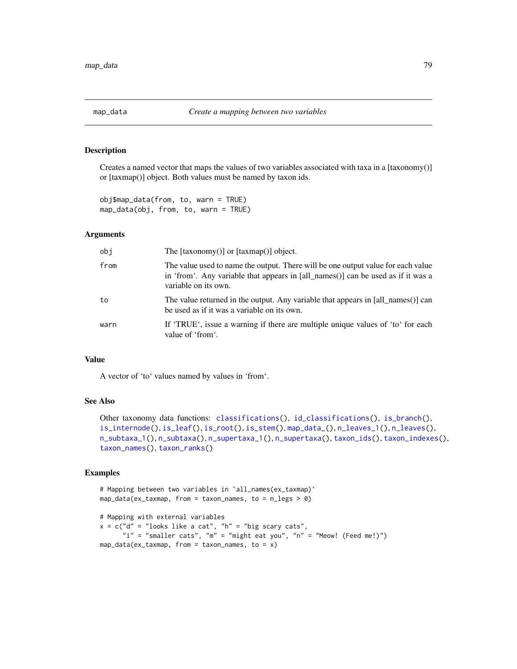<span id="page-78-0"></span>

Creates a named vector that maps the values of two variables associated with taxa in a [taxonomy()] or [taxmap()] object. Both values must be named by taxon ids.

obj\$map\_data(from, to, warn = TRUE) map\_data(obj, from, to, warn = TRUE)

#### Arguments

| obi  | The $[taxonomy()]$ or $[taxmap()]$ object.                                                                                                                                                   |
|------|----------------------------------------------------------------------------------------------------------------------------------------------------------------------------------------------|
| from | The value used to name the output. There will be one output value for each value<br>in 'from'. Any variable that appears in [all_names()] can be used as if it was a<br>variable on its own. |
| to   | The value returned in the output. Any variable that appears in [all_names()] can<br>be used as if it was a variable on its own.                                                              |
| warn | If 'TRUE', issue a warning if there are multiple unique values of 'to' for each<br>value of 'from'.                                                                                          |

## Value

A vector of 'to' values named by values in 'from'.

#### See Also

```
Other taxonomy data functions: classifications(), id_classifications(), is_branch(),
is_internode(), is_leaf(), is_root(), is_stem(), map_data_(), n_leaves_1(), n_leaves(),
n_subtaxa_1(), n_subtaxa(), n_supertaxa_1(), n_supertaxa(), taxon_ids(), taxon_indexes(),
taxon_names(), taxon_ranks()
```
# Examples

```
# Mapping between two variables in `all_names(ex_taxmap)`
map_data(ex_taxmap, from = taxon_names, to = n_legs > 0)
# Mapping with external variables
```

```
x = c("d" = "looks like a cat", "h" = "big scary cats","i" = "smaller cats", "m" = "might eat you", "n" = "Meow! (Feed me!)")
map_data(ex_taxmap, from = taxon_name, to = x)
```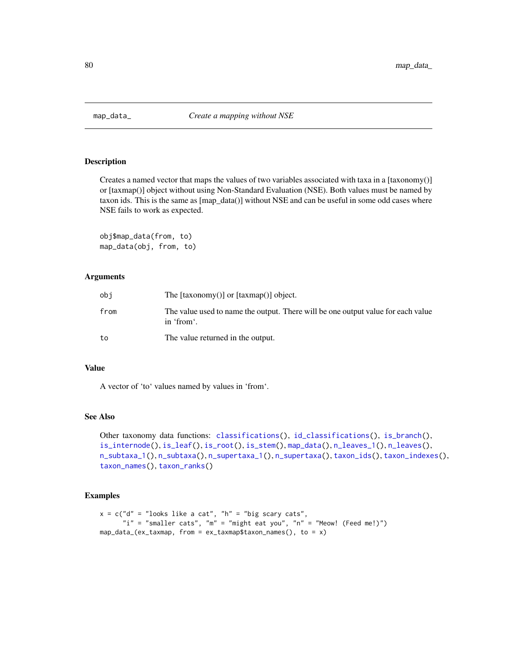<span id="page-79-0"></span>

Creates a named vector that maps the values of two variables associated with taxa in a [taxonomy()] or [taxmap()] object without using Non-Standard Evaluation (NSE). Both values must be named by taxon ids. This is the same as [map\_data()] without NSE and can be useful in some odd cases where NSE fails to work as expected.

obj\$map\_data(from, to) map\_data(obj, from, to)

## Arguments

| obi  | The $[taxonomy()]$ or $[taxmap()]$ object.                                                     |
|------|------------------------------------------------------------------------------------------------|
| from | The value used to name the output. There will be one output value for each value<br>in 'from'. |
| to   | The value returned in the output.                                                              |

#### Value

A vector of 'to' values named by values in 'from'.

## See Also

```
Other taxonomy data functions: classifications(), id_classifications(), is_branch(),
is_internode(), is_leaf(), is_root(), is_stem(), map_data(), n_leaves_1(), n_leaves(),
n_subtaxa_1(), n_subtaxa(), n_supertaxa_1(), n_supertaxa(), taxon_ids(), taxon_indexes(),
taxon_names(), taxon_ranks()
```
## Examples

```
x = c("d" = "looks like a cat", "h" = "big scary cats","i" = "smaller cats", "m" = "might eat you", "n" = "Meow! (Feed me!)")
map_data_{ex_{\text{maxmap}}, from = ex_taxmap$taxon_names(), to = x)
```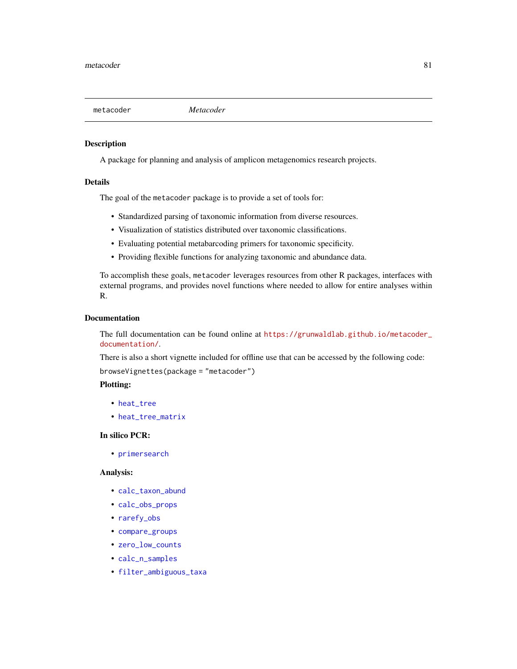A package for planning and analysis of amplicon metagenomics research projects.

#### Details

The goal of the metacoder package is to provide a set of tools for:

- Standardized parsing of taxonomic information from diverse resources.
- Visualization of statistics distributed over taxonomic classifications.
- Evaluating potential metabarcoding primers for taxonomic specificity.
- Providing flexible functions for analyzing taxonomic and abundance data.

To accomplish these goals, metacoder leverages resources from other R packages, interfaces with external programs, and provides novel functions where needed to allow for entire analyses within R.

## Documentation

The full documentation can be found online at [https://grunwaldlab.github.io/metacoder\\_](https://grunwaldlab.github.io/metacoder_documentation/) [documentation/](https://grunwaldlab.github.io/metacoder_documentation/).

There is also a short vignette included for offline use that can be accessed by the following code:

browseVignettes(package = "metacoder")

## Plotting:

- [heat\\_tree](#page-49-0)
- [heat\\_tree\\_matrix](#page-58-0)

#### In silico PCR:

• [primersearch](#page-110-0)

#### Analysis:

- [calc\\_taxon\\_abund](#page-0-0)
- [calc\\_obs\\_props](#page-23-0)
- [rarefy\\_obs](#page-118-0)
- [compare\\_groups](#page-28-0)
- [zero\\_low\\_counts](#page-159-0)
- [calc\\_n\\_samples](#page-21-0)
- [filter\\_ambiguous\\_taxa](#page-41-0)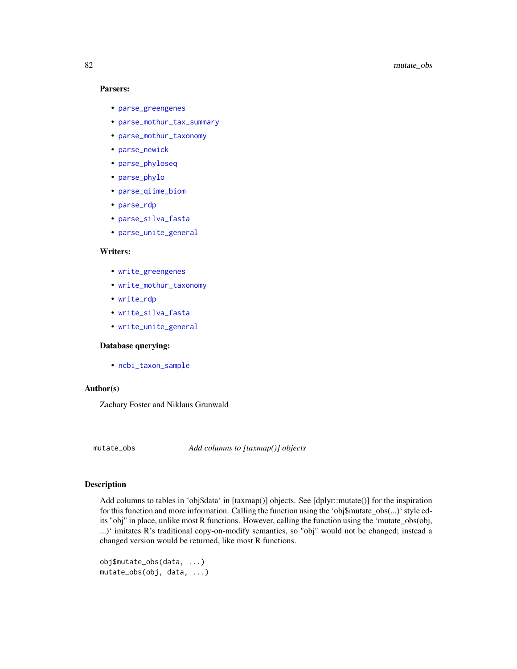## Parsers:

- [parse\\_greengenes](#page-94-0)
- [parse\\_mothur\\_tax\\_summary](#page-96-0)
- [parse\\_mothur\\_taxonomy](#page-95-0)
- [parse\\_newick](#page-97-0)
- [parse\\_phyloseq](#page-99-0)
- [parse\\_phylo](#page-98-0)
- [parse\\_qiime\\_biom](#page-101-0)
- [parse\\_rdp](#page-102-0)
- [parse\\_silva\\_fasta](#page-103-0)
- [parse\\_unite\\_general](#page-109-0)

# Writers:

- [write\\_greengenes](#page-153-0)
- [write\\_mothur\\_taxonomy](#page-154-0)
- [write\\_rdp](#page-156-0)
- [write\\_silva\\_fasta](#page-157-0)
- [write\\_unite\\_general](#page-158-0)

## Database querying:

• [ncbi\\_taxon\\_sample](#page-82-0)

#### Author(s)

Zachary Foster and Niklaus Grunwald

mutate\_obs *Add columns to [taxmap()] objects*

## Description

Add columns to tables in 'obj\$data' in [taxmap()] objects. See [dplyr::mutate()] for the inspiration for this function and more information. Calling the function using the 'obj\$mutate\_obs(...)' style edits "obj" in place, unlike most R functions. However, calling the function using the 'mutate\_obs(obj, ...)' imitates R's traditional copy-on-modify semantics, so "obj" would not be changed; instead a changed version would be returned, like most R functions.

```
obj$mutate_obs(data, ...)
mutate_obs(obj, data, ...)
```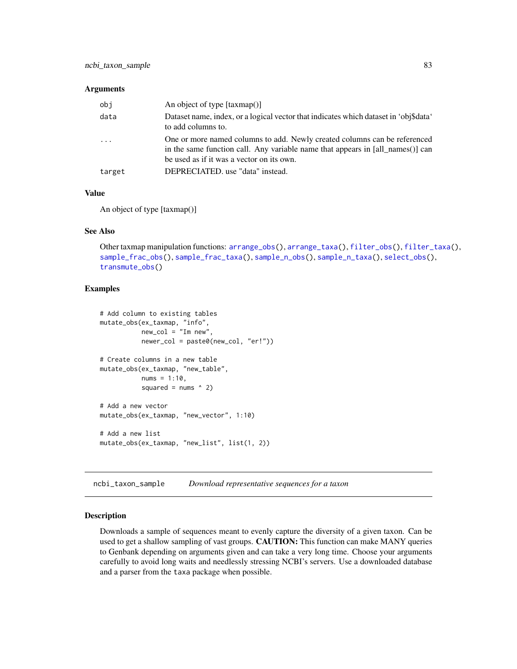#### Arguments

| obi                     | An object of type $[taxmap()]$                                                                                                                                                                           |
|-------------------------|----------------------------------------------------------------------------------------------------------------------------------------------------------------------------------------------------------|
| data                    | Dataset name, index, or a logical vector that indicates which dataset in 'obj\$data'<br>to add columns to.                                                                                               |
| $\cdot$ $\cdot$ $\cdot$ | One or more named columns to add. Newly created columns can be referenced<br>in the same function call. Any variable name that appears in [all_names()] can<br>be used as if it was a vector on its own. |
| target                  | DEPRECIATED. use "data" instead.                                                                                                                                                                         |

## Value

An object of type [taxmap()]

## See Also

```
Other taxmap manipulation functions: arrange_obs(), arrange_taxa(), filter_obs(), filter_taxa(),
sample_frac_obs(), sample_frac_taxa(), sample_n_obs(), sample_n_taxa(), select_obs(),
transmute_obs()
```
## Examples

```
# Add column to existing tables
mutate_obs(ex_taxmap, "info",
          new\_col = "Im new",newer_col = paste0(new_col, "er!"))
# Create columns in a new table
mutate_obs(ex_taxmap, "new_table",
           nums = 1:10,squared = nums \land 2)
# Add a new vector
mutate_obs(ex_taxmap, "new_vector", 1:10)
# Add a new list
mutate_obs(ex_taxmap, "new_list", list(1, 2))
```
<span id="page-82-0"></span>ncbi\_taxon\_sample *Download representative sequences for a taxon*

# Description

Downloads a sample of sequences meant to evenly capture the diversity of a given taxon. Can be used to get a shallow sampling of vast groups. **CAUTION:** This function can make MANY queries to Genbank depending on arguments given and can take a very long time. Choose your arguments carefully to avoid long waits and needlessly stressing NCBI's servers. Use a downloaded database and a parser from the taxa package when possible.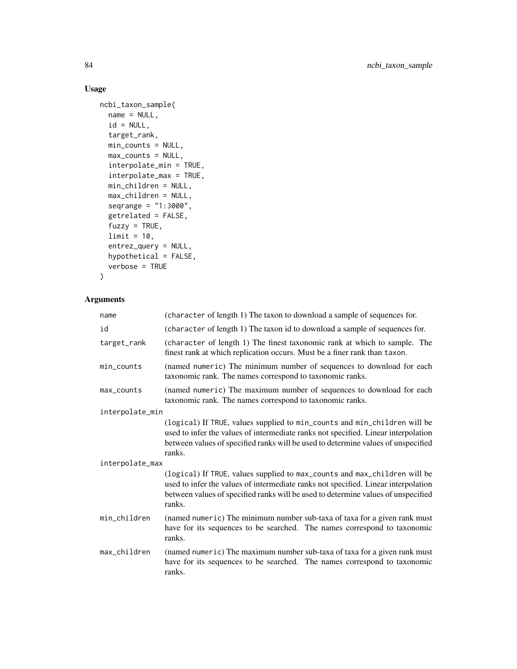# Usage

```
ncbi_taxon_sample(
 name = NULL,id = NULL,target_rank,
 min_counts = NULL,
 max_counts = NULL,
  interpolate_min = TRUE,
  interpolate_max = TRUE,
 min_children = NULL,
 max_children = NULL,
  seqrange = "1:3000",
  getrelated = FALSE,
 fuzzy = TRUE,limit = 10,
  entrez_query = NULL,
 hypothetical = FALSE,
  verbose = TRUE
\mathcal{L}
```
# Arguments

| name            | (character of length 1) The taxon to download a sample of sequences for.                                                                                                                                                                                       |
|-----------------|----------------------------------------------------------------------------------------------------------------------------------------------------------------------------------------------------------------------------------------------------------------|
| id              | (character of length 1) The taxon id to download a sample of sequences for.                                                                                                                                                                                    |
| target_rank     | (character of length 1) The finest taxonomic rank at which to sample. The<br>finest rank at which replication occurs. Must be a finer rank than taxon.                                                                                                         |
| min_counts      | (named numeric) The minimum number of sequences to download for each<br>taxonomic rank. The names correspond to taxonomic ranks.                                                                                                                               |
| max_counts      | (named numeric) The maximum number of sequences to download for each<br>taxonomic rank. The names correspond to taxonomic ranks.                                                                                                                               |
| interpolate_min |                                                                                                                                                                                                                                                                |
|                 | (logical) If TRUE, values supplied to min_counts and min_children will be<br>used to infer the values of intermediate ranks not specified. Linear interpolation<br>between values of specified ranks will be used to determine values of unspecified<br>ranks. |
| interpolate_max |                                                                                                                                                                                                                                                                |
|                 | (logical) If TRUE, values supplied to max_counts and max_children will be<br>used to infer the values of intermediate ranks not specified. Linear interpolation<br>between values of specified ranks will be used to determine values of unspecified<br>ranks. |
| min_children    | (named numeric) The minimum number sub-taxa of taxa for a given rank must<br>have for its sequences to be searched. The names correspond to taxonomic<br>ranks.                                                                                                |
| max_children    | (named numeric) The maximum number sub-taxa of taxa for a given rank must<br>have for its sequences to be searched. The names correspond to taxonomic<br>ranks.                                                                                                |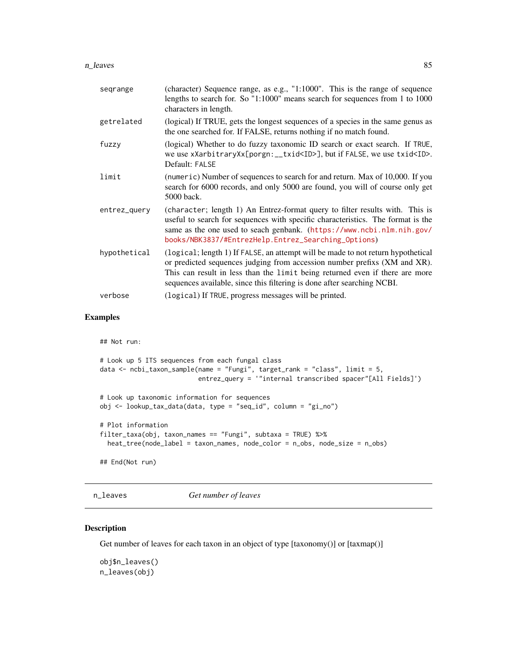#### n\_leaves 85

| segrange     | (character) Sequence range, as e.g., "1:1000". This is the range of sequence<br>lengths to search for. So "1:1000" means search for sequences from 1 to 1000<br>characters in length.                                                                                                                                    |
|--------------|--------------------------------------------------------------------------------------------------------------------------------------------------------------------------------------------------------------------------------------------------------------------------------------------------------------------------|
| getrelated   | (logical) If TRUE, gets the longest sequences of a species in the same genus as<br>the one searched for. If FALSE, returns nothing if no match found.                                                                                                                                                                    |
| fuzzy        | (logical) Whether to do fuzzy taxonomic ID search or exact search. If TRUE,<br>we use xXarbitraryXx[porgn:__txid <id>], but if FALSE, we use txid<id>.<br/>Default: FALSE</id></id>                                                                                                                                      |
| limit        | (numeric) Number of sequences to search for and return. Max of 10,000. If you<br>search for 6000 records, and only 5000 are found, you will of course only get<br>5000 back.                                                                                                                                             |
| entrez_query | (character; length 1) An Entrez-format query to filter results with. This is<br>useful to search for sequences with specific characteristics. The format is the<br>same as the one used to seach genbank. (https://www.ncbi.nlm.nih.gov/<br>books/NBK3837/#EntrezHelp.Entrez_Searching_Options)                          |
| hypothetical | (logical; length 1) If FALSE, an attempt will be made to not return hypothetical<br>or predicted sequences judging from accession number prefixs (XM and XR).<br>This can result in less than the limit being returned even if there are more<br>sequences available, since this filtering is done after searching NCBI. |
| verbose      | (logical) If TRUE, progress messages will be printed.                                                                                                                                                                                                                                                                    |

# Examples

```
## Not run:
# Look up 5 ITS sequences from each fungal class
data <- ncbi_taxon_sample(name = "Fungi", target_rank = "class", limit = 5,
                          entrez_query = '"internal transcribed spacer"[All Fields]')
# Look up taxonomic information for sequences
obj <- lookup_tax_data(data, type = "seq_id", column = "gi_no")
# Plot information
filter_taxa(obj, taxon_names == "Fungi", subtaxa = TRUE) %>%
  heat_tree(node_label = taxon_names, node_color = n_obs, node_size = n_obs)
## End(Not run)
```
<span id="page-84-0"></span>n\_leaves *Get number of leaves*

## Description

Get number of leaves for each taxon in an object of type [taxonomy()] or [taxmap()]

obj\$n\_leaves() n\_leaves(obj)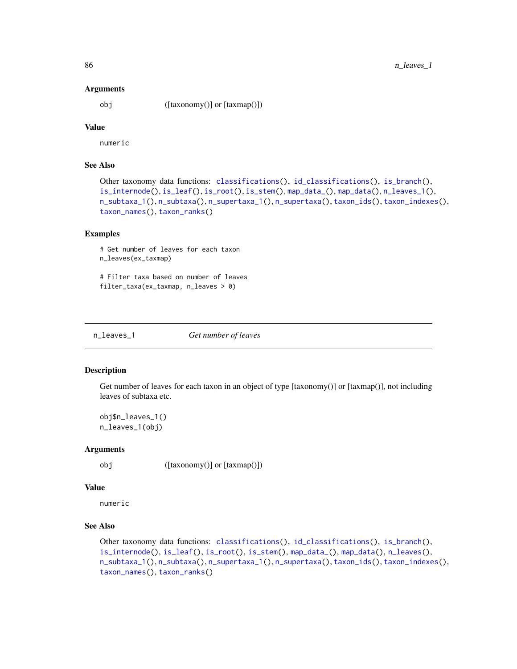#### Arguments

obj ([taxonomy()] or [taxmap()])

# Value

numeric

# See Also

```
Other taxonomy data functions: classifications(), id_classifications(), is_branch(),
is_internode(), is_leaf(), is_root(), is_stem(), map_data_(), map_data(), n_leaves_1(),
n_subtaxa_1(), n_subtaxa(), n_supertaxa_1(), n_supertaxa(), taxon_ids(), taxon_indexes(),
taxon_names(), taxon_ranks()
```
#### Examples

```
# Get number of leaves for each taxon
n_leaves(ex_taxmap)
# Filter taxa based on number of leaves
```

```
filter_taxa(ex_taxmap, n_leaves > 0)
```
<span id="page-85-0"></span>n\_leaves\_1 *Get number of leaves*

## Description

Get number of leaves for each taxon in an object of type [taxonomy()] or [taxmap()], not including leaves of subtaxa etc.

obj\$n\_leaves\_1() n\_leaves\_1(obj)

#### Arguments

obj ([taxonomy()] or [taxmap()])

# Value

numeric

# See Also

```
Other taxonomy data functions: classifications(), id_classifications(), is_branch(),
is_internode(), is_leaf(), is_root(), is_stem(), map_data_(), map_data(), n_leaves(),
n_subtaxa_1(), n_subtaxa(), n_supertaxa_1(), n_supertaxa(), taxon_ids(), taxon_indexes(),
taxon_names(), taxon_ranks()
```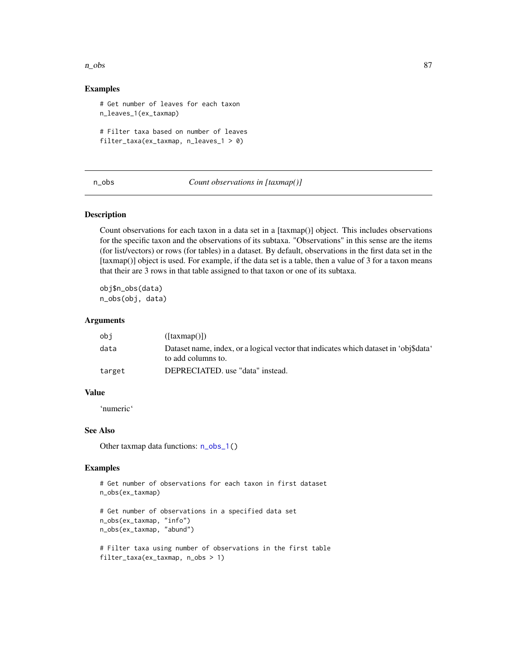#### n\_obs 87

## Examples

```
# Get number of leaves for each taxon
n_leaves_1(ex_taxmap)
# Filter taxa based on number of leaves
filter_taxa(ex_taxmap, n_leaves_1 > 0)
```
<span id="page-86-0"></span>n\_obs *Count observations in [taxmap()]*

# Description

Count observations for each taxon in a data set in a [taxmap()] object. This includes observations for the specific taxon and the observations of its subtaxa. "Observations" in this sense are the items (for list/vectors) or rows (for tables) in a dataset. By default, observations in the first data set in the [taxmap()] object is used. For example, if the data set is a table, then a value of 3 for a taxon means that their are 3 rows in that table assigned to that taxon or one of its subtaxa.

obj\$n\_obs(data) n\_obs(obj, data)

## Arguments

| obi    | $(\lceil \text{taxmap}(\cdot) \rceil)$                                               |
|--------|--------------------------------------------------------------------------------------|
| data   | Dataset name, index, or a logical vector that indicates which dataset in 'obj\$data' |
|        | to add columns to.                                                                   |
| target | DEPRECIATED. use "data" instead.                                                     |

#### Value

'numeric'

## See Also

Other taxmap data functions:  $n_{obs_1}( )$ 

# Examples

```
# Get number of observations for each taxon in first dataset
n_obs(ex_taxmap)
```

```
# Get number of observations in a specified data set
n_obs(ex_taxmap, "info")
n_obs(ex_taxmap, "abund")
```

```
# Filter taxa using number of observations in the first table
filter_taxa(ex_taxmap, n_obs > 1)
```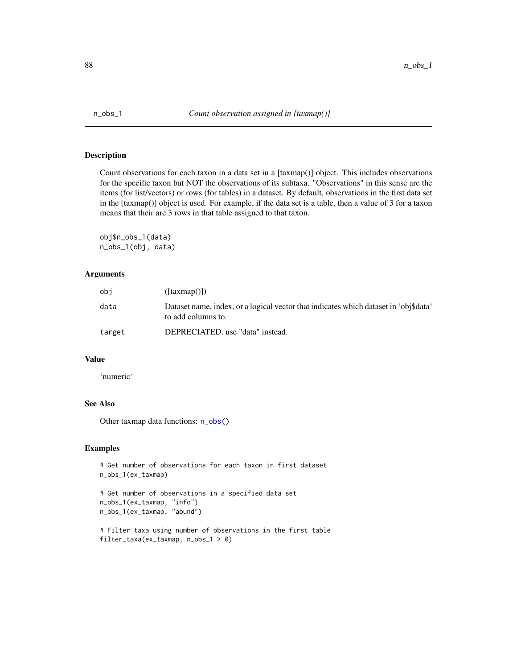<span id="page-87-0"></span>

Count observations for each taxon in a data set in a [taxmap()] object. This includes observations for the specific taxon but NOT the observations of its subtaxa. "Observations" in this sense are the items (for list/vectors) or rows (for tables) in a dataset. By default, observations in the first data set in the [taxmap()] object is used. For example, if the data set is a table, then a value of 3 for a taxon means that their are 3 rows in that table assigned to that taxon.

obj\$n\_obs\_1(data) n\_obs\_1(obj, data)

## Arguments

| obi    | ([taxmap())                                                                                                |
|--------|------------------------------------------------------------------------------------------------------------|
| data   | Dataset name, index, or a logical vector that indicates which dataset in 'obj\$data'<br>to add columns to. |
| target | DEPRECIATED. use "data" instead.                                                                           |

#### Value

'numeric'

# See Also

Other taxmap data functions:  $n_{obs}$ ()

#### Examples

```
# Get number of observations for each taxon in first dataset
n_obs_1(ex_taxmap)
# Get number of observations in a specified data set
n_obs_1(ex_taxmap, "info")
n_obs_1(ex_taxmap, "abund")
```

```
# Filter taxa using number of observations in the first table
filter_taxa(ex_taxmap, n_obs_1 > 0)
```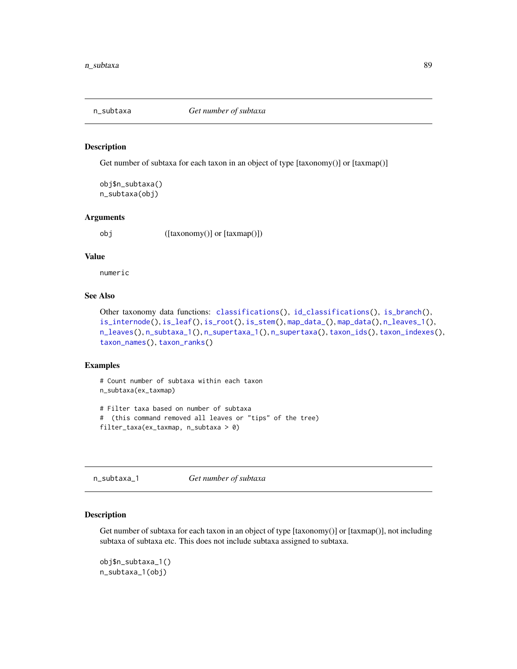<span id="page-88-1"></span>

Get number of subtaxa for each taxon in an object of type [taxonomy()] or [taxmap()]

obj\$n\_subtaxa() n\_subtaxa(obj)

## Arguments

obj ([taxonomy()] or [taxmap()])

## Value

numeric

# See Also

Other taxonomy data functions: [classifications\(](#page-27-0)), [id\\_classifications\(](#page-63-0)), [is\\_branch\(](#page-66-0)), [is\\_internode\(](#page-67-0)), [is\\_leaf\(](#page-67-1)), [is\\_root\(](#page-68-0)), [is\\_stem\(](#page-69-0)), [map\\_data\\_\(](#page-79-0)), [map\\_data\(](#page-78-0)), [n\\_leaves\\_1\(](#page-85-0)), [n\\_leaves\(](#page-84-0)), [n\\_subtaxa\\_1\(](#page-88-0)), [n\\_supertaxa\\_1\(](#page-90-0)), [n\\_supertaxa\(](#page-89-0)), [taxon\\_ids\(](#page-148-0)), [taxon\\_indexes\(](#page-148-1)), [taxon\\_names\(](#page-150-0)), [taxon\\_ranks\(](#page-152-0))

#### Examples

```
# Count number of subtaxa within each taxon
n_subtaxa(ex_taxmap)
# Filter taxa based on number of subtaxa
# (this command removed all leaves or "tips" of the tree)
filter_taxa(ex_taxmap, n_subtaxa > 0)
```
<span id="page-88-0"></span>n\_subtaxa\_1 *Get number of subtaxa*

## Description

Get number of subtaxa for each taxon in an object of type [taxonomy()] or [taxmap()], not including subtaxa of subtaxa etc. This does not include subtaxa assigned to subtaxa.

obj\$n\_subtaxa\_1() n\_subtaxa\_1(obj)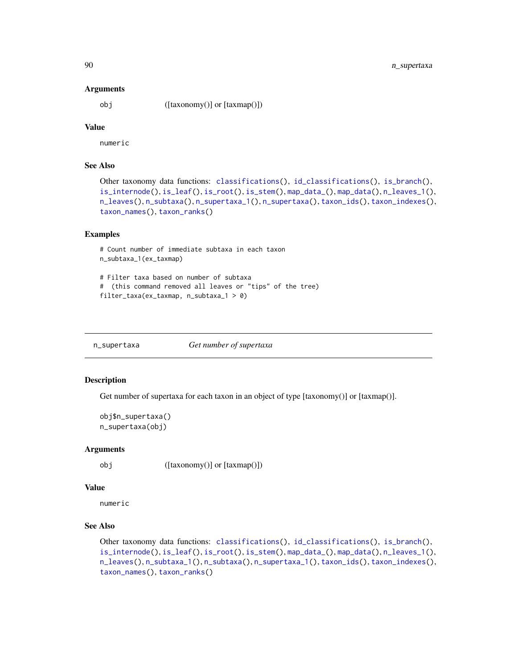#### Arguments

obj ([taxonomy()] or [taxmap()])

# Value

numeric

# See Also

```
Other taxonomy data functions: classifications(), id_classifications(), is_branch(),
is_internode(), is_leaf(), is_root(), is_stem(), map_data_(), map_data(), n_leaves_1(),
n_leaves(), n_subtaxa(), n_supertaxa_1(), n_supertaxa(), taxon_ids(), taxon_indexes(),
taxon_names(), taxon_ranks()
```
#### Examples

```
# Count number of immediate subtaxa in each taxon
n_subtaxa_1(ex_taxmap)
```

```
# Filter taxa based on number of subtaxa
# (this command removed all leaves or "tips" of the tree)
filter_taxa(ex_taxmap, n_subtaxa_1 > 0)
```
<span id="page-89-0"></span>n\_supertaxa *Get number of supertaxa*

# Description

Get number of supertaxa for each taxon in an object of type [taxonomy()] or [taxmap()].

```
obj$n_supertaxa()
n_supertaxa(obj)
```
#### Arguments

obj ([taxonomy()] or [taxmap()])

## Value

numeric

# See Also

```
Other taxonomy data functions: classifications(), id_classifications(), is_branch(),
is_internode(), is_leaf(), is_root(), is_stem(), map_data_(), map_data(), n_leaves_1(),
n_leaves(), n_subtaxa_1(), n_subtaxa(), n_supertaxa_1(), taxon_ids(), taxon_indexes(),
taxon_names(), taxon_ranks()
```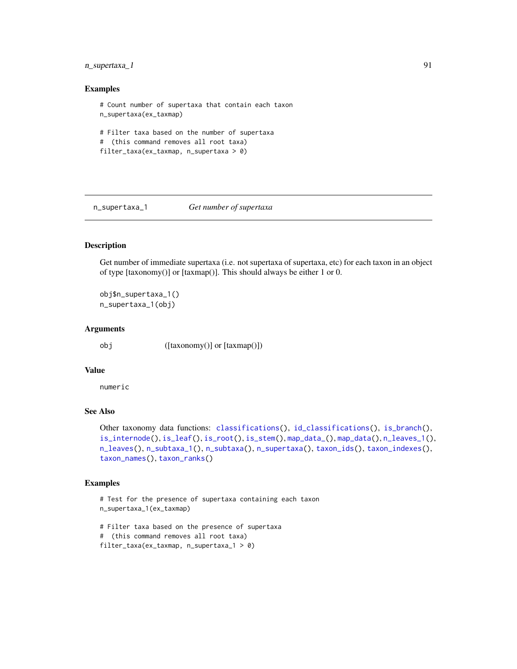# n\_supertaxa\_1 91

## Examples

```
# Count number of supertaxa that contain each taxon
n_supertaxa(ex_taxmap)
# Filter taxa based on the number of supertaxa
# (this command removes all root taxa)
filter_taxa(ex_taxmap, n_supertaxa > 0)
```
<span id="page-90-0"></span>n\_supertaxa\_1 *Get number of supertaxa*

# Description

Get number of immediate supertaxa (i.e. not supertaxa of supertaxa, etc) for each taxon in an object of type [taxonomy()] or [taxmap()]. This should always be either 1 or 0.

obj\$n\_supertaxa\_1() n\_supertaxa\_1(obj)

#### Arguments

obj ([taxonomy()] or [taxmap()])

#### Value

numeric

# See Also

```
Other taxonomy data functions: classifications(), id_classifications(), is_branch(),
is_internode(), is_leaf(), is_root(), is_stem(), map_data_(), map_data(), n_leaves_1(),
n_leaves(), n_subtaxa_1(), n_subtaxa(), n_supertaxa(), taxon_ids(), taxon_indexes(),
taxon_names(), taxon_ranks()
```
# Examples

```
# Test for the presence of supertaxa containing each taxon
n_supertaxa_1(ex_taxmap)
```

```
# Filter taxa based on the presence of supertaxa
# (this command removes all root taxa)
filter_taxa(ex_taxmap, n_supertaxa_1 > 0)
```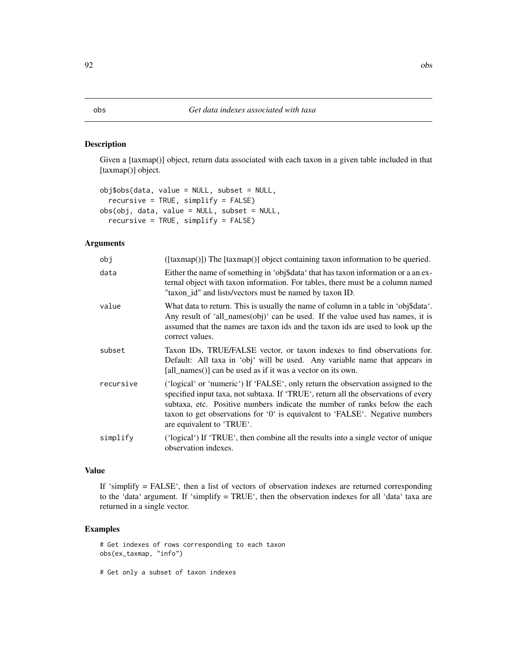Given a [taxmap()] object, return data associated with each taxon in a given table included in that [taxmap()] object.

```
obj$obs(data, value = NULL, subset = NULL,
  recursive = TRUE, simplify = FALSE)
obs(obj, data, value = NULL, subset = NULL,
  recursive = TRUE, simplify = FALSE)
```
## Arguments

| obj       | $([taxmap()])$ The $[taxmap()]$ object containing taxon information to be queried.                                                                                                                                                                                                                                                                                |
|-----------|-------------------------------------------------------------------------------------------------------------------------------------------------------------------------------------------------------------------------------------------------------------------------------------------------------------------------------------------------------------------|
| data      | Either the name of something in 'obj\$data' that has taxon information or a an ex-<br>ternal object with taxon information. For tables, there must be a column named<br>"taxon_id" and lists/vectors must be named by taxon ID.                                                                                                                                   |
| value     | What data to return. This is usually the name of column in a table in 'obj\$data'.<br>Any result of 'all_names(obj)' can be used. If the value used has names, it is<br>assumed that the names are taxon ids and the taxon ids are used to look up the<br>correct values.                                                                                         |
| subset    | Taxon IDs, TRUE/FALSE vector, or taxon indexes to find observations for.<br>Default: All taxa in 'obj' will be used. Any variable name that appears in<br>[all_names()] can be used as if it was a vector on its own.                                                                                                                                             |
| recursive | ('logical' or 'numeric') If 'FALSE', only return the observation assigned to the<br>specified input taxa, not subtaxa. If 'TRUE', return all the observations of every<br>subtaxa, etc. Positive numbers indicate the number of ranks below the each<br>taxon to get observations for '0' is equivalent to 'FALSE'. Negative numbers<br>are equivalent to 'TRUE'. |
| simplify  | ('logical') If 'TRUE', then combine all the results into a single vector of unique<br>observation indexes.                                                                                                                                                                                                                                                        |

## Value

If 'simplify = FALSE', then a list of vectors of observation indexes are returned corresponding to the 'data' argument. If 'simplify = TRUE', then the observation indexes for all 'data' taxa are returned in a single vector.

# Examples

# Get indexes of rows corresponding to each taxon obs(ex\_taxmap, "info")

# Get only a subset of taxon indexes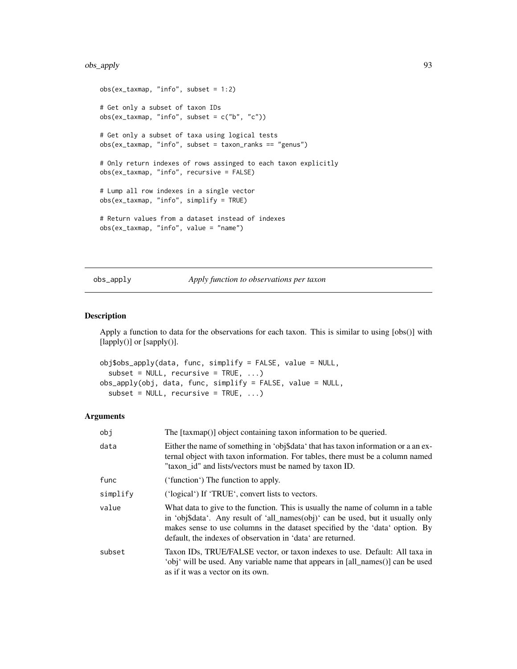# obs\_apply 93

```
obs(ex_{\text{maxmap}}, "info", subset = 1:2)# Get only a subset of taxon IDs
obs(ex_{\text{maxmap}}, "info", subset = c("b", "c"))# Get only a subset of taxa using logical tests
obs(ex_taxmap, "info", subset = taxon_ranks == "genus")
# Only return indexes of rows assinged to each taxon explicitly
obs(ex_taxmap, "info", recursive = FALSE)
# Lump all row indexes in a single vector
obs(ex_taxmap, "info", simplify = TRUE)
# Return values from a dataset instead of indexes
obs(ex_taxmap, "info", value = "name")
```
obs\_apply *Apply function to observations per taxon*

## Description

Apply a function to data for the observations for each taxon. This is similar to using [obs()] with [lapply()] or [sapply()].

```
obj$obs_apply(data, func, simplify = FALSE, value = NULL,
  subset = NULL, recursive = TRUE, ...)
obs_apply(obj, data, func, simplify = FALSE, value = NULL,
  subset = NULL, recursive = TRUE, ...)
```
#### Arguments

| obj      | The [taxmap()] object containing taxon information to be queried.                                                                                                                                                                                                                                                  |
|----------|--------------------------------------------------------------------------------------------------------------------------------------------------------------------------------------------------------------------------------------------------------------------------------------------------------------------|
| data     | Either the name of something in 'obj\$data' that has taxon information or a an ex-<br>ternal object with taxon information. For tables, there must be a column named<br>"taxon_id" and lists/vectors must be named by taxon ID.                                                                                    |
| func     | ('function') The function to apply.                                                                                                                                                                                                                                                                                |
| simplify | ('logical') If 'TRUE', convert lists to vectors.                                                                                                                                                                                                                                                                   |
| value    | What data to give to the function. This is usually the name of column in a table<br>in 'obj\$data'. Any result of 'all_names(obj)' can be used, but it usually only<br>makes sense to use columns in the dataset specified by the 'data' option. By<br>default, the indexes of observation in 'data' are returned. |
| subset   | Taxon IDs, TRUE/FALSE vector, or taxon indexes to use. Default: All taxa in<br>'obj' will be used. Any variable name that appears in [all_names()] can be used<br>as if it was a vector on its own.                                                                                                                |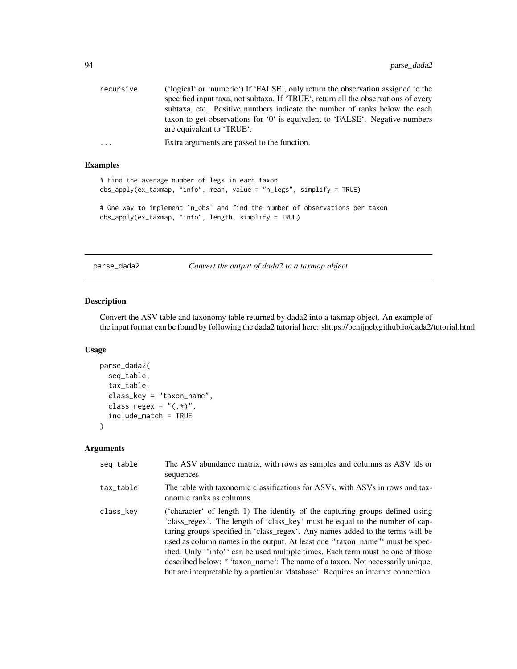| recursive | ('logical' or 'numeric') If 'FALSE', only return the observation assigned to the<br>specified input taxa, not subtaxa. If 'TRUE', return all the observations of every                  |
|-----------|-----------------------------------------------------------------------------------------------------------------------------------------------------------------------------------------|
|           | subtaxa, etc. Positive numbers indicate the number of ranks below the each<br>taxon to get observations for '0' is equivalent to 'FALSE'. Negative numbers<br>are equivalent to 'TRUE'. |
| $\cdot$   | Extra arguments are passed to the function.                                                                                                                                             |

## Examples

# Find the average number of legs in each taxon obs\_apply(ex\_taxmap, "info", mean, value = "n\_legs", simplify = TRUE)

# One way to implement `n\_obs` and find the number of observations per taxon obs\_apply(ex\_taxmap, "info", length, simplify = TRUE)

<span id="page-93-0"></span>parse\_dada2 *Convert the output of dada2 to a taxmap object*

# Description

Convert the ASV table and taxonomy table returned by dada2 into a taxmap object. An example of the input format can be found by following the dada2 tutorial here: shttps://benjjneb.github.io/dada2/tutorial.html

#### Usage

```
parse_dada2(
  seq_table,
  tax_table,
  class_key = "taxon_name",
  class_regex = "(.*)",
  include_match = TRUE
)
```
#### Arguments

| seq_table | The ASV abundance matrix, with rows as samples and columns as ASV ids or<br>sequences                                                                                                                                                                                                                                                                                                                                                                                                                                                                                                 |
|-----------|---------------------------------------------------------------------------------------------------------------------------------------------------------------------------------------------------------------------------------------------------------------------------------------------------------------------------------------------------------------------------------------------------------------------------------------------------------------------------------------------------------------------------------------------------------------------------------------|
| tax_table | The table with taxonomic classifications for ASVs, with ASVs in rows and tax-<br>onomic ranks as columns.                                                                                                                                                                                                                                                                                                                                                                                                                                                                             |
| class_key | ('character' of length 1) The identity of the capturing groups defined using<br>'class_regex'. The length of 'class_key' must be equal to the number of cap-<br>turing groups specified in 'class_regex'. Any names added to the terms will be<br>used as column names in the output. At least one "taxon_name" must be spec-<br>ified. Only "info" can be used multiple times. Each term must be one of those<br>described below: * 'taxon_name': The name of a taxon. Not necessarily unique,<br>but are interpretable by a particular 'database'. Requires an internet connection. |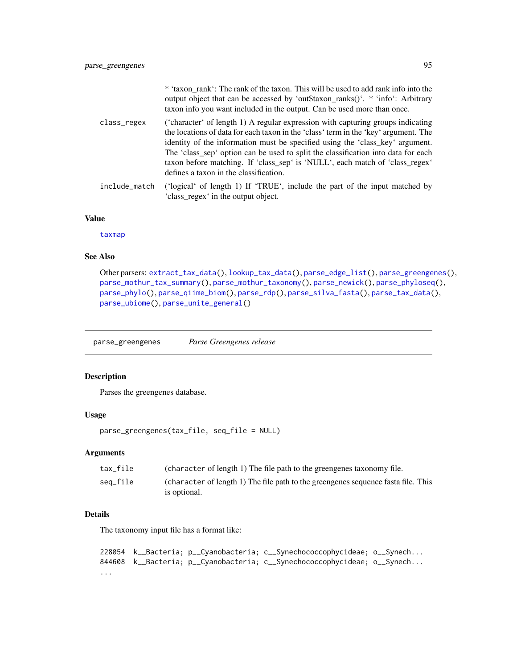|               | * 'taxon_rank': The rank of the taxon. This will be used to add rank info into the<br>output object that can be accessed by 'out\$taxon_ranks()'. * 'info': Arbitrary<br>taxon info you want included in the output. Can be used more than once.                                                                                                                                                                                                                       |
|---------------|------------------------------------------------------------------------------------------------------------------------------------------------------------------------------------------------------------------------------------------------------------------------------------------------------------------------------------------------------------------------------------------------------------------------------------------------------------------------|
| class_regex   | ('character' of length 1) A regular expression with capturing groups indicating<br>the locations of data for each taxon in the 'class' term in the 'key' argument. The<br>identity of the information must be specified using the 'class_key' argument.<br>The 'class_sep' option can be used to split the classification into data for each<br>taxon before matching. If 'class_sep' is 'NULL', each match of 'class_regex'<br>defines a taxon in the classification. |
| include_match | ('logical' of length 1) If 'TRUE', include the part of the input matched by<br>'class regex' in the output object.                                                                                                                                                                                                                                                                                                                                                     |

## Value

[taxmap](#page-138-0)

# See Also

```
Other parsers: extract_tax_data(), lookup_tax_data(), parse_edge_list(), parse_greengenes(),
parse_mothur_tax_summary(), parse_mothur_taxonomy(), parse_newick(), parse_phyloseq(),
parse_phylo(), parse_qiime_biom(), parse_rdp(), parse_silva_fasta(), parse_tax_data(),
parse_ubiome(), parse_unite_general()
```
<span id="page-94-0"></span>parse\_greengenes *Parse Greengenes release*

# Description

Parses the greengenes database.

#### Usage

```
parse_greengenes(tax_file, seq_file = NULL)
```
## Arguments

| tax file | (character of length 1) The file path to the greengenes taxonomy file.            |
|----------|-----------------------------------------------------------------------------------|
| seg_file | (character of length 1) The file path to the greengenes sequence fasta file. This |
|          | is optional.                                                                      |

# Details

The taxonomy input file has a format like:

```
228054 k__Bacteria; p__Cyanobacteria; c__Synechococcophycideae; o__Synech...
844608 k__Bacteria; p__Cyanobacteria; c__Synechococcophycideae; o__Synech...
...
```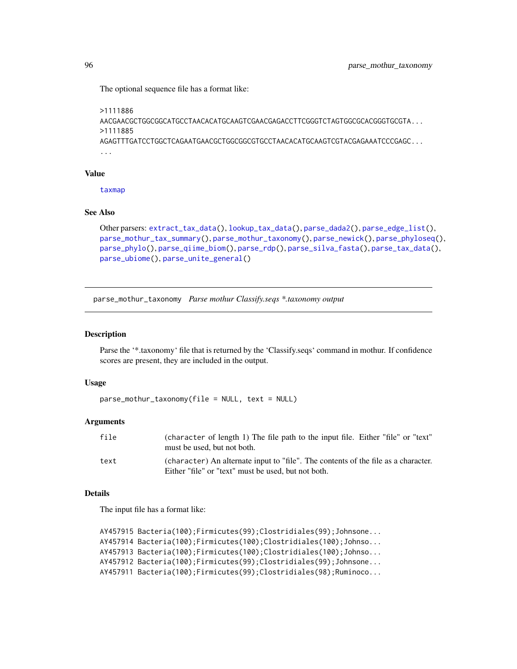The optional sequence file has a format like:

```
>1111886
AACGAACGCTGGCGGCATGCCTAACACATGCAAGTCGAACGAGACCTTCGGGTCTAGTGGCGCACGGGTGCGTA...
>1111885
AGAGTTTGATCCTGGCTCAGAATGAACGCTGGCGGCGTGCCTAACACATGCAAGTCGTACGAGAAATCCCGAGC...
...
```
#### Value

[taxmap](#page-138-0)

## See Also

```
Other parsers: extract_tax_data(), lookup_tax_data(), parse_dada2(), parse_edge_list(),
parse_mothur_tax_summary(), parse_mothur_taxonomy(), parse_newick(), parse_phyloseq(),
parse_phylo(), parse_qiime_biom(), parse_rdp(), parse_silva_fasta(), parse_tax_data(),
parse_ubiome(), parse_unite_general()
```
<span id="page-95-0"></span>parse\_mothur\_taxonomy *Parse mothur Classify.seqs \*.taxonomy output*

#### Description

Parse the '\*.taxonomy' file that is returned by the 'Classify.seqs' command in mothur. If confidence scores are present, they are included in the output.

#### Usage

```
parse_mothur_taxonomy(file = NULL, text = NULL)
```
# Arguments

| file | (character of length 1) The file path to the input file. Either "file" or "text"<br>must be used, but not both.                           |
|------|-------------------------------------------------------------------------------------------------------------------------------------------|
| text | (character) An alternate input to "file". The contents of the file as a character.<br>Either "file" or "text" must be used, but not both. |

## Details

The input file has a format like:

```
AY457915 Bacteria(100);Firmicutes(99);Clostridiales(99);Johnsone...
AY457914 Bacteria(100);Firmicutes(100);Clostridiales(100);Johnso...
AY457913 Bacteria(100);Firmicutes(100);Clostridiales(100);Johnso...
AY457912 Bacteria(100);Firmicutes(99);Clostridiales(99);Johnsone...
AY457911 Bacteria(100);Firmicutes(99);Clostridiales(98);Ruminoco...
```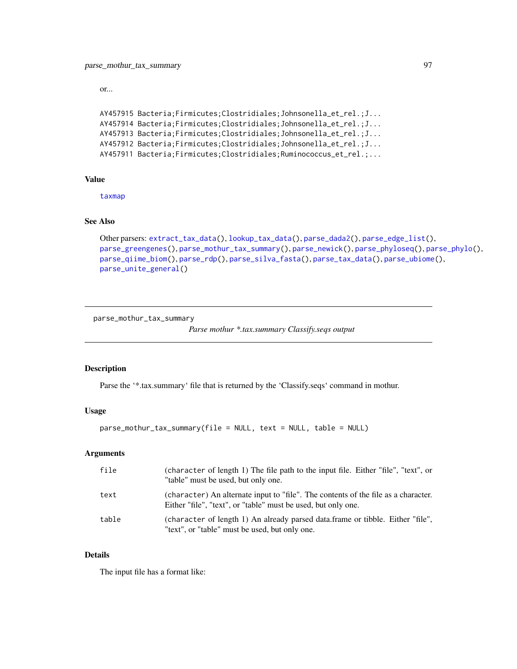or...

```
AY457915 Bacteria;Firmicutes;Clostridiales;Johnsonella_et_rel.;J...
AY457914 Bacteria;Firmicutes;Clostridiales;Johnsonella_et_rel.;J...
AY457913 Bacteria;Firmicutes;Clostridiales;Johnsonella_et_rel.;J...
AY457912 Bacteria;Firmicutes;Clostridiales;Johnsonella_et_rel.;J...
AY457911 Bacteria;Firmicutes;Clostridiales;Ruminococcus_et_rel.;...
```
# Value

[taxmap](#page-138-0)

# See Also

```
Other parsers: extract_tax_data(), lookup_tax_data(), parse_dada2(), parse_edge_list(),
parse_greengenes(), parse_mothur_tax_summary(), parse_newick(), parse_phyloseq(), parse_phylo(),
parse_qiime_biom(), parse_rdp(), parse_silva_fasta(), parse_tax_data(), parse_ubiome(),
parse_unite_general()
```
<span id="page-96-0"></span>parse\_mothur\_tax\_summary

```
Parse mothur *.tax.summary Classify.seqs output
```
## Description

Parse the '\*.tax.summary' file that is returned by the 'Classify.seqs' command in mothur.

## Usage

```
parse_mothur_tax_summary(file = NULL, text = NULL, table = NULL)
```
#### Arguments

| file  | (character of length 1) The file path to the input file. Either "file", "text", or<br>"table" must be used, but only one.                           |
|-------|-----------------------------------------------------------------------------------------------------------------------------------------------------|
| text  | (character) An alternate input to "file". The contents of the file as a character.<br>Either "file", "text", or "table" must be used, but only one. |
| table | (character of length 1) An already parsed data.frame or tibble. Either "file",<br>"text", or "table" must be used, but only one.                    |

#### Details

The input file has a format like: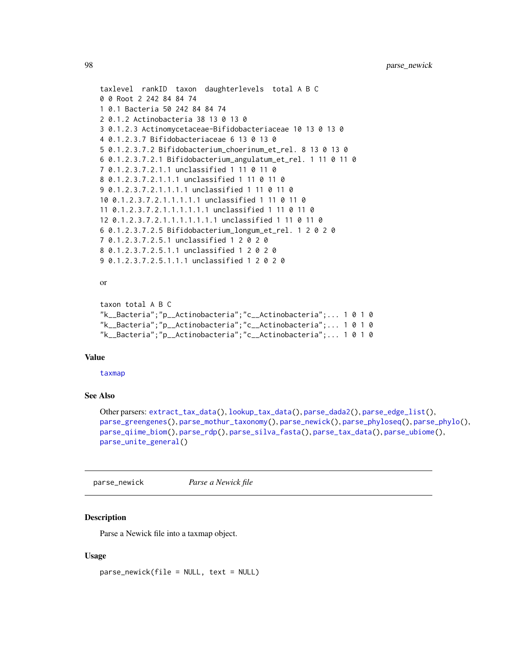```
taxlevel rankID taxon daughterlevels total A B C
0 0 Root 2 242 84 84 74
1 0.1 Bacteria 50 242 84 84 74
2 0.1.2 Actinobacteria 38 13 0 13 0
3 0.1.2.3 Actinomycetaceae-Bifidobacteriaceae 10 13 0 13 0
4 0.1.2.3.7 Bifidobacteriaceae 6 13 0 13 0
5 0.1.2.3.7.2 Bifidobacterium_choerinum_et_rel. 8 13 0 13 0
6 0.1.2.3.7.2.1 Bifidobacterium_angulatum_et_rel. 1 11 0 11 0
7 0.1.2.3.7.2.1.1 unclassified 1 11 0 11 0
8 0.1.2.3.7.2.1.1.1 unclassified 1 11 0 11 0
9 0.1.2.3.7.2.1.1.1.1 unclassified 1 11 0 11 0
10 0.1.2.3.7.2.1.1.1.1.1 unclassified 1 11 0 11 0
11 0.1.2.3.7.2.1.1.1.1.1.1 unclassified 1 11 0 11 0
12 0.1.2.3.7.2.1.1.1.1.1.1.1 unclassified 1 11 0 11 0
6 0.1.2.3.7.2.5 Bifidobacterium_longum_et_rel. 1 2 0 2 0
7 0.1.2.3.7.2.5.1 unclassified 1 2 0 2 0
8 0.1.2.3.7.2.5.1.1 unclassified 1 2 0 2 0
9 0.1.2.3.7.2.5.1.1.1 unclassified 1 2 0 2 0
```
#### or

```
taxon total A B C
"k__Bacteria";"p__Actinobacteria";"c__Actinobacteria";... 1 0 1 0
"k__Bacteria";"p__Actinobacteria";"c__Actinobacteria";... 1 0 1 0
"k__Bacteria";"p__Actinobacteria";"c__Actinobacteria";... 1 0 1 0
```
# Value

[taxmap](#page-138-0)

# See Also

```
Other parsers: extract_tax_data(), lookup_tax_data(), parse_dada2(), parse_edge_list(),
parse_greengenes(), parse_mothur_taxonomy(), parse_newick(), parse_phyloseq(), parse_phylo(),
parse_qiime_biom(), parse_rdp(), parse_silva_fasta(), parse_tax_data(), parse_ubiome(),
parse_unite_general()
```
<span id="page-97-0"></span>parse\_newick *Parse a Newick file*

## Description

Parse a Newick file into a taxmap object.

#### Usage

parse\_newick(file = NULL, text = NULL)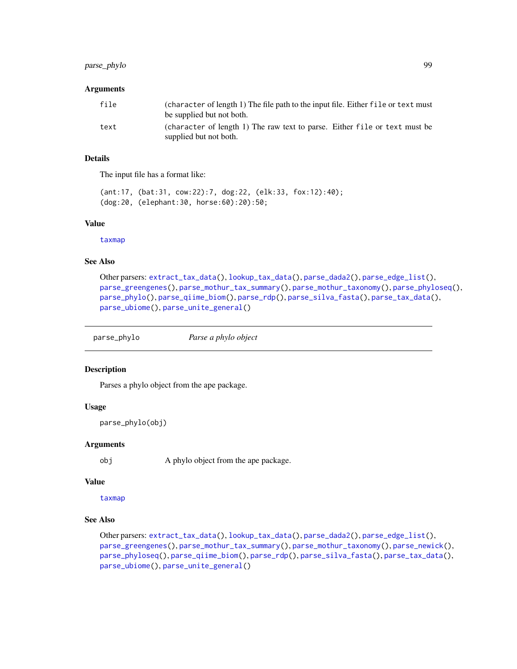# parse\_phylo 99

## Arguments

| file | (character of length 1) The file path to the input file. Either file or text must<br>be supplied but not both. |
|------|----------------------------------------------------------------------------------------------------------------|
| text | (character of length 1) The raw text to parse. Either file or text must be<br>supplied but not both.           |

# Details

The input file has a format like:

(ant:17, (bat:31, cow:22):7, dog:22, (elk:33, fox:12):40); (dog:20, (elephant:30, horse:60):20):50;

# Value

[taxmap](#page-138-0)

# See Also

```
Other parsers: extract_tax_data(), lookup_tax_data(), parse_dada2(), parse_edge_list(),
parse_greengenes(), parse_mothur_tax_summary(), parse_mothur_taxonomy(), parse_phyloseq(),
parse_phylo(), parse_qiime_biom(), parse_rdp(), parse_silva_fasta(), parse_tax_data(),
parse_ubiome(), parse_unite_general()
```
<span id="page-98-0"></span>

## Description

Parses a phylo object from the ape package.

#### Usage

```
parse_phylo(obj)
```
#### Arguments

obj A phylo object from the ape package.

#### Value

[taxmap](#page-138-0)

# See Also

```
Other parsers: extract_tax_data(), lookup_tax_data(), parse_dada2(), parse_edge_list(),
parse_greengenes(), parse_mothur_tax_summary(), parse_mothur_taxonomy(), parse_newick(),
parse_phyloseq(), parse_qiime_biom(), parse_rdp(), parse_silva_fasta(), parse_tax_data(),
parse_ubiome(), parse_unite_general()
```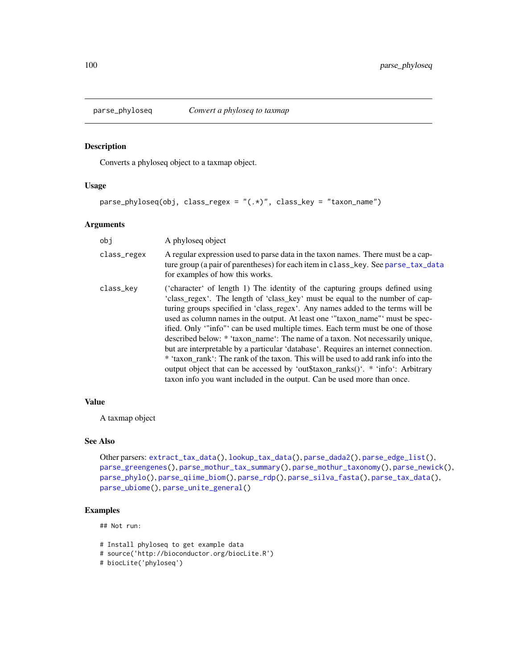<span id="page-99-0"></span>

Converts a phyloseq object to a taxmap object.

# Usage

```
parse_phyloseq(obj, class_regex = "(.*)", class_key = "taxon_name")
```
## Arguments

| obj         | A phyloseq object                                                                                                                                                                                                                                                                                                                                                                                                                                                                                                                                                                                                                                                                                                                                                                                                                         |
|-------------|-------------------------------------------------------------------------------------------------------------------------------------------------------------------------------------------------------------------------------------------------------------------------------------------------------------------------------------------------------------------------------------------------------------------------------------------------------------------------------------------------------------------------------------------------------------------------------------------------------------------------------------------------------------------------------------------------------------------------------------------------------------------------------------------------------------------------------------------|
| class_regex | A regular expression used to parse data in the taxon names. There must be a cap-<br>ture group (a pair of parentheses) for each item in class_key. See parse_tax_data<br>for examples of how this works.                                                                                                                                                                                                                                                                                                                                                                                                                                                                                                                                                                                                                                  |
| class_kev   | ('character' of length 1) The identity of the capturing groups defined using<br>'class_regex'. The length of 'class_key' must be equal to the number of cap-<br>turing groups specified in 'class_regex'. Any names added to the terms will be<br>used as column names in the output. At least one "taxon_name" must be spec-<br>ified. Only "info" can be used multiple times. Each term must be one of those<br>described below: * 'taxon_name': The name of a taxon. Not necessarily unique,<br>but are interpretable by a particular 'database'. Requires an internet connection.<br>* 'taxon rank': The rank of the taxon. This will be used to add rank info into the<br>output object that can be accessed by 'out\$taxon_ranks()'. * 'info': Arbitrary<br>taxon info you want included in the output. Can be used more than once. |

## Value

A taxmap object

#### See Also

```
Other parsers: extract_tax_data(), lookup_tax_data(), parse_dada2(), parse_edge_list(),
parse_greengenes(), parse_mothur_tax_summary(), parse_mothur_taxonomy(), parse_newick(),
parse_phylo(), parse_qiime_biom(), parse_rdp(), parse_silva_fasta(), parse_tax_data(),
parse_ubiome(), parse_unite_general()
```
## Examples

## Not run:

```
# Install phyloseq to get example data
```

```
# source('http://bioconductor.org/biocLite.R')
```

```
# biocLite('phyloseq')
```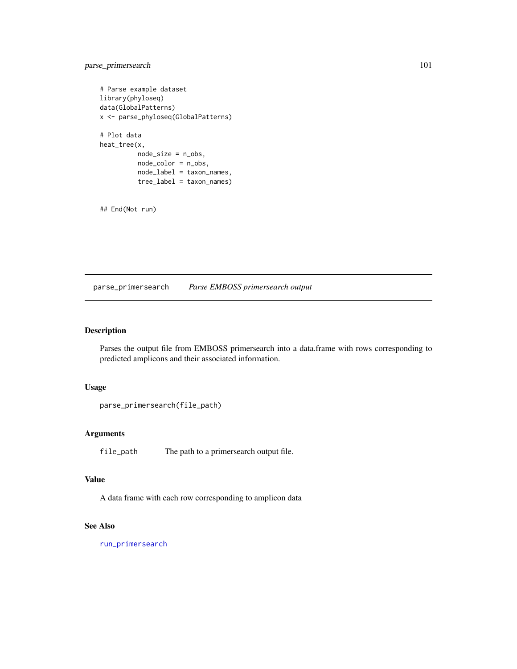# parse\_primersearch 101

```
# Parse example dataset
library(phyloseq)
data(GlobalPatterns)
x <- parse_phyloseq(GlobalPatterns)
# Plot data
heat_tree(x,
          node_size = n_obs,
          node_color = n_obs,
          node_label = taxon_names,
          tree_label = taxon_names)
```
## End(Not run)

parse\_primersearch *Parse EMBOSS primersearch output*

# Description

Parses the output file from EMBOSS primersearch into a data.frame with rows corresponding to predicted amplicons and their associated information.

## Usage

```
parse_primersearch(file_path)
```
## Arguments

file\_path The path to a primersearch output file.

## Value

A data frame with each row corresponding to amplicon data

# See Also

[run\\_primersearch](#page-0-0)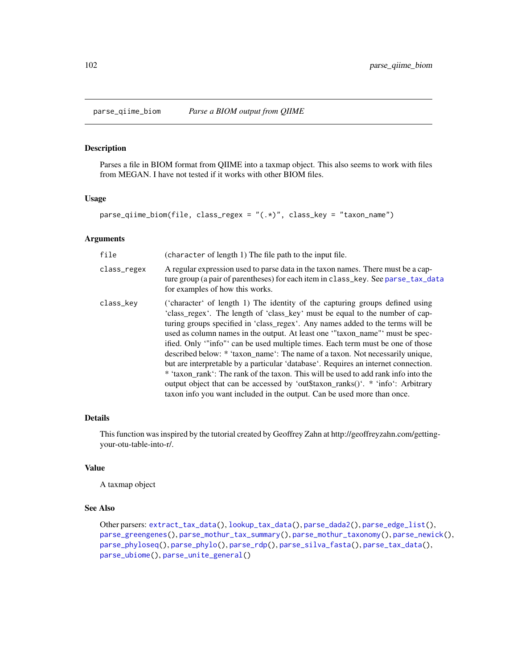<span id="page-101-0"></span>

Parses a file in BIOM format from QIIME into a taxmap object. This also seems to work with files from MEGAN. I have not tested if it works with other BIOM files.

#### Usage

```
parse_qiime_biom(file, class_regex = "(.*)", class_key = "taxon_name")
```
## Arguments

| file        | (character of length 1) The file path to the input file.                                                                                                                                                                                                                                                                                                                                                                                                                                                                                                                                                                                                                                                                                                                                                                                  |
|-------------|-------------------------------------------------------------------------------------------------------------------------------------------------------------------------------------------------------------------------------------------------------------------------------------------------------------------------------------------------------------------------------------------------------------------------------------------------------------------------------------------------------------------------------------------------------------------------------------------------------------------------------------------------------------------------------------------------------------------------------------------------------------------------------------------------------------------------------------------|
| class_regex | A regular expression used to parse data in the taxon names. There must be a cap-<br>ture group (a pair of parentheses) for each item in class_key. See parse_tax_data<br>for examples of how this works.                                                                                                                                                                                                                                                                                                                                                                                                                                                                                                                                                                                                                                  |
| class_kev   | ('character' of length 1) The identity of the capturing groups defined using<br>'class_regex'. The length of 'class_key' must be equal to the number of cap-<br>turing groups specified in 'class_regex'. Any names added to the terms will be<br>used as column names in the output. At least one "taxon_name" must be spec-<br>ified. Only "info" can be used multiple times. Each term must be one of those<br>described below: * 'taxon_name': The name of a taxon. Not necessarily unique,<br>but are interpretable by a particular 'database'. Requires an internet connection.<br>* 'taxon rank': The rank of the taxon. This will be used to add rank info into the<br>output object that can be accessed by 'out\$taxon_ranks()'. * 'info': Arbitrary<br>taxon info you want included in the output. Can be used more than once. |

# Details

This function was inspired by the tutorial created by Geoffrey Zahn at http://geoffreyzahn.com/gettingyour-otu-table-into-r/.

## Value

A taxmap object

#### See Also

Other parsers: [extract\\_tax\\_data\(](#page-34-0)), [lookup\\_tax\\_data\(](#page-73-0)), [parse\\_dada2\(](#page-93-0)), [parse\\_edge\\_list\(](#page-0-0)), [parse\\_greengenes\(](#page-94-0)), [parse\\_mothur\\_tax\\_summary\(](#page-96-0)), [parse\\_mothur\\_taxonomy\(](#page-95-0)), [parse\\_newick\(](#page-97-0)), [parse\\_phyloseq\(](#page-99-0)), [parse\\_phylo\(](#page-98-0)), [parse\\_rdp\(](#page-102-0)), [parse\\_silva\\_fasta\(](#page-103-0)), [parse\\_tax\\_data\(](#page-104-0)), [parse\\_ubiome\(](#page-108-0)), [parse\\_unite\\_general\(](#page-109-0))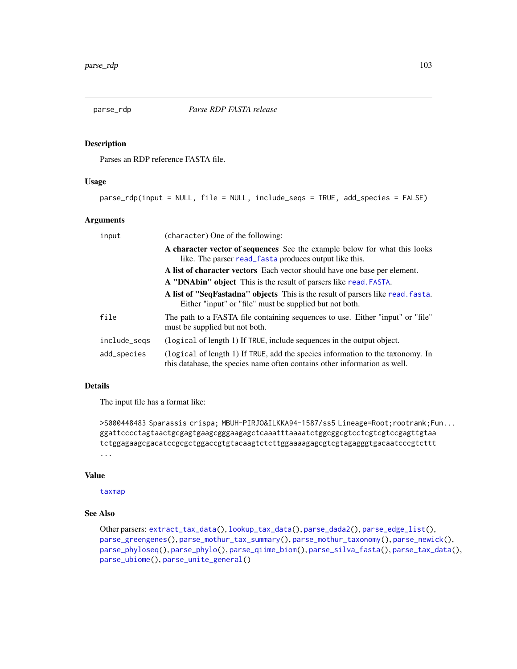<span id="page-102-0"></span>

Parses an RDP reference FASTA file.

# Usage

parse\_rdp(input = NULL, file = NULL, include\_seqs = TRUE, add\_species = FALSE)

## Arguments

| input        | (character) One of the following:                                                                                                                           |
|--------------|-------------------------------------------------------------------------------------------------------------------------------------------------------------|
|              | A character vector of sequences See the example below for what this looks<br>like. The parser read_fasta produces output like this.                         |
|              | A list of character vectors Each vector should have one base per element.                                                                                   |
|              | A "DNAbin" object This is the result of parsers like read. FASTA.                                                                                           |
|              | A list of "SeqFastadna" objects This is the result of parsers like read. fasta.<br>Either "input" or "file" must be supplied but not both.                  |
| file         | The path to a FASTA file containing sequences to use. Either "input" or "file"<br>must be supplied but not both.                                            |
| include_segs | (logical of length 1) If TRUE, include sequences in the output object.                                                                                      |
| add_species  | (logical of length 1) If TRUE, add the species information to the taxonomy. In<br>this database, the species name often contains other information as well. |

# Details

The input file has a format like:

```
>S000448483 Sparassis crispa; MBUH-PIRJO&ILKKA94-1587/ss5 Lineage=Root;rootrank;Fun...
ggattcccctagtaactgcgagtgaagcgggaagagctcaaatttaaaatctggcggcgtcctcgtcgtccgagttgtaa
tctggagaagcgacatccgcgctggaccgtgtacaagtctcttggaaaagagcgtcgtagagggtgacaatcccgtcttt
...
```
## Value

[taxmap](#page-138-0)

# See Also

```
Other parsers: extract_tax_data(), lookup_tax_data(), parse_dada2(), parse_edge_list(),
parse_greengenes(), parse_mothur_tax_summary(), parse_mothur_taxonomy(), parse_newick(),
parse_phyloseq(), parse_phylo(), parse_qiime_biom(), parse_silva_fasta(), parse_tax_data(),
parse_ubiome(), parse_unite_general()
```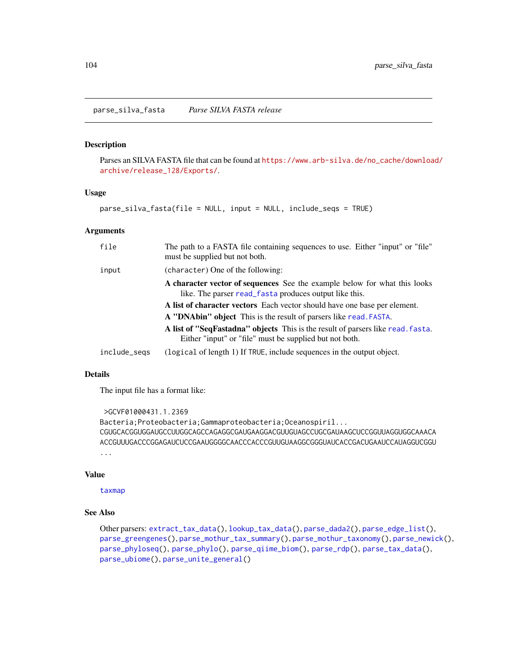<span id="page-103-0"></span>Parses an SILVA FASTA file that can be found at [https://www.arb-silva.de/no\\_cache/downloa](https://www.arb-silva.de/no_cache/download/archive/release_128/Exports/)d/ [archive/release\\_128/Exports/](https://www.arb-silva.de/no_cache/download/archive/release_128/Exports/).

#### Usage

parse\_silva\_fasta(file = NULL, input = NULL, include\_seqs = TRUE)

#### Arguments

| file         | The path to a FASTA file containing sequences to use. Either "input" or "file"<br>must be supplied but not both.                           |
|--------------|--------------------------------------------------------------------------------------------------------------------------------------------|
| input        | (character) One of the following:                                                                                                          |
|              | A character vector of sequences See the example below for what this looks<br>like. The parser read_fasta produces output like this.        |
|              | A list of character vectors Each vector should have one base per element.                                                                  |
|              | A "DNAbin" object This is the result of parsers like read. FASTA.                                                                          |
|              | A list of "SeqFastadna" objects This is the result of parsers like read. fasta.<br>Either "input" or "file" must be supplied but not both. |
| include_segs | (logical of length 1) If TRUE, include sequences in the output object.                                                                     |

## Details

The input file has a format like:

```
>GCVF01000431.1.2369
Bacteria;Proteobacteria;Gammaproteobacteria;Oceanospiril...
CGUGCACGGUGGAUGCCUUGGCAGCCAGAGGCGAUGAAGGACGUUGUAGCCUGCGAUAAGCUCCGGUUAGGUGGCAAACA
ACCGUUUGACCCGGAGAUCUCCGAAUGGGGCAACCCACCCGUUGUAAGGCGGGUAUCACCGACUGAAUCCAUAGGUCGGU
...
```
#### Value

[taxmap](#page-138-0)

#### See Also

```
Other parsers: extract_tax_data(), lookup_tax_data(), parse_dada2(), parse_edge_list(),
parse_greengenes(), parse_mothur_tax_summary(), parse_mothur_taxonomy(), parse_newick(),
parse_phyloseq(), parse_phylo(), parse_qiime_biom(), parse_rdp(), parse_tax_data(),
parse_ubiome(), parse_unite_general()
```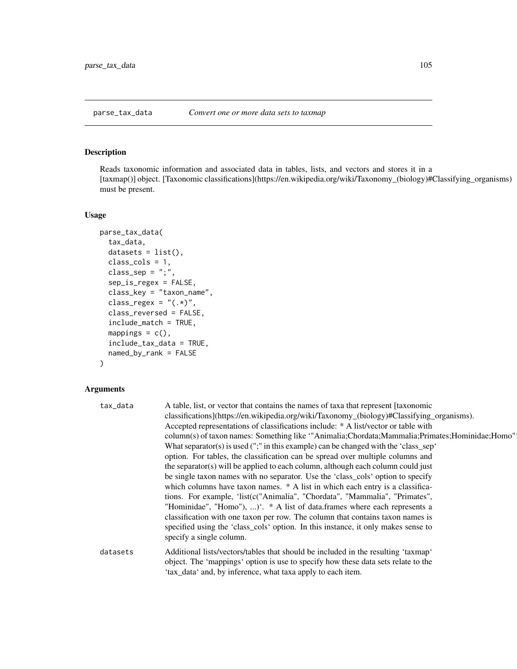<span id="page-104-0"></span>Reads taxonomic information and associated data in tables, lists, and vectors and stores it in a [taxmap()] object. [Taxonomic classifications](https://en.wikipedia.org/wiki/Taxonomy\_(biology)#Classifying\_organisms) must be present.

## Usage

```
parse_tax_data(
  tax_data,
  datasets = list(),class_cols = 1,
  class\_sep = ";",
  sep_is_regex = FALSE,
  class_key = "taxon_name",
  class_regex = "(.*)",
  class_reversed = FALSE,
  include_match = TRUE,
  mappings = c(),
  include_tax_data = TRUE,
  named_by_rank = FALSE
)
```
# Arguments

| tax_data | A table, list, or vector that contains the names of taxa that represent [taxonomic<br>classifications](https://en.wikipedia.org/wiki/Taxonomy_(biology)#Classifying_organisms).<br>Accepted representations of classifications include: * A list/vector or table with<br>column(s) of taxon names: Something like "Animalia;Chordata;Mammalia;Primates;Hominidae;Homo"<br>What separator(s) is used $(\cdot;\cdot)$ in this example) can be changed with the 'class_sep'<br>option. For tables, the classification can be spread over multiple columns and<br>the separator(s) will be applied to each column, although each column could just<br>be single taxon names with no separator. Use the 'class_cols' option to specify<br>which columns have taxon names. * A list in which each entry is a classifica-<br>tions. For example, 'list(c("Animalia", "Chordata", "Mammalia", "Primates",<br>"Hominidae", "Homo"), )'. * A list of data.frames where each represents a<br>classification with one taxon per row. The column that contains taxon names is<br>specified using the 'class_cols' option. In this instance, it only makes sense to<br>specify a single column. |
|----------|-----------------------------------------------------------------------------------------------------------------------------------------------------------------------------------------------------------------------------------------------------------------------------------------------------------------------------------------------------------------------------------------------------------------------------------------------------------------------------------------------------------------------------------------------------------------------------------------------------------------------------------------------------------------------------------------------------------------------------------------------------------------------------------------------------------------------------------------------------------------------------------------------------------------------------------------------------------------------------------------------------------------------------------------------------------------------------------------------------------------------------------------------------------------------------------|
| datasets | Additional lists/vectors/tables that should be included in the resulting 'taxmap'<br>object. The 'mappings' option is use to specify how these data sets relate to the<br>'tax_data' and, by inference, what taxa apply to each item.                                                                                                                                                                                                                                                                                                                                                                                                                                                                                                                                                                                                                                                                                                                                                                                                                                                                                                                                             |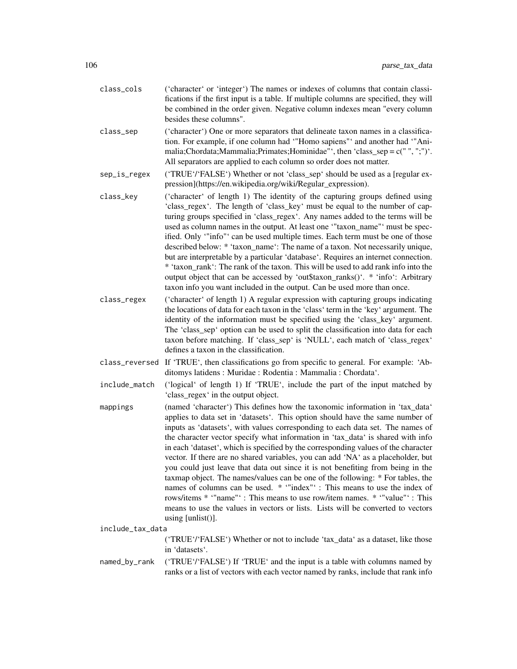- class\_cols ('character' or 'integer') The names or indexes of columns that contain classifications if the first input is a table. If multiple columns are specified, they will be combined in the order given. Negative column indexes mean "every column besides these columns".
- class\_sep ('character') One or more separators that delineate taxon names in a classification. For example, if one column had '"Homo sapiens"' and another had '"Animalia;Chordata;Mammalia;Primates;Hominidae"', then 'class\_sep = c(" ", ";")'. All separators are applied to each column so order does not matter.
- sep\_is\_regex ('TRUE'/'FALSE') Whether or not 'class\_sep' should be used as a [regular expression](https://en.wikipedia.org/wiki/Regular\_expression).
- class\_key ('character' of length 1) The identity of the capturing groups defined using 'class\_regex'. The length of 'class\_key' must be equal to the number of capturing groups specified in 'class\_regex'. Any names added to the terms will be used as column names in the output. At least one '"taxon\_name"' must be specified. Only '"info"' can be used multiple times. Each term must be one of those described below: \* 'taxon\_name': The name of a taxon. Not necessarily unique, but are interpretable by a particular 'database'. Requires an internet connection. \* 'taxon\_rank': The rank of the taxon. This will be used to add rank info into the output object that can be accessed by 'out\$taxon\_ranks()'. \* 'info': Arbitrary taxon info you want included in the output. Can be used more than once.
- class\_regex ('character' of length 1) A regular expression with capturing groups indicating the locations of data for each taxon in the 'class' term in the 'key' argument. The identity of the information must be specified using the 'class\_key' argument. The 'class sep' option can be used to split the classification into data for each taxon before matching. If 'class\_sep' is 'NULL', each match of 'class\_regex' defines a taxon in the classification.
- class\_reversed If 'TRUE', then classifications go from specific to general. For example: 'Abditomys latidens : Muridae : Rodentia : Mammalia : Chordata'.
- include\_match ('logical' of length 1) If 'TRUE', include the part of the input matched by 'class\_regex' in the output object.
- mappings (named 'character') This defines how the taxonomic information in 'tax\_data' applies to data set in 'datasets'. This option should have the same number of inputs as 'datasets', with values corresponding to each data set. The names of the character vector specify what information in 'tax\_data' is shared with info in each 'dataset', which is specified by the corresponding values of the character vector. If there are no shared variables, you can add 'NA' as a placeholder, but you could just leave that data out since it is not benefiting from being in the taxmap object. The names/values can be one of the following: \* For tables, the names of columns can be used. \* '"index"' : This means to use the index of rows/items \* '"name"' : This means to use row/item names. \* '"value"' : This means to use the values in vectors or lists. Lists will be converted to vectors using [unlist()].

include\_tax\_data

('TRUE'/'FALSE') Whether or not to include 'tax\_data' as a dataset, like those in 'datasets'.

named\_by\_rank ('TRUE'/'FALSE') If 'TRUE' and the input is a table with columns named by ranks or a list of vectors with each vector named by ranks, include that rank info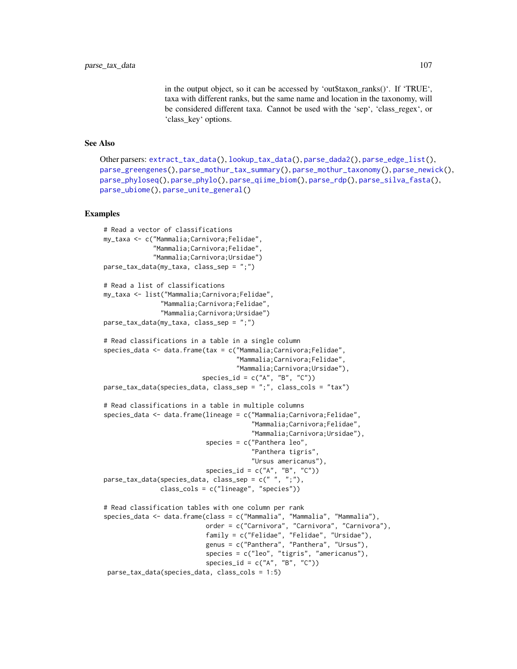in the output object, so it can be accessed by 'out\$taxon\_ranks()'. If 'TRUE', taxa with different ranks, but the same name and location in the taxonomy, will be considered different taxa. Cannot be used with the 'sep', 'class\_regex', or 'class\_key' options.

#### See Also

```
Other parsers: extract_tax_data(), lookup_tax_data(), parse_dada2(), parse_edge_list(),
parse_greengenes(), parse_mothur_tax_summary(), parse_mothur_taxonomy(), parse_newick(),
parse_phyloseq(), parse_phylo(), parse_qiime_biom(), parse_rdp(), parse_silva_fasta(),
parse_ubiome(), parse_unite_general()
```
#### Examples

```
# Read a vector of classifications
my_taxa <- c("Mammalia;Carnivora;Felidae",
             "Mammalia;Carnivora;Felidae",
             "Mammalia;Carnivora;Ursidae")
parse_tax_data(my_taxa, class_sep = ";")
# Read a list of classifications
my_taxa <- list("Mammalia;Carnivora;Felidae",
               "Mammalia;Carnivora;Felidae",
               "Mammalia;Carnivora;Ursidae")
parse_tax_data(my_taxa, class_sep = ";")
# Read classifications in a table in a single column
species_data <- data.frame(tax = c("Mammalia;Carnivora;Felidae",
                                   "Mammalia;Carnivora;Felidae",
                                   "Mammalia;Carnivora;Ursidae"),
                          species_id = c("A", "B", "C"))parse_tax_data(species_data, class_sep = ";", class_cols = "tax")
# Read classifications in a table in multiple columns
species_data <- data.frame(lineage = c("Mammalia;Carnivora;Felidae",
                                       "Mammalia;Carnivora;Felidae",
                                       "Mammalia;Carnivora;Ursidae"),
                           species = c("Panthera leo",
                                       "Panthera tigris",
                                       "Ursus americanus"),
                           species_id = c("A", "B", "C")parse_tax_data(species_data, class_sep = c(" ", ";"),
               class_cols = c("lineage", "species"))
# Read classification tables with one column per rank
species_data <- data.frame(class = c("Mammalia", "Mammalia", "Mammalia"),
                           order = c("Carnivora", "Carnivora", "Carnivora"),
                           family = c("Felidae", "Felidae", "Ursidae"),
                           genus = c("Panthera", "Panthera", "Ursus"),
                           species = c("leo", "tigris", "americanus"),
                           species_id = c("A", "B", "C"))parse_tax_data(species_data, class_cols = 1:5)
```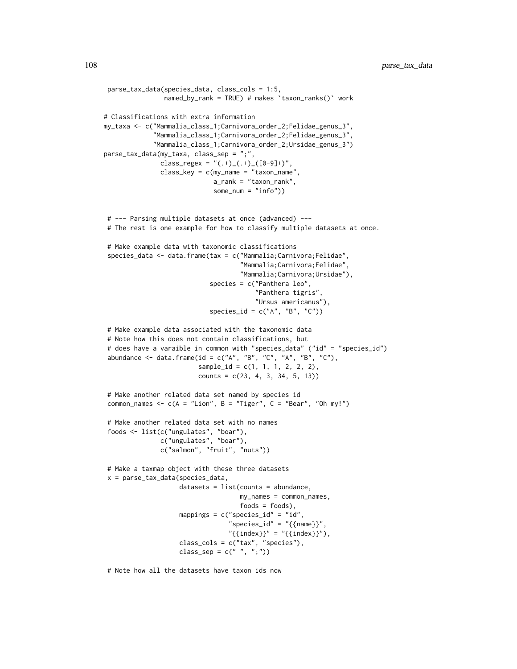```
parse_tax_data(species_data, class_cols = 1:5,
                named_by_rank = TRUE) # makes `taxon_ranks()` work
# Classifications with extra information
my_taxa <- c("Mammalia_class_1;Carnivora_order_2;Felidae_genus_3",
             "Mammalia_class_1;Carnivora_order_2;Felidae_genus_3",
             "Mammalia_class_1;Carnivora_order_2;Ursidae_genus_3")
parse_tax_data(my_taxa, class_sep = ";",
               class_regex = "(.+)_(.+)_([0-9]+)",
               class_key = c(my_name = "taxon_name",
                             a_rank = "taxon_rank",
                             some_num = "info"))
 # --- Parsing multiple datasets at once (advanced) ---
 # The rest is one example for how to classify multiple datasets at once.
 # Make example data with taxonomic classifications
 species_data <- data.frame(tax = c("Mammalia;Carnivora;Felidae",
                                    "Mammalia;Carnivora;Felidae",
                                    "Mammalia;Carnivora;Ursidae"),
                            species = c("Panthera leo",
                                         "Panthera tigris",
                                         "Ursus americanus"),
                            species_id = c("A", "B", "C"))# Make example data associated with the taxonomic data
 # Note how this does not contain classifications, but
 # does have a varaible in common with "species_data" ("id" = "species_id")
 abundance \leq data.frame(id = c("A", "B", "C", "A", "B", "C"),
                         sample_id = c(1, 1, 1, 2, 2, 2),
                         counts = c(23, 4, 3, 34, 5, 13))# Make another related data set named by species id
 common_names \leq c(A = "Lion", B = "Tiger", C = "Bear", "Oh my!")# Make another related data set with no names
 foods <- list(c("ungulates", "boar"),
               c("ungulates", "boar"),
               c("salmon", "fruit", "nuts"))
 # Make a taxmap object with these three datasets
 x = parse_tax_data(species_data,
                    datasets = list(counts = abundance,
                                    my_names = common_names,
                                    foods = foods),
                    mappings = c("species_id" = "id","species_id" = "{\text{name}}",
                                 "{\text{index}}" = "{\text{index}}",class_cols = c("tax", "species"),
                    class_sep = c(" " , " ;"))
```
# Note how all the datasets have taxon ids now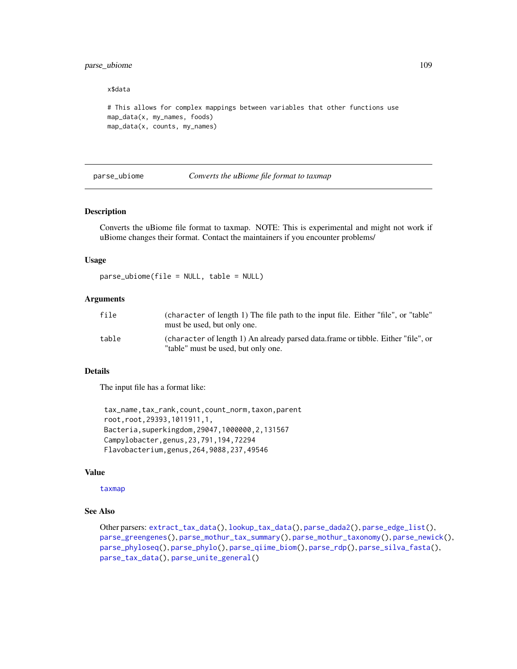# parse\_ubiome 109

#### x\$data

```
# This allows for complex mappings between variables that other functions use
map_data(x, my_names, foods)
map_data(x, counts, my_names)
```
<span id="page-108-0"></span>parse\_ubiome *Converts the uBiome file format to taxmap*

### Description

Converts the uBiome file format to taxmap. NOTE: This is experimental and might not work if uBiome changes their format. Contact the maintainers if you encounter problems/

### Usage

parse\_ubiome(file = NULL, table = NULL)

### **Arguments**

| file  | (character of length 1) The file path to the input file. Either "file", or "table"<br>must be used, but only one.        |
|-------|--------------------------------------------------------------------------------------------------------------------------|
| table | (character of length 1) An already parsed data frame or tibble. Either "file", or<br>"table" must be used, but only one. |

## Details

The input file has a format like:

tax\_name,tax\_rank,count,count\_norm,taxon,parent root,root,29393,1011911,1, Bacteria,superkingdom,29047,1000000,2,131567 Campylobacter,genus,23,791,194,72294 Flavobacterium,genus,264,9088,237,49546

### Value

[taxmap](#page-138-0)

# See Also

Other parsers: [extract\\_tax\\_data\(](#page-34-0)), [lookup\\_tax\\_data\(](#page-73-0)), [parse\\_dada2\(](#page-93-0)), [parse\\_edge\\_list\(](#page-0-0)), [parse\\_greengenes\(](#page-94-0)), [parse\\_mothur\\_tax\\_summary\(](#page-96-0)), [parse\\_mothur\\_taxonomy\(](#page-95-0)), [parse\\_newick\(](#page-97-0)), [parse\\_phyloseq\(](#page-99-0)), [parse\\_phylo\(](#page-98-0)), [parse\\_qiime\\_biom\(](#page-101-0)), [parse\\_rdp\(](#page-102-0)), [parse\\_silva\\_fasta\(](#page-103-0)), [parse\\_tax\\_data\(](#page-104-0)), [parse\\_unite\\_general\(](#page-109-0))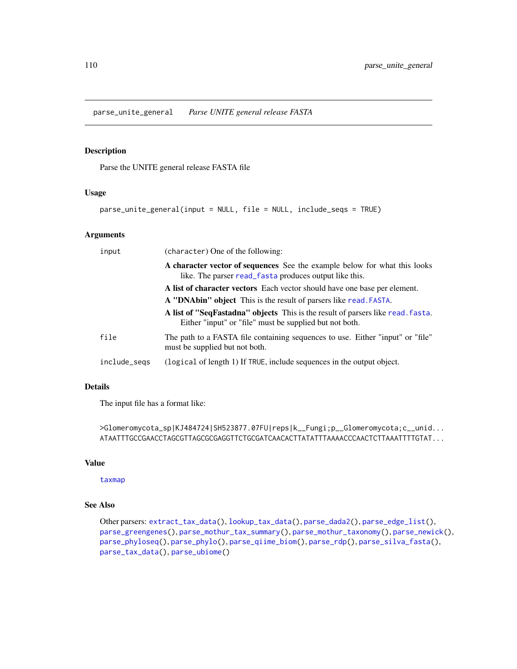<span id="page-109-0"></span>parse\_unite\_general *Parse UNITE general release FASTA*

### Description

Parse the UNITE general release FASTA file

### Usage

parse\_unite\_general(input = NULL, file = NULL, include\_seqs = TRUE)

# Arguments

| input        | (character) One of the following:                                                                                                          |
|--------------|--------------------------------------------------------------------------------------------------------------------------------------------|
|              | A character vector of sequences See the example below for what this looks<br>like. The parser read_fasta produces output like this.        |
|              | A list of character vectors Each vector should have one base per element.                                                                  |
|              | <b>A "DNAbin" object</b> This is the result of parsers like read. FASTA.                                                                   |
|              | A list of "SeqFastadna" objects This is the result of parsers like read. fasta.<br>Either "input" or "file" must be supplied but not both. |
| file         | The path to a FASTA file containing sequences to use. Either "input" or "file"<br>must be supplied but not both.                           |
| include_segs | (logical of length 1) If TRUE, include sequences in the output object.                                                                     |

## Details

The input file has a format like:

```
>Glomeromycota_sp|KJ484724|SH523877.07FU|reps|k__Fungi;p__Glomeromycota;c__unid...
ATAATTTGCCGAACCTAGCGTTAGCGCGAGGTTCTGCGATCAACACTTATATTTAAAACCCAACTCTTAAATTTTGTAT...
```
## Value

[taxmap](#page-138-0)

# See Also

Other parsers: [extract\\_tax\\_data\(](#page-34-0)), [lookup\\_tax\\_data\(](#page-73-0)), [parse\\_dada2\(](#page-93-0)), [parse\\_edge\\_list\(](#page-0-0)), [parse\\_greengenes\(](#page-94-0)), [parse\\_mothur\\_tax\\_summary\(](#page-96-0)), [parse\\_mothur\\_taxonomy\(](#page-95-0)), [parse\\_newick\(](#page-97-0)), [parse\\_phyloseq\(](#page-99-0)), [parse\\_phylo\(](#page-98-0)), [parse\\_qiime\\_biom\(](#page-101-0)), [parse\\_rdp\(](#page-102-0)), [parse\\_silva\\_fasta\(](#page-103-0)), [parse\\_tax\\_data\(](#page-104-0)), [parse\\_ubiome\(](#page-108-0))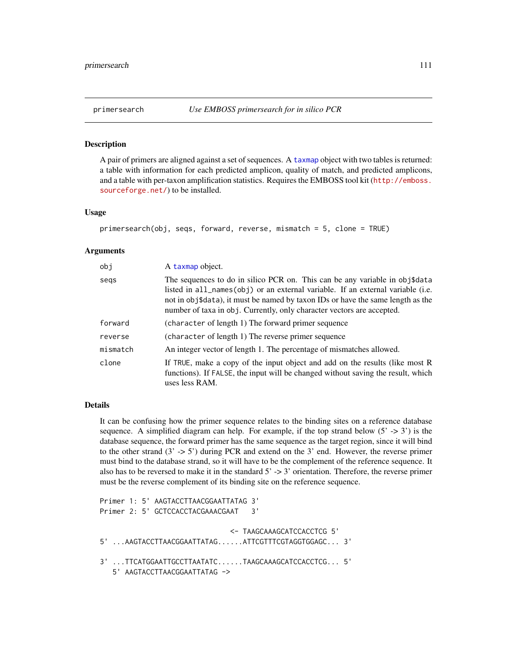### Description

A pair of primers are aligned against a set of sequences. A [taxmap](#page-138-0) object with two tables is returned: a table with information for each predicted amplicon, quality of match, and predicted amplicons, and a table with per-taxon amplification statistics. Requires the EMBOSS tool kit ([http://emboss.](http://emboss.sourceforge.net/) [sourceforge.net/](http://emboss.sourceforge.net/)) to be installed.

# Usage

```
primersearch(obj, seqs, forward, reverse, mismatch = 5, clone = TRUE)
```
### Arguments

| obj      | A taxmap object.                                                                                                                                                                                                                                                                                                            |
|----------|-----------------------------------------------------------------------------------------------------------------------------------------------------------------------------------------------------------------------------------------------------------------------------------------------------------------------------|
| segs     | The sequences to do in silico PCR on. This can be any variable in obj\$data<br>listed in all_names(obj) or an external variable. If an external variable (i.e.<br>not in obj\$data), it must be named by taxon IDs or have the same length as the<br>number of taxa in obj. Currently, only character vectors are accepted. |
| forward  | (character of length 1) The forward primer sequence                                                                                                                                                                                                                                                                         |
| reverse  | (character of length 1) The reverse primer sequence                                                                                                                                                                                                                                                                         |
| mismatch | An integer vector of length 1. The percentage of mismatches allowed.                                                                                                                                                                                                                                                        |
| clone    | If TRUE, make a copy of the input object and add on the results (like most R<br>functions). If FALSE, the input will be changed without saving the result, which<br>uses less RAM.                                                                                                                                          |

#### Details

It can be confusing how the primer sequence relates to the binding sites on a reference database sequence. A simplified diagram can help. For example, if the top strand below  $(5 \rightarrow 3')$  is the database sequence, the forward primer has the same sequence as the target region, since it will bind to the other strand  $(3 \rightarrow 5')$  during PCR and extend on the 3' end. However, the reverse primer must bind to the database strand, so it will have to be the complement of the reference sequence. It also has to be reversed to make it in the standard  $5' \rightarrow 3'$  orientation. Therefore, the reverse primer must be the reverse complement of its binding site on the reference sequence.

```
Primer 1: 5' AAGTACCTTAACGGAATTATAG 3'
Primer 2: 5' GCTCCACCTACGAAACGAAT 3'
                               <- TAAGCAAAGCATCCACCTCG 5'
5' ...AAGTACCTTAACGGAATTATAG......ATTCGTTTCGTAGGTGGAGC... 3'
3' ...TTCATGGAATTGCCTTAATATC......TAAGCAAAGCATCCACCTCG... 5'
   5' AAGTACCTTAACGGAATTATAG ->
```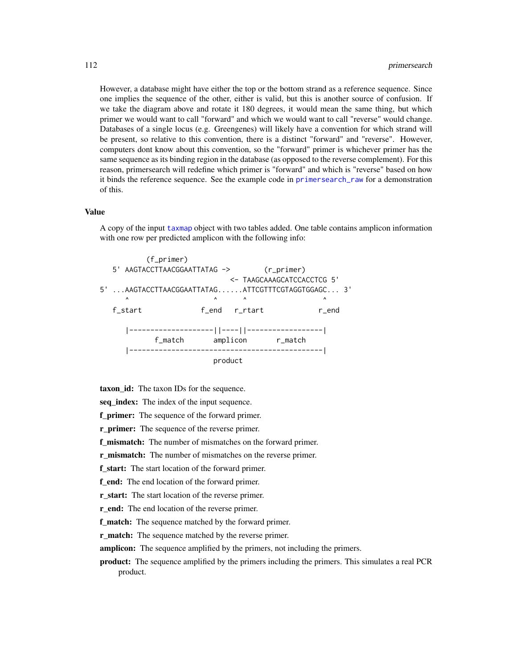However, a database might have either the top or the bottom strand as a reference sequence. Since one implies the sequence of the other, either is valid, but this is another source of confusion. If we take the diagram above and rotate it 180 degrees, it would mean the same thing, but which primer we would want to call "forward" and which we would want to call "reverse" would change. Databases of a single locus (e.g. Greengenes) will likely have a convention for which strand will be present, so relative to this convention, there is a distinct "forward" and "reverse". However, computers dont know about this convention, so the "forward" primer is whichever primer has the same sequence as its binding region in the database (as opposed to the reverse complement). For this reason, primersearch will redefine which primer is "forward" and which is "reverse" based on how it binds the reference sequence. See the example code in [primersearch\\_raw](#page-113-0) for a demonstration of this.

### Value

A copy of the input [taxmap](#page-138-0) object with two tables added. One table contains amplicon information with one row per predicted amplicon with the following info:



taxon\_id: The taxon IDs for the sequence.

seq\_index: The index of the input sequence.

f\_primer: The sequence of the forward primer.

r primer: The sequence of the reverse primer.

f\_mismatch: The number of mismatches on the forward primer.

r\_mismatch: The number of mismatches on the reverse primer.

f\_start: The start location of the forward primer.

f\_end: The end location of the forward primer.

r\_start: The start location of the reverse primer.

r end: The end location of the reverse primer.

f match: The sequence matched by the forward primer.

r match: The sequence matched by the reverse primer.

amplicon: The sequence amplified by the primers, not including the primers.

product: The sequence amplified by the primers including the primers. This simulates a real PCR product.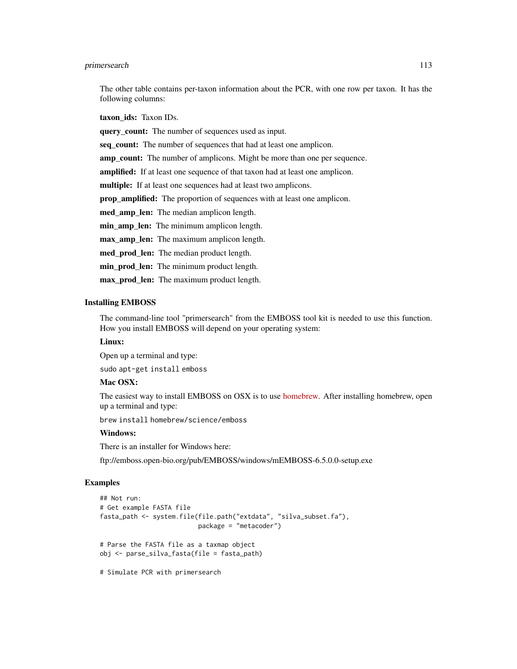## primersearch 113

The other table contains per-taxon information about the PCR, with one row per taxon. It has the following columns:

taxon ids: Taxon IDs.

query count: The number of sequences used as input.

seq\_count: The number of sequences that had at least one amplicon.

amp\_count: The number of amplicons. Might be more than one per sequence.

amplified: If at least one sequence of that taxon had at least one amplicon.

multiple: If at least one sequences had at least two amplicons.

prop\_amplified: The proportion of sequences with at least one amplicon.

med\_amp\_len: The median amplicon length.

min\_amp\_len: The minimum amplicon length.

max\_amp\_len: The maximum amplicon length.

med\_prod\_len: The median product length.

min prod len: The minimum product length.

max\_prod\_len: The maximum product length.

# Installing EMBOSS

The command-line tool "primersearch" from the EMBOSS tool kit is needed to use this function. How you install EMBOSS will depend on your operating system:

## Linux:

Open up a terminal and type:

sudo apt-get install emboss

# Mac OSX:

The easiest way to install EMBOSS on OSX is to use [homebrew.](https://brew.sh/) After installing homebrew, open up a terminal and type:

brew install homebrew/science/emboss

# Windows:

There is an installer for Windows here:

ftp://emboss.open-bio.org/pub/EMBOSS/windows/mEMBOSS-6.5.0.0-setup.exe

```
## Not run:
# Get example FASTA file
fasta_path <- system.file(file.path("extdata", "silva_subset.fa"),
                          package = "metacoder")
# Parse the FASTA file as a taxmap object
obj <- parse_silva_fasta(file = fasta_path)
# Simulate PCR with primersearch
```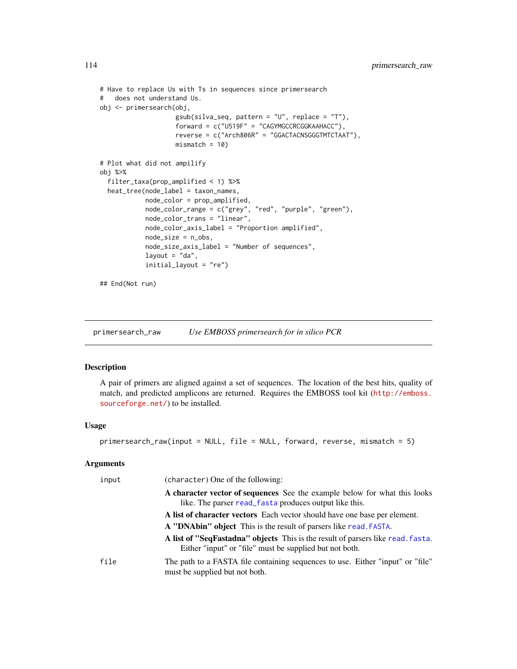```
# Have to replace Us with Ts in sequences since primersearch
# does not understand Us.
obj <- primersearch(obj,
                    gsub(silva_seq, pattern = "U", replace = "T"),
                    forward = c("U519F" = "CAGYMGCCRCGGKAAHACC"),
                    reverse = c("Arch806R" = "GGACTACNSGGGTMTCTAAT"),
                    mismatch = 10# Plot what did not ampilify
obj %>%
  filter_taxa(prop_amplified < 1) %>%
  heat_tree(node_label = taxon_names,
            node_color = prop_amplified,
            node_color_range = c("grey", "red", "purple", "green"),
            node_color_trans = "linear",
            node_color_axis_label = "Proportion amplified",
            node_size = n_obs,
            node_size_axis_label = "Number of sequences",
            layout = "da",initial_layout = "re")
## End(Not run)
```
<span id="page-113-0"></span>primersearch\_raw *Use EMBOSS primersearch for in silico PCR*

# Description

A pair of primers are aligned against a set of sequences. The location of the best hits, quality of match, and predicted amplicons are returned. Requires the EMBOSS tool kit ([http://emboss.](http://emboss.sourceforge.net/) [sourceforge.net/](http://emboss.sourceforge.net/)) to be installed.

#### Usage

```
primersearch_raw(input = NULL, file = NULL, forward, reverse, mismatch = 5)
```

| input | (character) One of the following:                                                                                                          |
|-------|--------------------------------------------------------------------------------------------------------------------------------------------|
|       | A character vector of sequences See the example below for what this looks<br>like. The parser read_fasta produces output like this.        |
|       | A list of character vectors Each vector should have one base per element.                                                                  |
|       | <b>A "DNAbin" object</b> This is the result of parsers like read. FASTA.                                                                   |
|       | A list of "SeqFastadna" objects This is the result of parsers like read. fasta.<br>Either "input" or "file" must be supplied but not both. |
| file  | The path to a FASTA file containing sequences to use. Either "input" or "file"<br>must be supplied but not both.                           |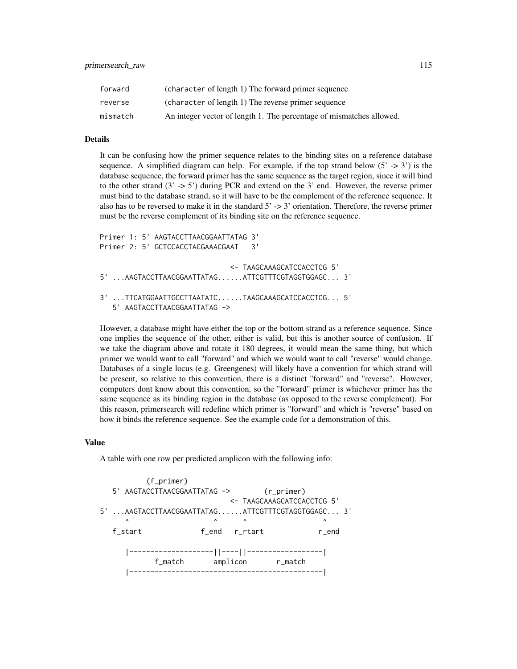| forward  | (character of length 1) The forward primer sequence                  |
|----------|----------------------------------------------------------------------|
| reverse  | (character of length 1) The reverse primer sequence                  |
| mismatch | An integer vector of length 1. The percentage of mismatches allowed. |

# Details

It can be confusing how the primer sequence relates to the binding sites on a reference database sequence. A simplified diagram can help. For example, if the top strand below  $(5 \rightarrow 3')$  is the database sequence, the forward primer has the same sequence as the target region, since it will bind to the other strand (3' -> 5') during PCR and extend on the 3' end. However, the reverse primer must bind to the database strand, so it will have to be the complement of the reference sequence. It also has to be reversed to make it in the standard  $5' \rightarrow 3'$  orientation. Therefore, the reverse primer must be the reverse complement of its binding site on the reference sequence.

```
Primer 1: 5' AAGTACCTTAACGGAATTATAG 3'
Primer 2: 5' GCTCCACCTACGAAACGAAT 3'
                               <- TAAGCAAAGCATCCACCTCG 5'
5' ...AAGTACCTTAACGGAATTATAG......ATTCGTTTCGTAGGTGGAGC... 3'
3' ...TTCATGGAATTGCCTTAATATC......TAAGCAAAGCATCCACCTCG... 5'
   5' AAGTACCTTAACGGAATTATAG ->
```
However, a database might have either the top or the bottom strand as a reference sequence. Since one implies the sequence of the other, either is valid, but this is another source of confusion. If we take the diagram above and rotate it 180 degrees, it would mean the same thing, but which primer we would want to call "forward" and which we would want to call "reverse" would change. Databases of a single locus (e.g. Greengenes) will likely have a convention for which strand will be present, so relative to this convention, there is a distinct "forward" and "reverse". However, computers dont know about this convention, so the "forward" primer is whichever primer has the same sequence as its binding region in the database (as opposed to the reverse complement). For this reason, primersearch will redefine which primer is "forward" and which is "reverse" based on how it binds the reference sequence. See the example code for a demonstration of this.

### Value

A table with one row per predicted amplicon with the following info:

```
(f_primer)
   5' AAGTACCTTAACGGAATTATAG -> (r_primer)
                                 <- TAAGCAAAGCATCCACCTCG 5'
5' ...AAGTACCTTAACGGAATTATAG......ATTCGTTTCGTAGGTGGAGC... 3'
      \begin{array}{ccccccccccccccccc} \wedge & \wedge & \wedge & \wedge & \wedge & \wedge & \wedge & \wedge & \wedge & \wedge \end{array}f_start f_end r_rtart r_end
      |--------------------||----||------------------|
             f_match amplicon r_match
      |----------------------------------------------|
```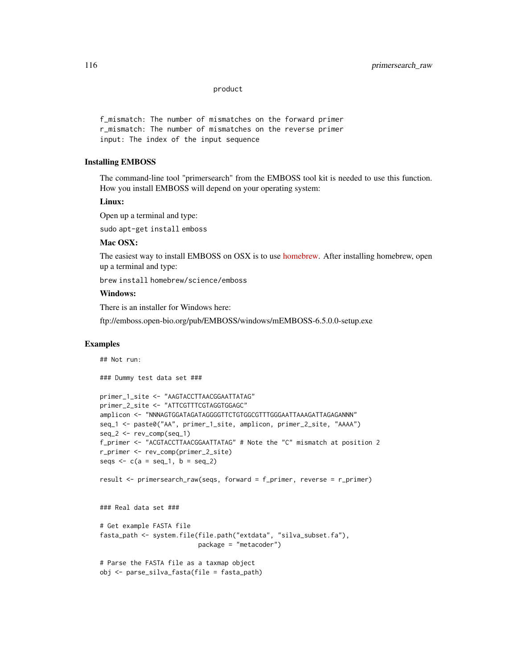product

f\_mismatch: The number of mismatches on the forward primer r\_mismatch: The number of mismatches on the reverse primer input: The index of the input sequence

## Installing EMBOSS

The command-line tool "primersearch" from the EMBOSS tool kit is needed to use this function. How you install EMBOSS will depend on your operating system:

### Linux:

Open up a terminal and type:

sudo apt-get install emboss

## Mac OSX:

The easiest way to install EMBOSS on OSX is to use [homebrew.](https://brew.sh/) After installing homebrew, open up a terminal and type:

brew install homebrew/science/emboss

# Windows:

There is an installer for Windows here:

ftp://emboss.open-bio.org/pub/EMBOSS/windows/mEMBOSS-6.5.0.0-setup.exe

#### Examples

## Not run:

### Dummy test data set ###

```
primer_1_site <- "AAGTACCTTAACGGAATTATAG"
primer_2_site <- "ATTCGTTTCGTAGGTGGAGC"
amplicon <- "NNNAGTGGATAGATAGGGGTTCTGTGGCGTTTGGGAATTAAAGATTAGAGANNN"
seq_1 <- paste0("AA", primer_1_site, amplicon, primer_2_site, "AAAA")
seq_2 <- rev_comp(seq_1)
f_primer <- "ACGTACCTTAACGGAATTATAG" # Note the "C" mismatch at position 2
r_primer <- rev_comp(primer_2_site)
seqs \leq c(a = seq_1, b = seq_2)
result <- primersearch_raw(seqs, forward = f_primer, reverse = r_primer)
### Real data set ###
```

```
# Get example FASTA file
fasta_path <- system.file(file.path("extdata", "silva_subset.fa"),
                          package = "metacoder")
```

```
# Parse the FASTA file as a taxmap object
obj <- parse_silva_fasta(file = fasta_path)
```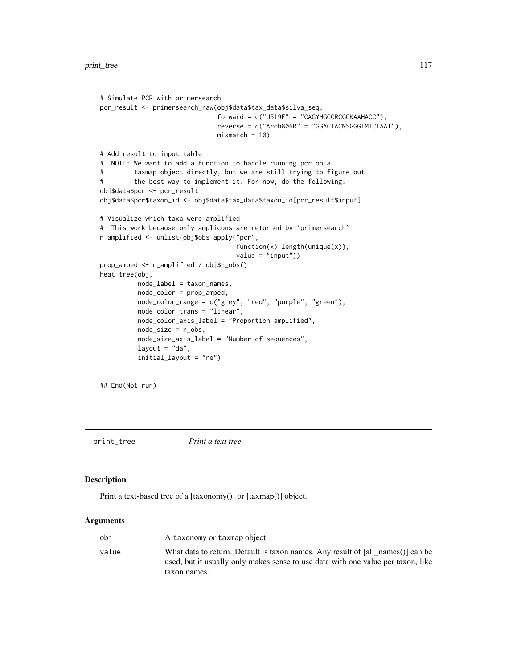```
# Simulate PCR with primersearch
pcr_result <- primersearch_raw(obj$data$tax_data$silva_seq,
                              forward = c("U519F" = "CAGYMGCCRCGGKAAHACC"),
                              reverse = c("Arch806R" = "GGACTACNSGGGTMTCTAAT"),
                              mismatch = 10# Add result to input table
# NOTE: We want to add a function to handle running pcr on a
# taxmap object directly, but we are still trying to figure out
# the best way to implement it. For now, do the following:
obj$data$pcr <- pcr_result
obj$data$pcr$taxon_id <- obj$data$tax_data$taxon_id[pcr_result$input]
# Visualize which taxa were amplified
# This work because only amplicons are returned by `primersearch`
n_amplified <- unlist(obj$obs_apply("pcr",
                                   function(x) length(unique(x)),
                                   value = "input")prop_amped <- n_amplified / obj$n_obs()
heat_tree(obj,
         node_label = taxon_names,
         node_color = prop_amped,
         node_color_range = c("grey", "red", "purple", "green"),
         node_color_trans = "linear",
          node_color_axis_label = "Proportion amplified",
         node_size = n_obs,
         node_size_axis_label = "Number of sequences",
         layout = "da",
         initial_layout = "re")
```
## End(Not run)

print\_tree *Print a text tree*

### **Description**

Print a text-based tree of a [taxonomy()] or [taxmap()] object.

| obi   | A taxonomy or taxmap object                                                                                                                                         |
|-------|---------------------------------------------------------------------------------------------------------------------------------------------------------------------|
| value | What data to return. Default is taxon names. Any result of [all names()] can be<br>used, but it usually only makes sense to use data with one value per taxon, like |
|       | taxon names.                                                                                                                                                        |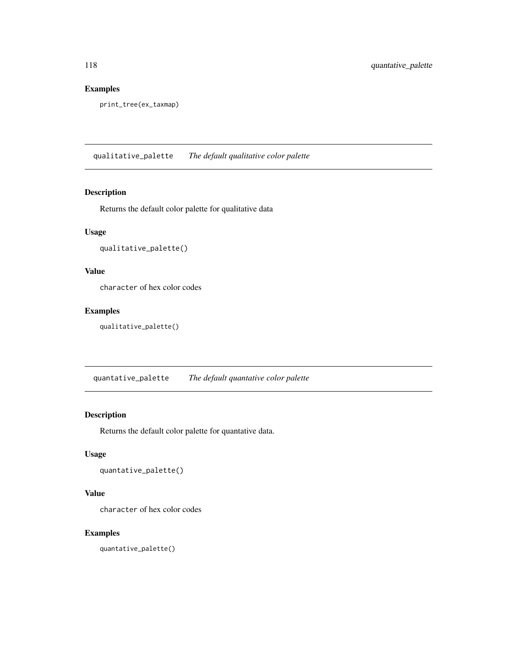# Examples

print\_tree(ex\_taxmap)

qualitative\_palette *The default qualitative color palette*

### Description

Returns the default color palette for qualitative data

# Usage

```
qualitative_palette()
```
# Value

character of hex color codes

# Examples

qualitative\_palette()

quantative\_palette *The default quantative color palette*

# Description

Returns the default color palette for quantative data.

## Usage

quantative\_palette()

## Value

character of hex color codes

# Examples

quantative\_palette()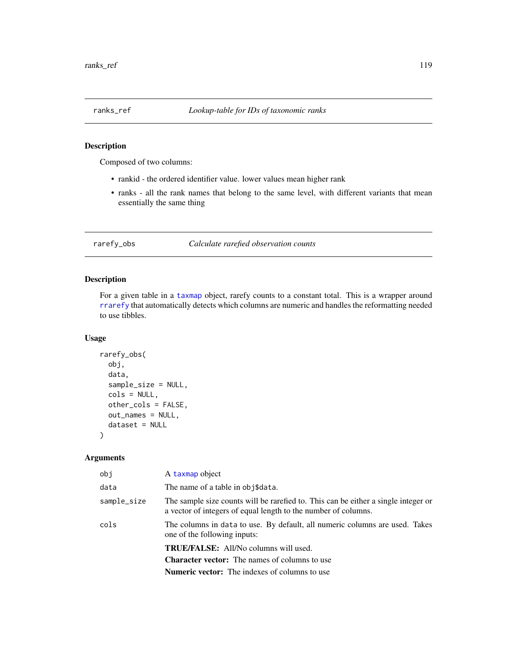# Description

Composed of two columns:

- rankid the ordered identifier value. lower values mean higher rank
- ranks all the rank names that belong to the same level, with different variants that mean essentially the same thing

### rarefy\_obs *Calculate rarefied observation counts*

### Description

For a given table in a [taxmap](#page-138-0) object, rarefy counts to a constant total. This is a wrapper around [rrarefy](#page-0-0) that automatically detects which columns are numeric and handles the reformatting needed to use tibbles.

## Usage

```
rarefy_obs(
 obj,
  data,
  sample_size = NULL,
  cols = NULL,other_cols = FALSE,
  out_names = NULL,
  dataset = NULL)
```

| obj         | A taxmap object                                                                                                                                      |
|-------------|------------------------------------------------------------------------------------------------------------------------------------------------------|
| data        | The name of a table in obj\$data.                                                                                                                    |
| sample_size | The sample size counts will be rarefied to. This can be either a single integer or<br>a vector of integers of equal length to the number of columns. |
| cols        | The columns in data to use. By default, all numeric columns are used. Takes<br>one of the following inputs:                                          |
|             | <b>TRUE/FALSE:</b> All/No columns will used.                                                                                                         |
|             | <b>Character vector:</b> The names of columns to use                                                                                                 |
|             | <b>Numeric vector:</b> The indexes of columns to use                                                                                                 |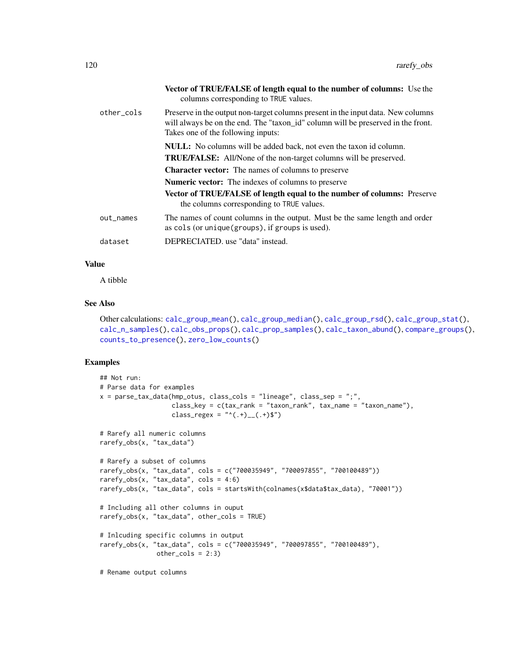|            | <b>Vector of TRUE/FALSE of length equal to the number of columns:</b> Use the<br>columns corresponding to TRUE values.                                                                                     |
|------------|------------------------------------------------------------------------------------------------------------------------------------------------------------------------------------------------------------|
| other cols | Preserve in the output non-target columns present in the input data. New columns<br>will always be on the end. The "taxon_id" column will be preserved in the front.<br>Takes one of the following inputs: |
|            | <b>NULL:</b> No columns will be added back, not even the taxon id column.<br><b>TRUE/FALSE:</b> All/None of the non-target columns will be preserved.                                                      |
|            | <b>Character vector:</b> The names of columns to preserve                                                                                                                                                  |
|            | <b>Numeric vector:</b> The indexes of columns to preserve                                                                                                                                                  |
|            | <b>Vector of TRUE/FALSE of length equal to the number of columns:</b> Preserve<br>the columns corresponding to TRUE values.                                                                                |
| out_names  | The names of count columns in the output. Must be the same length and order<br>as cols (or unique (groups), if groups is used).                                                                            |
| dataset    | DEPRECIATED, use "data" instead.                                                                                                                                                                           |

## Value

A tibble

## See Also

Other calculations: [calc\\_group\\_mean\(](#page-13-0)), [calc\\_group\\_median\(](#page-15-0)), [calc\\_group\\_rsd\(](#page-17-0)), [calc\\_group\\_stat\(](#page-19-0)), [calc\\_n\\_samples\(](#page-21-0)), [calc\\_obs\\_props\(](#page-23-0)), [calc\\_prop\\_samples\(](#page-25-0)), [calc\\_taxon\\_abund\(](#page-0-0)), [compare\\_groups\(](#page-28-0)), [counts\\_to\\_presence\(](#page-31-0)), [zero\\_low\\_counts\(](#page-159-0))

```
## Not run:
# Parse data for examples
x = parse\_tax\_data(hmp\_otus, class\_cols = "lineage", class_sep = ";"class_key = c(tax_rank = "taxon_rank", tax_name = "taxon_name"),
                   class_regex = "^(.+)__(.+)$")
# Rarefy all numeric columns
rarefy_obs(x, "tax_data")
# Rarefy a subset of columns
rarefy_obs(x, "tax_data", cols = c("700035949", "700097855", "700100489"))
rarefy_obs(x, "tax_data", \text{cols} = 4:6)
rarefy_obs(x, "tax_data", cols = startsWith(colnames(x$data$tax_data), "70001"))
# Including all other columns in ouput
rarefy_obs(x, "tax_data", other_cols = TRUE)
# Inlcuding specific columns in output
rarefy_obs(x, "tax_data", cols = c("700035949", "700097855", "700100489"),
               other_cols = 2:3)
# Rename output columns
```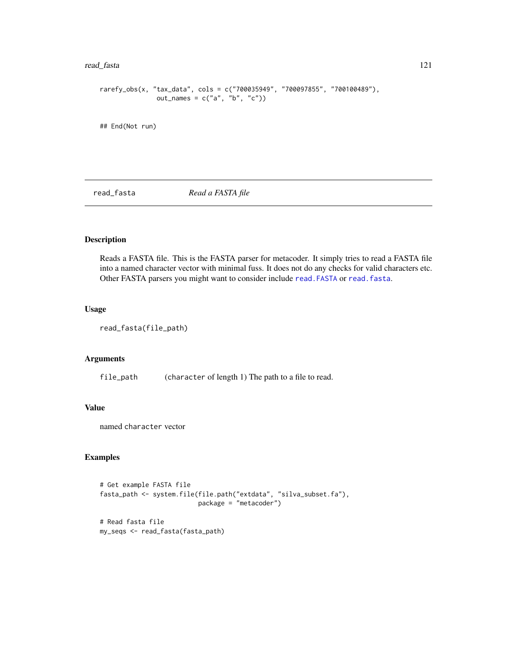### read\_fasta 121

```
rarefy_obs(x, "tax_data", cols = c("700035949", "700097855", "700100489"),
              out_names = c("a", "b", "c")
```
## End(Not run)

<span id="page-120-0"></span>read\_fasta *Read a FASTA file*

# Description

Reads a FASTA file. This is the FASTA parser for metacoder. It simply tries to read a FASTA file into a named character vector with minimal fuss. It does not do any checks for valid characters etc. Other FASTA parsers you might want to consider include [read.FASTA](#page-0-0) or [read.fasta](#page-0-0).

# Usage

```
read_fasta(file_path)
```
### Arguments

file\_path (character of length 1) The path to a file to read.

### Value

named character vector

```
# Get example FASTA file
fasta_path <- system.file(file.path("extdata", "silva_subset.fa"),
                          package = "metacoder")
# Read fasta file
my_seqs <- read_fasta(fasta_path)
```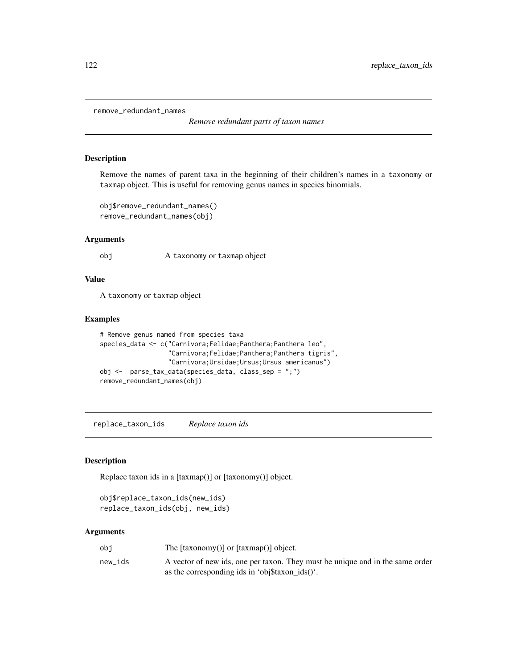remove\_redundant\_names

*Remove redundant parts of taxon names*

## Description

Remove the names of parent taxa in the beginning of their children's names in a taxonomy or taxmap object. This is useful for removing genus names in species binomials.

```
obj$remove_redundant_names()
remove_redundant_names(obj)
```
## Arguments

obj A taxonomy or taxmap object

### Value

A taxonomy or taxmap object

### Examples

```
# Remove genus named from species taxa
species_data <- c("Carnivora;Felidae;Panthera;Panthera leo",
                  "Carnivora;Felidae;Panthera;Panthera tigris",
                  "Carnivora;Ursidae;Ursus;Ursus americanus")
obj <- parse_tax_data(species_data, class_sep = ";")
remove_redundant_names(obj)
```
replace\_taxon\_ids *Replace taxon ids*

## Description

Replace taxon ids in a [taxmap()] or [taxonomy()] object.

```
obj$replace_taxon_ids(new_ids)
replace_taxon_ids(obj, new_ids)
```

| obi     | The $[taxonomy()]$ or $[taxmap()]$ object.                                                                                       |
|---------|----------------------------------------------------------------------------------------------------------------------------------|
| new ids | A vector of new ids, one per taxon. They must be unique and in the same order<br>as the corresponding ids in 'obj\$taxon ids()'. |
|         |                                                                                                                                  |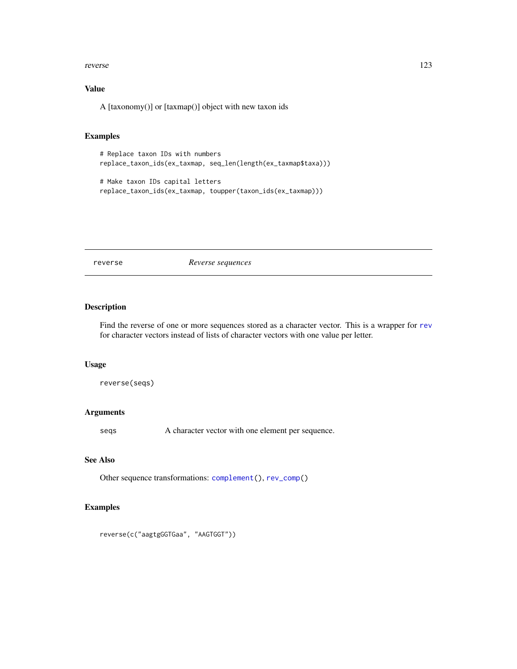### reverse that the contract of the contract of the contract of the contract of the contract of the contract of the contract of the contract of the contract of the contract of the contract of the contract of the contract of t

# Value

A [taxonomy()] or [taxmap()] object with new taxon ids

## Examples

```
# Replace taxon IDs with numbers
replace_taxon_ids(ex_taxmap, seq_len(length(ex_taxmap$taxa)))
# Make taxon IDs capital letters
replace_taxon_ids(ex_taxmap, toupper(taxon_ids(ex_taxmap)))
```
<span id="page-122-0"></span>

reverse *Reverse sequences*

# Description

Find the reverse of one or more sequences stored as a character vector. This is a wrapper for [rev](#page-0-0) for character vectors instead of lists of character vectors with one value per letter.

## Usage

```
reverse(seqs)
```
## Arguments

seqs A character vector with one element per sequence.

## See Also

Other sequence transformations: [complement\(](#page-30-0)), [rev\\_comp\(](#page-123-0))

```
reverse(c("aagtgGGTGaa", "AAGTGGT"))
```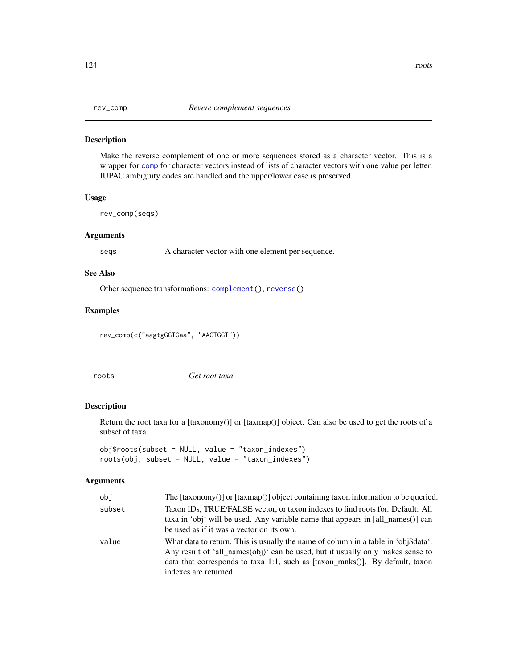<span id="page-123-0"></span>

## Description

Make the reverse complement of one or more sequences stored as a character vector. This is a wrapper for [comp](#page-0-0) for character vectors instead of lists of character vectors with one value per letter. IUPAC ambiguity codes are handled and the upper/lower case is preserved.

### Usage

rev\_comp(seqs)

### Arguments

seqs A character vector with one element per sequence.

# See Also

Other sequence transformations: [complement\(](#page-30-0)), [reverse\(](#page-122-0))

# Examples

rev\_comp(c("aagtgGGTGaa", "AAGTGGT"))

<span id="page-123-1"></span>roots *Get root taxa*

# Description

Return the root taxa for a [taxonomy()] or [taxmap()] object. Can also be used to get the roots of a subset of taxa.

obj\$roots(subset = NULL, value = "taxon\_indexes") roots(obj, subset = NULL, value = "taxon\_indexes")

| obj    | The $[taxonomy()]$ or $[taxmap()]$ object containing taxon information to be queried.                                                                                                                                                                                                    |
|--------|------------------------------------------------------------------------------------------------------------------------------------------------------------------------------------------------------------------------------------------------------------------------------------------|
| subset | Taxon IDs, TRUE/FALSE vector, or taxon indexes to find roots for. Default: All<br>taxa in 'obj' will be used. Any variable name that appears in [all_names()] can<br>be used as if it was a vector on its own.                                                                           |
| value  | What data to return. This is usually the name of column in a table in 'obj\$data'.<br>Any result of 'all_names $(obj)'$ can be used, but it usually only makes sense to<br>data that corresponds to taxa 1:1, such as $[$ taxon_ranks $()$ ]. By default, taxon<br>indexes are returned. |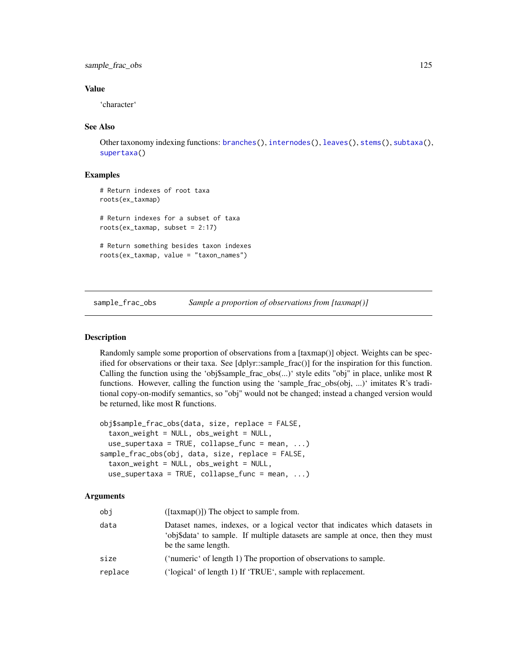sample\_frac\_obs 125

## Value

'character'

### See Also

Other taxonomy indexing functions: [branches\(](#page-12-0)), [internodes\(](#page-64-0)), [leaves\(](#page-71-0)), [stems\(](#page-131-0)), [subtaxa\(](#page-132-0)), [supertaxa\(](#page-134-0))

### Examples

```
# Return indexes of root taxa
roots(ex_taxmap)
# Return indexes for a subset of taxa
roots(ex_taxmap, subset = 2:17)
# Return something besides taxon indexes
roots(ex_taxmap, value = "taxon_names")
```
<span id="page-124-0"></span>sample\_frac\_obs *Sample a proportion of observations from [taxmap()]*

### Description

Randomly sample some proportion of observations from a [taxmap()] object. Weights can be specified for observations or their taxa. See [dplyr::sample\_frac()] for the inspiration for this function. Calling the function using the 'obj\$sample\_frac\_obs(...)' style edits "obj" in place, unlike most R functions. However, calling the function using the 'sample\_frac\_obs(obj, ...)' imitates R's traditional copy-on-modify semantics, so "obj" would not be changed; instead a changed version would be returned, like most R functions.

```
obj$sample_frac_obs(data, size, replace = FALSE,
  taxon_weight = NULL, obs_weight = NULL,
  use_supertaxa = TRUE, collapse_func = mean, \ldots)
sample_frac_obs(obj, data, size, replace = FALSE,
  taxon_weight = NULL, obs_weight = NULL,
  use_supertaxa = TRUE, collapse_func = mean, ...
```

| obi     | $([taxmap()])$ The object to sample from.                                                                                                                                             |
|---------|---------------------------------------------------------------------------------------------------------------------------------------------------------------------------------------|
| data    | Dataset names, indexes, or a logical vector that indicates which datasets in<br>'obj\$data' to sample. If multiple datasets are sample at once, then they must<br>be the same length. |
| size    | ('numeric' of length 1) The proportion of observations to sample.                                                                                                                     |
| replace | ('logical' of length 1) If 'TRUE', sample with replacement.                                                                                                                           |
|         |                                                                                                                                                                                       |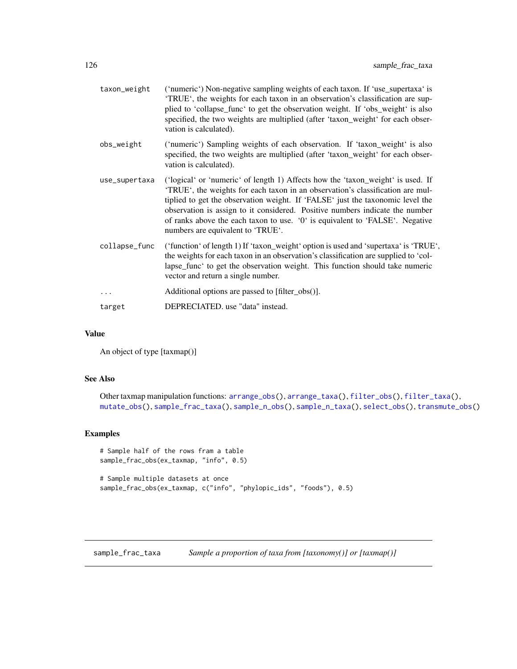| taxon_weight  | ('numeric') Non-negative sampling weights of each taxon. If 'use_supertaxa' is<br>'TRUE', the weights for each taxon in an observation's classification are sup-<br>plied to 'collapse_func' to get the observation weight. If 'obs_weight' is also<br>specified, the two weights are multiplied (after 'taxon_weight' for each obser-<br>vation is calculated).                                                                                         |
|---------------|----------------------------------------------------------------------------------------------------------------------------------------------------------------------------------------------------------------------------------------------------------------------------------------------------------------------------------------------------------------------------------------------------------------------------------------------------------|
| obs_weight    | ('numeric') Sampling weights of each observation. If 'taxon_weight' is also<br>specified, the two weights are multiplied (after 'taxon_weight' for each obser-<br>vation is calculated).                                                                                                                                                                                                                                                                 |
| use_supertaxa | ('logical' or 'numeric' of length 1) Affects how the 'taxon_weight' is used. If<br>'TRUE', the weights for each taxon in an observation's classification are mul-<br>tiplied to get the observation weight. If 'FALSE' just the taxonomic level the<br>observation is assign to it considered. Positive numbers indicate the number<br>of ranks above the each taxon to use. '0' is equivalent to 'FALSE'. Negative<br>numbers are equivalent to 'TRUE'. |
| collapse_func | ('function' of length 1) If 'taxon_weight' option is used and 'supertaxa' is 'TRUE',<br>the weights for each taxon in an observation's classification are supplied to 'col-<br>lapse_func' to get the observation weight. This function should take numeric<br>vector and return a single number.                                                                                                                                                        |
| $\cdots$      | Additional options are passed to [filter_obs()].                                                                                                                                                                                                                                                                                                                                                                                                         |
| target        | DEPRECIATED. use "data" instead.                                                                                                                                                                                                                                                                                                                                                                                                                         |

## Value

An object of type [taxmap()]

# See Also

```
Other taxmap manipulation functions: arrange_obs(), arrange_taxa(), filter_obs(), filter_taxa(),
mutate_obs(), sample_frac_taxa(), sample_n_obs(), sample_n_taxa(), select_obs(), transmute_obs()
```
# Examples

```
# Sample half of the rows fram a table
sample_frac_obs(ex_taxmap, "info", 0.5)
# Sample multiple datasets at once
sample_frac_obs(ex_taxmap, c("info", "phylopic_ids", "foods"), 0.5)
```
<span id="page-125-0"></span>sample\_frac\_taxa *Sample a proportion of taxa from [taxonomy()] or [taxmap()]*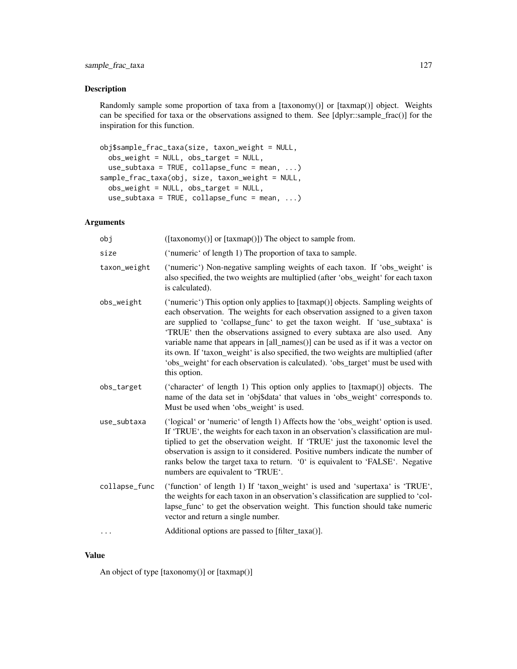## Description

Randomly sample some proportion of taxa from a [taxonomy()] or [taxmap()] object. Weights can be specified for taxa or the observations assigned to them. See [dplyr::sample\_frac()] for the inspiration for this function.

```
obj$sample_frac_taxa(size, taxon_weight = NULL,
  obs_weight = NULL, obs_target = NULL,
 use\_subtaxa = TRUE, collapse\_func = mean, ...sample_frac_taxa(obj, size, taxon_weight = NULL,
 obs_weight = NULL, obs_target = NULL,
 use\_subtaxa = TRUE, collapse\_func = mean, ...
```
# Arguments

| obj           | ([taxonomy()] or [taxmap()]) The object to sample from.                                                                                                                                                                                                                                                                                                                                                                                                                                                                                                                                                     |
|---------------|-------------------------------------------------------------------------------------------------------------------------------------------------------------------------------------------------------------------------------------------------------------------------------------------------------------------------------------------------------------------------------------------------------------------------------------------------------------------------------------------------------------------------------------------------------------------------------------------------------------|
| size          | ('numeric' of length 1) The proportion of taxa to sample.                                                                                                                                                                                                                                                                                                                                                                                                                                                                                                                                                   |
| taxon_weight  | ('numeric') Non-negative sampling weights of each taxon. If 'obs_weight' is<br>also specified, the two weights are multiplied (after 'obs_weight' for each taxon<br>is calculated).                                                                                                                                                                                                                                                                                                                                                                                                                         |
| obs_weight    | ('numeric') This option only applies to [taxmap()] objects. Sampling weights of<br>each observation. The weights for each observation assigned to a given taxon<br>are supplied to 'collapse_func' to get the taxon weight. If 'use_subtaxa' is<br>'TRUE' then the observations assigned to every subtaxa are also used. Any<br>variable name that appears in [all_names()] can be used as if it was a vector on<br>its own. If 'taxon_weight' is also specified, the two weights are multiplied (after<br>'obs_weight' for each observation is calculated). 'obs_target' must be used with<br>this option. |
| obs_target    | ('character' of length 1) This option only applies to [taxmap()] objects. The<br>name of the data set in 'obj\$data' that values in 'obs_weight' corresponds to.<br>Must be used when 'obs_weight' is used.                                                                                                                                                                                                                                                                                                                                                                                                 |
| use_subtaxa   | ('logical' or 'numeric' of length 1) Affects how the 'obs_weight' option is used.<br>If 'TRUE', the weights for each taxon in an observation's classification are mul-<br>tiplied to get the observation weight. If 'TRUE' just the taxonomic level the<br>observation is assign to it considered. Positive numbers indicate the number of<br>ranks below the target taxa to return. '0' is equivalent to 'FALSE'. Negative<br>numbers are equivalent to 'TRUE'.                                                                                                                                            |
| collapse_func | ('function' of length 1) If 'taxon_weight' is used and 'supertaxa' is 'TRUE',<br>the weights for each taxon in an observation's classification are supplied to 'col-<br>lapse_func' to get the observation weight. This function should take numeric<br>vector and return a single number.                                                                                                                                                                                                                                                                                                                  |
|               | Additional options are passed to [filter_taxa()].                                                                                                                                                                                                                                                                                                                                                                                                                                                                                                                                                           |
|               |                                                                                                                                                                                                                                                                                                                                                                                                                                                                                                                                                                                                             |

### Value

An object of type [taxonomy()] or [taxmap()]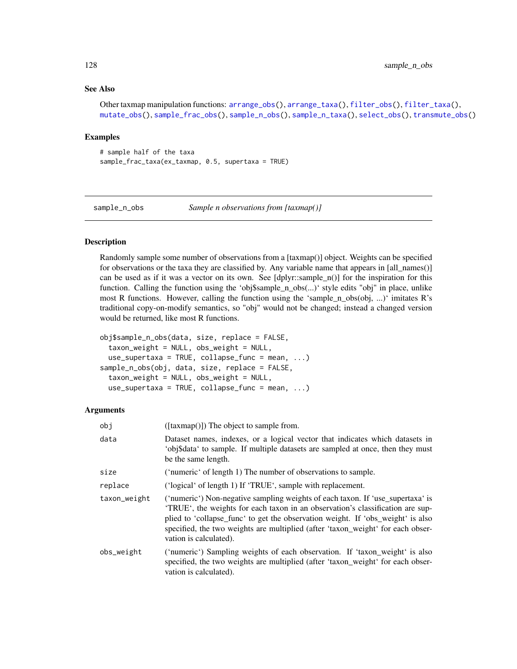# See Also

Other taxmap manipulation functions: [arrange\\_obs\(](#page-8-0)), [arrange\\_taxa\(](#page-9-0)), [filter\\_obs\(](#page-42-0)), [filter\\_taxa\(](#page-44-0)), [mutate\\_obs\(](#page-81-0)), [sample\\_frac\\_obs\(](#page-124-0)), [sample\\_n\\_obs\(](#page-127-0)), [sample\\_n\\_taxa\(](#page-128-0)), [select\\_obs\(](#page-130-0)), [transmute\\_obs\(](#page-152-0))

### Examples

```
# sample half of the taxa
sample_frac_taxa(ex_taxmap, 0.5, supertaxa = TRUE)
```
<span id="page-127-0"></span>sample\_n\_obs *Sample n observations from [taxmap()]*

# Description

Randomly sample some number of observations from a [taxmap()] object. Weights can be specified for observations or the taxa they are classified by. Any variable name that appears in [all\_names()] can be used as if it was a vector on its own. See [dplyr::sample\_n()] for the inspiration for this function. Calling the function using the 'obj\$sample\_n\_obs(...)' style edits "obj" in place, unlike most R functions. However, calling the function using the 'sample\_n\_obs(obj, ...)' imitates R's traditional copy-on-modify semantics, so "obj" would not be changed; instead a changed version would be returned, like most R functions.

```
obj$sample_n_obs(data, size, replace = FALSE,
  taxon_weight = NULL, obs_weight = NULL,
  use_supertaxa = TRUE, collapse_func = mean, ...sample_n_obs(obj, data, size, replace = FALSE,
  taxon_weight = NULL, obs_weight = NULL,
  use_supertaxa = TRUE, collapse_func = mean, \ldots)
```

| obj          | $([taxmap()])$ The object to sample from.                                                                                                                                                                                                                                                                                                                      |
|--------------|----------------------------------------------------------------------------------------------------------------------------------------------------------------------------------------------------------------------------------------------------------------------------------------------------------------------------------------------------------------|
| data         | Dataset names, indexes, or a logical vector that indicates which datasets in<br>'obj\$data' to sample. If multiple datasets are sampled at once, then they must<br>be the same length.                                                                                                                                                                         |
| size         | ('numeric' of length 1) The number of observations to sample.                                                                                                                                                                                                                                                                                                  |
| replace      | ('logical' of length 1) If 'TRUE', sample with replacement.                                                                                                                                                                                                                                                                                                    |
| taxon_weight | ('numeric') Non-negative sampling weights of each taxon. If 'use_supertaxa' is<br>TRUE, the weights for each taxon in an observation's classification are sup-<br>plied to 'collapse_func' to get the observation weight. If 'obs_weight' is also<br>specified, the two weights are multiplied (after 'taxon_weight' for each obser-<br>vation is calculated). |
| obs_weight   | ('numeric') Sampling weights of each observation. If 'taxon_weight' is also<br>specified, the two weights are multiplied (after 'taxon_weight' for each obser-<br>vation is calculated).                                                                                                                                                                       |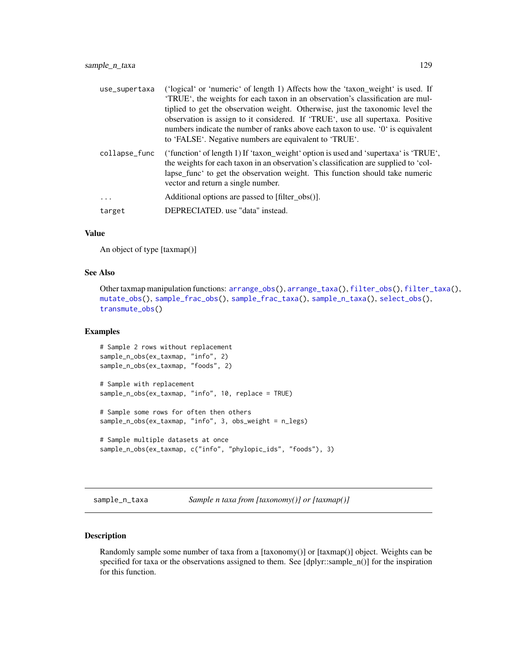| use_supertaxa | ('logical' or 'numeric' of length 1) Affects how the 'taxon_weight' is used. If<br>'TRUE', the weights for each taxon in an observation's classification are mul-<br>tiplied to get the observation weight. Otherwise, just the taxonomic level the<br>observation is assign to it considered. If 'TRUE', use all supertaxa. Positive<br>numbers indicate the number of ranks above each taxon to use. '0' is equivalent<br>to 'FALSE'. Negative numbers are equivalent to 'TRUE'. |
|---------------|------------------------------------------------------------------------------------------------------------------------------------------------------------------------------------------------------------------------------------------------------------------------------------------------------------------------------------------------------------------------------------------------------------------------------------------------------------------------------------|
| collapse_func | ('function' of length 1) If 'taxon_weight' option is used and 'supertaxa' is 'TRUE',<br>the weights for each taxon in an observation's classification are supplied to 'col-<br>lapse_func' to get the observation weight. This function should take numeric<br>vector and return a single number.                                                                                                                                                                                  |
| .             | Additional options are passed to [filter_obs()].                                                                                                                                                                                                                                                                                                                                                                                                                                   |
| target        | DEPRECIATED, use "data" instead.                                                                                                                                                                                                                                                                                                                                                                                                                                                   |

### Value

An object of type [taxmap()]

# See Also

```
Other taxmap manipulation functions: arrange_obs(), arrange_taxa(), filter_obs(), filter_taxa(),
mutate_obs(), sample_frac_obs(), sample_frac_taxa(), sample_n_taxa(), select_obs(),
transmute_obs()
```
### Examples

```
# Sample 2 rows without replacement
sample_n_obs(ex_taxmap, "info", 2)
sample_n_obs(ex_taxmap, "foods", 2)
# Sample with replacement
sample_n_obs(ex_taxmap, "info", 10, replace = TRUE)
# Sample some rows for often then others
sample_n_obs(ex_taxmap, "info", 3, obs_weight = n_legs)
# Sample multiple datasets at once
sample_n_obs(ex_taxmap, c("info", "phylopic_ids", "foods"), 3)
```
<span id="page-128-0"></span>sample\_n\_taxa *Sample n taxa from [taxonomy()] or [taxmap()]*

## Description

Randomly sample some number of taxa from a [taxonomy()] or [taxmap()] object. Weights can be specified for taxa or the observations assigned to them. See [dplyr::sample\_n()] for the inspiration for this function.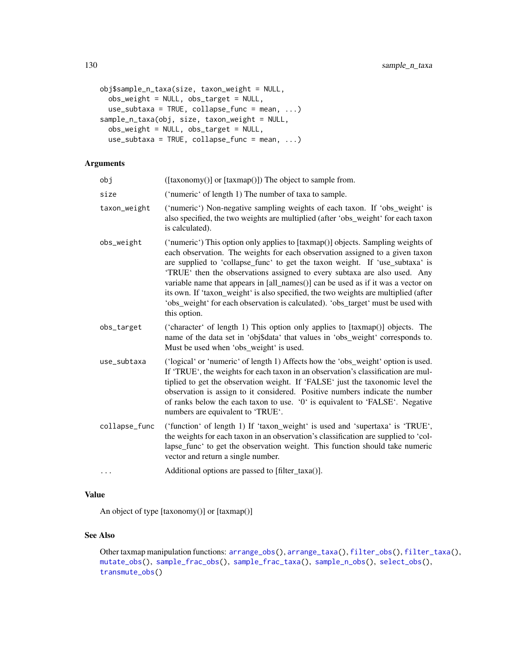```
obj$sample_n_taxa(size, taxon_weight = NULL,
 obs_weight = NULL, obs_target = NULL,
 use_subtaxa = TRUE, collapse_func = mean, ...sample_n_taxa(obj, size, taxon_weight = NULL,
 obs_weight = NULL, obs_target = NULL,
  use_subtaxa = TRUE, collapse_func = mean, ...)
```
# Arguments

| obj           | ([taxonomy()] or [taxmap()]) The object to sample from.                                                                                                                                                                                                                                                                                                                                                                                                                                                                                                                                                     |
|---------------|-------------------------------------------------------------------------------------------------------------------------------------------------------------------------------------------------------------------------------------------------------------------------------------------------------------------------------------------------------------------------------------------------------------------------------------------------------------------------------------------------------------------------------------------------------------------------------------------------------------|
| size          | ('numeric' of length 1) The number of taxa to sample.                                                                                                                                                                                                                                                                                                                                                                                                                                                                                                                                                       |
| taxon_weight  | ('numeric') Non-negative sampling weights of each taxon. If 'obs_weight' is<br>also specified, the two weights are multiplied (after 'obs_weight' for each taxon<br>is calculated).                                                                                                                                                                                                                                                                                                                                                                                                                         |
| obs_weight    | ('numeric') This option only applies to [taxmap()] objects. Sampling weights of<br>each observation. The weights for each observation assigned to a given taxon<br>are supplied to 'collapse_func' to get the taxon weight. If 'use_subtaxa' is<br>'TRUE' then the observations assigned to every subtaxa are also used. Any<br>variable name that appears in [all_names()] can be used as if it was a vector on<br>its own. If 'taxon_weight' is also specified, the two weights are multiplied (after<br>'obs_weight' for each observation is calculated). 'obs_target' must be used with<br>this option. |
| obs_target    | ('character' of length 1) This option only applies to [taxmap()] objects. The<br>name of the data set in 'obj\$data' that values in 'obs_weight' corresponds to.<br>Must be used when 'obs_weight' is used.                                                                                                                                                                                                                                                                                                                                                                                                 |
| use_subtaxa   | ('logical' or 'numeric' of length 1) Affects how the 'obs_weight' option is used.<br>If 'TRUE', the weights for each taxon in an observation's classification are mul-<br>tiplied to get the observation weight. If 'FALSE' just the taxonomic level the<br>observation is assign to it considered. Positive numbers indicate the number<br>of ranks below the each taxon to use. '0' is equivalent to 'FALSE'. Negative<br>numbers are equivalent to 'TRUE'.                                                                                                                                               |
| collapse_func | ('function' of length 1) If 'taxon_weight' is used and 'supertaxa' is 'TRUE',<br>the weights for each taxon in an observation's classification are supplied to 'col-<br>lapse_func' to get the observation weight. This function should take numeric<br>vector and return a single number.                                                                                                                                                                                                                                                                                                                  |
| .             | Additional options are passed to [filter_taxa()].                                                                                                                                                                                                                                                                                                                                                                                                                                                                                                                                                           |

### Value

An object of type [taxonomy()] or [taxmap()]

## See Also

Other taxmap manipulation functions: [arrange\\_obs\(](#page-8-0)), [arrange\\_taxa\(](#page-9-0)), [filter\\_obs\(](#page-42-0)), [filter\\_taxa\(](#page-44-0)), [mutate\\_obs\(](#page-81-0)), [sample\\_frac\\_obs\(](#page-124-0)), [sample\\_frac\\_taxa\(](#page-125-0)), [sample\\_n\\_obs\(](#page-127-0)), [select\\_obs\(](#page-130-0)), [transmute\\_obs\(](#page-152-0))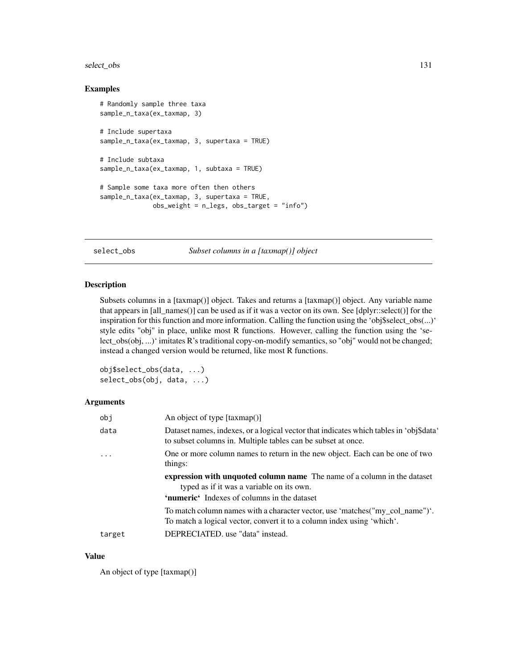# select\_obs 131

## Examples

```
# Randomly sample three taxa
sample_n_taxa(ex_taxmap, 3)
# Include supertaxa
sample_n_taxa(ex_taxmap, 3, supertaxa = TRUE)
# Include subtaxa
sample_n_taxa(ex_taxmap, 1, subtaxa = TRUE)
# Sample some taxa more often then others
sample_n_taxa(ex_taxmap, 3, supertaxa = TRUE,
             obs_weight = n_legs, obs_target = "info")
```
<span id="page-130-0"></span>select\_obs *Subset columns in a [taxmap()] object*

### Description

Subsets columns in a [taxmap()] object. Takes and returns a [taxmap()] object. Any variable name that appears in [all\_names()] can be used as if it was a vector on its own. See [dplyr::select()] for the inspiration for this function and more information. Calling the function using the 'obj\$select\_obs(...)' style edits "obj" in place, unlike most R functions. However, calling the function using the 'select\_obs(obj, ...)' imitates R's traditional copy-on-modify semantics, so "obj" would not be changed; instead a changed version would be returned, like most R functions.

```
obj$select_obs(data, ...)
select_obs(obj, data, ...)
```
## Arguments

| obi    | An object of type [taxmap()]                                                                                                                                                |
|--------|-----------------------------------------------------------------------------------------------------------------------------------------------------------------------------|
| data   | Dataset names, indexes, or a logical vector that indicates which tables in 'obj\$data'<br>to subset columns in. Multiple tables can be subset at once.                      |
|        | One or more column names to return in the new object. Each can be one of two<br>things:                                                                                     |
|        | <b>expression with unquoted column name</b> The name of a column in the dataset<br>typed as if it was a variable on its own.<br>'numeric' Indexes of columns in the dataset |
|        | To match column names with a character vector, use 'matches("my_col_name")'.<br>To match a logical vector, convert it to a column index using 'which'.                      |
| target | DEPRECIATED. use "data" instead.                                                                                                                                            |
|        |                                                                                                                                                                             |

### Value

An object of type [taxmap()]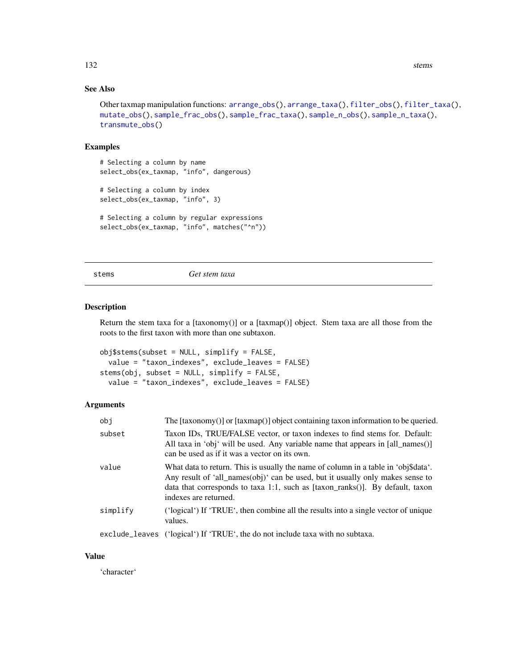132 stems stems and the stems stems stems stems stems stems stems stems stems stems stems in the stems of the stems of the stems of the stems of the stems of the stems of the stems of the stems of the stems of the stems of

# See Also

```
Other taxmap manipulation functions: arrange_obs(), arrange_taxa(), filter_obs(), filter_taxa(),
mutate_obs(), sample_frac_obs(), sample_frac_taxa(), sample_n_obs(), sample_n_taxa(),
transmute_obs()
```
## Examples

# Selecting a column by name select\_obs(ex\_taxmap, "info", dangerous)

```
# Selecting a column by index
select_obs(ex_taxmap, "info", 3)
```

```
# Selecting a column by regular expressions
select_obs(ex_taxmap, "info", matches("^n"))
```
<span id="page-131-0"></span>stems *Get stem taxa*

## Description

Return the stem taxa for a [taxonomy()] or a [taxmap()] object. Stem taxa are all those from the roots to the first taxon with more than one subtaxon.

```
obj$stems(subset = NULL, simplify = FALSE,
  value = "taxon_indexes", exclude_leaves = FALSE)
stems(obj, subset = NULL, simplify = FALSE,
 value = "taxon_indexes", exclude_leaves = FALSE)
```
# Arguments

| obj      | The $[taxonomy()]$ or $[taxmap()]$ object containing taxon information to be queried.                                                                                                                                                                                                 |
|----------|---------------------------------------------------------------------------------------------------------------------------------------------------------------------------------------------------------------------------------------------------------------------------------------|
| subset   | Taxon IDs, TRUE/FALSE vector, or taxon indexes to find stems for. Default:<br>All taxa in 'obj' will be used. Any variable name that appears in [all_names()]<br>can be used as if it was a vector on its own.                                                                        |
| value    | What data to return. This is usually the name of column in a table in 'obj\$data'.<br>Any result of 'all_names(obj)' can be used, but it usually only makes sense to<br>data that corresponds to taxa 1:1, such as $[$ taxon_ranks $()$ ]. By default, taxon<br>indexes are returned. |
| simplify | ('logical') If 'TRUE', then combine all the results into a single vector of unique<br>values.                                                                                                                                                                                         |
|          | exclude_leaves ('logical') If 'TRUE', the do not include taxa with no subtaxa.                                                                                                                                                                                                        |

### Value

'character'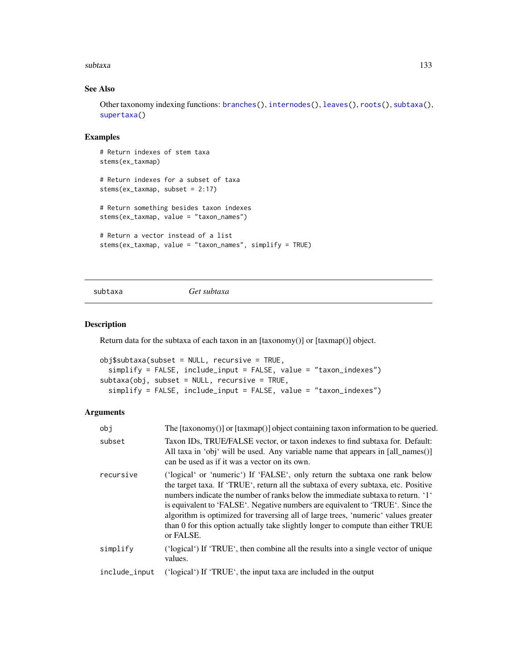### subtaxa 133

# See Also

Other taxonomy indexing functions: [branches\(](#page-12-0)), [internodes\(](#page-64-0)), [leaves\(](#page-71-0)), [roots\(](#page-123-1)), [subtaxa\(](#page-132-0)), [supertaxa\(](#page-134-0))

# Examples

```
# Return indexes of stem taxa
stems(ex_taxmap)
# Return indexes for a subset of taxa
stems(ex_taxmap, subset = 2:17)
# Return something besides taxon indexes
stems(ex_taxmap, value = "taxon_names")
# Return a vector instead of a list
stems(ex_taxmap, value = "taxon_names", simplify = TRUE)
```

```
subtaxa Get subtaxa
```
# Description

Return data for the subtaxa of each taxon in an [taxonomy()] or [taxmap()] object.

```
obj$subtaxa(subset = NULL, recursive = TRUE,
  simplify = FALSE, include_input = FALSE, value = "taxon_indexes")
subtaxa(obj, subset = NULL, recursive = TRUE,
  simplify = FALSE, include_input = FALSE, value = "taxon_indexes")
```

| obi           | The $[taxonomy()]$ or $[taxmap()]$ object containing taxon information to be queried.                                                                                                                                                                                                                                                                                                                                                                                                                                         |
|---------------|-------------------------------------------------------------------------------------------------------------------------------------------------------------------------------------------------------------------------------------------------------------------------------------------------------------------------------------------------------------------------------------------------------------------------------------------------------------------------------------------------------------------------------|
| subset        | Taxon IDs, TRUE/FALSE vector, or taxon indexes to find subtaxa for. Default:<br>All taxa in 'obj' will be used. Any variable name that appears in [all_names()]<br>can be used as if it was a vector on its own.                                                                                                                                                                                                                                                                                                              |
| recursive     | ('logical' or 'numeric') If 'FALSE', only return the subtaxa one rank below<br>the target taxa. If 'TRUE', return all the subtaxa of every subtaxa, etc. Positive<br>numbers indicate the number of ranks below the immediate subtaxa to return. '1'<br>is equivalent to 'FALSE'. Negative numbers are equivalent to 'TRUE'. Since the<br>algorithm is optimized for traversing all of large trees, 'numeric' values greater<br>than 0 for this option actually take slightly longer to compute than either TRUE<br>or FALSE. |
| simplify      | ('logical') If 'TRUE', then combine all the results into a single vector of unique<br>values.                                                                                                                                                                                                                                                                                                                                                                                                                                 |
| include_input | ('logical') If 'TRUE', the input taxa are included in the output                                                                                                                                                                                                                                                                                                                                                                                                                                                              |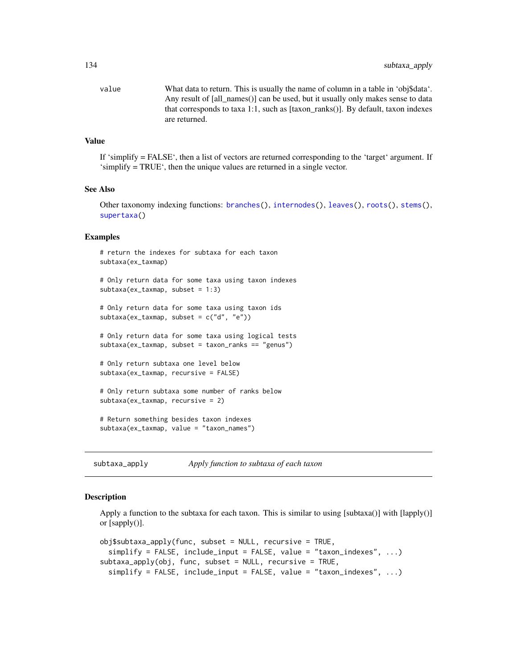value What data to return. This is usually the name of column in a table in 'obj\$data'. Any result of [all\_names()] can be used, but it usually only makes sense to data that corresponds to taxa 1:1, such as [taxon\_ranks()]. By default, taxon indexes are returned.

# Value

If 'simplify = FALSE', then a list of vectors are returned corresponding to the 'target' argument. If 'simplify = TRUE', then the unique values are returned in a single vector.

### See Also

Other taxonomy indexing functions: [branches\(](#page-12-0)), [internodes\(](#page-64-0)), [leaves\(](#page-71-0)), [roots\(](#page-123-1)), [stems\(](#page-131-0)), [supertaxa\(](#page-134-0))

#### Examples

```
# return the indexes for subtaxa for each taxon
subtaxa(ex_taxmap)
# Only return data for some taxa using taxon indexes
subtaxa(ex_taxmap, subset = 1:3)# Only return data for some taxa using taxon ids
subtaxa(ex_taxmap, subset = c("d", "e"))
# Only return data for some taxa using logical tests
subtaxa(ex_taxmap, subset = taxon_ranks == "genus")
# Only return subtaxa one level below
subtaxa(ex_taxmap, recursive = FALSE)
# Only return subtaxa some number of ranks below
subtaxa(ex_taxmap, recursive = 2)
# Return something besides taxon indexes
subtaxa(ex_taxmap, value = "taxon_names")
```
subtaxa\_apply *Apply function to subtaxa of each taxon*

### Description

Apply a function to the subtaxa for each taxon. This is similar to using [subtaxa()] with  $\lceil \text{laply()} \rceil$ or [sapply()].

```
obj$subtaxa_aapply(func, subset = NULL, recursive = TRUE,simplify = FALSE, include_input = FALSE, value = "taxon_indexes", ...)
subtaxa_apply(obj, func, subset = NULL, recursive = TRUE,
  simplify = FALSE, include_input = FALSE, value = "taxon_indexes", ...)
```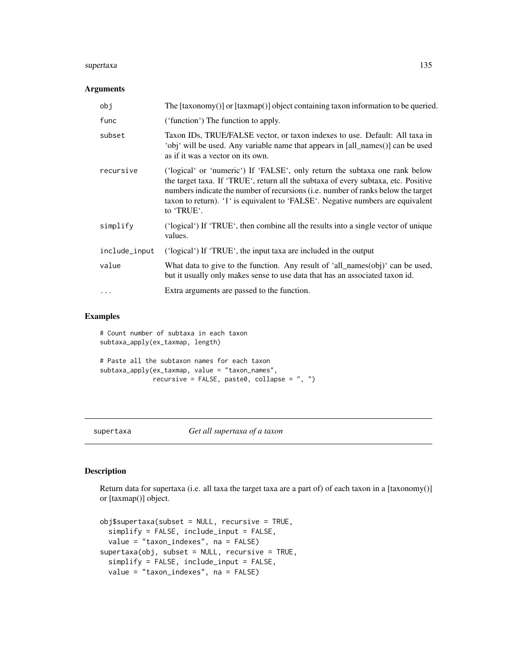### supertaxa 135

## Arguments

| obj           | The [taxonomy()] or [taxmap()] object containing taxon information to be queried.                                                                                                                                                                                                                                                                      |
|---------------|--------------------------------------------------------------------------------------------------------------------------------------------------------------------------------------------------------------------------------------------------------------------------------------------------------------------------------------------------------|
| func          | ('function') The function to apply.                                                                                                                                                                                                                                                                                                                    |
| subset        | Taxon IDs, TRUE/FALSE vector, or taxon indexes to use. Default: All taxa in<br>'obj' will be used. Any variable name that appears in [all_names()] can be used<br>as if it was a vector on its own.                                                                                                                                                    |
| recursive     | ('logical' or 'numeric') If 'FALSE', only return the subtaxa one rank below<br>the target taxa. If 'TRUE', return all the subtaxa of every subtaxa, etc. Positive<br>numbers indicate the number of recursions (i.e. number of ranks below the target<br>taxon to return). '1' is equivalent to 'FALSE'. Negative numbers are equivalent<br>to 'TRUE'. |
| simplify      | ('logical') If 'TRUE', then combine all the results into a single vector of unique<br>values.                                                                                                                                                                                                                                                          |
| include_input | ('logical') If 'TRUE', the input taxa are included in the output                                                                                                                                                                                                                                                                                       |
| value         | What data to give to the function. Any result of 'all_names(obj)' can be used,<br>but it usually only makes sense to use data that has an associated taxon id.                                                                                                                                                                                         |
|               | Extra arguments are passed to the function.                                                                                                                                                                                                                                                                                                            |

# Examples

```
# Count number of subtaxa in each taxon
subtaxa_apply(ex_taxmap, length)
# Paste all the subtaxon names for each taxon
subtaxa_apply(ex_taxmap, value = "taxon_names",
             recursive = FALSE, paste0, collapse = ", ")
```
<span id="page-134-0"></span>supertaxa *Get all supertaxa of a taxon*

## Description

Return data for supertaxa (i.e. all taxa the target taxa are a part of) of each taxon in a [taxonomy()] or [taxmap()] object.

```
obj$supertaxa(subset = NULL, recursive = TRUE,simplify = FALSE, include_input = FALSE,
 value = "taxon_indexes", na = FALSE)
supertaxa(obj, subset = NULL, recursive = TRUE,
 simplify = FALSE, include_input = FALSE,
 value = "taxon_indexes", na = FALSE)
```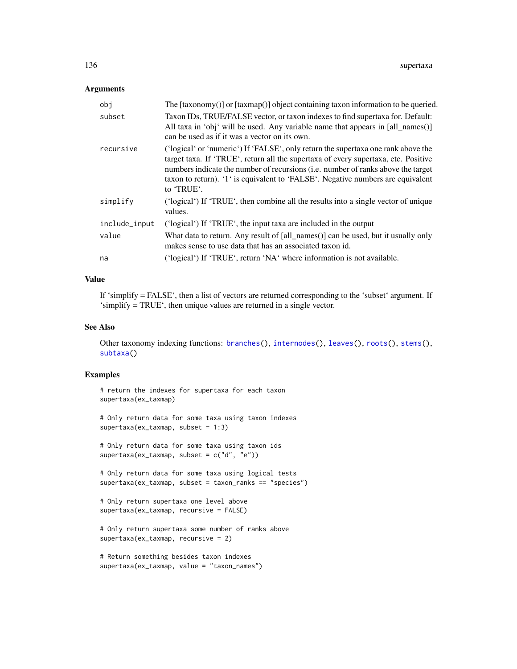# Arguments

| obj           | The $[taxonomy()]$ or $[taxmap()]$ object containing taxon information to be queried.                                                                                                                                                                                                                                                                                |
|---------------|----------------------------------------------------------------------------------------------------------------------------------------------------------------------------------------------------------------------------------------------------------------------------------------------------------------------------------------------------------------------|
| subset        | Taxon IDs, TRUE/FALSE vector, or taxon indexes to find supertaxa for. Default:<br>All taxa in 'obj' will be used. Any variable name that appears in [all_names()]<br>can be used as if it was a vector on its own.                                                                                                                                                   |
| recursive     | ('logical' or 'numeric') If 'FALSE', only return the supertaxa one rank above the<br>target taxa. If 'TRUE', return all the supertaxa of every supertaxa, etc. Positive<br>numbers indicate the number of recursions ( <i>i.e.</i> number of ranks above the target<br>taxon to return). '1' is equivalent to 'FALSE'. Negative numbers are equivalent<br>to 'TRUE'. |
| simplify      | ('logical') If 'TRUE', then combine all the results into a single vector of unique<br>values.                                                                                                                                                                                                                                                                        |
| include_input | ('logical') If 'TRUE', the input taxa are included in the output                                                                                                                                                                                                                                                                                                     |
| value         | What data to return. Any result of [all_names()] can be used, but it usually only<br>makes sense to use data that has an associated taxon id.                                                                                                                                                                                                                        |
| na            | ('logical') If 'TRUE', return 'NA' where information is not available.                                                                                                                                                                                                                                                                                               |

# Value

If 'simplify = FALSE', then a list of vectors are returned corresponding to the 'subset' argument. If 'simplify = TRUE', then unique values are returned in a single vector.

# See Also

Other taxonomy indexing functions: [branches\(](#page-12-0)), [internodes\(](#page-64-0)), [leaves\(](#page-71-0)), [roots\(](#page-123-1)), [stems\(](#page-131-0)), [subtaxa\(](#page-132-0))

## Examples

```
# return the indexes for supertaxa for each taxon
supertaxa(ex_taxmap)
```
# Only return data for some taxa using taxon indexes supertaxa(ex\_taxmap, subset = 1:3)

# Only return data for some taxa using taxon ids supertaxa(ex\_taxmap, subset = c("d", "e"))

# Only return data for some taxa using logical tests supertaxa(ex\_taxmap, subset = taxon\_ranks == "species")

```
# Only return supertaxa one level above
supertaxa(ex_taxmap, recursive = FALSE)
```

```
# Only return supertaxa some number of ranks above
supertaxa(ex_taxmap, recursive = 2)
```

```
# Return something besides taxon indexes
supertaxa(ex_taxmap, value = "taxon_names")
```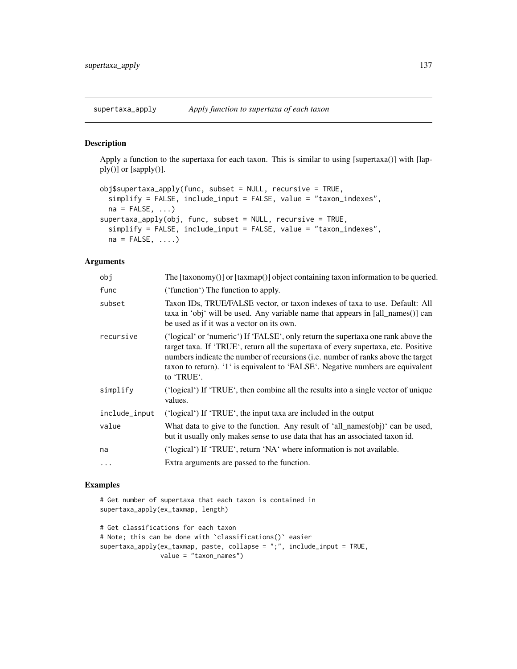supertaxa\_apply *Apply function to supertaxa of each taxon*

# Description

Apply a function to the supertaxa for each taxon. This is similar to using [supertaxa()] with [lapply()] or [sapply()].

```
obj$supertaxa_apply(func, subset = NULL, recursive = TRUE,
 simplify = FALSE, include_input = FALSE, value = "taxon_indexes",
 na = FALSE, ...)supertaxa_apply(obj, func, subset = NULL, recursive = TRUE,
 simplify = FALSE, include_input = FALSE, value = "taxon_indexes",
 na = FALSE, ...
```
# Arguments

| obj           | The $[taxonomy()]$ or $[taxmap()]$ object containing taxon information to be queried.                                                                                                                                                                                                                                                                                |
|---------------|----------------------------------------------------------------------------------------------------------------------------------------------------------------------------------------------------------------------------------------------------------------------------------------------------------------------------------------------------------------------|
| func          | ('function') The function to apply.                                                                                                                                                                                                                                                                                                                                  |
| subset        | Taxon IDs, TRUE/FALSE vector, or taxon indexes of taxa to use. Default: All<br>taxa in 'obj' will be used. Any variable name that appears in [all_names()] can<br>be used as if it was a vector on its own.                                                                                                                                                          |
| recursive     | ('logical' or 'numeric') If 'FALSE', only return the supertaxa one rank above the<br>target taxa. If 'TRUE', return all the supertaxa of every supertaxa, etc. Positive<br>numbers indicate the number of recursions ( <i>i.e.</i> number of ranks above the target<br>taxon to return). '1' is equivalent to 'FALSE'. Negative numbers are equivalent<br>to 'TRUE'. |
| simplify      | ('logical') If 'TRUE', then combine all the results into a single vector of unique<br>values.                                                                                                                                                                                                                                                                        |
| include_input | ('logical') If 'TRUE', the input taxa are included in the output                                                                                                                                                                                                                                                                                                     |
| value         | What data to give to the function. Any result of 'all_names(obj)' can be used,<br>but it usually only makes sense to use data that has an associated taxon id.                                                                                                                                                                                                       |
| na            | ('logical') If 'TRUE', return 'NA' where information is not available.                                                                                                                                                                                                                                                                                               |
| $\ldots$      | Extra arguments are passed to the function.                                                                                                                                                                                                                                                                                                                          |
|               |                                                                                                                                                                                                                                                                                                                                                                      |

```
# Get number of supertaxa that each taxon is contained in
supertaxa_apply(ex_taxmap, length)
# Get classifications for each taxon
# Note; this can be done with `classifications()` easier
supertaxa_apply(ex_taxmap, paste, collapse = ";", include_input = TRUE,
```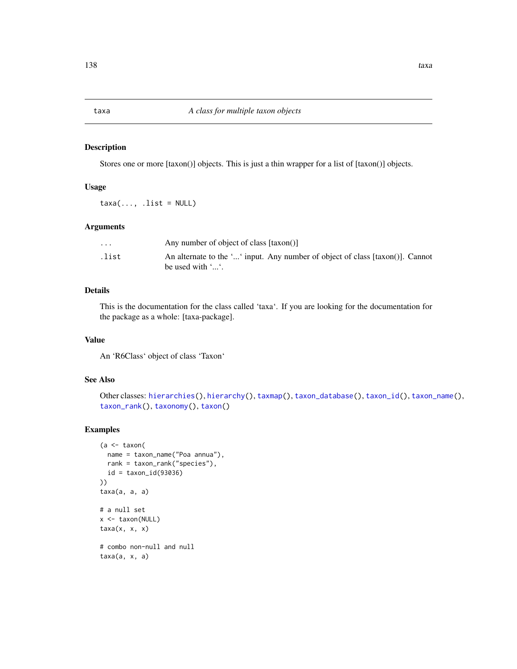<span id="page-137-0"></span>

### Description

Stores one or more [taxon()] objects. This is just a thin wrapper for a list of [taxon()] objects.

# Usage

 $taxa(..., .list = NULL)$ 

### Arguments

| $\ddot{\phantom{0}}$ | Any number of object of class [taxon()]                                                                         |
|----------------------|-----------------------------------------------------------------------------------------------------------------|
| .list                | An alternate to the '' input. Any number of object of class [taxon()]. Cannot<br>be used with $\cdot$ $\cdot$ . |

# Details

This is the documentation for the class called 'taxa'. If you are looking for the documentation for the package as a whole: [taxa-package].

# Value

An 'R6Class' object of class 'Taxon'

# See Also

```
Other classes: hierarchies(), hierarchy(), taxmap(), taxon_database(), taxon_id(), taxon_name(),
taxon_rank(), taxonomy(), taxon()
```

```
(a <- taxon(
  name = taxon_name("Poa annua"),
  rank = taxon_rank("species"),
  id = taxon_id(93036)
))
taxa(a, a, a)
# a null set
x <- taxon(NULL)
taxa(x, x, x)
# combo non-null and null
taxa(a, x, a)
```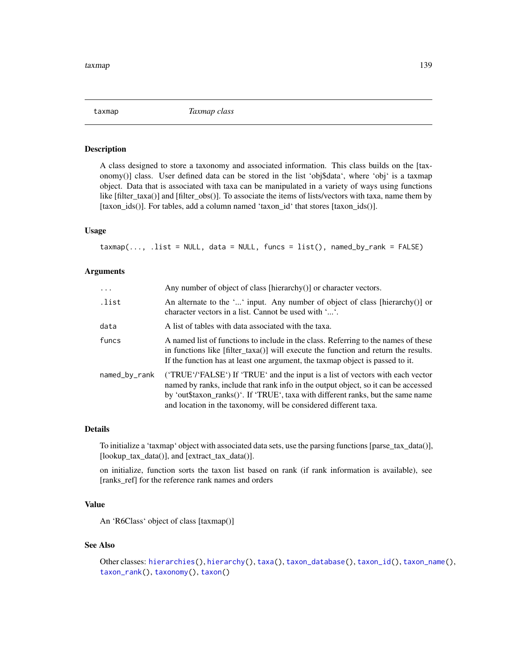<span id="page-138-0"></span>

### Description

A class designed to store a taxonomy and associated information. This class builds on the [taxonomy()] class. User defined data can be stored in the list 'obj\$data', where 'obj' is a taxmap object. Data that is associated with taxa can be manipulated in a variety of ways using functions like [filter\_taxa()] and [filter\_obs()]. To associate the items of lists/vectors with taxa, name them by [taxon\_ids()]. For tables, add a column named 'taxon\_id' that stores [taxon\_ids()].

### Usage

 $\text{taxmap}(\ldots, \ldots)$  .list = NULL, data = NULL, funcs = list(), named\_by\_rank = FALSE)

## Arguments

| $\ddots$      | Any number of object of class [hierarchy()] or character vectors.                                                                                                                                                                                                                                                            |
|---------------|------------------------------------------------------------------------------------------------------------------------------------------------------------------------------------------------------------------------------------------------------------------------------------------------------------------------------|
| .list         | An alternate to the '' input. Any number of object of class [hierarchy()] or<br>character vectors in a list. Cannot be used with ''.                                                                                                                                                                                         |
| data          | A list of tables with data associated with the taxa.                                                                                                                                                                                                                                                                         |
| funcs         | A named list of functions to include in the class. Referring to the names of these<br>in functions like [filter_taxa()] will execute the function and return the results.<br>If the function has at least one argument, the taxmap object is passed to it.                                                                   |
| named_by_rank | ('TRUE'/'FALSE') If 'TRUE' and the input is a list of vectors with each vector<br>named by ranks, include that rank info in the output object, so it can be accessed<br>by 'out\$taxon_ranks()'. If 'TRUE', taxa with different ranks, but the same name<br>and location in the taxonomy, will be considered different taxa. |

## Details

To initialize a 'taxmap' object with associated data sets, use the parsing functions [parse\_tax\_data()], [lookup\_tax\_data()], and [extract\_tax\_data()].

on initialize, function sorts the taxon list based on rank (if rank information is available), see [ranks\_ref] for the reference rank names and orders

# Value

An 'R6Class' object of class [taxmap()]

## See Also

```
Other classes: hierarchies(), hierarchy(), taxa(), taxon_database(), taxon_id(), taxon_name(),
taxon_rank(), taxonomy(), taxon()
```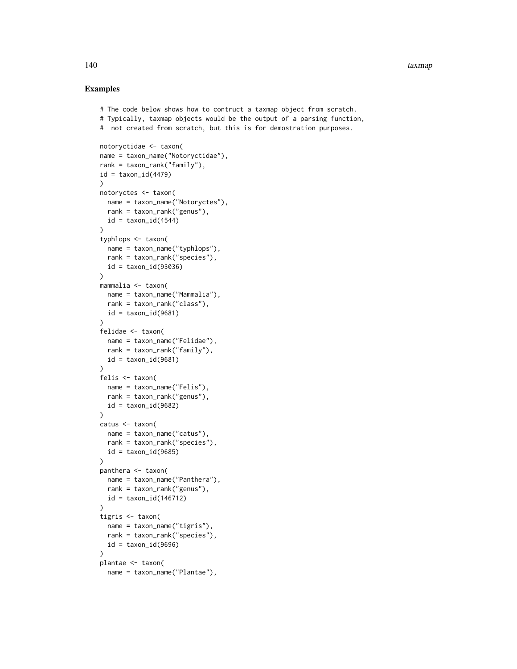```
# The code below shows how to contruct a taxmap object from scratch.
# Typically, taxmap objects would be the output of a parsing function,
# not created from scratch, but this is for demostration purposes.
notoryctidae <- taxon(
name = taxon_name("Notoryctidae"),
rank = taxon_rank("family"),
id = taxon_id(4479)\lambdanotoryctes <- taxon(
 name = taxon_name("Notoryctes"),
 rank = taxon_rank("genus"),
 id = taxon_id(4544)\lambdatyphlops <- taxon(
  name = taxon_name("typhlops"),
  rank = taxon_rank("species"),
  id = taxon_id(93036)
)
mammalia <- taxon(
  name = taxon_name("Mammalia"),
  rank = taxon_rank("class"),
  id = taxon_id(9681))
felidae <- taxon(
 name = taxon_name("Felidae"),
  rank = taxon\_rank("family"),
  id = taxon_id(9681)\lambdafelis <- taxon(
  name = taxon_name("Felis"),
  rank = taxon_rank("genus"),
  id = taxon_id(9682))
catus <- taxon(
 name = taxon_name("catus"),
  rank = taxon_rank("species"),
  id = taxon_id(9685))
panthera <- taxon(
  name = taxon_name("Panthera"),
  rank = taxon_rank("genus"),
  id = taxon_id(146712)
)
tigris <- taxon(
  name = taxon_name("tigris"),
  rank = taxon_rank("species"),
  id = taxon_id(9696))
plantae <- taxon(
  name = taxon_name("Plantae"),
```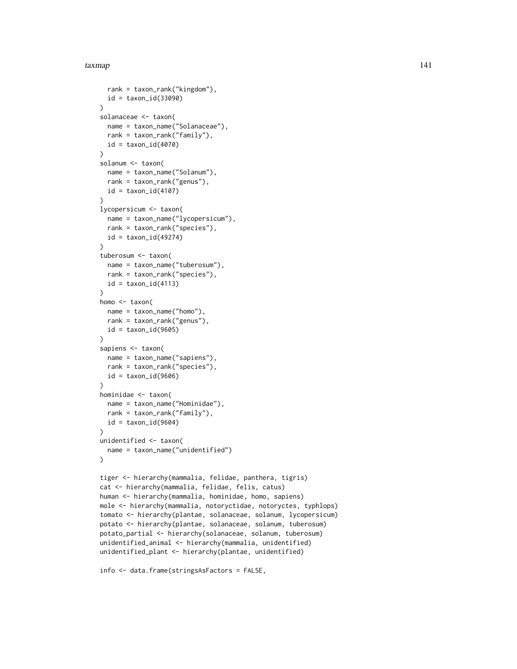### taxmap 141

```
rank = taxon_rank("kingdom"),
  id = taxon_id(33090)
)
solanaceae <- taxon(
  name = taxon_name("Solanaceae"),
  rank = taxon_rank("family"),
  id = taxon_id(4070))
solanum <- taxon(
  name = taxon_name("Solanum"),
  rank = taxon_rank("genus"),
  id = taxon_id(4107))
lycopersicum <- taxon(
  name = taxon_name("lycopersicum"),
  rank = taxon_rank("species"),
  id = taxon_id(49274))
tuberosum <- taxon(
  name = taxon_name("tuberosum"),
  rank = taxon_rank("species"),
  id = taxon_id(4113)\lambdahomo <- taxon(
  name = taxon_name("homo"),
  rank = taxon_rank("genus"),
  id = taxon_id(9605))
sapiens <- taxon(
  name = taxon_name("sapiens"),
  rank = taxon_rank("species"),
  id = taxon_id(9606))
hominidae <- taxon(
  name = taxon_name("Hominidae"),
  rank = taxon_rank("family"),
  id = taxon_id(9604)\lambdaunidentified <- taxon(
  name = taxon_name("unidentified")
)
tiger <- hierarchy(mammalia, felidae, panthera, tigris)
cat <- hierarchy(mammalia, felidae, felis, catus)
human <- hierarchy(mammalia, hominidae, homo, sapiens)
mole <- hierarchy(mammalia, notoryctidae, notoryctes, typhlops)
tomato <- hierarchy(plantae, solanaceae, solanum, lycopersicum)
potato <- hierarchy(plantae, solanaceae, solanum, tuberosum)
potato_partial <- hierarchy(solanaceae, solanum, tuberosum)
unidentified_animal <- hierarchy(mammalia, unidentified)
unidentified_plant <- hierarchy(plantae, unidentified)
```

```
info <- data.frame(stringsAsFactors = FALSE,
```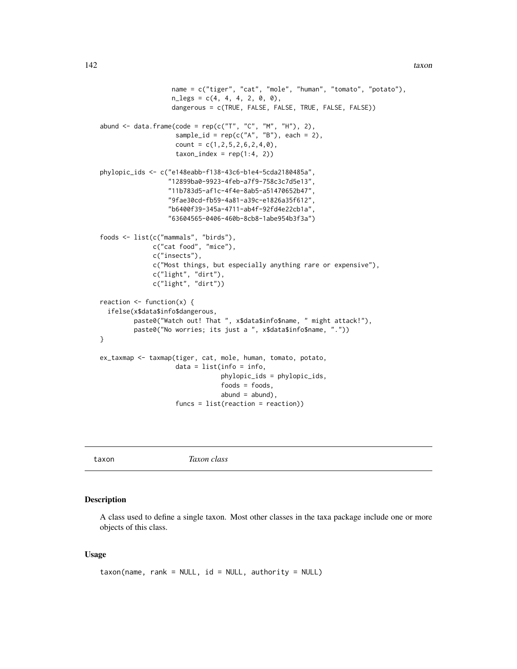```
name = c("tiger", "cat", "mole", "human", "tomato", "potato"),
                   n_{\text{less}} = c(4, 4, 4, 2, 0, 0),dangerous = c(TRUE, FALSE, FALSE, TRUE, FALSE, FALSE))
abund \leq data.frame(code = rep(c("T", "C", "M", "H"), 2),
                    sample_id = rep(c("A", "B"), each = 2),count = c(1, 2, 5, 2, 6, 2, 4, 0),
                    taxon_index = rep(1:4, 2))phylopic_ids <- c("e148eabb-f138-43c6-b1e4-5cda2180485a",
                  "12899ba0-9923-4feb-a7f9-758c3c7d5e13",
                  "11b783d5-af1c-4f4e-8ab5-a51470652b47",
                  "9fae30cd-fb59-4a81-a39c-e1826a35f612",
                  "b6400f39-345a-4711-ab4f-92fd4e22cb1a",
                  "63604565-0406-460b-8cb8-1abe954b3f3a")
foods <- list(c("mammals", "birds"),
              c("cat food", "mice"),
              c("insects"),
              c("Most things, but especially anything rare or expensive"),
              c("light", "dirt"),
              c("light", "dirt"))
reaction <- function(x) {
 ifelse(x$data$info$dangerous,
         paste0("Watch out! That ", x$data$info$name, " might attack!"),
         paste0("No worries; its just a ", x$data$info$name, "."))
}
ex_taxmap <- taxmap(tiger, cat, mole, human, tomato, potato,
                    data = list(info = info,phylopic_ids = phylopic_ids,
                                foods = foods,abund = abund,
                    funcs = list(reaction = reaction))
```
<span id="page-141-0"></span>taxon *Taxon class*

#### Description

A class used to define a single taxon. Most other classes in the taxa package include one or more objects of this class.

### Usage

```
taxon(name, rank = NULL, id = NULL, authority = NULL)
```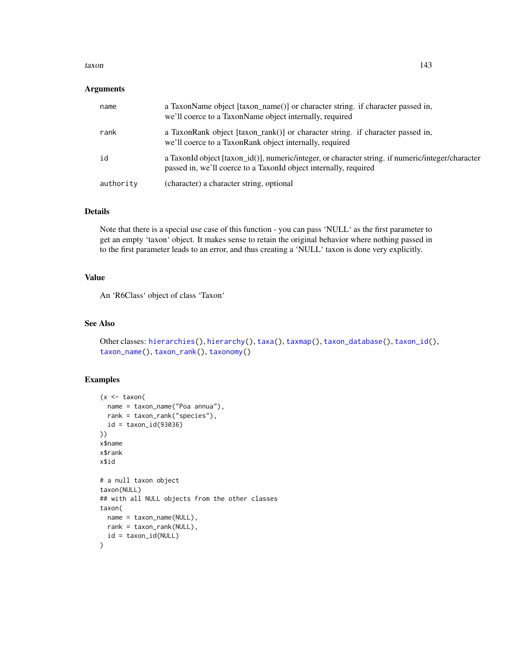### taxon 143

### Arguments

| name      | a TaxonName object [taxon_name()] or character string. if character passed in,<br>we'll coerce to a TaxonName object internally, required                             |
|-----------|-----------------------------------------------------------------------------------------------------------------------------------------------------------------------|
| rank      | a TaxonRank object [taxon rank()] or character string. if character passed in,<br>we'll coerce to a TaxonRank object internally, required                             |
| id        | a TaxonId object [taxon_id()], numeric/integer, or character string. if numeric/integer/character<br>passed in, we'll coerce to a TaxonId object internally, required |
| authority | (character) a character string, optional                                                                                                                              |

## Details

Note that there is a special use case of this function - you can pass 'NULL' as the first parameter to get an empty 'taxon' object. It makes sense to retain the original behavior where nothing passed in to the first parameter leads to an error, and thus creating a 'NULL' taxon is done very explicitly.

# Value

An 'R6Class' object of class 'Taxon'

### See Also

```
Other classes: hierarchies(), hierarchy(), taxa(), taxmap(), taxon_database(), taxon_id(),
taxon_name(), taxon_rank(), taxonomy()
```

```
(x < - taxon(
 name = taxon_name("Poa annua"),
 rank = taxon_rank("species"),
  id = taxon_id(93036)))
x$name
x$rank
x$id
# a null taxon object
taxon(NULL)
## with all NULL objects from the other classes
taxon(
  name = taxon_name(NULL),
 rank = taxon_rank(NULL),
  id = taxon_id(NULL)
\lambda
```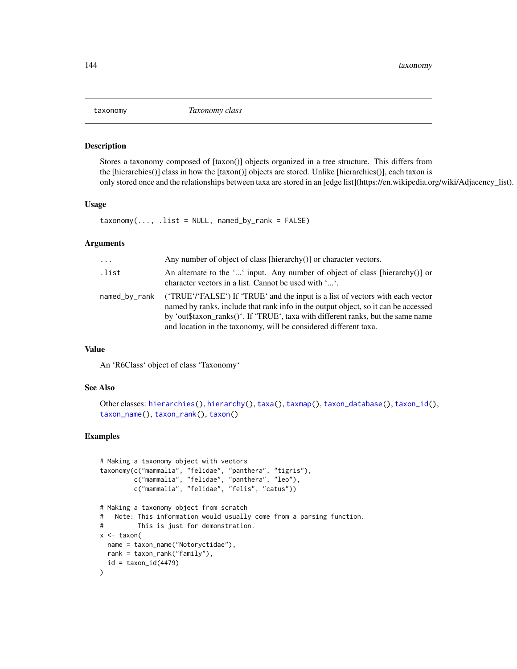<span id="page-143-0"></span>

### Description

Stores a taxonomy composed of [taxon()] objects organized in a tree structure. This differs from the [hierarchies()] class in how the [taxon()] objects are stored. Unlike [hierarchies()], each taxon is only stored once and the relationships between taxa are stored in an [edge list](https://en.wikipedia.org/wiki/Adjacency\_list).

### Usage

 $taxonomy(..., .list = NULL, named_by\_rank = FALSE)$ 

### Arguments

| $\cdots$      | Any number of object of class [hierarchy()] or character vectors.                                                                                                                                                                                                                                                           |
|---------------|-----------------------------------------------------------------------------------------------------------------------------------------------------------------------------------------------------------------------------------------------------------------------------------------------------------------------------|
| .list         | An alternate to the '' input. Any number of object of class [hierarchy()] or<br>character vectors in a list. Cannot be used with ''.                                                                                                                                                                                        |
| named_by_rank | ('TRUE''FALSE') If 'TRUE' and the input is a list of vectors with each vector<br>named by ranks, include that rank info in the output object, so it can be accessed<br>by 'out\$taxon_ranks()'. If 'TRUE', taxa with different ranks, but the same name<br>and location in the taxonomy, will be considered different taxa. |

### Value

An 'R6Class' object of class 'Taxonomy'

### See Also

```
Other classes: hierarchies(), hierarchy(), taxa(), taxmap(), taxon_database(), taxon_id(),
taxon_name(), taxon_rank(), taxon()
```

```
# Making a taxonomy object with vectors
taxonomy(c("mammalia", "felidae", "panthera", "tigris"),
         c("mammalia", "felidae", "panthera", "leo"),
         c("mammalia", "felidae", "felis", "catus"))
# Making a taxonomy object from scratch
# Note: This information would usually come from a parsing function.
# This is just for demonstration.
x <- taxon(
 name = taxon_name("Notoryctidae"),
 rank = taxon_rank("family"),
  id = taxon_id(4479))
```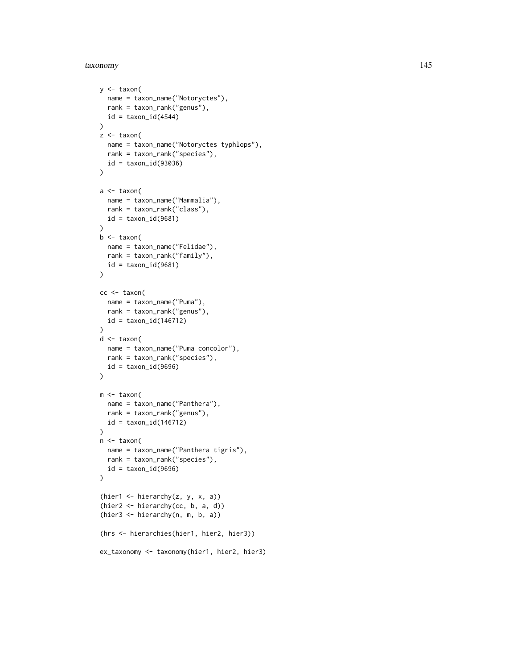#### taxonomy 145

```
y \le -\tan(x)name = taxon_name("Notoryctes"),
 rank = taxon_rank("genus"),
 id = taxon_id(4544))
z < - taxon(
 name = taxon_name("Notoryctes typhlops"),
  rank = taxon_rank("species"),
  id = taxon_id(93036)\lambdaa <- taxon(
  name = taxon_name("Mammalia"),
  rank = taxon_rank("class"),
  id = taxon_id(9681)
)
b <- taxon(
  name = taxon_name("Felidae"),
  rank = taxon_rank("family"),
  id = taxon_id(9681)\mathcal{L}cc <- taxon(
  name = taxon_name("Puma"),
  rank = taxon_rank("genus"),
  id = taxon_id(146712)
\lambdad <- taxon(
 name = taxon_name("Puma concolor"),
 rank = taxon_rank("species"),
  id = taxon_id(9696)
\lambdam <- taxon(
 name = taxon_name("Panthera"),
  rank = taxon_rank("genus"),
  id = taxon_id(146712)
\mathcal{L}n <- taxon(
  name = taxon_name("Panthera tigris"),
  rank = taxon_rank("species"),
 id = taxon_id(9696)\mathcal{L}(hier1 <- hierarchy(z, y, x, a))
(hier2 <- hierarchy(cc, b, a, d))
(hier3 <- hierarchy(n, m, b, a))
(hrs <- hierarchies(hier1, hier2, hier3))
ex_taxonomy <- taxonomy(hier1, hier2, hier3)
```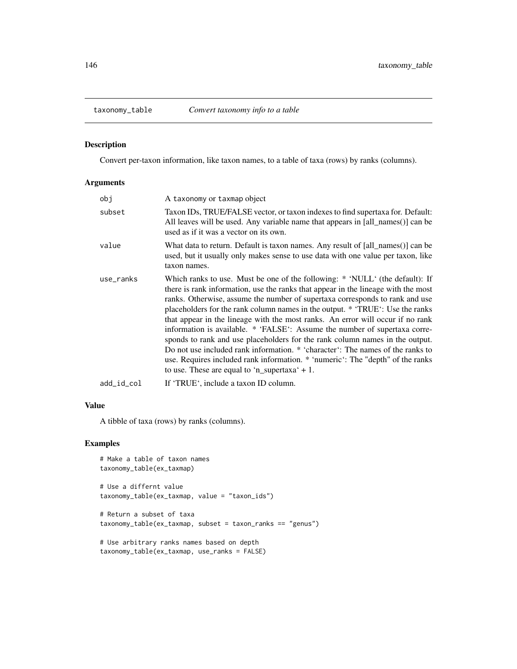<span id="page-145-0"></span>

Convert per-taxon information, like taxon names, to a table of taxa (rows) by ranks (columns).

#### Arguments

| obi        | A taxonomy or taxmap object                                                                                                                                                                                                                                                                                                                                                                                                                                                                                                                                                                                                                                                                                                                                                                               |
|------------|-----------------------------------------------------------------------------------------------------------------------------------------------------------------------------------------------------------------------------------------------------------------------------------------------------------------------------------------------------------------------------------------------------------------------------------------------------------------------------------------------------------------------------------------------------------------------------------------------------------------------------------------------------------------------------------------------------------------------------------------------------------------------------------------------------------|
| subset     | Taxon IDs, TRUE/FALSE vector, or taxon indexes to find supertaxa for. Default:<br>All leaves will be used. Any variable name that appears in [all_names()] can be<br>used as if it was a vector on its own.                                                                                                                                                                                                                                                                                                                                                                                                                                                                                                                                                                                               |
| value      | What data to return. Default is taxon names. Any result of [all names()] can be<br>used, but it usually only makes sense to use data with one value per taxon, like<br>taxon names.                                                                                                                                                                                                                                                                                                                                                                                                                                                                                                                                                                                                                       |
| use_ranks  | Which ranks to use. Must be one of the following: * 'NULL' (the default): If<br>there is rank information, use the ranks that appear in the lineage with the most<br>ranks. Otherwise, assume the number of supertaxa corresponds to rank and use<br>placeholders for the rank column names in the output. * 'TRUE': Use the ranks<br>that appear in the lineage with the most ranks. An error will occur if no rank<br>information is available. * 'FALSE': Assume the number of supertaxa corre-<br>sponds to rank and use placeholders for the rank column names in the output.<br>Do not use included rank information. * 'character': The names of the ranks to<br>use. Requires included rank information. * 'numeric': The "depth" of the ranks<br>to use. These are equal to 'n_supertaxa' $+1$ . |
| add_id_col | If 'TRUE', include a taxon ID column.                                                                                                                                                                                                                                                                                                                                                                                                                                                                                                                                                                                                                                                                                                                                                                     |

#### Value

A tibble of taxa (rows) by ranks (columns).

```
# Make a table of taxon names
taxonomy_table(ex_taxmap)
# Use a differnt value
taxonomy_table(ex_taxmap, value = "taxon_ids")
# Return a subset of taxa
taxonomy_table(ex_taxmap, subset = taxon_ranks == "genus")
# Use arbitrary ranks names based on depth
taxonomy_table(ex_taxmap, use_ranks = FALSE)
```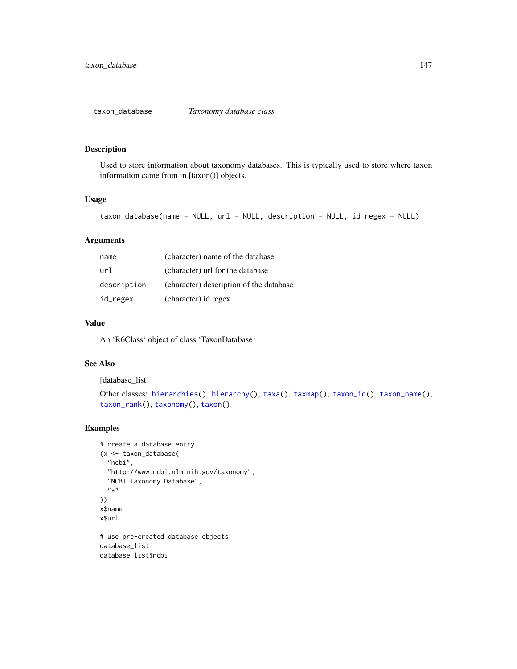<span id="page-146-1"></span><span id="page-146-0"></span>Used to store information about taxonomy databases. This is typically used to store where taxon information came from in [taxon()] objects.

# Usage

```
taxon_database(name = NULL, url = NULL, description = NULL, id_regex = NULL)
```
# Arguments

| name        | (character) name of the database        |
|-------------|-----------------------------------------|
| url         | (character) url for the database        |
| description | (character) description of the database |
| id_regex    | (character) id regex                    |

#### Value

An 'R6Class' object of class 'TaxonDatabase'

#### See Also

[database\_list]

```
Other classes: hierarchies(), hierarchy(), taxa(), taxmap(), taxon_id(), taxon_name(),
taxon_rank(), taxonomy(), taxon()
```

```
# create a database entry
(x <- taxon_database(
  "ncbi",
  "http://www.ncbi.nlm.nih.gov/taxonomy",
  "NCBI Taxonomy Database",
  ^{\bar n} \star "
))
x$name
x$url
# use pre-created database objects
database_list
```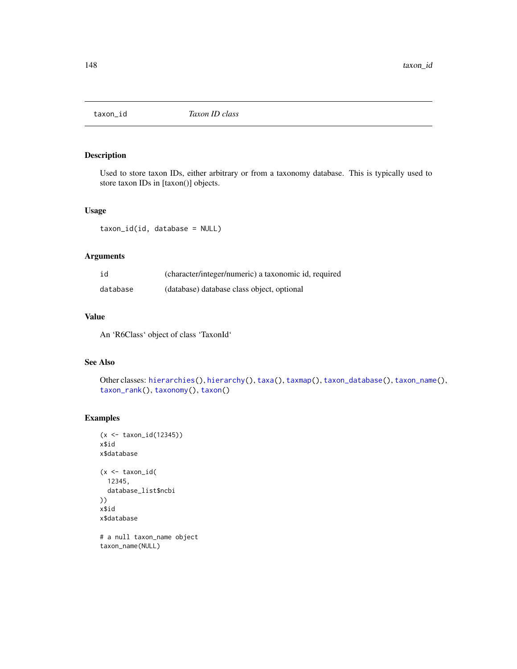<span id="page-147-1"></span><span id="page-147-0"></span>

Used to store taxon IDs, either arbitrary or from a taxonomy database. This is typically used to store taxon IDs in [taxon()] objects.

#### Usage

taxon\_id(id, database = NULL)

# Arguments

| id       | (character/integer/numeric) a taxonomic id, required |
|----------|------------------------------------------------------|
| database | (database) database class object, optional           |

# Value

An 'R6Class' object of class 'TaxonId'

# See Also

```
Other classes: hierarchies(), hierarchy(), taxa(), taxmap(), taxon_database(), taxon_name(),
taxon_rank(), taxonomy(), taxon()
```
# Examples

```
(x <- taxon_id(12345))
x$id
x$database
(x < - taxon_id(
  12345,
  database_list$ncbi
))
x$id
x$database
# a null taxon_name object
```
taxon\_name(NULL)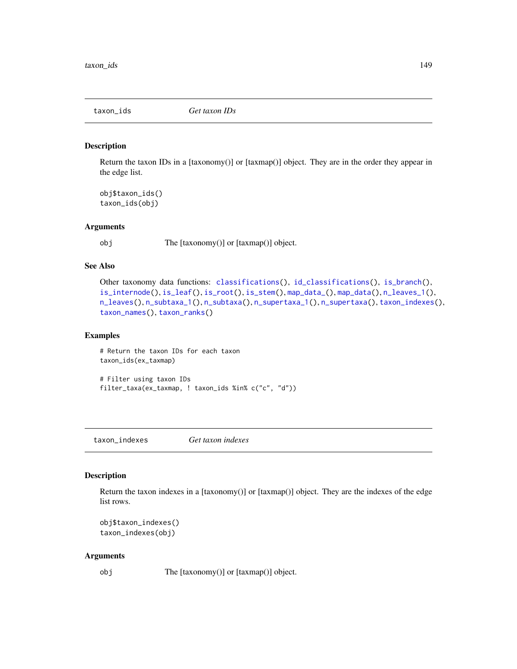<span id="page-148-2"></span><span id="page-148-1"></span>

Return the taxon IDs in a [taxonomy()] or [taxmap()] object. They are in the order they appear in the edge list.

obj\$taxon\_ids() taxon\_ids(obj)

#### Arguments

obj The [taxonomy()] or [taxmap()] object.

# See Also

```
Other taxonomy data functions: classifications(), id_classifications(), is_branch(),
is_internode(), is_leaf(), is_root(), is_stem(), map_data_(), map_data(), n_leaves_1(),
n_leaves(), n_subtaxa_1(), n_subtaxa(), n_supertaxa_1(), n_supertaxa(), taxon_indexes(),
taxon_names(), taxon_ranks()
```
#### Examples

# Return the taxon IDs for each taxon taxon\_ids(ex\_taxmap)

# Filter using taxon IDs filter\_taxa(ex\_taxmap, ! taxon\_ids %in% c("c", "d"))

<span id="page-148-0"></span>taxon\_indexes *Get taxon indexes*

#### Description

Return the taxon indexes in a [taxonomy()] or [taxmap()] object. They are the indexes of the edge list rows.

```
obj$taxon_indexes()
taxon_indexes(obj)
```
#### Arguments

obj The [taxonomy()] or [taxmap()] object.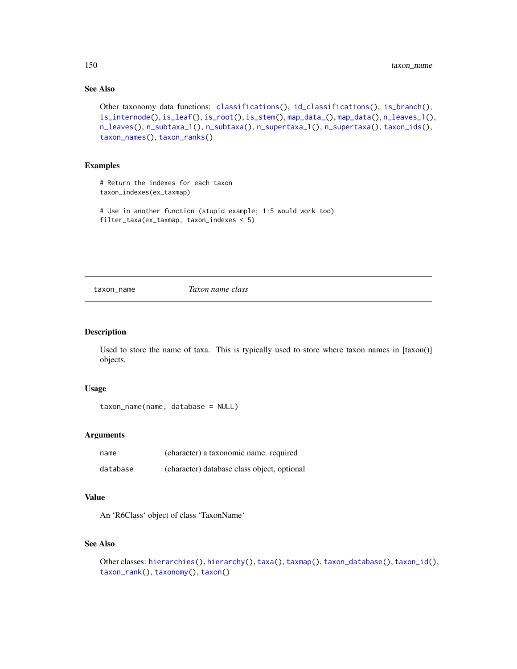# See Also

```
Other taxonomy data functions: classifications(), id_classifications(), is_branch(),
is_internode(), is_leaf(), is_root(), is_stem(), map_data_(), map_data(), n_leaves_1(),
n_leaves(), n_subtaxa_1(), n_subtaxa(), n_supertaxa_1(), n_supertaxa(), taxon_ids(),
taxon_names(), taxon_ranks()
```
# Examples

# Return the indexes for each taxon taxon\_indexes(ex\_taxmap)

# Use in another function (stupid example; 1:5 would work too) filter\_taxa(ex\_taxmap, taxon\_indexes < 5)

<span id="page-149-0"></span>taxon\_name *Taxon name class*

#### Description

Used to store the name of taxa. This is typically used to store where taxon names in  $[taxon()]$ objects.

#### Usage

taxon\_name(name, database = NULL)

#### Arguments

| name     | (character) a taxonomic name. required      |
|----------|---------------------------------------------|
| database | (character) database class object, optional |

# Value

An 'R6Class' object of class 'TaxonName'

#### See Also

```
Other classes: hierarchies(), hierarchy(), taxa(), taxmap(), taxon_database(), taxon_id(),
taxon_rank(), taxonomy(), taxon()
```
<span id="page-149-1"></span>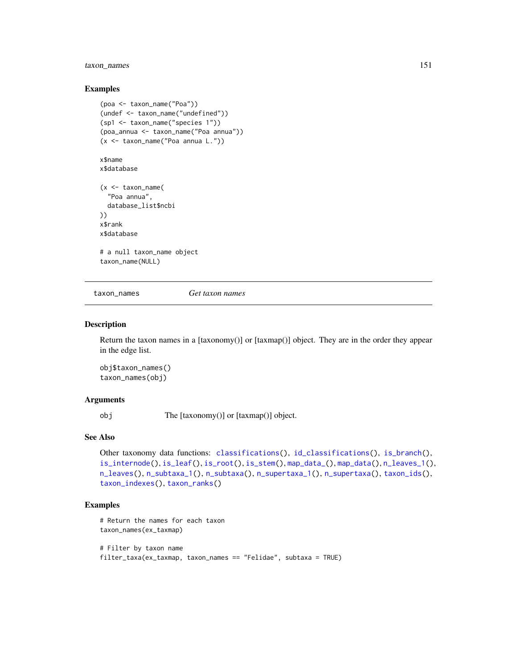# <span id="page-150-1"></span>taxon\_names 151

#### Examples

```
(poa <- taxon_name("Poa"))
(undef <- taxon_name("undefined"))
(sp1 <- taxon_name("species 1"))
(poa_annua <- taxon_name("Poa annua"))
(x <- taxon_name("Poa annua L."))
```
# x\$name

x\$database

```
(x <- taxon_name(
  "Poa annua",
  database_list$ncbi
))
x$rank
x$database
```

```
# a null taxon_name object
taxon_name(NULL)
```
<span id="page-150-0"></span>taxon\_names *Get taxon names*

# Description

Return the taxon names in a  $[taxonomy()]$  or  $[taxmap()]$  object. They are in the order they appear in the edge list.

obj\$taxon\_names() taxon\_names(obj)

# Arguments

obj The [taxonomy()] or [taxmap()] object.

# See Also

```
Other taxonomy data functions: classifications(), id_classifications(), is_branch(),
is_internode(), is_leaf(), is_root(), is_stem(), map_data_(), map_data(), n_leaves_1(),
n_leaves(), n_subtaxa_1(), n_subtaxa(), n_supertaxa_1(), n_supertaxa(), taxon_ids(),
taxon_indexes(), taxon_ranks()
```

```
# Return the names for each taxon
taxon_names(ex_taxmap)
# Filter by taxon name
filter_taxa(ex_taxmap, taxon_names == "Felidae", subtaxa = TRUE)
```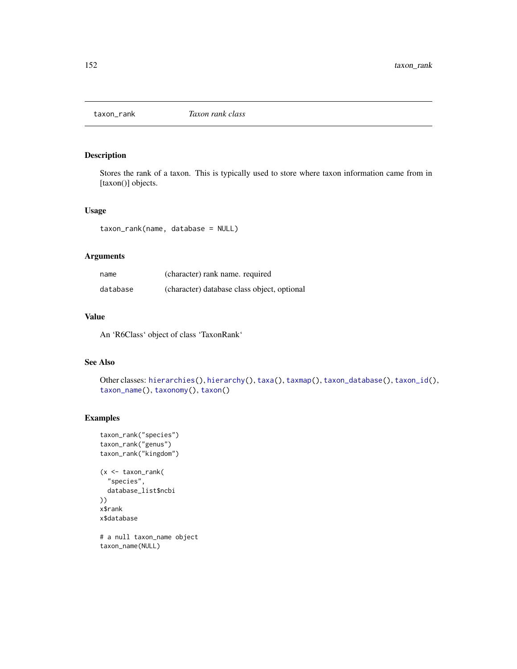<span id="page-151-1"></span><span id="page-151-0"></span>

Stores the rank of a taxon. This is typically used to store where taxon information came from in [taxon()] objects.

#### Usage

taxon\_rank(name, database = NULL)

# Arguments

| name     | (character) rank name, required             |
|----------|---------------------------------------------|
| database | (character) database class object, optional |

# Value

An 'R6Class' object of class 'TaxonRank'

# See Also

```
Other classes: hierarchies(), hierarchy(), taxa(), taxmap(), taxon_database(), taxon_id(),
taxon_name(), taxonomy(), taxon()
```

```
taxon_rank("species")
taxon_rank("genus")
taxon_rank("kingdom")
(x <- taxon_rank(
  "species",
  database_list$ncbi
))
x$rank
x$database
# a null taxon_name object
taxon_name(NULL)
```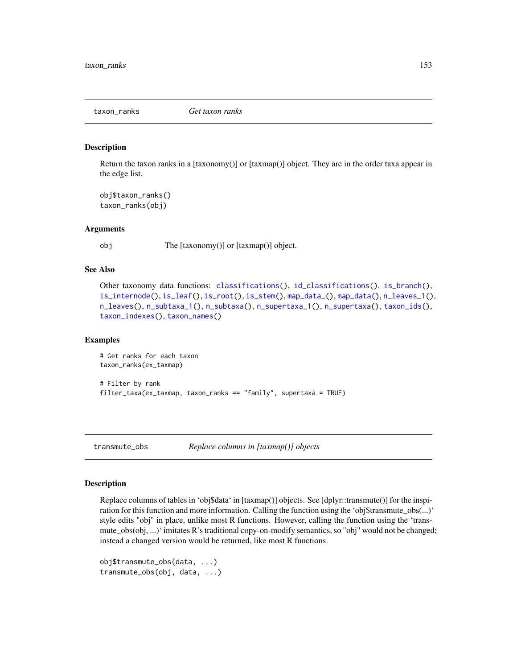<span id="page-152-1"></span><span id="page-152-0"></span>

Return the taxon ranks in a [taxonomy()] or [taxmap()] object. They are in the order taxa appear in the edge list.

```
obj$taxon_ranks()
taxon_ranks(obj)
```
#### Arguments

obj The [taxonomy()] or [taxmap()] object.

# See Also

```
Other taxonomy data functions: classifications(), id_classifications(), is_branch(),
is_internode(), is_leaf(), is_root(), is_stem(), map_data_(), map_data(), n_leaves_1(),
n_leaves(), n_subtaxa_1(), n_subtaxa(), n_supertaxa_1(), n_supertaxa(), taxon_ids(),
taxon_indexes(), taxon_names()
```
#### Examples

```
# Get ranks for each taxon
taxon_ranks(ex_taxmap)
# Filter by rank
filter_taxa(ex_taxmap, taxon_ranks == "family", supertaxa = TRUE)
```
transmute\_obs *Replace columns in [taxmap()] objects*

#### Description

Replace columns of tables in 'obj\$data' in [taxmap()] objects. See [dplyr::transmute()] for the inspiration for this function and more information. Calling the function using the 'obj\$transmute\_obs(...)' style edits "obj" in place, unlike most R functions. However, calling the function using the 'transmute\_obs(obj, ...)' imitates R's traditional copy-on-modify semantics, so "obj" would not be changed; instead a changed version would be returned, like most R functions.

```
obj$transmute_obs(data, ...)
transmute_obs(obj, data, ...)
```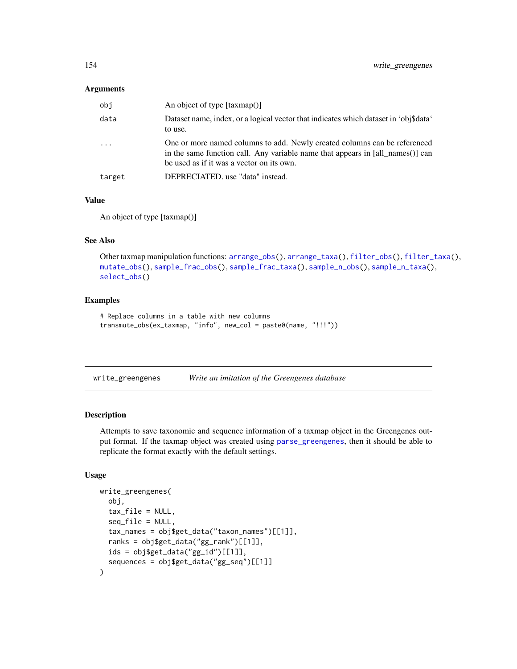#### <span id="page-153-1"></span>Arguments

| obi     | An object of type $[taxmap()]$                                                                                                                                                                           |
|---------|----------------------------------------------------------------------------------------------------------------------------------------------------------------------------------------------------------|
| data    | Dataset name, index, or a logical vector that indicates which dataset in 'obj\$data'<br>to use.                                                                                                          |
| $\cdot$ | One or more named columns to add. Newly created columns can be referenced<br>in the same function call. Any variable name that appears in [all_names()] can<br>be used as if it was a vector on its own. |
| target  | DEPRECIATED. use "data" instead.                                                                                                                                                                         |

#### Value

An object of type [taxmap()]

#### See Also

Other taxmap manipulation functions: [arrange\\_obs\(](#page-8-0)), [arrange\\_taxa\(](#page-9-0)), [filter\\_obs\(](#page-42-0)), [filter\\_taxa\(](#page-44-0)), [mutate\\_obs\(](#page-81-0)), [sample\\_frac\\_obs\(](#page-124-0)), [sample\\_frac\\_taxa\(](#page-125-0)), [sample\\_n\\_obs\(](#page-127-0)), [sample\\_n\\_taxa\(](#page-128-0)), [select\\_obs\(](#page-130-0))

#### Examples

```
# Replace columns in a table with new columns
transmute_obs(ex_taxmap, "info", new_col = paste0(name, "!!!"))
```
<span id="page-153-0"></span>

| write_greengenes | Write an imitation of the Greengenes database |  |  |  |
|------------------|-----------------------------------------------|--|--|--|
|------------------|-----------------------------------------------|--|--|--|

# Description

Attempts to save taxonomic and sequence information of a taxmap object in the Greengenes output format. If the taxmap object was created using [parse\\_greengenes](#page-94-0), then it should be able to replicate the format exactly with the default settings.

#### Usage

```
write_greengenes(
  obj,
  tax_file = NULL,
  seq_file = NULL,
  tax_names = obj$get_data("taxon_names")[[1]],
  ranks = obj$get_data("gg_rank")[[1]],
  ids = obj$get_data("gg_id")[[1]],
  sequences = obj$get_data("gg_seq")[[1]]
)
```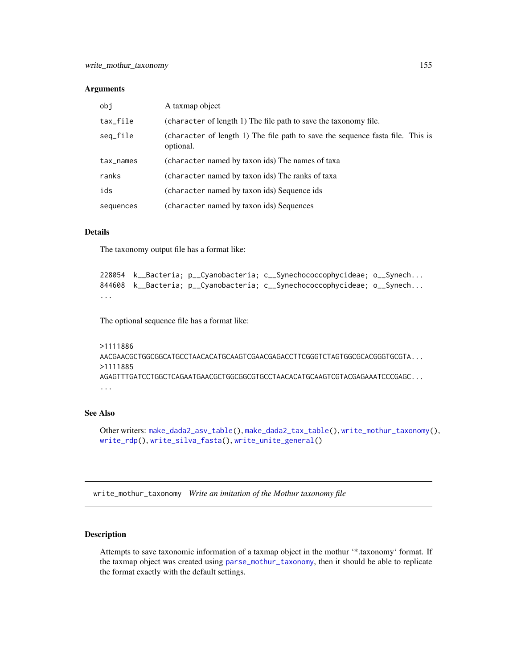#### <span id="page-154-1"></span>**Arguments**

| obi       | A taxmap object                                                                             |
|-----------|---------------------------------------------------------------------------------------------|
| tax_file  | (character of length 1) The file path to save the taxonomy file.                            |
| seq_file  | (character of length 1) The file path to save the sequence fasta file. This is<br>optional. |
| tax_names | (character named by taxon ids) The names of taxa                                            |
| ranks     | (character named by taxon ids) The ranks of taxa                                            |
| ids       | (character named by taxon ids) Sequence ids                                                 |
| sequences | (character named by taxon ids) Sequences                                                    |

# Details

The taxonomy output file has a format like:

```
228054 k__Bacteria; p__Cyanobacteria; c__Synechococcophycideae; o__Synech...
844608 k__Bacteria; p__Cyanobacteria; c__Synechococcophycideae; o__Synech...
...
```
The optional sequence file has a format like:

```
>1111886
AACGAACGCTGGCGGCATGCCTAACACATGCAAGTCGAACGAGACCTTCGGGTCTAGTGGCGCACGGGTGCGTA...
>1111885
AGAGTTTGATCCTGGCTCAGAATGAACGCTGGCGGCGTGCCTAACACATGCAAGTCGTACGAGAAATCCCGAGC...
...
```
# See Also

Other writers: [make\\_dada2\\_asv\\_table\(](#page-76-0)), [make\\_dada2\\_tax\\_table\(](#page-77-0)), [write\\_mothur\\_taxonomy\(](#page-154-0)), [write\\_rdp\(](#page-156-0)), [write\\_silva\\_fasta\(](#page-157-0)), [write\\_unite\\_general\(](#page-158-0))

<span id="page-154-0"></span>write\_mothur\_taxonomy *Write an imitation of the Mothur taxonomy file*

# Description

Attempts to save taxonomic information of a taxmap object in the mothur '\*.taxonomy' format. If the taxmap object was created using [parse\\_mothur\\_taxonomy](#page-95-0), then it should be able to replicate the format exactly with the default settings.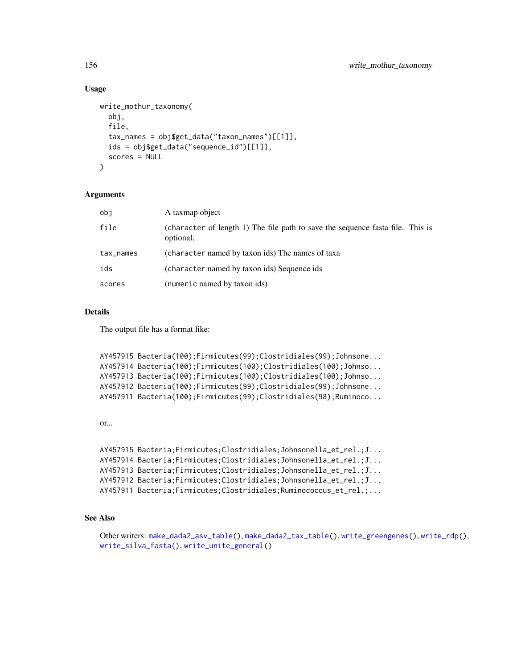#### Usage

```
write_mothur_taxonomy(
  obj,
  file,
  tax_names = obj$get_data("taxon_names")[[1]],
  ids = obj$get_data("sequence_id")[[1]],
  scores = NULL
\lambda
```
# Arguments

| obj       | A taxmap object                                                                             |
|-----------|---------------------------------------------------------------------------------------------|
| file      | (character of length 1) The file path to save the sequence fasta file. This is<br>optional. |
| tax_names | (character named by taxon ids) The names of taxa                                            |
| ids       | (character named by taxon ids) Sequence ids                                                 |
| scores    | (numeric named by taxon ids)                                                                |

# Details

The output file has a format like:

```
AY457915 Bacteria(100);Firmicutes(99);Clostridiales(99);Johnsone...
AY457914 Bacteria(100);Firmicutes(100);Clostridiales(100);Johnso...
AY457913 Bacteria(100);Firmicutes(100);Clostridiales(100);Johnso...
AY457912 Bacteria(100);Firmicutes(99);Clostridiales(99);Johnsone...
AY457911 Bacteria(100);Firmicutes(99);Clostridiales(98);Ruminoco...
```
or...

```
AY457915 Bacteria;Firmicutes;Clostridiales;Johnsonella_et_rel.;J...
AY457914 Bacteria;Firmicutes;Clostridiales;Johnsonella_et_rel.;J...
AY457913 Bacteria;Firmicutes;Clostridiales;Johnsonella_et_rel.;J...
AY457912 Bacteria;Firmicutes;Clostridiales;Johnsonella_et_rel.;J...
AY457911 Bacteria;Firmicutes;Clostridiales;Ruminococcus_et_rel.;...
```
# See Also

```
Other writers: make_dada2_asv_table(), make_dada2_tax_table(), write_greengenes(), write_rdp(),
write_silva_fasta(), write_unite_general()
```
<span id="page-155-0"></span>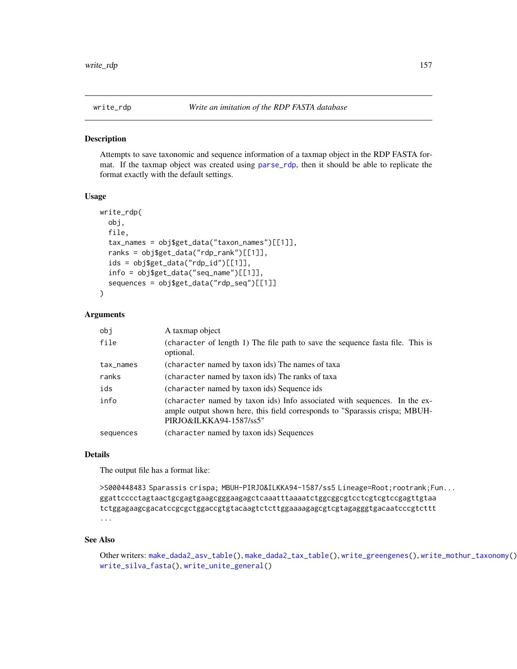<span id="page-156-1"></span><span id="page-156-0"></span>

Attempts to save taxonomic and sequence information of a taxmap object in the RDP FASTA format. If the taxmap object was created using [parse\\_rdp](#page-102-0), then it should be able to replicate the format exactly with the default settings.

#### Usage

```
write_rdp(
  obj,
  file,
  tax_names = obj$get_data("taxon_names")[[1]],
  ranks = obj$get_data("rdp_rank")[[1]],
  ids = obj$get_data("rdp_id")[1]],
  info = obj$get_data("seq_name")[[1]],
  sequences = obj$get_data("rdp_seq")[[1]]
)
```
#### Arguments

| obi       | A taxmap object                                                                                                                                                                     |
|-----------|-------------------------------------------------------------------------------------------------------------------------------------------------------------------------------------|
| file      | (character of length 1) The file path to save the sequence fasta file. This is<br>optional.                                                                                         |
| tax_names | (character named by taxon ids) The names of taxa                                                                                                                                    |
| ranks     | (character named by taxon ids) The ranks of taxa                                                                                                                                    |
| ids       | (character named by taxon ids) Sequence ids                                                                                                                                         |
| info      | (character named by taxon ids) Info associated with sequences. In the ex-<br>ample output shown here, this field corresponds to "Sparassis crispa; MBUH-<br>PIRJO&ILKKA94-1587/ss5" |
| sequences | (character named by taxon ids) Sequences                                                                                                                                            |

#### Details

The output file has a format like:

```
>S000448483 Sparassis crispa; MBUH-PIRJO&ILKKA94-1587/ss5 Lineage=Root;rootrank;Fun...
ggattcccctagtaactgcgagtgaagcgggaagagctcaaatttaaaatctggcggcgtcctcgtcgtccgagttgtaa
tctggagaagcgacatccgcgctggaccgtgtacaagtctcttggaaaagagcgtcgtagagggtgacaatcccgtcttt
...
```
#### See Also

Other writers: [make\\_dada2\\_asv\\_table\(](#page-76-0)), [make\\_dada2\\_tax\\_table\(](#page-77-0)), [write\\_greengenes\(](#page-153-0)), [write\\_mothur\\_taxonomy\(](#page-154-0)), [write\\_silva\\_fasta\(](#page-157-0)), [write\\_unite\\_general\(](#page-158-0))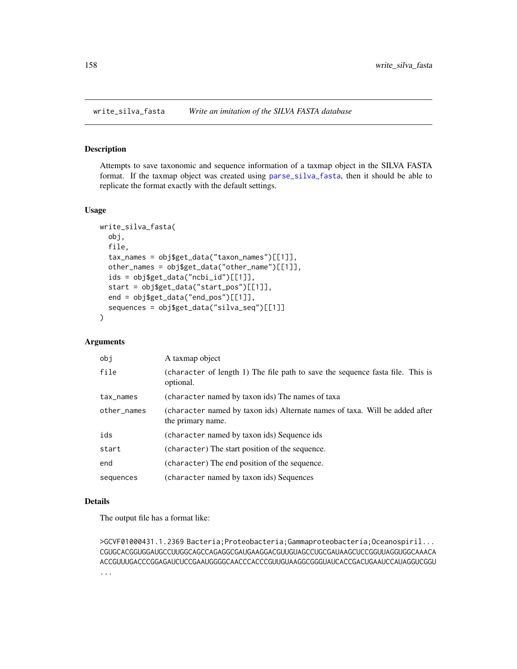<span id="page-157-1"></span><span id="page-157-0"></span>

Attempts to save taxonomic and sequence information of a taxmap object in the SILVA FASTA format. If the taxmap object was created using [parse\\_silva\\_fasta](#page-103-0), then it should be able to replicate the format exactly with the default settings.

#### Usage

```
write_silva_fasta(
  obj,
  file,
  tax_names = obj$get_data("taxon_names")[[1]],
  other_names = obj$get_data("other_name")[[1]],
  ids = obj$get_data("ncbi_id")[[1]],
  start = obj$get_data("start_pos")[[1]],
  end = obj$get_data("end_pos")[[1]],
  sequences = obj$get_data("silva_seq")[[1]]
)
```
# Arguments

| obi         | A taxmap object                                                                                  |
|-------------|--------------------------------------------------------------------------------------------------|
| file        | (character of length 1) The file path to save the sequence fasta file. This is<br>optional.      |
| tax_names   | (character named by taxon ids) The names of taxa                                                 |
| other_names | (character named by taxon ids) Alternate names of taxa. Will be added after<br>the primary name. |
| ids         | (character named by taxon ids) Sequence ids                                                      |
| start       | (character) The start position of the sequence.                                                  |
| end         | (character) The end position of the sequence.                                                    |
| sequences   | (character named by taxon ids) Sequences                                                         |

#### Details

The output file has a format like:

>GCVF01000431.1.2369 Bacteria;Proteobacteria;Gammaproteobacteria;Oceanospiril... CGUGCACGGUGGAUGCCUUGGCAGCCAGAGGCGAUGAAGGACGUUGUAGCCUGCGAUAAGCUCCGGUUAGGUGGCAAACA ACCGUUUGACCCGGAGAUCUCCGAAUGGGGCAACCCACCCGUUGUAAGGCGGGUAUCACCGACUGAAUCCAUAGGUCGGU ...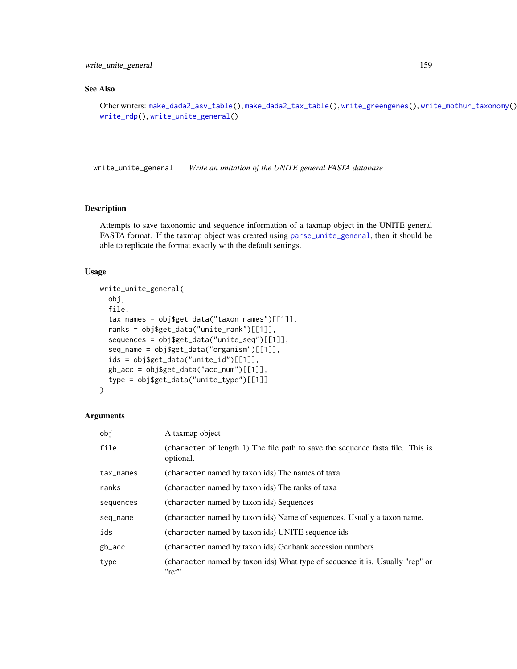<span id="page-158-1"></span>write\_unite\_general 159

# See Also

```
Other writers: make_dada2_asv_table(), make_dada2_tax_table(), write_greengenes(), write_mothur_taxonomy(),
write_rdp(), write_unite_general()
```
<span id="page-158-0"></span>write\_unite\_general *Write an imitation of the UNITE general FASTA database*

# Description

Attempts to save taxonomic and sequence information of a taxmap object in the UNITE general FASTA format. If the taxmap object was created using [parse\\_unite\\_general](#page-109-0), then it should be able to replicate the format exactly with the default settings.

#### Usage

```
write_unite_general(
  obj,
  file,
  tax_names = obj$get_data("taxon_names")[[1]],
  ranks = obj$get_data("unite_rank")[[1]],
  sequences = obj$get_data("unite_seq")[[1]],
  seq_name = obj$get_data("organism")[[1]],
  ids = obj$get_data("unite_id")[[1]],
  gb_acc = obj$get_data("acc_num")[[1]],
  type = obj$get_data("unite_type")[[1]]
)
```
#### Arguments

| obi       | A taxmap object                                                                             |
|-----------|---------------------------------------------------------------------------------------------|
| file      | (character of length 1) The file path to save the sequence fasta file. This is<br>optional. |
| tax_names | (character named by taxon ids) The names of taxa                                            |
| ranks     | (character named by taxon ids) The ranks of taxa                                            |
| sequences | (character named by taxon ids) Sequences                                                    |
| seq_name  | (character named by taxon ids) Name of sequences. Usually a taxon name.                     |
| ids       | (character named by taxon ids) UNITE sequence ids                                           |
| gb_acc    | (character named by taxon ids) Genbank accession numbers                                    |
| type      | (character named by taxon ids) What type of sequence it is. Usually "rep" or<br>"ref".      |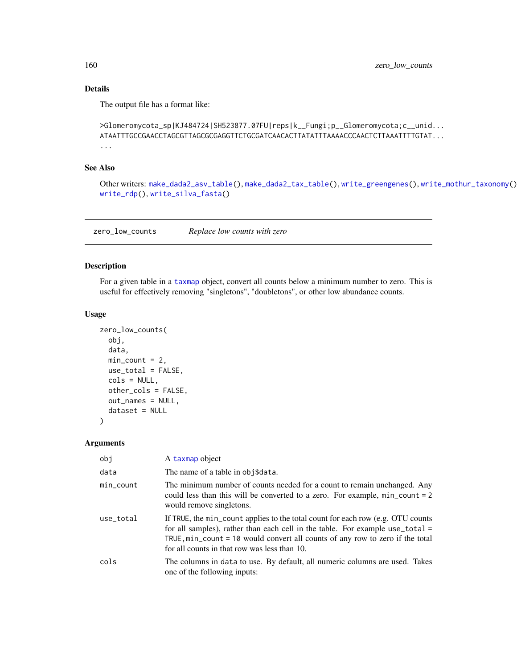# Details

The output file has a format like:

```
>Glomeromycota_sp|KJ484724|SH523877.07FU|reps|k__Fungi;p__Glomeromycota;c__unid...
ATAATTTGCCGAACCTAGCGTTAGCGCGAGGTTCTGCGATCAACACTTATATTTAAAACCCAACTCTTAAATTTTGTAT...
...
```
# See Also

Other writers: [make\\_dada2\\_asv\\_table\(](#page-76-0)), [make\\_dada2\\_tax\\_table\(](#page-77-0)), [write\\_greengenes\(](#page-153-0)), [write\\_mothur\\_taxonomy\(](#page-154-0)), [write\\_rdp\(](#page-156-0)), [write\\_silva\\_fasta\(](#page-157-0))

zero\_low\_counts *Replace low counts with zero*

# Description

For a given table in a [taxmap](#page-138-0) object, convert all counts below a minimum number to zero. This is useful for effectively removing "singletons", "doubletons", or other low abundance counts.

#### Usage

```
zero_low_counts(
  obj,
  data,
 min\_count = 2,
 use_total = FALSE,
  cols = NULL,other_cols = FALSE,
  out_names = NULL,
  dataset = NULL\mathcal{L}
```
#### Arguments

| obj       | A taxmap object                                                                                                                                                                                                                                                                                              |
|-----------|--------------------------------------------------------------------------------------------------------------------------------------------------------------------------------------------------------------------------------------------------------------------------------------------------------------|
| data      | The name of a table in obj\$data.                                                                                                                                                                                                                                                                            |
| min_count | The minimum number of counts needed for a count to remain unchanged. Any<br>could less than this will be converted to a zero. For example, min_count = 2<br>would remove singletons.                                                                                                                         |
| use_total | If TRUE, the min_count applies to the total count for each row (e.g. OTU counts<br>for all samples), rather than each cell in the table. For example use_total =<br>TRUE, $min_{\alpha}$ count = 10 would convert all counts of any row to zero if the total<br>for all counts in that row was less than 10. |
| cols      | The columns in data to use. By default, all numeric columns are used. Takes<br>one of the following inputs:                                                                                                                                                                                                  |

<span id="page-159-0"></span>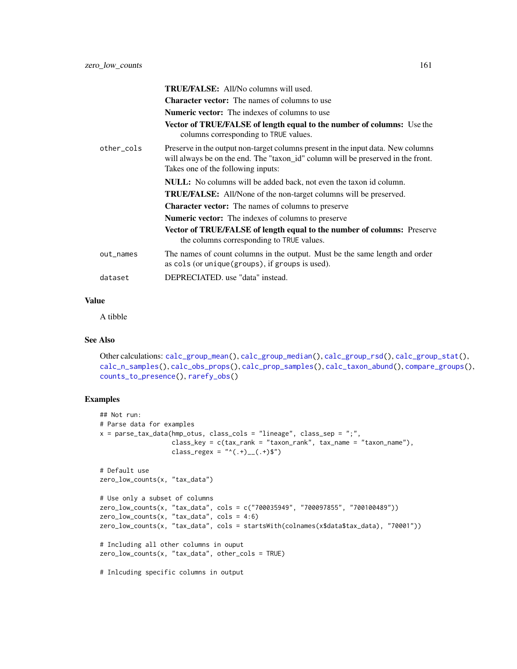<span id="page-160-0"></span>

|            | TRUE/FALSE: All/No columns will used.<br><b>Character vector:</b> The names of columns to use                                                                                                              |
|------------|------------------------------------------------------------------------------------------------------------------------------------------------------------------------------------------------------------|
|            | <b>Numeric vector:</b> The indexes of columns to use                                                                                                                                                       |
|            | <b>Vector of TRUE/FALSE of length equal to the number of columns:</b> Use the<br>columns corresponding to TRUE values.                                                                                     |
| other_cols | Preserve in the output non-target columns present in the input data. New columns<br>will always be on the end. The "taxon_id" column will be preserved in the front.<br>Takes one of the following inputs: |
|            | <b>NULL:</b> No columns will be added back, not even the taxon id column.                                                                                                                                  |
|            | <b>TRUE/FALSE:</b> All/None of the non-target columns will be preserved.                                                                                                                                   |
|            | <b>Character vector:</b> The names of columns to preserve                                                                                                                                                  |
|            | <b>Numeric vector:</b> The indexes of columns to preserve                                                                                                                                                  |
|            | Vector of TRUE/FALSE of length equal to the number of columns: Preserve<br>the columns corresponding to TRUE values.                                                                                       |
| out_names  | The names of count columns in the output. Must be the same length and order<br>as cols (or unique (groups), if groups is used).                                                                            |
| dataset    | DEPRECIATED, use "data" instead.                                                                                                                                                                           |
|            |                                                                                                                                                                                                            |

#### Value

A tibble

# See Also

```
Other calculations: calc_group_mean(), calc_group_median(), calc_group_rsd(), calc_group_stat(),
calc_n_samples(), calc_obs_props(), calc_prop_samples(), calc_taxon_abund(), compare_groups(),
counts_to_presence(), rarefy_obs()
```

```
## Not run:
# Parse data for examples
x = parse_tax_data(hmp_otus, class_cols = "lineage", class_sep = ";",
                  class_key = c(tax_rank = "taxon_rank", tax_name = "taxon_name"),
                   class_regex = "^(.+)__(.+)$")
# Default use
zero_low_counts(x, "tax_data")
# Use only a subset of columns
zero_low_counts(x, "tax_data", cols = c("700035949", "700097855", "700100489"))
zero_low_counts(x, "tax_data", cols = 4:6)
zero_low_counts(x, "tax_data", cols = startsWith(colnames(x$data$tax_data), "70001"))
# Including all other columns in ouput
zero_low_counts(x, "tax_data", other_cols = TRUE)# Inlcuding specific columns in output
```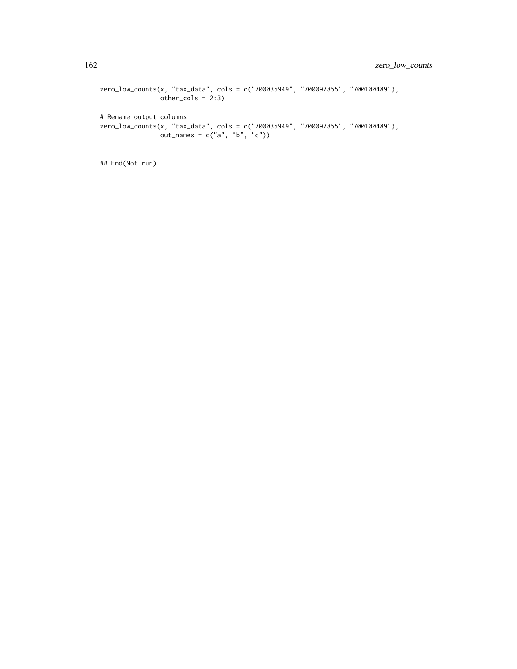```
zero_low_counts(x, "tax_data", cols = c("700035949", "700097855", "700100489"),
               other\_cols = 2:3)# Rename output columns
zero_low_counts(x, "tax_data", cols = c("700035949", "700097855", "700100489"),
               out\_names = c("a", "b", "c")
```
## End(Not run)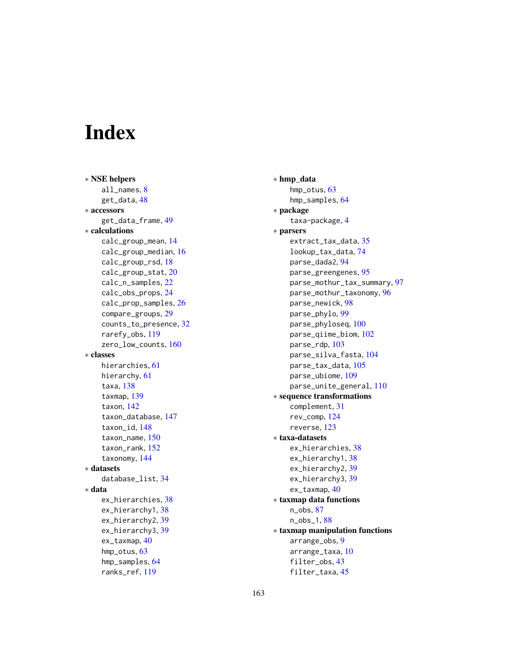# Index

∗ NSE helpers all\_names, [8](#page-7-0) get\_data, [48](#page-47-0) ∗ accessors get\_data\_frame, [49](#page-48-0) ∗ calculations calc\_group\_mean, [14](#page-13-1) calc\_group\_median, [16](#page-15-1) calc\_group\_rsd, [18](#page-17-1) calc\_group\_stat, [20](#page-19-1) calc\_n\_samples, [22](#page-21-1) calc\_obs\_props, [24](#page-23-1) calc\_prop\_samples, [26](#page-25-1) compare\_groups, [29](#page-28-1) counts\_to\_presence, [32](#page-31-1) rarefy\_obs, [119](#page-118-1) zero\_low\_counts, [160](#page-159-0) ∗ classes hierarchies, [61](#page-60-2) hierarchy, [61](#page-60-2) taxa, [138](#page-137-1) taxmap, [139](#page-138-1) taxon, [142](#page-141-1) taxon\_database, [147](#page-146-1) taxon\_id, [148](#page-147-1) taxon\_name, [150](#page-149-1) taxon\_rank, [152](#page-151-1) taxonomy, [144](#page-143-1) ∗ datasets database\_list, [34](#page-33-0) ∗ data ex\_hierarchies, [38](#page-37-0) ex\_hierarchy1, [38](#page-37-0) ex\_hierarchy2, [39](#page-38-0) ex\_hierarchy3, [39](#page-38-0) ex\_taxmap, [40](#page-39-0) hmp\_otus, [63](#page-62-0) hmp\_samples, [64](#page-63-1) ranks\_ref, [119](#page-118-1)

∗ hmp\_data hmp\_otus, [63](#page-62-0) hmp\_samples, [64](#page-63-1) ∗ package taxa-package, [4](#page-3-0) ∗ parsers extract\_tax\_data, [35](#page-34-0) lookup\_tax\_data, [74](#page-73-0) parse\_dada2, [94](#page-93-0) parse\_greengenes, [95](#page-94-1) parse\_mothur\_tax\_summary, [97](#page-96-0) parse\_mothur\_taxonomy, [96](#page-95-1) parse\_newick, [98](#page-97-0) parse\_phylo, [99](#page-98-0) parse\_phyloseq, [100](#page-99-0) parse\_qiime\_biom, [102](#page-101-0) parse\_rdp, [103](#page-102-1) parse\_silva\_fasta, [104](#page-103-1) parse\_tax\_data, [105](#page-104-0) parse\_ubiome, [109](#page-108-0) parse\_unite\_general, [110](#page-109-1) ∗ sequence transformations complement, [31](#page-30-0) rev\_comp, [124](#page-123-0) reverse, [123](#page-122-0) ∗ taxa-datasets ex\_hierarchies, [38](#page-37-0) ex\_hierarchy1, [38](#page-37-0) ex\_hierarchy2, [39](#page-38-0) ex\_hierarchy3, [39](#page-38-0) ex\_taxmap, [40](#page-39-0) ∗ taxmap data functions n\_obs, [87](#page-86-0) n\_obs\_1, [88](#page-87-0) ∗ taxmap manipulation functions arrange\_obs, [9](#page-8-1) arrange\_taxa, [10](#page-9-1) filter\_obs, [43](#page-42-1) filter\_taxa, [45](#page-44-1)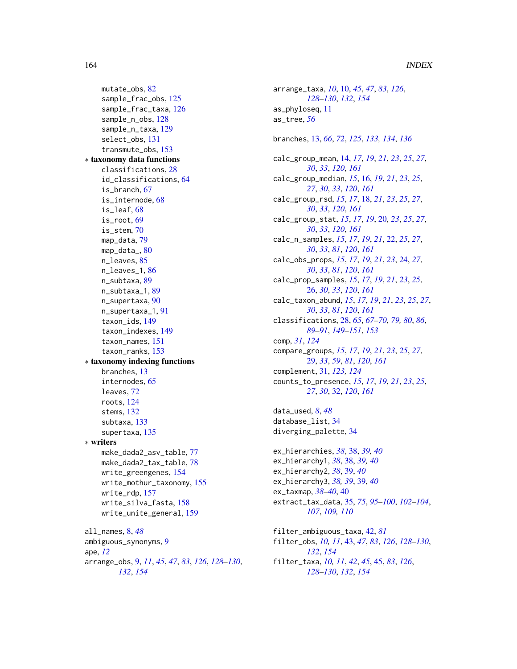```
mutate_obs, 82
    sample_frac_obs, 125
    sample_frac_taxa, 126
    sample_n_obs, 128
    sample_n_taxa, 129
    select_obs, 131
    transmute_obs, 153
∗ taxonomy data functions
    classifications, 28
    id_classifications, 64
    is_branch, 67
    is_internode, 68
    is_leaf, 68
    is_root, 69
    is_stem, 70
    map_data, 79
    map_data_, 80
    n_leaves, 85
    n_leaves_1, 86
    n_subtaxa, 89
    n_subtaxa_1, 89
    n_supertaxa, 90
    n_supertaxa_1, 91
    taxon_ids, 149
    taxon_indexes, 149
    taxon_names, 151
    taxon_ranks, 153
∗ taxonomy indexing functions
    branches, 13
    internodes, 65
    leaves, 72
    roots, 124
    stems, 132
    subtaxa, 133
    supertaxa, 135
∗ writers
    make_dada2_asv_table, 77
    make_dada2_tax_table, 78
    write_greengenes, 154
    write_mothur_taxonomy, 155
    write_rdp, 157
    write_silva_fasta, 158
    write_unite_general, 159
all_names, 8, 48
ambiguous_synonyms, 9
ape, 12
arrange_obs, 9, 11, 45, 47, 83, 126, 128–130,
        132, 154
```

```
arrange_taxa, 10, 10, 45, 47, 83, 126,
         128–130, 132, 154
as_phyloseq, 11
as_tree, 56
branches, 13, 66, 72, 125, 133, 134, 136
calc_group_mean, 14, 17, 19, 21, 23, 25, 27,
         30, 33, 120, 161
calc_group_median, 15, 16, 19, 21, 23, 25,
         27, 30, 33, 120, 161
calc_group_rsd, 15, 17, 18, 21, 23, 25, 27,
         30, 33, 120, 161
calc_group_stat, 15, 17, 19, 20, 23, 25, 27,
         30, 33, 120, 161
calc_n_samples, 15, 17, 19, 21, 22, 25, 27,
         30, 33, 81, 120, 161
calc_obs_props, 15, 17, 19, 21, 23, 24, 27,
         30, 33, 81, 120, 161
calc_prop_samples, 15, 17, 19, 21, 23, 25,
         26, 30, 33, 120, 161
calc_taxon_abund, 15, 17, 19, 21, 23, 25, 27,
         30, 33, 81, 120, 161
classifications, 28, 65, 67–70, 79, 80, 86,
         89–91, 149–151, 153
comp, 31, 124
compare_groups, 15, 17, 19, 21, 23, 25, 27,
         29, 33, 59, 81, 120, 161
complement, 31, 123, 124
counts_to_presence, 15, 17, 19, 21, 23, 25,
         27, 30, 32, 120, 161
data_used, 8, 48
database_list, 34
diverging_palette, 34
ex_hierarchies, 38, 38, 39, 40
ex_hierarchy1, 38, 38, 39, 40
ex_hierarchy2, 38, 39, 40
ex_hierarchy3, 38, 39, 39, 40
ex_taxmap, 38–40, 40
extract_tax_data, 35, 75, 95–100, 102–104,
         107, 109, 110
filter_ambiguous_taxa, 42, 81
filter_obs, 10, 11, 43, 47, 83, 126, 128–130,
         132, 154
filter_taxa, 10, 11, 42, 45, 45, 83, 126,
```
*[128](#page-127-1)[–130](#page-129-0)*, *[132](#page-131-0)*, *[154](#page-153-1)*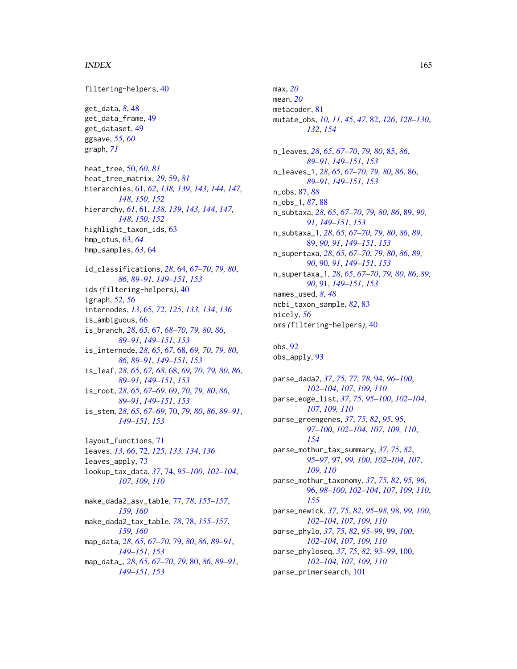#### INDEX 165

filtering-helpers, [40](#page-39-0) get\_data, *[8](#page-7-0)*, [48](#page-47-0) get\_data\_frame, [49](#page-48-0) get\_dataset, [49](#page-48-0) ggsave, *[55](#page-54-0)*, *[60](#page-59-0)* graph, *[71](#page-70-0)* heat\_tree, [50,](#page-49-0) *[60](#page-59-0)*, *[81](#page-80-0)* heat\_tree\_matrix, *[29](#page-28-1)*, [59,](#page-58-0) *[81](#page-80-0)* hierarchies, [61,](#page-60-2) *[62](#page-61-0)*, *[138,](#page-137-1) [139](#page-138-1)*, *[143,](#page-142-0) [144](#page-143-1)*, *[147,](#page-146-1) [148](#page-147-1)*, *[150](#page-149-1)*, *[152](#page-151-1)* hierarchy, *[61](#page-60-2)*, [61,](#page-60-2) *[138,](#page-137-1) [139](#page-138-1)*, *[143,](#page-142-0) [144](#page-143-1)*, *[147,](#page-146-1) [148](#page-147-1)*, *[150](#page-149-1)*, *[152](#page-151-1)* highlight\_taxon\_ids, [63](#page-62-0) hmp\_otus, [63,](#page-62-0) *[64](#page-63-1)* hmp\_samples, *[63](#page-62-0)*, [64](#page-63-1) id\_classifications, *[28](#page-27-1)*, [64,](#page-63-1) *[67–](#page-66-1)[70](#page-69-1)*, *[79,](#page-78-1) [80](#page-79-1)*, *[86](#page-85-1)*, *[89](#page-88-2)[–91](#page-90-1)*, *[149–](#page-148-2)[151](#page-150-1)*, *[153](#page-152-1)* ids *(*filtering-helpers*)*, [40](#page-39-0) igraph, *[52](#page-51-0)*, *[56](#page-55-0)* internodes, *[13](#page-12-0)*, [65,](#page-64-0) *[72](#page-71-0)*, *[125](#page-124-1)*, *[133,](#page-132-0) [134](#page-133-0)*, *[136](#page-135-0)* is\_ambiguous, [66](#page-65-0) is\_branch, *[28](#page-27-1)*, *[65](#page-64-0)*, [67,](#page-66-1) *[68–](#page-67-2)[70](#page-69-1)*, *[79,](#page-78-1) [80](#page-79-1)*, *[86](#page-85-1)*, *[89](#page-88-2)[–91](#page-90-1)*, *[149](#page-148-2)[–151](#page-150-1)*, *[153](#page-152-1)* is\_internode, *[28](#page-27-1)*, *[65](#page-64-0)*, *[67](#page-66-1)*, [68,](#page-67-2) *[69,](#page-68-1) [70](#page-69-1)*, *[79,](#page-78-1) [80](#page-79-1)*, *[86](#page-85-1)*, *[89](#page-88-2)[–91](#page-90-1)*, *[149–](#page-148-2)[151](#page-150-1)*, *[153](#page-152-1)* is\_leaf, *[28](#page-27-1)*, *[65](#page-64-0)*, *[67,](#page-66-1) [68](#page-67-2)*, [68,](#page-67-2) *[69,](#page-68-1) [70](#page-69-1)*, *[79,](#page-78-1) [80](#page-79-1)*, *[86](#page-85-1)*, *[89](#page-88-2)[–91](#page-90-1)*, *[149](#page-148-2)[–151](#page-150-1)*, *[153](#page-152-1)* is\_root, *[28](#page-27-1)*, *[65](#page-64-0)*, *[67](#page-66-1)[–69](#page-68-1)*, [69,](#page-68-1) *[70](#page-69-1)*, *[79,](#page-78-1) [80](#page-79-1)*, *[86](#page-85-1)*, *[89](#page-88-2)[–91](#page-90-1)*, *[149](#page-148-2)[–151](#page-150-1)*, *[153](#page-152-1)* is\_stem, *[28](#page-27-1)*, *[65](#page-64-0)*, *[67](#page-66-1)[–69](#page-68-1)*, [70,](#page-69-1) *[79,](#page-78-1) [80](#page-79-1)*, *[86](#page-85-1)*, *[89–](#page-88-2)[91](#page-90-1)*, *[149](#page-148-2)[–151](#page-150-1)*, *[153](#page-152-1)* layout\_functions, [71](#page-70-0) leaves, *[13](#page-12-0)*, *[66](#page-65-0)*, [72,](#page-71-0) *[125](#page-124-1)*, *[133,](#page-132-0) [134](#page-133-0)*, *[136](#page-135-0)* leaves\_apply, [73](#page-72-0) lookup\_tax\_data, *[37](#page-36-0)*, [74,](#page-73-0) *[95–](#page-94-1)[100](#page-99-0)*, *[102–](#page-101-0)[104](#page-103-1)*, *[107](#page-106-0)*, *[109,](#page-108-0) [110](#page-109-1)*

make\_dada2\_asv\_table, [77,](#page-76-1) *[78](#page-77-1)*, *[155–](#page-154-1)[157](#page-156-1)*, *[159,](#page-158-1) [160](#page-159-0)* make\_dada2\_tax\_table, *[78](#page-77-1)*, [78,](#page-77-1) *[155–](#page-154-1)[157](#page-156-1)*, *[159,](#page-158-1) [160](#page-159-0)* map\_data, *[28](#page-27-1)*, *[65](#page-64-0)*, *[67](#page-66-1)[–70](#page-69-1)*, [79,](#page-78-1) *[80](#page-79-1)*, *[86](#page-85-1)*, *[89–](#page-88-2)[91](#page-90-1)*, *[149](#page-148-2)[–151](#page-150-1)*, *[153](#page-152-1)* map\_data\_, *[28](#page-27-1)*, *[65](#page-64-0)*, *[67](#page-66-1)[–70](#page-69-1)*, *[79](#page-78-1)*, [80,](#page-79-1) *[86](#page-85-1)*, *[89–](#page-88-2)[91](#page-90-1)*, *[149](#page-148-2)[–151](#page-150-1)*, *[153](#page-152-1)*

max, *[20](#page-19-1)* mean, *[20](#page-19-1)* metacoder, [81](#page-80-0) mutate\_obs, *[10,](#page-9-1) [11](#page-10-0)*, *[45](#page-44-1)*, *[47](#page-46-0)*, [82,](#page-81-1) *[126](#page-125-1)*, *[128](#page-127-1)[–130](#page-129-0)*, *[132](#page-131-0)*, *[154](#page-153-1)* n\_leaves, *[28](#page-27-1)*, *[65](#page-64-0)*, *[67](#page-66-1)[–70](#page-69-1)*, *[79,](#page-78-1) [80](#page-79-1)*, [85,](#page-84-1) *[86](#page-85-1)*, *[89](#page-88-2)[–91](#page-90-1)*, *[149](#page-148-2)[–151](#page-150-1)*, *[153](#page-152-1)* n\_leaves\_1, *[28](#page-27-1)*, *[65](#page-64-0)*, *[67](#page-66-1)[–70](#page-69-1)*, *[79,](#page-78-1) [80](#page-79-1)*, *[86](#page-85-1)*, [86,](#page-85-1) *[89](#page-88-2)[–91](#page-90-1)*, *[149](#page-148-2)[–151](#page-150-1)*, *[153](#page-152-1)* n\_obs, [87,](#page-86-0) *[88](#page-87-0)* n\_obs\_1, *[87](#page-86-0)*, [88](#page-87-0) n\_subtaxa, *[28](#page-27-1)*, *[65](#page-64-0)*, *[67](#page-66-1)[–70](#page-69-1)*, *[79,](#page-78-1) [80](#page-79-1)*, *[86](#page-85-1)*, [89,](#page-88-2) *[90,](#page-89-1) [91](#page-90-1)*, *[149](#page-148-2)[–151](#page-150-1)*, *[153](#page-152-1)* n\_subtaxa\_1, *[28](#page-27-1)*, *[65](#page-64-0)*, *[67](#page-66-1)[–70](#page-69-1)*, *[79,](#page-78-1) [80](#page-79-1)*, *[86](#page-85-1)*, *[89](#page-88-2)*, [89,](#page-88-2) *[90,](#page-89-1) [91](#page-90-1)*, *[149](#page-148-2)[–151](#page-150-1)*, *[153](#page-152-1)* n\_supertaxa, *[28](#page-27-1)*, *[65](#page-64-0)*, *[67](#page-66-1)[–70](#page-69-1)*, *[79,](#page-78-1) [80](#page-79-1)*, *[86](#page-85-1)*, *[89,](#page-88-2) [90](#page-89-1)*, [90,](#page-89-1) *[91](#page-90-1)*, *[149](#page-148-2)[–151](#page-150-1)*, *[153](#page-152-1)* n\_supertaxa\_1, *[28](#page-27-1)*, *[65](#page-64-0)*, *[67](#page-66-1)[–70](#page-69-1)*, *[79,](#page-78-1) [80](#page-79-1)*, *[86](#page-85-1)*, *[89,](#page-88-2) [90](#page-89-1)*, [91,](#page-90-1) *[149](#page-148-2)[–151](#page-150-1)*, *[153](#page-152-1)* names\_used, *[8](#page-7-0)*, *[48](#page-47-0)* ncbi\_taxon\_sample, *[82](#page-81-1)*, [83](#page-82-0) nicely, *[56](#page-55-0)* nms *(*filtering-helpers*)*, [40](#page-39-0)

obs, [92](#page-91-0) obs\_apply, [93](#page-92-0)

parse\_dada2, *[37](#page-36-0)*, *[75](#page-74-0)*, *[77,](#page-76-1) [78](#page-77-1)*, [94,](#page-93-0) *[96](#page-95-1)[–100](#page-99-0)*, *[102](#page-101-0)[–104](#page-103-1)*, *[107](#page-106-0)*, *[109,](#page-108-0) [110](#page-109-1)* parse\_edge\_list, *[37](#page-36-0)*, *[75](#page-74-0)*, *[95](#page-94-1)[–100](#page-99-0)*, *[102](#page-101-0)[–104](#page-103-1)*, *[107](#page-106-0)*, *[109,](#page-108-0) [110](#page-109-1)* parse\_greengenes, *[37](#page-36-0)*, *[75](#page-74-0)*, *[82](#page-81-1)*, *[95](#page-94-1)*, [95,](#page-94-1) *[97](#page-96-0)[–100](#page-99-0)*, *[102](#page-101-0)[–104](#page-103-1)*, *[107](#page-106-0)*, *[109,](#page-108-0) [110](#page-109-1)*, *[154](#page-153-1)* parse\_mothur\_tax\_summary, *[37](#page-36-0)*, *[75](#page-74-0)*, *[82](#page-81-1)*, *[95](#page-94-1)[–97](#page-96-0)*, [97,](#page-96-0) *[99,](#page-98-0) [100](#page-99-0)*, *[102](#page-101-0)[–104](#page-103-1)*, *[107](#page-106-0)*, *[109,](#page-108-0) [110](#page-109-1)* parse\_mothur\_taxonomy, *[37](#page-36-0)*, *[75](#page-74-0)*, *[82](#page-81-1)*, *[95,](#page-94-1) [96](#page-95-1)*, [96,](#page-95-1) *[98](#page-97-0)[–100](#page-99-0)*, *[102](#page-101-0)[–104](#page-103-1)*, *[107](#page-106-0)*, *[109,](#page-108-0) [110](#page-109-1)*, *[155](#page-154-1)* parse\_newick, *[37](#page-36-0)*, *[75](#page-74-0)*, *[82](#page-81-1)*, *[95](#page-94-1)[–98](#page-97-0)*, [98,](#page-97-0) *[99,](#page-98-0) [100](#page-99-0)*, *[102](#page-101-0)[–104](#page-103-1)*, *[107](#page-106-0)*, *[109,](#page-108-0) [110](#page-109-1)* parse\_phylo, *[37](#page-36-0)*, *[75](#page-74-0)*, *[82](#page-81-1)*, *[95](#page-94-1)[–99](#page-98-0)*, [99,](#page-98-0) *[100](#page-99-0)*, *[102](#page-101-0)[–104](#page-103-1)*, *[107](#page-106-0)*, *[109,](#page-108-0) [110](#page-109-1)* parse\_phyloseq, *[37](#page-36-0)*, *[75](#page-74-0)*, *[82](#page-81-1)*, *[95](#page-94-1)[–99](#page-98-0)*, [100,](#page-99-0) *[102](#page-101-0)[–104](#page-103-1)*, *[107](#page-106-0)*, *[109,](#page-108-0) [110](#page-109-1)* parse\_primersearch, [101](#page-100-0)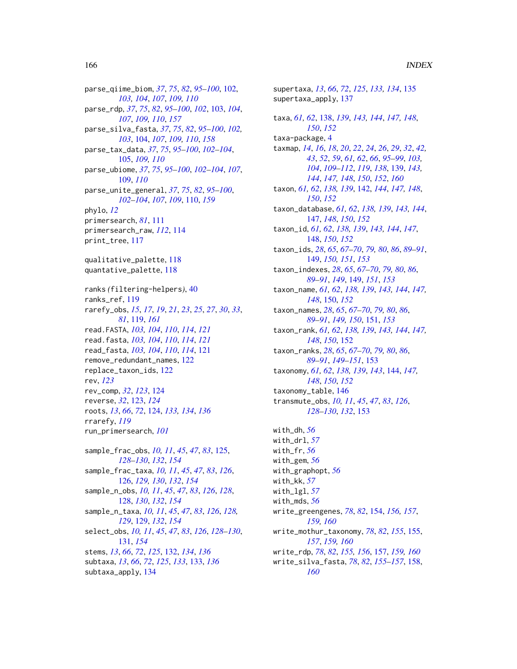parse\_qiime\_biom, *[37](#page-36-0)*, *[75](#page-74-0)*, *[82](#page-81-1)*, *[95–](#page-94-1)[100](#page-99-0)*, [102,](#page-101-0) *[103,](#page-102-1) [104](#page-103-1)*, *[107](#page-106-0)*, *[109,](#page-108-0) [110](#page-109-1)* parse\_rdp, *[37](#page-36-0)*, *[75](#page-74-0)*, *[82](#page-81-1)*, *[95–](#page-94-1)[100](#page-99-0)*, *[102](#page-101-0)*, [103,](#page-102-1) *[104](#page-103-1)*, *[107](#page-106-0)*, *[109,](#page-108-0) [110](#page-109-1)*, *[157](#page-156-1)* parse\_silva\_fasta, *[37](#page-36-0)*, *[75](#page-74-0)*, *[82](#page-81-1)*, *[95–](#page-94-1)[100](#page-99-0)*, *[102,](#page-101-0) [103](#page-102-1)*, [104,](#page-103-1) *[107](#page-106-0)*, *[109,](#page-108-0) [110](#page-109-1)*, *[158](#page-157-1)* parse\_tax\_data, *[37](#page-36-0)*, *[75](#page-74-0)*, *[95–](#page-94-1)[100](#page-99-0)*, *[102–](#page-101-0)[104](#page-103-1)*, [105,](#page-104-0) *[109,](#page-108-0) [110](#page-109-1)* parse\_ubiome, *[37](#page-36-0)*, *[75](#page-74-0)*, *[95–](#page-94-1)[100](#page-99-0)*, *[102–](#page-101-0)[104](#page-103-1)*, *[107](#page-106-0)*, [109,](#page-108-0) *[110](#page-109-1)* parse\_unite\_general, *[37](#page-36-0)*, *[75](#page-74-0)*, *[82](#page-81-1)*, *[95–](#page-94-1)[100](#page-99-0)*, *[102](#page-101-0)[–104](#page-103-1)*, *[107](#page-106-0)*, *[109](#page-108-0)*, [110,](#page-109-1) *[159](#page-158-1)* phylo, *[12](#page-11-0)* primersearch, *[81](#page-80-0)*, [111](#page-110-0) primersearch\_raw, *[112](#page-111-0)*, [114](#page-113-0) print\_tree, [117](#page-116-0) qualitative\_palette, [118](#page-117-0) quantative\_palette, [118](#page-117-0) ranks *(*filtering-helpers*)*, [40](#page-39-0) ranks\_ref, [119](#page-118-1) rarefy\_obs, *[15](#page-14-0)*, *[17](#page-16-0)*, *[19](#page-18-0)*, *[21](#page-20-0)*, *[23](#page-22-0)*, *[25](#page-24-0)*, *[27](#page-26-0)*, *[30](#page-29-0)*, *[33](#page-32-0)*, *[81](#page-80-0)*, [119,](#page-118-1) *[161](#page-160-0)* read.FASTA, *[103,](#page-102-1) [104](#page-103-1)*, *[110](#page-109-1)*, *[114](#page-113-0)*, *[121](#page-120-0)* read.fasta, *[103,](#page-102-1) [104](#page-103-1)*, *[110](#page-109-1)*, *[114](#page-113-0)*, *[121](#page-120-0)* read\_fasta, *[103,](#page-102-1) [104](#page-103-1)*, *[110](#page-109-1)*, *[114](#page-113-0)*, [121](#page-120-0) remove\_redundant\_names, [122](#page-121-0) replace\_taxon\_ids, [122](#page-121-0) rev, *[123](#page-122-0)* rev\_comp, *[32](#page-31-1)*, *[123](#page-122-0)*, [124](#page-123-0) reverse, *[32](#page-31-1)*, [123,](#page-122-0) *[124](#page-123-0)* roots, *[13](#page-12-0)*, *[66](#page-65-0)*, *[72](#page-71-0)*, [124,](#page-123-0) *[133,](#page-132-0) [134](#page-133-0)*, *[136](#page-135-0)* rrarefy, *[119](#page-118-1)* run\_primersearch, *[101](#page-100-0)* sample\_frac\_obs, *[10,](#page-9-1) [11](#page-10-0)*, *[45](#page-44-1)*, *[47](#page-46-0)*, *[83](#page-82-0)*, [125,](#page-124-1) *[128](#page-127-1)[–130](#page-129-0)*, *[132](#page-131-0)*, *[154](#page-153-1)* sample\_frac\_taxa, *[10,](#page-9-1) [11](#page-10-0)*, *[45](#page-44-1)*, *[47](#page-46-0)*, *[83](#page-82-0)*, *[126](#page-125-1)*, [126,](#page-125-1) *[129,](#page-128-1) [130](#page-129-0)*, *[132](#page-131-0)*, *[154](#page-153-1)* sample\_n\_obs, *[10,](#page-9-1) [11](#page-10-0)*, *[45](#page-44-1)*, *[47](#page-46-0)*, *[83](#page-82-0)*, *[126](#page-125-1)*, *[128](#page-127-1)*, [128,](#page-127-1) *[130](#page-129-0)*, *[132](#page-131-0)*, *[154](#page-153-1)* sample\_n\_taxa, *[10,](#page-9-1) [11](#page-10-0)*, *[45](#page-44-1)*, *[47](#page-46-0)*, *[83](#page-82-0)*, *[126](#page-125-1)*, *[128,](#page-127-1) [129](#page-128-1)*, [129,](#page-128-1) *[132](#page-131-0)*, *[154](#page-153-1)* select\_obs, *[10,](#page-9-1) [11](#page-10-0)*, *[45](#page-44-1)*, *[47](#page-46-0)*, *[83](#page-82-0)*, *[126](#page-125-1)*, *[128–](#page-127-1)[130](#page-129-0)*, [131,](#page-130-1) *[154](#page-153-1)* stems, *[13](#page-12-0)*, *[66](#page-65-0)*, *[72](#page-71-0)*, *[125](#page-124-1)*, [132,](#page-131-0) *[134](#page-133-0)*, *[136](#page-135-0)* subtaxa, *[13](#page-12-0)*, *[66](#page-65-0)*, *[72](#page-71-0)*, *[125](#page-124-1)*, *[133](#page-132-0)*, [133,](#page-132-0) *[136](#page-135-0)* subtaxa\_apply, [134](#page-133-0)

supertaxa, *[13](#page-12-0)*, *[66](#page-65-0)*, *[72](#page-71-0)*, *[125](#page-124-1)*, *[133,](#page-132-0) [134](#page-133-0)*, [135](#page-134-0) supertaxa\_apply, [137](#page-136-0) taxa, *[61,](#page-60-2) [62](#page-61-0)*, [138,](#page-137-1) *[139](#page-138-1)*, *[143,](#page-142-0) [144](#page-143-1)*, *[147,](#page-146-1) [148](#page-147-1)*, *[150](#page-149-1)*, *[152](#page-151-1)* taxa-package, [4](#page-3-0) taxmap, *[14](#page-13-1)*, *[16](#page-15-1)*, *[18](#page-17-1)*, *[20](#page-19-1)*, *[22](#page-21-1)*, *[24](#page-23-1)*, *[26](#page-25-1)*, *[29](#page-28-1)*, *[32](#page-31-1)*, *[42,](#page-41-0) [43](#page-42-1)*, *[52](#page-51-0)*, *[59](#page-58-0)*, *[61,](#page-60-2) [62](#page-61-0)*, *[66](#page-65-0)*, *[95](#page-94-1)[–99](#page-98-0)*, *[103,](#page-102-1) [104](#page-103-1)*, *[109](#page-108-0)[–112](#page-111-0)*, *[119](#page-118-1)*, *[138](#page-137-1)*, [139,](#page-138-1) *[143,](#page-142-0) [144](#page-143-1)*, *[147,](#page-146-1) [148](#page-147-1)*, *[150](#page-149-1)*, *[152](#page-151-1)*, *[160](#page-159-0)* taxon, *[61,](#page-60-2) [62](#page-61-0)*, *[138,](#page-137-1) [139](#page-138-1)*, [142,](#page-141-1) *[144](#page-143-1)*, *[147,](#page-146-1) [148](#page-147-1)*, *[150](#page-149-1)*, *[152](#page-151-1)* taxon\_database, *[61,](#page-60-2) [62](#page-61-0)*, *[138,](#page-137-1) [139](#page-138-1)*, *[143,](#page-142-0) [144](#page-143-1)*, [147,](#page-146-1) *[148](#page-147-1)*, *[150](#page-149-1)*, *[152](#page-151-1)* taxon\_id, *[61,](#page-60-2) [62](#page-61-0)*, *[138,](#page-137-1) [139](#page-138-1)*, *[143,](#page-142-0) [144](#page-143-1)*, *[147](#page-146-1)*, [148,](#page-147-1) *[150](#page-149-1)*, *[152](#page-151-1)* taxon\_ids, *[28](#page-27-1)*, *[65](#page-64-0)*, *[67](#page-66-1)[–70](#page-69-1)*, *[79,](#page-78-1) [80](#page-79-1)*, *[86](#page-85-1)*, *[89](#page-88-2)[–91](#page-90-1)*, [149,](#page-148-2) *[150,](#page-149-1) [151](#page-150-1)*, *[153](#page-152-1)* taxon\_indexes, *[28](#page-27-1)*, *[65](#page-64-0)*, *[67](#page-66-1)[–70](#page-69-1)*, *[79,](#page-78-1) [80](#page-79-1)*, *[86](#page-85-1)*, *[89](#page-88-2)[–91](#page-90-1)*, *[149](#page-148-2)*, [149,](#page-148-2) *[151](#page-150-1)*, *[153](#page-152-1)* taxon\_name, *[61,](#page-60-2) [62](#page-61-0)*, *[138,](#page-137-1) [139](#page-138-1)*, *[143,](#page-142-0) [144](#page-143-1)*, *[147,](#page-146-1) [148](#page-147-1)*, [150,](#page-149-1) *[152](#page-151-1)* taxon\_names, *[28](#page-27-1)*, *[65](#page-64-0)*, *[67](#page-66-1)[–70](#page-69-1)*, *[79,](#page-78-1) [80](#page-79-1)*, *[86](#page-85-1)*, *[89](#page-88-2)[–91](#page-90-1)*, *[149,](#page-148-2) [150](#page-149-1)*, [151,](#page-150-1) *[153](#page-152-1)* taxon\_rank, *[61,](#page-60-2) [62](#page-61-0)*, *[138,](#page-137-1) [139](#page-138-1)*, *[143,](#page-142-0) [144](#page-143-1)*, *[147,](#page-146-1) [148](#page-147-1)*, *[150](#page-149-1)*, [152](#page-151-1) taxon\_ranks, *[28](#page-27-1)*, *[65](#page-64-0)*, *[67](#page-66-1)[–70](#page-69-1)*, *[79,](#page-78-1) [80](#page-79-1)*, *[86](#page-85-1)*, *[89](#page-88-2)[–91](#page-90-1)*, *[149](#page-148-2)[–151](#page-150-1)*, [153](#page-152-1) taxonomy, *[61,](#page-60-2) [62](#page-61-0)*, *[138,](#page-137-1) [139](#page-138-1)*, *[143](#page-142-0)*, [144,](#page-143-1) *[147,](#page-146-1) [148](#page-147-1)*, *[150](#page-149-1)*, *[152](#page-151-1)* taxonomy\_table, [146](#page-145-0) transmute\_obs, *[10,](#page-9-1) [11](#page-10-0)*, *[45](#page-44-1)*, *[47](#page-46-0)*, *[83](#page-82-0)*, *[126](#page-125-1)*, *[128](#page-127-1)[–130](#page-129-0)*, *[132](#page-131-0)*, [153](#page-152-1) with\_dh, *[56](#page-55-0)* with\_drl, *[57](#page-56-0)* with\_fr, *[56](#page-55-0)* with\_gem, *[56](#page-55-0)* with\_graphopt, *[56](#page-55-0)* with\_kk, *[57](#page-56-0)* with\_lgl, *[57](#page-56-0)* with\_mds, *[56](#page-55-0)* write\_greengenes, *[78](#page-77-1)*, *[82](#page-81-1)*, [154,](#page-153-1) *[156,](#page-155-0) [157](#page-156-1)*, *[159,](#page-158-1) [160](#page-159-0)* write\_mothur\_taxonomy, *[78](#page-77-1)*, *[82](#page-81-1)*, *[155](#page-154-1)*, [155,](#page-154-1) *[157](#page-156-1)*, *[159,](#page-158-1) [160](#page-159-0)* write\_rdp, *[78](#page-77-1)*, *[82](#page-81-1)*, *[155,](#page-154-1) [156](#page-155-0)*, [157,](#page-156-1) *[159,](#page-158-1) [160](#page-159-0)* write\_silva\_fasta, *[78](#page-77-1)*, *[82](#page-81-1)*, *[155](#page-154-1)[–157](#page-156-1)*, [158,](#page-157-1) *[160](#page-159-0)*